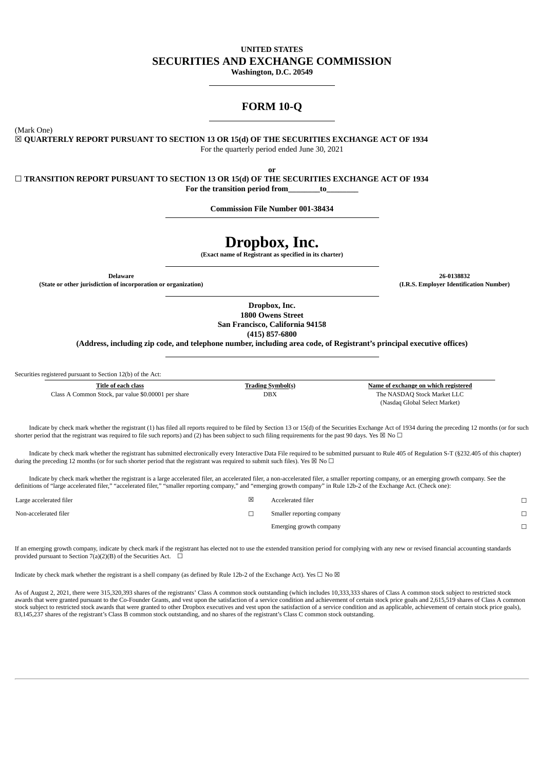# **UNITED STATES SECURITIES AND EXCHANGE COMMISSION**

**Washington, D.C. 20549**

# **FORM 10-Q**

(Mark One)

☒ **QUARTERLY REPORT PURSUANT TO SECTION 13 OR 15(d) OF THE SECURITIES EXCHANGE ACT OF 1934** For the quarterly period ended June 30, 2021

**or**

☐ **TRANSITION REPORT PURSUANT TO SECTION 13 OR 15(d) OF THE SECURITIES EXCHANGE ACT OF 1934 For the transition period from\_\_\_\_\_\_\_\_to\_\_\_\_\_\_\_\_**

**Commission File Number 001-38434**

# **Dropbox, Inc.**

**(Exact name of Registrant as specified in its charter)**

**(State or other jurisdiction of incorporation or organization) (I.R.S. Employer Identification Number)**

**Delaware 26-0138832**

**Dropbox, Inc. 1800 Owens Street San Francisco, California 94158 (415) 857-6800**

**(Address, including zip code, and telephone number, including area code, of Registrant's principal executive offices)**

Securities registered pursuant to Section 12(b) of the Act:

**Title of each class Trading Symbol(s) Name of exchange on which registered** Class A Common Stock, par value \$0.00001 per share **DBX** DBX The NASDAQ Stock Market LLC (Nasdaq Global Select Market)

Indicate by check mark whether the registrant (1) has filed all reports required to be filed by Section 13 or 15(d) of the Securities Exchange Act of 1934 during the preceding 12 months (or for such shorter period that the registrant was required to file such reports) and (2) has been subject to such filing requirements for the past 90 days. Yes  $\boxtimes$  No  $\Box$ 

Indicate by check mark whether the registrant has submitted electronically every Interactive Data File required to be submitted pursuant to Rule 405 of Regulation S-T (§232.405 of this chapter) during the preceding 12 months (or for such shorter period that the registrant was required to submit such files). Yes  $\boxtimes$  No  $\Box$ 

Indicate by check mark whether the registrant is a large accelerated filer, an accelerated filer, a non-accelerated filer, a smaller reporting company, or an emerging growth company. See the exchange Act. (Check one):<br>defi

| Large accelerated filer | ⊠ | Accelerated filer         |                          |
|-------------------------|---|---------------------------|--------------------------|
| Non-accelerated filer   |   | Smaller reporting company | $\overline{\phantom{0}}$ |
|                         |   | Emerging growth company   |                          |

If an emerging growth company, indicate by check mark if the registrant has elected not to use the extended transition period for complying with any new or revised financial accounting standards provided pursuant to Section 7(a)(2)(B) of the Securities Act.  $\Box$ 

Indicate by check mark whether the registrant is a shell company (as defined by Rule 12b-2 of the Exchange Act). Yes  $\Box$  No  $\boxtimes$ 

As of August 2, 2021, there were 315,320,393 shares of the registrants' Class A common stock outstanding (which includes 10,333,333 shares of Class A common stock subject to restricted stock awards that were granted pursuant to the Co-Founder Grants, and vest upon the satisfaction of a service condition and achievement of certain stock price goals and 2,615,519 shares of Class A common stock subject to restricted stock awards that were granted to other Dropbox executives and vest upon the satisfaction of a service condition and as applicable, achievement of certain stock price goals), 83,145,237 shares of the registrant's Class B common stock outstanding, and no shares of the registrant's Class C common stock outstanding.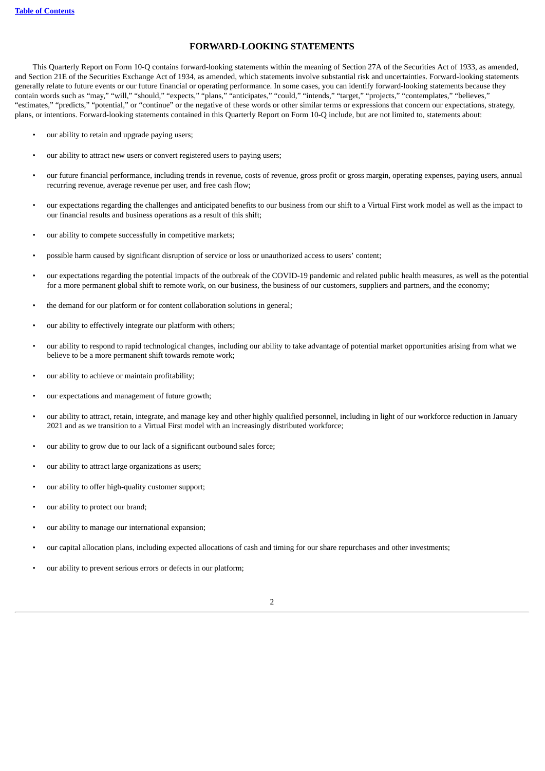# **FORWARD-LOOKING STATEMENTS**

This Quarterly Report on Form 10-Q contains forward-looking statements within the meaning of Section 27A of the Securities Act of 1933, as amended, and Section 21E of the Securities Exchange Act of 1934, as amended, which statements involve substantial risk and uncertainties. Forward-looking statements generally relate to future events or our future financial or operating performance. In some cases, you can identify forward-looking statements because they contain words such as "may," "will," "should," "expects," "plans," "anticipates," "could," "intends," "target," "projects," "contemplates," "believes," "estimates," "predicts," "potential," or "continue" or the negative of these words or other similar terms or expressions that concern our expectations, strategy, plans, or intentions. Forward-looking statements contained in this Quarterly Report on Form 10-Q include, but are not limited to, statements about:

- our ability to retain and upgrade paying users;
- our ability to attract new users or convert registered users to paying users;
- our future financial performance, including trends in revenue, costs of revenue, gross profit or gross margin, operating expenses, paying users, annual recurring revenue, average revenue per user, and free cash flow;
- our expectations regarding the challenges and anticipated benefits to our business from our shift to a Virtual First work model as well as the impact to our financial results and business operations as a result of this shift;
- our ability to compete successfully in competitive markets;
- possible harm caused by significant disruption of service or loss or unauthorized access to users' content;
- our expectations regarding the potential impacts of the outbreak of the COVID-19 pandemic and related public health measures, as well as the potential for a more permanent global shift to remote work, on our business, the business of our customers, suppliers and partners, and the economy;
- the demand for our platform or for content collaboration solutions in general;
- our ability to effectively integrate our platform with others;
- our ability to respond to rapid technological changes, including our ability to take advantage of potential market opportunities arising from what we believe to be a more permanent shift towards remote work;
- our ability to achieve or maintain profitability;
- our expectations and management of future growth;
- our ability to attract, retain, integrate, and manage key and other highly qualified personnel, including in light of our workforce reduction in January 2021 and as we transition to a Virtual First model with an increasingly distributed workforce;
- our ability to grow due to our lack of a significant outbound sales force;
- our ability to attract large organizations as users;
- our ability to offer high-quality customer support;
- our ability to protect our brand:
- our ability to manage our international expansion;
- our capital allocation plans, including expected allocations of cash and timing for our share repurchases and other investments;
- our ability to prevent serious errors or defects in our platform;

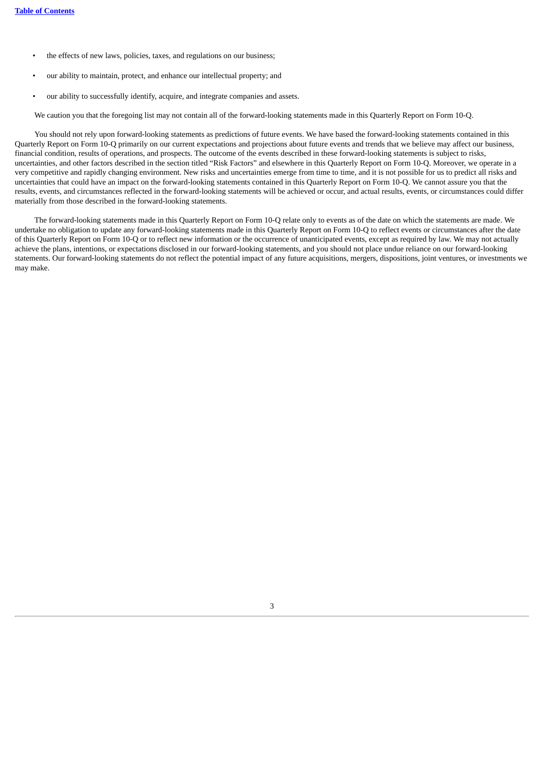- the effects of new laws, policies, taxes, and regulations on our business;
- our ability to maintain, protect, and enhance our intellectual property; and
- our ability to successfully identify, acquire, and integrate companies and assets.

We caution you that the foregoing list may not contain all of the forward-looking statements made in this Quarterly Report on Form 10-Q.

You should not rely upon forward-looking statements as predictions of future events. We have based the forward-looking statements contained in this Quarterly Report on Form 10-Q primarily on our current expectations and projections about future events and trends that we believe may affect our business, financial condition, results of operations, and prospects. The outcome of the events described in these forward-looking statements is subject to risks, uncertainties, and other factors described in the section titled "Risk Factors" and elsewhere in this Quarterly Report on Form 10-Q. Moreover, we operate in a very competitive and rapidly changing environment. New risks and uncertainties emerge from time to time, and it is not possible for us to predict all risks and uncertainties that could have an impact on the forward-looking statements contained in this Quarterly Report on Form 10-Q. We cannot assure you that the results, events, and circumstances reflected in the forward-looking statements will be achieved or occur, and actual results, events, or circumstances could differ materially from those described in the forward-looking statements.

The forward-looking statements made in this Quarterly Report on Form 10-Q relate only to events as of the date on which the statements are made. We undertake no obligation to update any forward-looking statements made in this Quarterly Report on Form 10-Q to reflect events or circumstances after the date of this Quarterly Report on Form 10-Q or to reflect new information or the occurrence of unanticipated events, except as required by law. We may not actually achieve the plans, intentions, or expectations disclosed in our forward-looking statements, and you should not place undue reliance on our forward-looking statements. Our forward-looking statements do not reflect the potential impact of any future acquisitions, mergers, dispositions, joint ventures, or investments we may make.

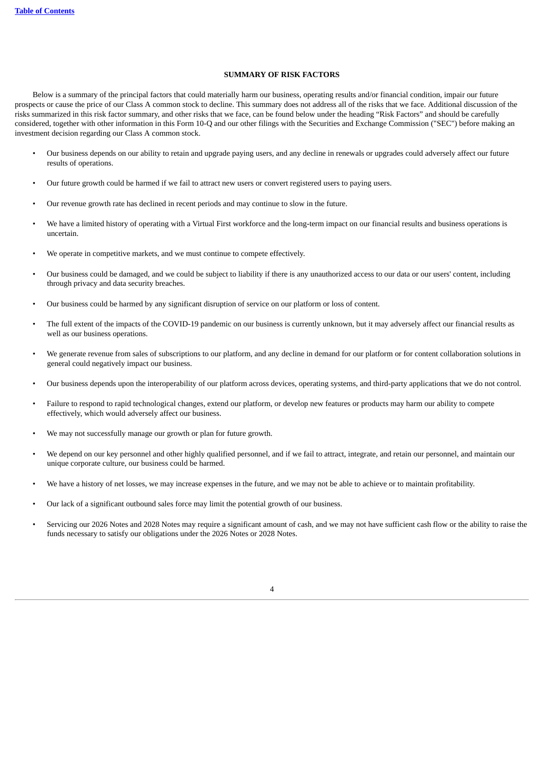## **SUMMARY OF RISK FACTORS**

Below is a summary of the principal factors that could materially harm our business, operating results and/or financial condition, impair our future prospects or cause the price of our Class A common stock to decline. This summary does not address all of the risks that we face. Additional discussion of the risks summarized in this risk factor summary, and other risks that we face, can be found below under the heading "Risk Factors" and should be carefully considered, together with other information in this Form 10-Q and our other filings with the Securities and Exchange Commission ("SEC") before making an investment decision regarding our Class A common stock.

- Our business depends on our ability to retain and upgrade paying users, and any decline in renewals or upgrades could adversely affect our future results of operations.
- Our future growth could be harmed if we fail to attract new users or convert registered users to paying users.
- Our revenue growth rate has declined in recent periods and may continue to slow in the future.
- We have a limited history of operating with a Virtual First workforce and the long-term impact on our financial results and business operations is uncertain.
- We operate in competitive markets, and we must continue to compete effectively.
- Our business could be damaged, and we could be subject to liability if there is any unauthorized access to our data or our users' content, including through privacy and data security breaches.
- Our business could be harmed by any significant disruption of service on our platform or loss of content.
- The full extent of the impacts of the COVID-19 pandemic on our business is currently unknown, but it may adversely affect our financial results as well as our business operations.
- We generate revenue from sales of subscriptions to our platform, and any decline in demand for our platform or for content collaboration solutions in general could negatively impact our business.
- Our business depends upon the interoperability of our platform across devices, operating systems, and third-party applications that we do not control.
- Failure to respond to rapid technological changes, extend our platform, or develop new features or products may harm our ability to compete effectively, which would adversely affect our business.
- We may not successfully manage our growth or plan for future growth.
- We depend on our key personnel and other highly qualified personnel, and if we fail to attract, integrate, and retain our personnel, and maintain our unique corporate culture, our business could be harmed.
- We have a history of net losses, we may increase expenses in the future, and we may not be able to achieve or to maintain profitability.
- Our lack of a significant outbound sales force may limit the potential growth of our business.
- <span id="page-3-0"></span>• Servicing our 2026 Notes and 2028 Notes may require a significant amount of cash, and we may not have sufficient cash flow or the ability to raise the funds necessary to satisfy our obligations under the 2026 Notes or 2028 Notes.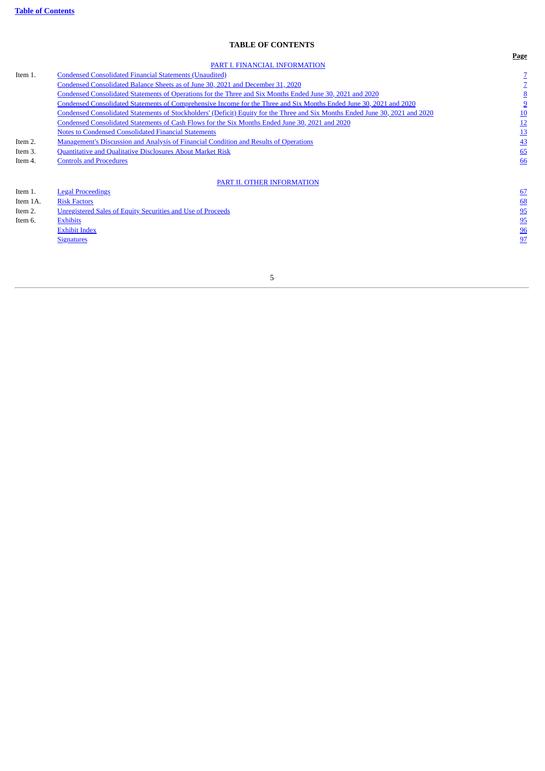# **TABLE OF CONTENTS**

<span id="page-4-0"></span>

|          |                                                                                                                               | Page       |
|----------|-------------------------------------------------------------------------------------------------------------------------------|------------|
|          | PART I. FINANCIAL INFORMATION                                                                                                 |            |
| Item 1.  | <b>Condensed Consolidated Financial Statements (Unaudited)</b>                                                                |            |
|          | Condensed Consolidated Balance Sheets as of June 30, 2021 and December 31, 2020                                               |            |
|          | Condensed Consolidated Statements of Operations for the Three and Six Months Ended June 30, 2021 and 2020                     |            |
|          | Condensed Consolidated Statements of Comprehensive Income for the Three and Six Months Ended June 30, 2021 and 2020           |            |
|          | Condensed Consolidated Statements of Stockholders' (Deficit) Equity for the Three and Six Months Ended June 30, 2021 and 2020 | <u> 10</u> |
|          | Condensed Consolidated Statements of Cash Flows for the Six Months Ended June 30, 2021 and 2020                               | <u>12</u>  |
|          | <b>Notes to Condensed Consolidated Financial Statements</b>                                                                   | <u>13</u>  |
| Item 2.  | Management's Discussion and Analysis of Financial Condition and Results of Operations                                         | 43         |
| Item 3.  | Quantitative and Qualitative Disclosures About Market Risk                                                                    | 65         |
| Item 4.  | <b>Controls and Procedures</b>                                                                                                | -66        |
|          | PART II. OTHER INFORMATION                                                                                                    |            |
| Item 1.  | <b>Legal Proceedings</b>                                                                                                      | <u>67</u>  |
| Item 1A. | <b>Risk Factors</b>                                                                                                           | 68         |
| Item 2.  | Unregistered Sales of Equity Securities and Use of Proceeds                                                                   | 95         |
| Item 6.  | <b>Exhibits</b>                                                                                                               | 95         |
|          | <b>Exhibit Index</b>                                                                                                          | 96         |
|          | <b>Signatures</b>                                                                                                             | 97         |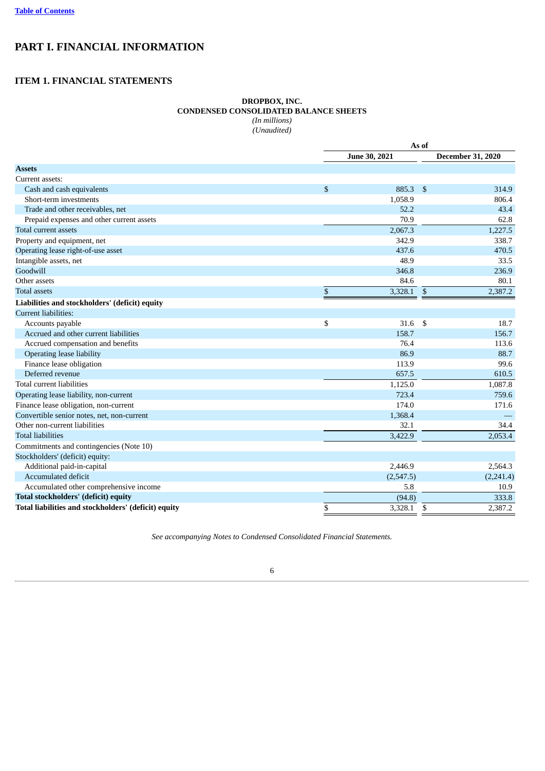# **PART I. FINANCIAL INFORMATION**

# <span id="page-5-1"></span><span id="page-5-0"></span>**ITEM 1. FINANCIAL STATEMENTS**

# **DROPBOX, INC. CONDENSED CONSOLIDATED BALANCE SHEETS** *(In millions) (Unaudited)*

|                                                      |               |               | As of         |                          |
|------------------------------------------------------|---------------|---------------|---------------|--------------------------|
|                                                      |               | June 30, 2021 |               | <b>December 31, 2020</b> |
| <b>Assets</b>                                        |               |               |               |                          |
| Current assets:                                      |               |               |               |                          |
| Cash and cash equivalents                            | $\mathsf{\$}$ | 885.3         | $\mathsf{\$}$ | 314.9                    |
| Short-term investments                               |               | 1,058.9       |               | 806.4                    |
| Trade and other receivables, net                     |               | 52.2          |               | 43.4                     |
| Prepaid expenses and other current assets            |               | 70.9          |               | 62.8                     |
| Total current assets                                 |               | 2,067.3       |               | 1,227.5                  |
| Property and equipment, net                          |               | 342.9         |               | 338.7                    |
| Operating lease right-of-use asset                   |               | 437.6         |               | 470.5                    |
| Intangible assets, net                               |               | 48.9          |               | 33.5                     |
| Goodwill                                             |               | 346.8         |               | 236.9                    |
| Other assets                                         |               | 84.6          |               | 80.1                     |
| <b>Total assets</b>                                  | \$            | 3,328.1       | \$            | 2,387.2                  |
| Liabilities and stockholders' (deficit) equity       |               |               |               |                          |
| Current liabilities:                                 |               |               |               |                          |
| Accounts payable                                     | \$            | 31.6          | $\mathbf{\$}$ | 18.7                     |
| Accrued and other current liabilities                |               | 158.7         |               | 156.7                    |
| Accrued compensation and benefits                    |               | 76.4          |               | 113.6                    |
| <b>Operating lease liability</b>                     |               | 86.9          |               | 88.7                     |
| Finance lease obligation                             |               | 113.9         |               | 99.6                     |
| Deferred revenue                                     |               | 657.5         |               | 610.5                    |
| Total current liabilities                            |               | 1,125.0       |               | 1,087.8                  |
| Operating lease liability, non-current               |               | 723.4         |               | 759.6                    |
| Finance lease obligation, non-current                |               | 174.0         |               | 171.6                    |
| Convertible senior notes, net, non-current           |               | 1,368.4       |               |                          |
| Other non-current liabilities                        |               | 32.1          |               | 34.4                     |
| <b>Total liabilities</b>                             |               | 3,422.9       |               | 2,053.4                  |
| Commitments and contingencies (Note 10)              |               |               |               |                          |
| Stockholders' (deficit) equity:                      |               |               |               |                          |
| Additional paid-in-capital                           |               | 2,446.9       |               | 2,564.3                  |
| Accumulated deficit                                  |               | (2,547.5)     |               | (2,241.4)                |
| Accumulated other comprehensive income               |               | 5.8           |               | 10.9                     |
| <b>Total stockholders' (deficit) equity</b>          |               | (94.8)        |               | 333.8                    |
| Total liabilities and stockholders' (deficit) equity | \$            | 3,328.1       | \$            | 2,387.2                  |

<span id="page-5-2"></span>*See accompanying Notes to Condensed Consolidated Financial Statements.*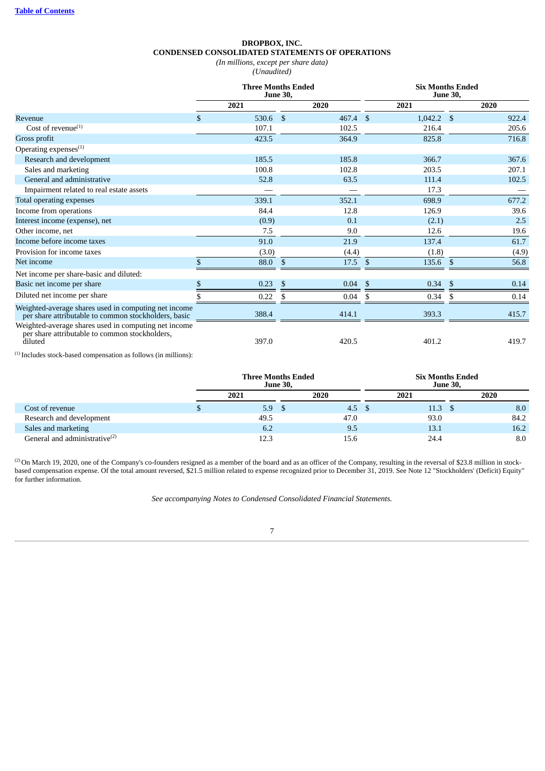# **DROPBOX, INC. CONDENSED CONSOLIDATED STATEMENTS OF OPERATIONS** *(In millions, except per share data)*

*(Unaudited)*

|                                                                                                                   |              | <b>Three Months Ended</b> | <b>June 30,</b> |       |              |              | <b>Six Months Ended</b><br><b>June 30,</b> |          |  |
|-------------------------------------------------------------------------------------------------------------------|--------------|---------------------------|-----------------|-------|--------------|--------------|--------------------------------------------|----------|--|
|                                                                                                                   |              | 2021                      |                 | 2020  |              | 2021         |                                            | 2020     |  |
| Revenue                                                                                                           | $\mathbb{S}$ | 530.6                     | $\mathbf{s}$    | 467.4 | $\mathbf{s}$ | $1,042.2$ \$ |                                            | 922.4    |  |
| Cost of revenue $^{(1)}$                                                                                          |              | 107.1                     |                 | 102.5 |              | 216.4        |                                            | 205.6    |  |
| Gross profit                                                                                                      |              | 423.5                     |                 | 364.9 |              | 825.8        |                                            | 716.8    |  |
| Operating expenses $^{(1)}$                                                                                       |              |                           |                 |       |              |              |                                            |          |  |
| Research and development                                                                                          |              | 185.5                     |                 | 185.8 |              | 366.7        |                                            | 367.6    |  |
| Sales and marketing                                                                                               |              | 100.8                     |                 | 102.8 |              | 203.5        |                                            | 207.1    |  |
| General and administrative                                                                                        |              | 52.8                      |                 | 63.5  |              | 111.4        |                                            | 102.5    |  |
| Impairment related to real estate assets                                                                          |              |                           |                 |       |              | 17.3         |                                            |          |  |
| Total operating expenses                                                                                          |              | 339.1                     |                 | 352.1 |              | 698.9        |                                            | 677.2    |  |
| Income from operations                                                                                            |              | 84.4                      |                 | 12.8  |              | 126.9        |                                            | 39.6     |  |
| Interest income (expense), net                                                                                    |              | (0.9)                     |                 | 0.1   |              | (2.1)        |                                            | 2.5      |  |
| Other income, net                                                                                                 |              | 7.5                       |                 | 9.0   |              | 12.6         |                                            | 19.6     |  |
| Income before income taxes                                                                                        |              | 91.0                      |                 | 21.9  |              | 137.4        |                                            | 61.7     |  |
| Provision for income taxes                                                                                        |              | (3.0)                     |                 | (4.4) |              | (1.8)        |                                            | (4.9)    |  |
| Net income                                                                                                        |              | 88.0                      | \$              | 17.5  | \$           | 135.6 \$     |                                            | 56.8     |  |
| Net income per share-basic and diluted:                                                                           |              |                           |                 |       |              |              |                                            |          |  |
| Basic net income per share                                                                                        |              | 0.23                      | \$              | 0.04  | $\mathbf{s}$ | 0.34         | $\mathfrak{s}$                             | 0.14     |  |
| Diluted net income per share                                                                                      |              | 0.22                      |                 | 0.04  |              | 0.34         |                                            | $0.14\,$ |  |
| Weighted-average shares used in computing net income<br>per share attributable to common stockholders, basic      |              | 388.4                     |                 | 414.1 |              | 393.3        |                                            | 415.7    |  |
| Weighted-average shares used in computing net income<br>per share attributable to common stockholders,<br>diluted |              | 397.0                     |                 | 420.5 |              | 401.2        |                                            | 419.7    |  |

 $(1)$  Includes stock-based compensation as follows (in millions):

|                                           | <b>Three Months Ended</b> | <b>June 30,</b> |      | <b>Six Months Ended</b> | <b>June 30,</b> |      |
|-------------------------------------------|---------------------------|-----------------|------|-------------------------|-----------------|------|
|                                           | 2021                      |                 | 2020 | 2021                    |                 | 2020 |
| Cost of revenue                           | 5.9 <sup>5</sup>          |                 | 4.5  | $11.3 \quad $^{\circ}$  |                 | 8.0  |
| Research and development                  | 49.5                      |                 | 47.0 | 93.0                    |                 | 84.2 |
| Sales and marketing                       | 6.2                       |                 | 9.5  | 13.1                    |                 | 16.2 |
| General and administrative <sup>(2)</sup> | 12.3                      |                 | 15.6 | 24.4                    |                 | 8.0  |

<span id="page-6-0"></span>(2) On March 19, 2020, one of the Company's co-founders resigned as a member of the board and as an officer of the Company, resulting in the reversal of \$23.8 million in stockbased compensation expense. Of the total amount reversed, \$21.5 million related to expense recognized prior to December 31, 2019. See Note 12 "Stockholders' (Deficit) Equity" for further information.

*See accompanying Notes to Condensed Consolidated Financial Statements.*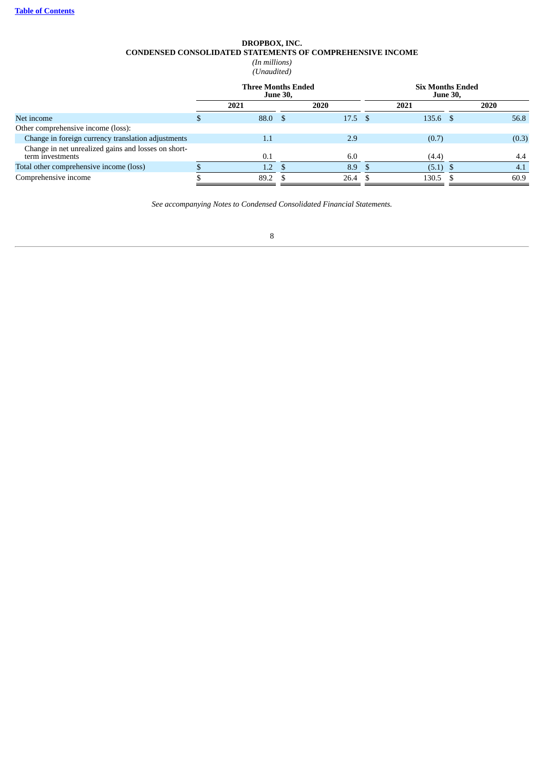# **DROPBOX, INC. CONDENSED CONSOLIDATED STATEMENTS OF COMPREHENSIVE INCOME** *(In millions)*

*(Unaudited)*

|                                                                         | <b>Three Months Ended</b> | <b>June 30,</b> |      |     | <b>Six Months Ended</b><br><b>June 30,</b> |       |
|-------------------------------------------------------------------------|---------------------------|-----------------|------|-----|--------------------------------------------|-------|
|                                                                         | 2021                      |                 | 2020 |     | 2021                                       | 2020  |
| Net income                                                              | 88.0                      |                 | 17.5 | - S | $135.6$ \$                                 | 56.8  |
| Other comprehensive income (loss):                                      |                           |                 |      |     |                                            |       |
| Change in foreign currency translation adjustments                      | 1.1                       |                 | 2.9  |     | (0.7)                                      | (0.3) |
| Change in net unrealized gains and losses on short-<br>term investments | 0.1                       |                 | 6.0  |     | (4.4)                                      | 4.4   |
| Total other comprehensive income (loss)                                 | 1.2                       |                 | 8.9  |     | (5.1)                                      | 4.1   |
| Comprehensive income                                                    | 89.2                      |                 | 26.4 |     | 130.5                                      | 60.9  |

<span id="page-7-0"></span>*See accompanying Notes to Condensed Consolidated Financial Statements.*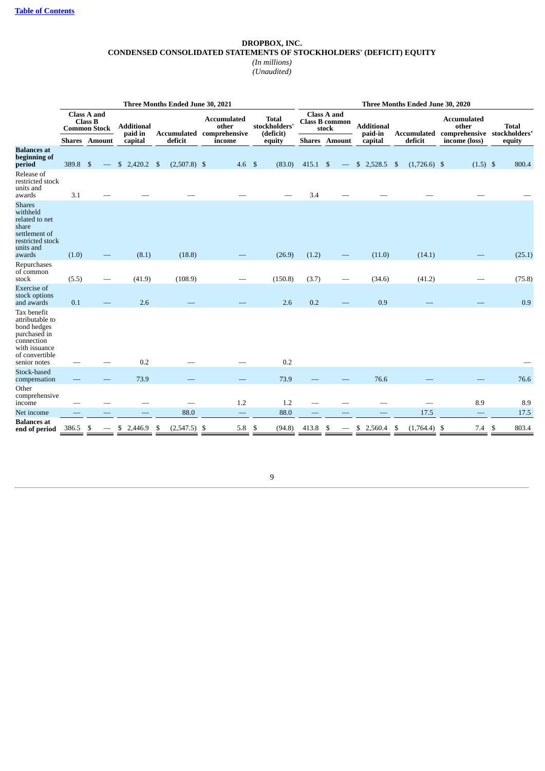# **DROPBOX, INC. CONDENSED CONSOLIDATED STATEMENTS OF STOCKHOLDERS' (DEFICIT) EQUITY** *(In millions)*

*(Unaudited)*

|                                                                                                                                |                                           |                |                              |      |                | Three Months Ended June 30, 2021                         |        | Three Months Ended June 30, 2020    |                                             |       |                                 |                              |    |                |                                                                        |              |  |  |  |
|--------------------------------------------------------------------------------------------------------------------------------|-------------------------------------------|----------------|------------------------------|------|----------------|----------------------------------------------------------|--------|-------------------------------------|---------------------------------------------|-------|---------------------------------|------------------------------|----|----------------|------------------------------------------------------------------------|--------------|--|--|--|
|                                                                                                                                | <b>Class A and</b><br><b>Common Stock</b> | <b>Class B</b> | <b>Additional</b><br>paid in |      |                | <b>Accumulated</b><br>other<br>Accumulated comprehensive |        | Total<br>stockholders'<br>(deficit) | <b>Class A and</b><br><b>Class B common</b> | stock |                                 | <b>Additional</b><br>paid-in |    |                | <b>Accumulated</b><br>other<br>Accumulated comprehensive stockholders' | <b>Total</b> |  |  |  |
|                                                                                                                                | <b>Shares</b> Amount                      |                | capital                      |      | deficit        | income                                                   |        | equity                              | <b>Shares</b> Amount                        |       |                                 | capital                      |    | deficit        | income (loss)                                                          | equity       |  |  |  |
| <b>Balances</b> at<br>beginning of<br>period                                                                                   | 389.8                                     | \$             | \$2,420.2                    | - \$ | $(2,507.8)$ \$ |                                                          | 4.6 \$ | (83.0)                              | $415.1$ \$                                  |       | $\hspace{0.1mm}-\hspace{0.1mm}$ | $$2,528.5$ \$                |    | $(1,726.6)$ \$ | $(1.5)$ \$                                                             | 800.4        |  |  |  |
| Release of<br>restricted stock<br>units and<br>awards                                                                          | 3.1                                       |                |                              |      |                |                                                          |        |                                     | 3.4                                         |       |                                 |                              |    |                |                                                                        |              |  |  |  |
| <b>Shares</b><br>withheld<br>related to net<br>share<br>settlement of<br>restricted stock<br>units and<br>awards               | (1.0)                                     |                | (8.1)                        |      | (18.8)         |                                                          |        | (26.9)                              | (1.2)                                       |       |                                 | (11.0)                       |    | (14.1)         |                                                                        | (25.1)       |  |  |  |
| Repurchases<br>of common<br>stock                                                                                              | (5.5)                                     |                | (41.9)                       |      | (108.9)        |                                                          |        | (150.8)                             | (3.7)                                       |       |                                 | (34.6)                       |    | (41.2)         |                                                                        | (75.8)       |  |  |  |
| <b>Exercise</b> of<br>stock options<br>and awards                                                                              | 0.1                                       |                | 2.6                          |      |                |                                                          |        | 2.6                                 | 0.2                                         |       |                                 | 0.9                          |    |                |                                                                        | 0.9          |  |  |  |
| Tax benefit<br>attributable to<br>bond hedges<br>purchased in<br>connection<br>with issuance<br>of convertible<br>senior notes |                                           |                | 0.2                          |      |                |                                                          |        | 0.2                                 |                                             |       |                                 |                              |    |                |                                                                        |              |  |  |  |
| Stock-based<br>compensation                                                                                                    |                                           |                | 73.9                         |      |                |                                                          |        | 73.9                                |                                             |       |                                 | 76.6                         |    |                |                                                                        | 76.6         |  |  |  |
| Other<br>comprehensive<br>income                                                                                               |                                           |                |                              |      |                | 1.2                                                      |        | 1.2                                 |                                             |       |                                 |                              |    |                | 8.9                                                                    | 8.9          |  |  |  |
| Net income                                                                                                                     |                                           |                |                              |      | 88.0           | $\overline{\phantom{0}}$                                 |        | 88.0                                |                                             |       |                                 |                              |    | 17.5           | -                                                                      | 17.5         |  |  |  |
| <b>Balances</b> at<br>end of period                                                                                            | 386.5                                     | \$             | 2,446.9<br>\$                | -\$  | (2,547.5)      | 5.8<br>-\$                                               | -\$    | (94.8)                              | 413.8                                       | -S    | $\overline{\phantom{0}}$        | \$2,560.4                    | \$ | $(1,764.4)$ \$ | 7.4                                                                    | 803.4<br>\$  |  |  |  |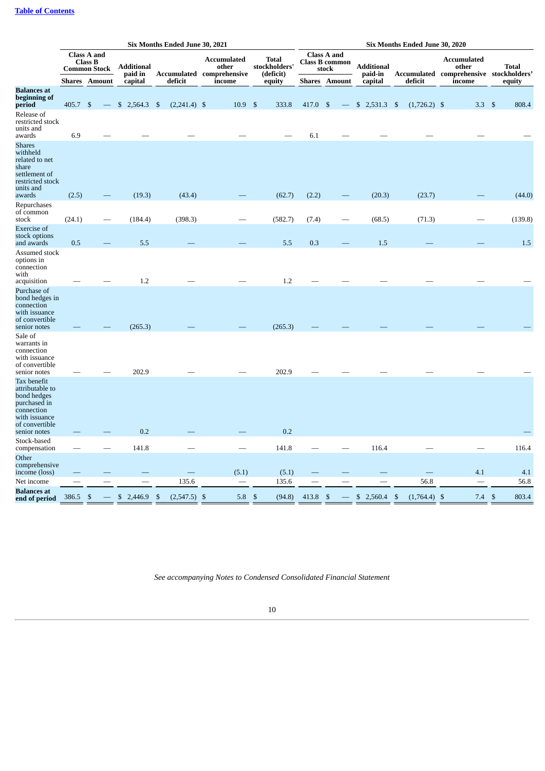|                                                                                                                                |                                                                                     |     |                                  |     | Six Months Ended June 30, 2021 |                                                                    |                  |                                               |                                                                     | Six Months Ended June 30, 2020 |  |                                         |      |                |                                                                                  |  |                        |
|--------------------------------------------------------------------------------------------------------------------------------|-------------------------------------------------------------------------------------|-----|----------------------------------|-----|--------------------------------|--------------------------------------------------------------------|------------------|-----------------------------------------------|---------------------------------------------------------------------|--------------------------------|--|-----------------------------------------|------|----------------|----------------------------------------------------------------------------------|--|------------------------|
|                                                                                                                                | <b>Class A and</b><br><b>Class B</b><br><b>Common Stock</b><br><b>Shares</b> Amount |     | Additional<br>paid in<br>capital |     | deficit                        | <b>Accumulated</b><br>other<br>Accumulated comprehensive<br>income |                  | Total<br>stockholders'<br>(deficit)<br>equity | <b>Class A and</b><br><b>Class B common</b><br><b>Shares</b> Amount | stock                          |  | <b>Additional</b><br>paid-in<br>capital |      | deficit        | <b>Accumulated</b><br>other<br>Accumulated comprehensive stockholders'<br>income |  | <b>Total</b><br>equity |
|                                                                                                                                |                                                                                     |     |                                  |     |                                |                                                                    |                  |                                               |                                                                     |                                |  |                                         |      |                |                                                                                  |  |                        |
| <b>Balances</b> at<br>beginning of<br>period                                                                                   | 405.7                                                                               | -\$ | $$2,564.3$ \$                    |     | $(2,241.4)$ \$                 | 10.9 <sup>5</sup>                                                  |                  | 333.8                                         | 417.0                                                               | - \$                           |  | $$2,531.3$ \$                           |      | $(1,726.2)$ \$ | 3.3 $$$                                                                          |  | 808.4                  |
| Release of<br>restricted stock<br>units and<br>awards                                                                          | 6.9                                                                                 |     |                                  |     |                                |                                                                    |                  |                                               | 6.1                                                                 |                                |  |                                         |      |                |                                                                                  |  |                        |
| <b>Shares</b><br>withheld<br>related to net<br>share<br>settlement of<br>restricted stock<br>units and<br>awards               | (2.5)                                                                               |     | (19.3)                           |     | (43.4)                         |                                                                    |                  | (62.7)                                        | (2.2)                                                               |                                |  | (20.3)                                  |      | (23.7)         |                                                                                  |  | (44.0)                 |
| Repurchases<br>of common                                                                                                       |                                                                                     |     |                                  |     |                                |                                                                    |                  |                                               |                                                                     |                                |  |                                         |      |                |                                                                                  |  |                        |
| stock                                                                                                                          | (24.1)                                                                              |     | (184.4)                          |     | (398.3)                        |                                                                    |                  | (582.7)                                       | (7.4)                                                               |                                |  | (68.5)                                  |      | (71.3)         |                                                                                  |  | (139.8)                |
| <b>Exercise</b> of<br>stock options<br>and awards                                                                              | 0.5                                                                                 |     | 5.5                              |     |                                |                                                                    |                  | 5.5                                           | 0.3                                                                 |                                |  | 1.5                                     |      |                |                                                                                  |  | 1.5                    |
| Assumed stock<br>options in<br>connection<br>with<br>acquisition                                                               |                                                                                     |     | 1.2                              |     |                                |                                                                    |                  | 1.2                                           |                                                                     |                                |  |                                         |      |                |                                                                                  |  |                        |
| Purchase of<br>bond hedges in<br>connection<br>with issuance<br>of convertible<br>senior notes                                 |                                                                                     |     | (265.3)                          |     |                                |                                                                    |                  | (265.3)                                       |                                                                     |                                |  |                                         |      |                |                                                                                  |  |                        |
| Sale of<br>warrants in<br>connection<br>with issuance<br>of convertible<br>senior notes                                        |                                                                                     |     | 202.9                            |     |                                |                                                                    |                  | 202.9                                         |                                                                     |                                |  |                                         |      |                |                                                                                  |  |                        |
| Tax benefit<br>attributable to<br>bond hedges<br>purchased in<br>connection<br>with issuance<br>of convertible<br>senior notes |                                                                                     |     | 0.2                              |     |                                |                                                                    |                  | 0.2                                           |                                                                     |                                |  |                                         |      |                |                                                                                  |  |                        |
| Stock-based                                                                                                                    |                                                                                     |     |                                  |     |                                |                                                                    |                  |                                               |                                                                     |                                |  |                                         |      |                |                                                                                  |  |                        |
| compensation<br>Other<br>comprehensive<br>income (loss)                                                                        |                                                                                     |     | 141.8                            |     |                                | (5.1)                                                              |                  | 141.8<br>(5.1)                                |                                                                     |                                |  | 116.4                                   |      |                | 4.1                                                                              |  | 116.4<br>4.1           |
| Net income                                                                                                                     |                                                                                     |     |                                  |     | 135.6                          |                                                                    |                  | 135.6                                         |                                                                     |                                |  |                                         |      | 56.8           |                                                                                  |  | 56.8                   |
| <b>Balances</b> at<br>end of period                                                                                            | 386.5                                                                               | \$  | $\mathbb{S}$<br>2,446.9          | -\$ | $(2,547.5)$ \$                 |                                                                    | 5.8 <sup>5</sup> | (94.8)                                        | 413.8                                                               | $^{\circ}$                     |  | \$2,560.4                               | - \$ | $(1,764.4)$ \$ | $7.4 \quad $$                                                                    |  | 803.4                  |

<span id="page-9-0"></span>*See accompanying Notes to Condensed Consolidated Financial Statement*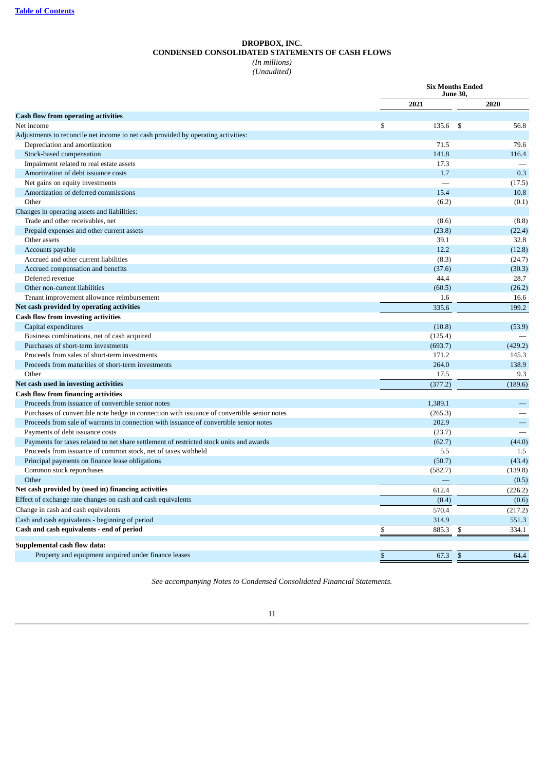# **DROPBOX, INC. CONDENSED CONSOLIDATED STATEMENTS OF CASH FLOWS** *(In millions)*

*(Unaudited)*

|                                                                                             |                | <b>Six Months Ended</b> | <b>June 30.</b> |         |
|---------------------------------------------------------------------------------------------|----------------|-------------------------|-----------------|---------|
|                                                                                             |                | 2021                    |                 | 2020    |
| <b>Cash flow from operating activities</b>                                                  |                |                         |                 |         |
| Net income                                                                                  | \$             | 135.6                   | $\mathfrak{S}$  | 56.8    |
| Adjustments to reconcile net income to net cash provided by operating activities:           |                |                         |                 |         |
| Depreciation and amortization                                                               |                | 71.5                    |                 | 79.6    |
| Stock-based compensation                                                                    |                | 141.8                   |                 | 116.4   |
| Impairment related to real estate assets                                                    |                | 17.3                    |                 |         |
| Amortization of debt issuance costs                                                         |                | 1.7                     |                 | 0.3     |
| Net gains on equity investments                                                             |                |                         |                 | (17.5)  |
| Amortization of deferred commissions                                                        |                | 15.4                    |                 | 10.8    |
| Other                                                                                       |                | (6.2)                   |                 | (0.1)   |
| Changes in operating assets and liabilities:                                                |                |                         |                 |         |
| Trade and other receivables, net                                                            |                | (8.6)                   |                 | (8.8)   |
| Prepaid expenses and other current assets                                                   |                | (23.8)                  |                 | (22.4)  |
| Other assets                                                                                |                | 39.1                    |                 | 32.8    |
| Accounts payable                                                                            |                | 12.2                    |                 | (12.8)  |
| Accrued and other current liabilities                                                       |                | (8.3)                   |                 | (24.7)  |
| Accrued compensation and benefits                                                           |                | (37.6)                  |                 | (30.3)  |
| Deferred revenue                                                                            |                | 44.4                    |                 | 28.7    |
| Other non-current liabilities                                                               |                | (60.5)                  |                 | (26.2)  |
| Tenant improvement allowance reimbursement                                                  |                | 1.6                     |                 | 16.6    |
| Net cash provided by operating activities                                                   |                | 335.6                   |                 | 199.2   |
| <b>Cash flow from investing activities</b>                                                  |                |                         |                 |         |
| Capital expenditures                                                                        |                | (10.8)                  |                 | (53.9)  |
| Business combinations, net of cash acquired                                                 |                | (125.4)                 |                 |         |
| Purchases of short-term investments                                                         |                | (693.7)                 |                 | (429.2) |
| Proceeds from sales of short-term investments                                               |                | 171.2                   |                 | 145.3   |
| Proceeds from maturities of short-term investments                                          |                | 264.0                   |                 | 138.9   |
| Other                                                                                       |                | 17.5                    |                 | 9.3     |
| Net cash used in investing activities                                                       |                | (377.2)                 |                 | (189.6) |
| <b>Cash flow from financing activities</b>                                                  |                |                         |                 |         |
| Proceeds from issuance of convertible senior notes                                          |                | 1,389.1                 |                 |         |
| Purchases of convertible note hedge in connection with issuance of convertible senior notes |                | (265.3)                 |                 |         |
| Proceeds from sale of warrants in connection with issuance of convertible senior notes      |                | 202.9                   |                 |         |
| Payments of debt issuance costs                                                             |                | (23.7)                  |                 |         |
| Payments for taxes related to net share settlement of restricted stock units and awards     |                | (62.7)                  |                 | (44.0)  |
| Proceeds from issuance of common stock, net of taxes withheld                               |                | 5.5                     |                 | 1.5     |
| Principal payments on finance lease obligations                                             |                | (50.7)                  |                 | (43.4)  |
| Common stock repurchases                                                                    |                | (582.7)                 |                 | (139.8) |
| Other                                                                                       |                |                         |                 | (0.5)   |
| Net cash provided by (used in) financing activities                                         |                | 612.4                   |                 | (226.2) |
| Effect of exchange rate changes on cash and cash equivalents                                |                | (0.4)                   |                 | (0.6)   |
| Change in cash and cash equivalents                                                         |                | 570.4                   |                 | (217.2) |
| Cash and cash equivalents - beginning of period                                             |                | 314.9                   |                 | 551.3   |
| Cash and cash equivalents - end of period                                                   | \$             | 885.3                   | \$              | 334.1   |
| Supplemental cash flow data:                                                                |                |                         |                 |         |
| Property and equipment acquired under finance leases                                        | $\mathfrak{s}$ | 67.3                    | $\mathcal{S}$   | 64.4    |

<span id="page-10-0"></span>*See accompanying Notes to Condensed Consolidated Financial Statements.*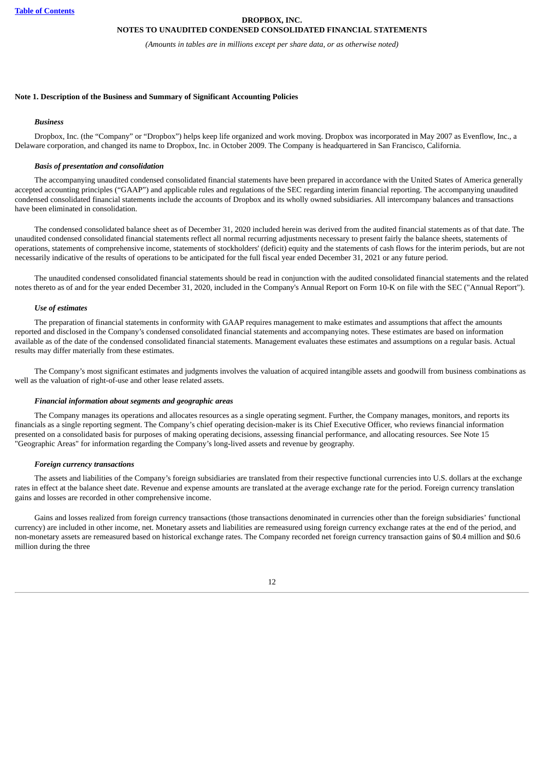# **NOTES TO UNAUDITED CONDENSED CONSOLIDATED FINANCIAL STATEMENTS**

*(Amounts in tables are in millions except per share data, or as otherwise noted)*

### **Note 1. Description of the Business and Summary of Significant Accounting Policies**

## *Business*

Dropbox, Inc. (the "Company" or "Dropbox") helps keep life organized and work moving. Dropbox was incorporated in May 2007 as Evenflow, Inc., a Delaware corporation, and changed its name to Dropbox, Inc. in October 2009. The Company is headquartered in San Francisco, California.

### *Basis of presentation and consolidation*

The accompanying unaudited condensed consolidated financial statements have been prepared in accordance with the United States of America generally accepted accounting principles ("GAAP") and applicable rules and regulations of the SEC regarding interim financial reporting. The accompanying unaudited condensed consolidated financial statements include the accounts of Dropbox and its wholly owned subsidiaries. All intercompany balances and transactions have been eliminated in consolidation.

The condensed consolidated balance sheet as of December 31, 2020 included herein was derived from the audited financial statements as of that date. The unaudited condensed consolidated financial statements reflect all normal recurring adjustments necessary to present fairly the balance sheets, statements of operations, statements of comprehensive income, statements of stockholders' (deficit) equity and the statements of cash flows for the interim periods, but are not necessarily indicative of the results of operations to be anticipated for the full fiscal year ended December 31, 2021 or any future period.

The unaudited condensed consolidated financial statements should be read in conjunction with the audited consolidated financial statements and the related notes thereto as of and for the year ended December 31, 2020, included in the Company's Annual Report on Form 10-K on file with the SEC ("Annual Report").

### *Use of estimates*

The preparation of financial statements in conformity with GAAP requires management to make estimates and assumptions that affect the amounts reported and disclosed in the Company's condensed consolidated financial statements and accompanying notes. These estimates are based on information available as of the date of the condensed consolidated financial statements. Management evaluates these estimates and assumptions on a regular basis. Actual results may differ materially from these estimates.

The Company's most significant estimates and judgments involves the valuation of acquired intangible assets and goodwill from business combinations as well as the valuation of right-of-use and other lease related assets.

### *Financial information about segments and geographic areas*

The Company manages its operations and allocates resources as a single operating segment. Further, the Company manages, monitors, and reports its financials as a single reporting segment. The Company's chief operating decision-maker is its Chief Executive Officer, who reviews financial information presented on a consolidated basis for purposes of making operating decisions, assessing financial performance, and allocating resources. See Note 15 "Geographic Areas" for information regarding the Company's long-lived assets and revenue by geography.

### *Foreign currency transactions*

The assets and liabilities of the Company's foreign subsidiaries are translated from their respective functional currencies into U.S. dollars at the exchange rates in effect at the balance sheet date. Revenue and expense amounts are translated at the average exchange rate for the period. Foreign currency translation gains and losses are recorded in other comprehensive income.

Gains and losses realized from foreign currency transactions (those transactions denominated in currencies other than the foreign subsidiaries' functional currency) are included in other income, net. Monetary assets and liabilities are remeasured using foreign currency exchange rates at the end of the period, and non-monetary assets are remeasured based on historical exchange rates. The Company recorded net foreign currency transaction gains of \$0.4 million and \$0.6 million during the three

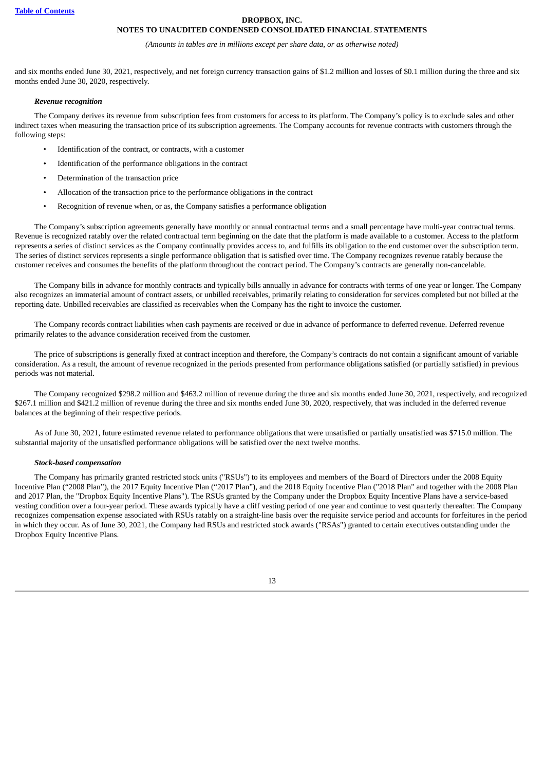## **NOTES TO UNAUDITED CONDENSED CONSOLIDATED FINANCIAL STATEMENTS**

*(Amounts in tables are in millions except per share data, or as otherwise noted)*

and six months ended June 30, 2021, respectively, and net foreign currency transaction gains of \$1.2 million and losses of \$0.1 million during the three and six months ended June 30, 2020, respectively.

#### *Revenue recognition*

The Company derives its revenue from subscription fees from customers for access to its platform. The Company's policy is to exclude sales and other indirect taxes when measuring the transaction price of its subscription agreements. The Company accounts for revenue contracts with customers through the following steps:

- Identification of the contract, or contracts, with a customer
- Identification of the performance obligations in the contract
- Determination of the transaction price
- Allocation of the transaction price to the performance obligations in the contract
- Recognition of revenue when, or as, the Company satisfies a performance obligation

The Company's subscription agreements generally have monthly or annual contractual terms and a small percentage have multi-year contractual terms. Revenue is recognized ratably over the related contractual term beginning on the date that the platform is made available to a customer. Access to the platform represents a series of distinct services as the Company continually provides access to, and fulfills its obligation to the end customer over the subscription term. The series of distinct services represents a single performance obligation that is satisfied over time. The Company recognizes revenue ratably because the customer receives and consumes the benefits of the platform throughout the contract period. The Company's contracts are generally non-cancelable.

The Company bills in advance for monthly contracts and typically bills annually in advance for contracts with terms of one year or longer. The Company also recognizes an immaterial amount of contract assets, or unbilled receivables, primarily relating to consideration for services completed but not billed at the reporting date. Unbilled receivables are classified as receivables when the Company has the right to invoice the customer.

The Company records contract liabilities when cash payments are received or due in advance of performance to deferred revenue. Deferred revenue primarily relates to the advance consideration received from the customer.

The price of subscriptions is generally fixed at contract inception and therefore, the Company's contracts do not contain a significant amount of variable consideration. As a result, the amount of revenue recognized in the periods presented from performance obligations satisfied (or partially satisfied) in previous periods was not material.

The Company recognized \$298.2 million and \$463.2 million of revenue during the three and six months ended June 30, 2021, respectively, and recognized \$267.1 million and \$421.2 million of revenue during the three and six months ended June 30, 2020, respectively, that was included in the deferred revenue balances at the beginning of their respective periods.

As of June 30, 2021, future estimated revenue related to performance obligations that were unsatisfied or partially unsatisfied was \$715.0 million. The substantial majority of the unsatisfied performance obligations will be satisfied over the next twelve months.

### *Stock-based compensation*

The Company has primarily granted restricted stock units ("RSUs") to its employees and members of the Board of Directors under the 2008 Equity Incentive Plan ("2008 Plan"), the 2017 Equity Incentive Plan ("2017 Plan"), and the 2018 Equity Incentive Plan ("2018 Plan" and together with the 2008 Plan and 2017 Plan, the "Dropbox Equity Incentive Plans"). The RSUs granted by the Company under the Dropbox Equity Incentive Plans have a service-based vesting condition over a four-year period. These awards typically have a cliff vesting period of one year and continue to vest quarterly thereafter. The Company recognizes compensation expense associated with RSUs ratably on a straight-line basis over the requisite service period and accounts for forfeitures in the period in which they occur. As of June 30, 2021, the Company had RSUs and restricted stock awards ("RSAs") granted to certain executives outstanding under the Dropbox Equity Incentive Plans.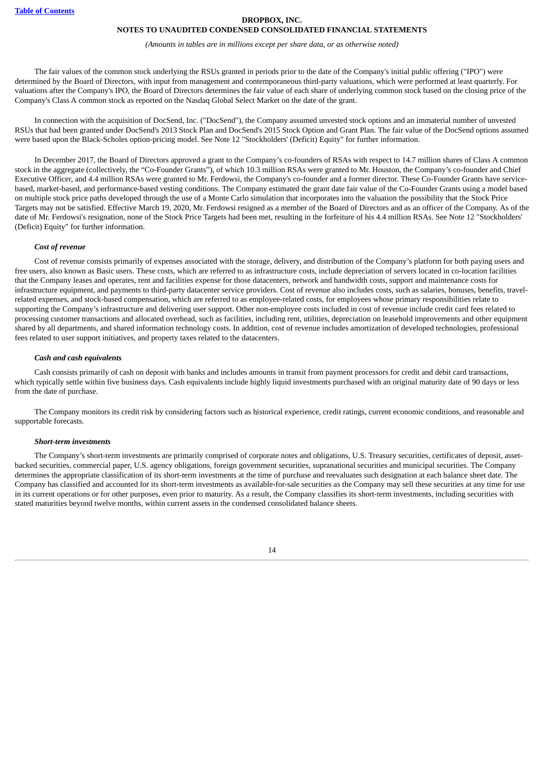## **DROPBOX, INC. NOTES TO UNAUDITED CONDENSED CONSOLIDATED FINANCIAL STATEMENTS**

*(Amounts in tables are in millions except per share data, or as otherwise noted)*

The fair values of the common stock underlying the RSUs granted in periods prior to the date of the Company's initial public offering ("IPO") were determined by the Board of Directors, with input from management and contemporaneous third-party valuations, which were performed at least quarterly. For valuations after the Company's IPO, the Board of Directors determines the fair value of each share of underlying common stock based on the closing price of the Company's Class A common stock as reported on the Nasdaq Global Select Market on the date of the grant.

In connection with the acquisition of DocSend, Inc. ("DocSend"), the Company assumed unvested stock options and an immaterial number of unvested RSUs that had been granted under DocSend's 2013 Stock Plan and DocSend's 2015 Stock Option and Grant Plan. The fair value of the DocSend options assumed were based upon the Black-Scholes option-pricing model. See Note 12 "Stockholders' (Deficit) Equity" for further information.

In December 2017, the Board of Directors approved a grant to the Company's co-founders of RSAs with respect to 14.7 million shares of Class A common stock in the aggregate (collectively, the "Co-Founder Grants"), of which 10.3 million RSAs were granted to Mr. Houston, the Company's co-founder and Chief Executive Officer, and 4.4 million RSAs were granted to Mr. Ferdowsi, the Company's co-founder and a former director. These Co-Founder Grants have servicebased, market-based, and performance-based vesting conditions. The Company estimated the grant date fair value of the Co-Founder Grants using a model based on multiple stock price paths developed through the use of a Monte Carlo simulation that incorporates into the valuation the possibility that the Stock Price Targets may not be satisfied. Effective March 19, 2020, Mr. Ferdowsi resigned as a member of the Board of Directors and as an officer of the Company. As of the date of Mr. Ferdowsi's resignation, none of the Stock Price Targets had been met, resulting in the forfeiture of his 4.4 million RSAs. See Note 12 "Stockholders' (Deficit) Equity" for further information.

## *Cost of revenue*

Cost of revenue consists primarily of expenses associated with the storage, delivery, and distribution of the Company's platform for both paying users and free users, also known as Basic users. These costs, which are referred to as infrastructure costs, include depreciation of servers located in co-location facilities that the Company leases and operates, rent and facilities expense for those datacenters, network and bandwidth costs, support and maintenance costs for infrastructure equipment, and payments to third-party datacenter service providers. Cost of revenue also includes costs, such as salaries, bonuses, benefits, travelrelated expenses, and stock-based compensation, which are referred to as employee-related costs, for employees whose primary responsibilities relate to supporting the Company's infrastructure and delivering user support. Other non-employee costs included in cost of revenue include credit card fees related to processing customer transactions and allocated overhead, such as facilities, including rent, utilities, depreciation on leasehold improvements and other equipment shared by all departments, and shared information technology costs. In addition, cost of revenue includes amortization of developed technologies, professional fees related to user support initiatives, and property taxes related to the datacenters.

## *Cash and cash equivalents*

Cash consists primarily of cash on deposit with banks and includes amounts in transit from payment processors for credit and debit card transactions, which typically settle within five business days. Cash equivalents include highly liquid investments purchased with an original maturity date of 90 days or less from the date of purchase.

The Company monitors its credit risk by considering factors such as historical experience, credit ratings, current economic conditions, and reasonable and supportable forecasts.

### *Short-term investments*

The Company's short-term investments are primarily comprised of corporate notes and obligations, U.S. Treasury securities, certificates of deposit, assetbacked securities, commercial paper, U.S. agency obligations, foreign government securities, supranational securities and municipal securities. The Company determines the appropriate classification of its short-term investments at the time of purchase and reevaluates such designation at each balance sheet date. The Company has classified and accounted for its short-term investments as available-for-sale securities as the Company may sell these securities at any time for use in its current operations or for other purposes, even prior to maturity. As a result, the Company classifies its short-term investments, including securities with stated maturities beyond twelve months, within current assets in the condensed consolidated balance sheets.

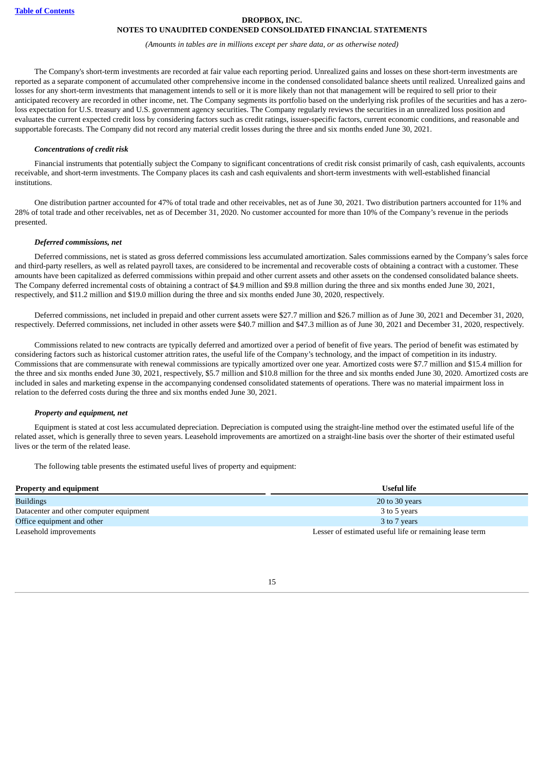# **NOTES TO UNAUDITED CONDENSED CONSOLIDATED FINANCIAL STATEMENTS**

*(Amounts in tables are in millions except per share data, or as otherwise noted)*

The Company's short-term investments are recorded at fair value each reporting period. Unrealized gains and losses on these short-term investments are reported as a separate component of accumulated other comprehensive income in the condensed consolidated balance sheets until realized. Unrealized gains and losses for any short-term investments that management intends to sell or it is more likely than not that management will be required to sell prior to their anticipated recovery are recorded in other income, net. The Company segments its portfolio based on the underlying risk profiles of the securities and has a zeroloss expectation for U.S. treasury and U.S. government agency securities. The Company regularly reviews the securities in an unrealized loss position and evaluates the current expected credit loss by considering factors such as credit ratings, issuer-specific factors, current economic conditions, and reasonable and supportable forecasts. The Company did not record any material credit losses during the three and six months ended June 30, 2021.

### *Concentrations of credit risk*

Financial instruments that potentially subject the Company to significant concentrations of credit risk consist primarily of cash, cash equivalents, accounts receivable, and short-term investments. The Company places its cash and cash equivalents and short-term investments with well-established financial institutions.

One distribution partner accounted for 47% of total trade and other receivables, net as of June 30, 2021. Two distribution partners accounted for 11% and 28% of total trade and other receivables, net as of December 31, 2020. No customer accounted for more than 10% of the Company's revenue in the periods presented.

### *Deferred commissions, net*

Deferred commissions, net is stated as gross deferred commissions less accumulated amortization. Sales commissions earned by the Company's sales force and third-party resellers, as well as related payroll taxes, are considered to be incremental and recoverable costs of obtaining a contract with a customer. These amounts have been capitalized as deferred commissions within prepaid and other current assets and other assets on the condensed consolidated balance sheets. The Company deferred incremental costs of obtaining a contract of \$4.9 million and \$9.8 million during the three and six months ended June 30, 2021, respectively, and \$11.2 million and \$19.0 million during the three and six months ended June 30, 2020, respectively.

Deferred commissions, net included in prepaid and other current assets were \$27.7 million and \$26.7 million as of June 30, 2021 and December 31, 2020, respectively. Deferred commissions, net included in other assets were \$40.7 million and \$47.3 million as of June 30, 2021 and December 31, 2020, respectively.

Commissions related to new contracts are typically deferred and amortized over a period of benefit of five years. The period of benefit was estimated by considering factors such as historical customer attrition rates, the useful life of the Company's technology, and the impact of competition in its industry. Commissions that are commensurate with renewal commissions are typically amortized over one year. Amortized costs were \$7.7 million and \$15.4 million for the three and six months ended June 30, 2021, respectively, \$5.7 million and \$10.8 million for the three and six months ended June 30, 2020. Amortized costs are included in sales and marketing expense in the accompanying condensed consolidated statements of operations. There was no material impairment loss in relation to the deferred costs during the three and six months ended June 30, 2021.

### *Property and equipment, net*

Equipment is stated at cost less accumulated depreciation. Depreciation is computed using the straight-line method over the estimated useful life of the related asset, which is generally three to seven years. Leasehold improvements are amortized on a straight-line basis over the shorter of their estimated useful lives or the term of the related lease.

The following table presents the estimated useful lives of property and equipment:

| Property and equipment                  | Useful life                                             |
|-----------------------------------------|---------------------------------------------------------|
| <b>Buildings</b>                        | 20 to 30 years                                          |
| Datacenter and other computer equipment | 3 to 5 years                                            |
| Office equipment and other              | 3 to 7 years                                            |
| Leasehold improvements                  | Lesser of estimated useful life or remaining lease term |

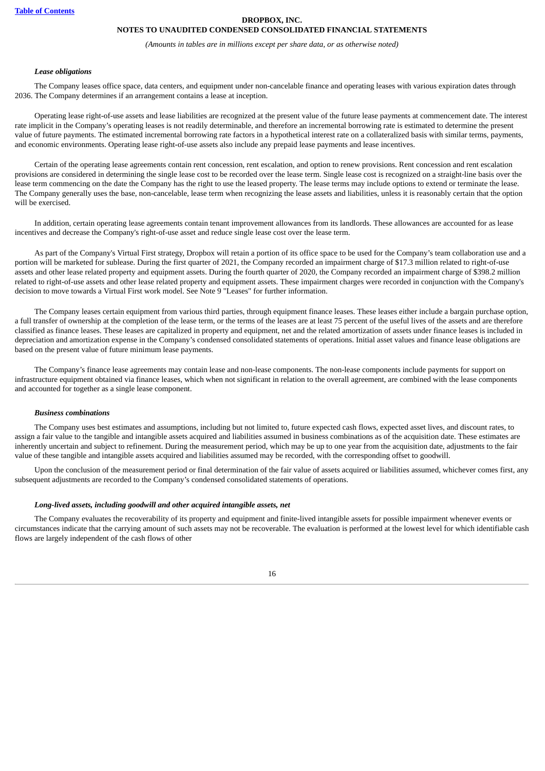# **NOTES TO UNAUDITED CONDENSED CONSOLIDATED FINANCIAL STATEMENTS**

*(Amounts in tables are in millions except per share data, or as otherwise noted)*

### *Lease obligations*

The Company leases office space, data centers, and equipment under non-cancelable finance and operating leases with various expiration dates through 2036. The Company determines if an arrangement contains a lease at inception.

Operating lease right-of-use assets and lease liabilities are recognized at the present value of the future lease payments at commencement date. The interest rate implicit in the Company's operating leases is not readily determinable, and therefore an incremental borrowing rate is estimated to determine the present value of future payments. The estimated incremental borrowing rate factors in a hypothetical interest rate on a collateralized basis with similar terms, payments, and economic environments. Operating lease right-of-use assets also include any prepaid lease payments and lease incentives.

Certain of the operating lease agreements contain rent concession, rent escalation, and option to renew provisions. Rent concession and rent escalation provisions are considered in determining the single lease cost to be recorded over the lease term. Single lease cost is recognized on a straight-line basis over the lease term commencing on the date the Company has the right to use the leased property. The lease terms may include options to extend or terminate the lease. The Company generally uses the base, non-cancelable, lease term when recognizing the lease assets and liabilities, unless it is reasonably certain that the option will be exercised.

In addition, certain operating lease agreements contain tenant improvement allowances from its landlords. These allowances are accounted for as lease incentives and decrease the Company's right-of-use asset and reduce single lease cost over the lease term.

As part of the Company's Virtual First strategy, Dropbox will retain a portion of its office space to be used for the Company's team collaboration use and a portion will be marketed for sublease. During the first quarter of 2021, the Company recorded an impairment charge of \$17.3 million related to right-of-use assets and other lease related property and equipment assets. During the fourth quarter of 2020, the Company recorded an impairment charge of \$398.2 million related to right-of-use assets and other lease related property and equipment assets. These impairment charges were recorded in conjunction with the Company's decision to move towards a Virtual First work model. See Note 9 "Leases" for further information.

The Company leases certain equipment from various third parties, through equipment finance leases. These leases either include a bargain purchase option, a full transfer of ownership at the completion of the lease term, or the terms of the leases are at least 75 percent of the useful lives of the assets and are therefore classified as finance leases. These leases are capitalized in property and equipment, net and the related amortization of assets under finance leases is included in depreciation and amortization expense in the Company's condensed consolidated statements of operations. Initial asset values and finance lease obligations are based on the present value of future minimum lease payments.

The Company's finance lease agreements may contain lease and non-lease components. The non-lease components include payments for support on infrastructure equipment obtained via finance leases, which when not significant in relation to the overall agreement, are combined with the lease components and accounted for together as a single lease component.

#### *Business combinations*

The Company uses best estimates and assumptions, including but not limited to, future expected cash flows, expected asset lives, and discount rates, to assign a fair value to the tangible and intangible assets acquired and liabilities assumed in business combinations as of the acquisition date. These estimates are inherently uncertain and subject to refinement. During the measurement period, which may be up to one year from the acquisition date, adjustments to the fair value of these tangible and intangible assets acquired and liabilities assumed may be recorded, with the corresponding offset to goodwill.

Upon the conclusion of the measurement period or final determination of the fair value of assets acquired or liabilities assumed, whichever comes first, any subsequent adjustments are recorded to the Company's condensed consolidated statements of operations.

### *Long-lived assets, including goodwill and other acquired intangible assets, net*

The Company evaluates the recoverability of its property and equipment and finite-lived intangible assets for possible impairment whenever events or circumstances indicate that the carrying amount of such assets may not be recoverable. The evaluation is performed at the lowest level for which identifiable cash flows are largely independent of the cash flows of other

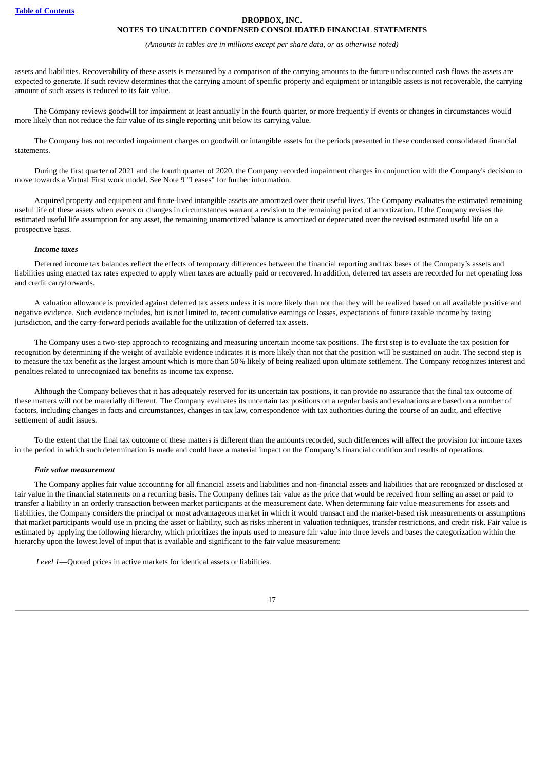## **NOTES TO UNAUDITED CONDENSED CONSOLIDATED FINANCIAL STATEMENTS**

*(Amounts in tables are in millions except per share data, or as otherwise noted)*

assets and liabilities. Recoverability of these assets is measured by a comparison of the carrying amounts to the future undiscounted cash flows the assets are expected to generate. If such review determines that the carrying amount of specific property and equipment or intangible assets is not recoverable, the carrying amount of such assets is reduced to its fair value.

The Company reviews goodwill for impairment at least annually in the fourth quarter, or more frequently if events or changes in circumstances would more likely than not reduce the fair value of its single reporting unit below its carrying value.

The Company has not recorded impairment charges on goodwill or intangible assets for the periods presented in these condensed consolidated financial statements.

During the first quarter of 2021 and the fourth quarter of 2020, the Company recorded impairment charges in conjunction with the Company's decision to move towards a Virtual First work model. See Note 9 "Leases" for further information.

Acquired property and equipment and finite-lived intangible assets are amortized over their useful lives. The Company evaluates the estimated remaining useful life of these assets when events or changes in circumstances warrant a revision to the remaining period of amortization. If the Company revises the estimated useful life assumption for any asset, the remaining unamortized balance is amortized or depreciated over the revised estimated useful life on a prospective basis.

### *Income taxes*

Deferred income tax balances reflect the effects of temporary differences between the financial reporting and tax bases of the Company's assets and liabilities using enacted tax rates expected to apply when taxes are actually paid or recovered. In addition, deferred tax assets are recorded for net operating loss and credit carryforwards.

A valuation allowance is provided against deferred tax assets unless it is more likely than not that they will be realized based on all available positive and negative evidence. Such evidence includes, but is not limited to, recent cumulative earnings or losses, expectations of future taxable income by taxing jurisdiction, and the carry-forward periods available for the utilization of deferred tax assets.

The Company uses a two-step approach to recognizing and measuring uncertain income tax positions. The first step is to evaluate the tax position for recognition by determining if the weight of available evidence indicates it is more likely than not that the position will be sustained on audit. The second step is to measure the tax benefit as the largest amount which is more than 50% likely of being realized upon ultimate settlement. The Company recognizes interest and penalties related to unrecognized tax benefits as income tax expense.

Although the Company believes that it has adequately reserved for its uncertain tax positions, it can provide no assurance that the final tax outcome of these matters will not be materially different. The Company evaluates its uncertain tax positions on a regular basis and evaluations are based on a number of factors, including changes in facts and circumstances, changes in tax law, correspondence with tax authorities during the course of an audit, and effective settlement of audit issues.

To the extent that the final tax outcome of these matters is different than the amounts recorded, such differences will affect the provision for income taxes in the period in which such determination is made and could have a material impact on the Company's financial condition and results of operations.

### *Fair value measurement*

The Company applies fair value accounting for all financial assets and liabilities and non-financial assets and liabilities that are recognized or disclosed at fair value in the financial statements on a recurring basis. The Company defines fair value as the price that would be received from selling an asset or paid to transfer a liability in an orderly transaction between market participants at the measurement date. When determining fair value measurements for assets and liabilities, the Company considers the principal or most advantageous market in which it would transact and the market-based risk measurements or assumptions that market participants would use in pricing the asset or liability, such as risks inherent in valuation techniques, transfer restrictions, and credit risk. Fair value is estimated by applying the following hierarchy, which prioritizes the inputs used to measure fair value into three levels and bases the categorization within the hierarchy upon the lowest level of input that is available and significant to the fair value measurement:

*Level 1*—Quoted prices in active markets for identical assets or liabilities.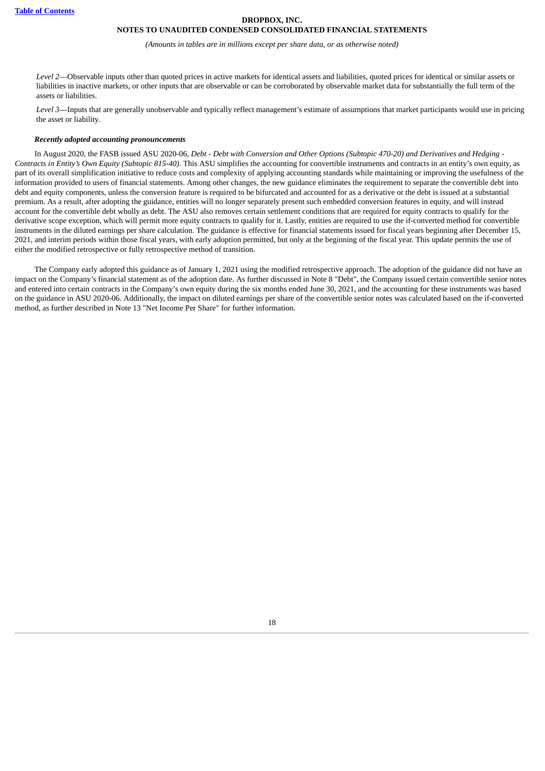## **NOTES TO UNAUDITED CONDENSED CONSOLIDATED FINANCIAL STATEMENTS**

*(Amounts in tables are in millions except per share data, or as otherwise noted)*

*Level 2*—Observable inputs other than quoted prices in active markets for identical assets and liabilities, quoted prices for identical or similar assets or liabilities in inactive markets, or other inputs that are observable or can be corroborated by observable market data for substantially the full term of the assets or liabilities.

*Level 3*—Inputs that are generally unobservable and typically reflect management's estimate of assumptions that market participants would use in pricing the asset or liability.

## *Recently adopted accounting pronouncements*

In August 2020, the FASB issued ASU 2020-06, Debt - Debt with Conversion and Other Options (Subtopic 470-20) and Derivatives and Hedging -*Contracts in Entity's Own Equity (Subtopic 815-40).* This ASU simplifies the accounting for convertible instruments and contracts in an entity's own equity, as part of its overall simplification initiative to reduce costs and complexity of applying accounting standards while maintaining or improving the usefulness of the information provided to users of financial statements. Among other changes, the new guidance eliminates the requirement to separate the convertible debt into debt and equity components, unless the conversion feature is required to be bifurcated and accounted for as a derivative or the debt is issued at a substantial premium. As a result, after adopting the guidance, entities will no longer separately present such embedded conversion features in equity, and will instead account for the convertible debt wholly as debt. The ASU also removes certain settlement conditions that are required for equity contracts to qualify for the derivative scope exception, which will permit more equity contracts to qualify for it. Lastly, entities are required to use the if-converted method for convertible instruments in the diluted earnings per share calculation. The guidance is effective for financial statements issued for fiscal years beginning after December 15, 2021, and interim periods within those fiscal years, with early adoption permitted, but only at the beginning of the fiscal year. This update permits the use of either the modified retrospective or fully retrospective method of transition.

The Company early adopted this guidance as of January 1, 2021 using the modified retrospective approach. The adoption of the guidance did not have an impact on the Company's financial statement as of the adoption date. As further discussed in Note 8 "Debt", the Company issued certain convertible senior notes and entered into certain contracts in the Company's own equity during the six months ended June 30, 2021, and the accounting for these instruments was based on the guidance in ASU 2020-06. Additionally, the impact on diluted earnings per share of the convertible senior notes was calculated based on the if-converted method, as further described in Note 13 "Net Income Per Share" for further information.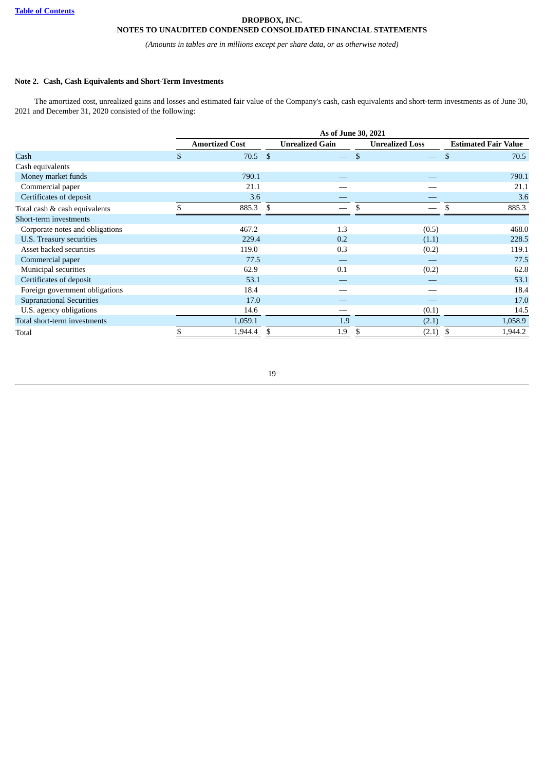# **NOTES TO UNAUDITED CONDENSED CONSOLIDATED FINANCIAL STATEMENTS**

*(Amounts in tables are in millions except per share data, or as otherwise noted)*

# **Note 2. Cash, Cash Equivalents and Short-Term Investments**

The amortized cost, unrealized gains and losses and estimated fair value of the Company's cash, cash equivalents and short-term investments as of June 30, 2021 and December 31, 2020 consisted of the following:

|                                 |                       | As of June 30, 2021    |              |                        |                             |
|---------------------------------|-----------------------|------------------------|--------------|------------------------|-----------------------------|
|                                 | <b>Amortized Cost</b> | <b>Unrealized Gain</b> |              | <b>Unrealized Loss</b> | <b>Estimated Fair Value</b> |
| Cash                            | \$<br>$70.5$ \$       |                        | $\mathbf{s}$ |                        | 70.5                        |
| Cash equivalents                |                       |                        |              |                        |                             |
| Money market funds              | 790.1                 |                        |              |                        | 790.1                       |
| Commercial paper                | 21.1                  |                        |              |                        | 21.1                        |
| Certificates of deposit         | 3.6                   |                        |              |                        | 3.6                         |
| Total cash & cash equivalents   | 885.3                 | \$                     |              |                        | 885.3                       |
| Short-term investments          |                       |                        |              |                        |                             |
| Corporate notes and obligations | 467.2                 | 1.3                    |              | (0.5)                  | 468.0                       |
| U.S. Treasury securities        | 229.4                 | 0.2                    |              | (1.1)                  | 228.5                       |
| Asset backed securities         | 119.0                 | 0.3                    |              | (0.2)                  | 119.1                       |
| Commercial paper                | 77.5                  |                        |              |                        | 77.5                        |
| Municipal securities            | 62.9                  | 0.1                    |              | (0.2)                  | 62.8                        |
| Certificates of deposit         | 53.1                  |                        |              |                        | 53.1                        |
| Foreign government obligations  | 18.4                  |                        |              |                        | 18.4                        |
| <b>Supranational Securities</b> | 17.0                  |                        |              |                        | 17.0                        |
| U.S. agency obligations         | 14.6                  | –                      |              | (0.1)                  | 14.5                        |
| Total short-term investments    | 1,059.1               | 1.9                    |              | (2.1)                  | 1,058.9                     |
| Total                           | 1,944.4               | 1.9                    |              | (2.1)                  | 1,944.2                     |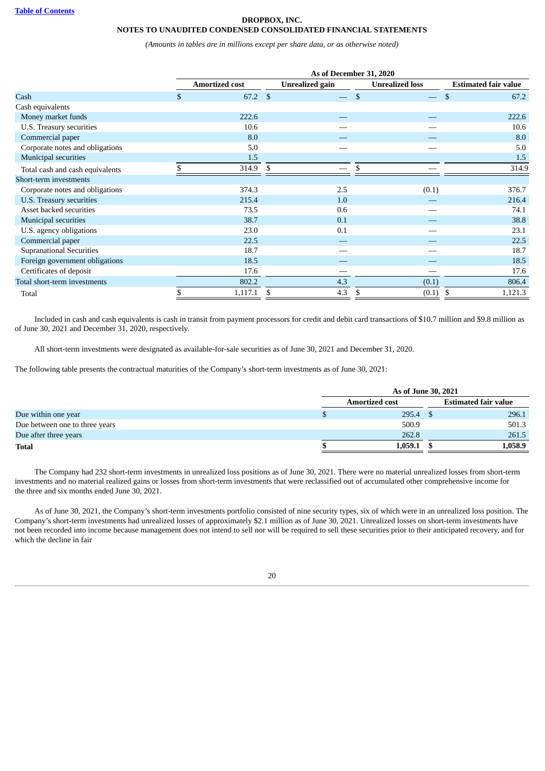# **DROPBOX, INC. NOTES TO UNAUDITED CONDENSED CONSOLIDATED FINANCIAL STATEMENTS**

*(Amounts in tables are in millions except per share data, or as otherwise noted)*

|                                 |              |                       |    | As of December 31, 2020 |              |                        |              |                             |
|---------------------------------|--------------|-----------------------|----|-------------------------|--------------|------------------------|--------------|-----------------------------|
|                                 |              | <b>Amortized cost</b> |    | Unrealized gain         |              | <b>Unrealized loss</b> |              | <b>Estimated fair value</b> |
| Cash                            | $\mathbb{S}$ | 67.2 \$               |    |                         | $\mathbf{s}$ |                        | $\mathbf{s}$ | 67.2                        |
| Cash equivalents                |              |                       |    |                         |              |                        |              |                             |
| Money market funds              |              | 222.6                 |    |                         |              |                        |              | 222.6                       |
| U.S. Treasury securities        |              | 10.6                  |    |                         |              |                        |              | 10.6                        |
| Commercial paper                |              | 8.0                   |    |                         |              |                        |              | 8.0                         |
| Corporate notes and obligations |              | 5.0                   |    |                         |              |                        |              | 5.0                         |
| Municipal securities            |              | 1.5                   |    |                         |              |                        |              | 1.5                         |
| Total cash and cash equivalents |              | 314.9                 | S. |                         | \$           |                        |              | 314.9                       |
| Short-term investments          |              |                       |    |                         |              |                        |              |                             |
| Corporate notes and obligations |              | 374.3                 |    | 2.5                     |              | (0.1)                  |              | 376.7                       |
| U.S. Treasury securities        |              | 215.4                 |    | 1.0                     |              |                        |              | 216.4                       |
| Asset backed securities         |              | 73.5                  |    | 0.6                     |              |                        |              | 74.1                        |
| Municipal securities            |              | 38.7                  |    | 0.1                     |              |                        |              | 38.8                        |
| U.S. agency obligations         |              | 23.0                  |    | 0.1                     |              |                        |              | 23.1                        |
| Commercial paper                |              | 22.5                  |    |                         |              |                        |              | 22.5                        |
| <b>Supranational Securities</b> |              | 18.7                  |    |                         |              |                        |              | 18.7                        |
| Foreign government obligations  |              | 18.5                  |    |                         |              |                        |              | 18.5                        |
| Certificates of deposit         |              | 17.6                  |    |                         |              |                        |              | 17.6                        |
| Total short-term investments    |              | 802.2                 |    | 4.3                     |              | (0.1)                  |              | 806.4                       |
| Total                           |              | 1,117.1               | S  | 4.3                     |              | (0.1)                  | \$           | 1,121.3                     |

Included in cash and cash equivalents is cash in transit from payment processors for credit and debit card transactions of \$10.7 million and \$9.8 million as of June 30, 2021 and December 31, 2020, respectively.

All short-term investments were designated as available-for-sale securities as of June 30, 2021 and December 31, 2020.

The following table presents the contractual maturities of the Company's short-term investments as of June 30, 2021:

|                                | As of June 30, 2021 |                       |  |                             |
|--------------------------------|---------------------|-----------------------|--|-----------------------------|
|                                |                     | <b>Amortized cost</b> |  | <b>Estimated fair value</b> |
| Due within one year            |                     | 295.4                 |  | 296.1                       |
| Due between one to three years |                     | 500.9                 |  | 501.3                       |
| Due after three years          |                     | 262.8                 |  | 261.5                       |
| <b>Total</b>                   |                     | 1,059.1               |  | 1,058.9                     |

The Company had 232 short-term investments in unrealized loss positions as of June 30, 2021. There were no material unrealized losses from short-term investments and no material realized gains or losses from short-term investments that were reclassified out of accumulated other comprehensive income for the three and six months ended June 30, 2021.

As of June 30, 2021, the Company's short-term investments portfolio consisted of nine security types, six of which were in an unrealized loss position. The Company's short-term investments had unrealized losses of approximately \$2.1 million as of June 30, 2021. Unrealized losses on short-term investments have not been recorded into income because management does not intend to sell nor will be required to sell these securities prior to their anticipated recovery, and for which the decline in fair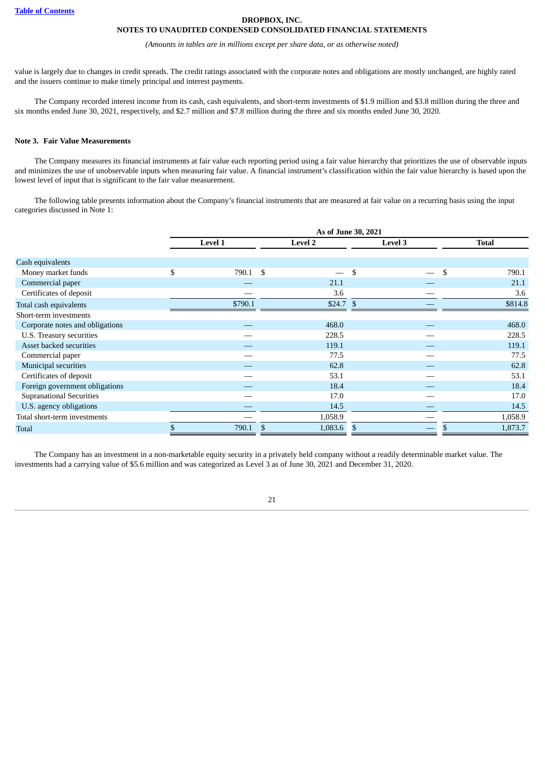# **NOTES TO UNAUDITED CONDENSED CONSOLIDATED FINANCIAL STATEMENTS**

*(Amounts in tables are in millions except per share data, or as otherwise noted)*

value is largely due to changes in credit spreads. The credit ratings associated with the corporate notes and obligations are mostly unchanged, are highly rated and the issuers continue to make timely principal and interest payments.

The Company recorded interest income from its cash, cash equivalents, and short-term investments of \$1.9 million and \$3.8 million during the three and six months ended June 30, 2021, respectively, and \$2.7 million and \$7.8 million during the three and six months ended June 30, 2020.

# **Note 3. Fair Value Measurements**

The Company measures its financial instruments at fair value each reporting period using a fair value hierarchy that prioritizes the use of observable inputs and minimizes the use of unobservable inputs when measuring fair value. A financial instrument's classification within the fair value hierarchy is based upon the lowest level of input that is significant to the fair value measurement.

The following table presents information about the Company's financial instruments that are measured at fair value on a recurring basis using the input categories discussed in Note 1:

|                                 | As of June 30, 2021 |                |    |                |    |                 |    |              |
|---------------------------------|---------------------|----------------|----|----------------|----|-----------------|----|--------------|
|                                 |                     | <b>Level 1</b> |    | <b>Level 2</b> |    | <b>Level 3</b>  |    | <b>Total</b> |
|                                 |                     |                |    |                |    |                 |    |              |
| Cash equivalents                |                     |                |    |                |    |                 |    |              |
| Money market funds              | \$                  | 790.1 \$       |    |                | \$ | $\qquad \qquad$ | \$ | 790.1        |
| Commercial paper                |                     |                |    | 21.1           |    |                 |    | 21.1         |
| Certificates of deposit         |                     |                |    | 3.6            |    |                 |    | 3.6          |
| Total cash equivalents          |                     | \$790.1        |    | $$24.7$ \$     |    |                 |    | \$814.8      |
| Short-term investments          |                     |                |    |                |    |                 |    |              |
| Corporate notes and obligations |                     |                |    | 468.0          |    |                 |    | 468.0        |
| U.S. Treasury securities        |                     |                |    | 228.5          |    |                 |    | 228.5        |
| Asset backed securities         |                     |                |    | 119.1          |    |                 |    | 119.1        |
| Commercial paper                |                     |                |    | 77.5           |    |                 |    | 77.5         |
| Municipal securities            |                     |                |    | 62.8           |    |                 |    | 62.8         |
| Certificates of deposit         |                     |                |    | 53.1           |    |                 |    | 53.1         |
| Foreign government obligations  |                     |                |    | 18.4           |    |                 |    | 18.4         |
| <b>Supranational Securities</b> |                     |                |    | 17.0           |    |                 |    | 17.0         |
| U.S. agency obligations         |                     |                |    | 14.5           |    |                 |    | 14.5         |
| Total short-term investments    |                     |                |    | 1,058.9        |    |                 |    | 1,058.9      |
| Total                           | \$                  | 790.1          | \$ | 1,083.6        | \$ |                 |    | 1,873.7      |

The Company has an investment in a non-marketable equity security in a privately held company without a readily determinable market value. The investments had a carrying value of \$5.6 million and was categorized as Level 3 as of June 30, 2021 and December 31, 2020.

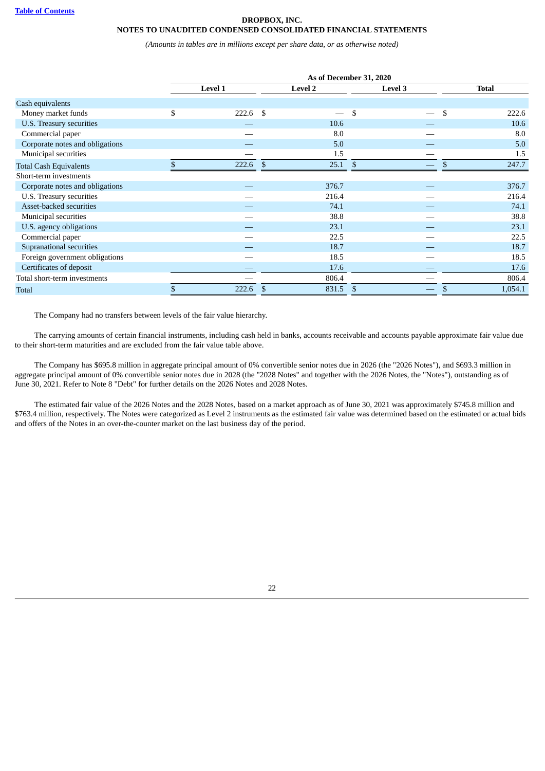# **DROPBOX, INC. NOTES TO UNAUDITED CONDENSED CONSOLIDATED FINANCIAL STATEMENTS**

*(Amounts in tables are in millions except per share data, or as otherwise noted)*

|                                 | As of December 31, 2020 |         |                |                |    |         |    |              |
|---------------------------------|-------------------------|---------|----------------|----------------|----|---------|----|--------------|
|                                 |                         | Level 1 |                | <b>Level 2</b> |    | Level 3 |    | <b>Total</b> |
| Cash equivalents                |                         |         |                |                |    |         |    |              |
| Money market funds              | \$                      | 222.6   | \$             |                | \$ |         | \$ | 222.6        |
| U.S. Treasury securities        |                         |         |                | 10.6           |    |         |    | 10.6         |
| Commercial paper                |                         |         |                | 8.0            |    |         |    | 8.0          |
| Corporate notes and obligations |                         |         |                | 5.0            |    |         |    | 5.0          |
| Municipal securities            |                         |         |                | 1.5            |    |         |    | 1.5          |
| <b>Total Cash Equivalents</b>   |                         | 222.6   | .S             | 25.1           | \$ |         |    | 247.7        |
| Short-term investments          |                         |         |                |                |    |         |    |              |
| Corporate notes and obligations |                         |         |                | 376.7          |    |         |    | 376.7        |
| U.S. Treasury securities        |                         |         |                | 216.4          |    |         |    | 216.4        |
| Asset-backed securities         |                         |         |                | 74.1           |    |         |    | 74.1         |
| Municipal securities            |                         |         |                | 38.8           |    |         |    | 38.8         |
| U.S. agency obligations         |                         |         |                | 23.1           |    |         |    | 23.1         |
| Commercial paper                |                         |         |                | 22.5           |    |         |    | 22.5         |
| Supranational securities        |                         |         |                | 18.7           |    |         |    | 18.7         |
| Foreign government obligations  |                         |         |                | 18.5           |    |         |    | 18.5         |
| Certificates of deposit         |                         |         |                | 17.6           |    |         |    | 17.6         |
| Total short-term investments    |                         |         |                | 806.4          |    |         |    | 806.4        |
| Total                           |                         | 222.6   | $\mathfrak{L}$ | 831.5          | \$ |         |    | 1,054.1      |

The Company had no transfers between levels of the fair value hierarchy.

The carrying amounts of certain financial instruments, including cash held in banks, accounts receivable and accounts payable approximate fair value due to their short-term maturities and are excluded from the fair value table above.

The Company has \$695.8 million in aggregate principal amount of 0% convertible senior notes due in 2026 (the "2026 Notes"), and \$693.3 million in aggregate principal amount of 0% convertible senior notes due in 2028 (the "2028 Notes" and together with the 2026 Notes, the "Notes"), outstanding as of June 30, 2021. Refer to Note 8 "Debt" for further details on the 2026 Notes and 2028 Notes.

The estimated fair value of the 2026 Notes and the 2028 Notes, based on a market approach as of June 30, 2021 was approximately \$745.8 million and \$763.4 million, respectively. The Notes were categorized as Level 2 instruments as the estimated fair value was determined based on the estimated or actual bids and offers of the Notes in an over-the-counter market on the last business day of the period.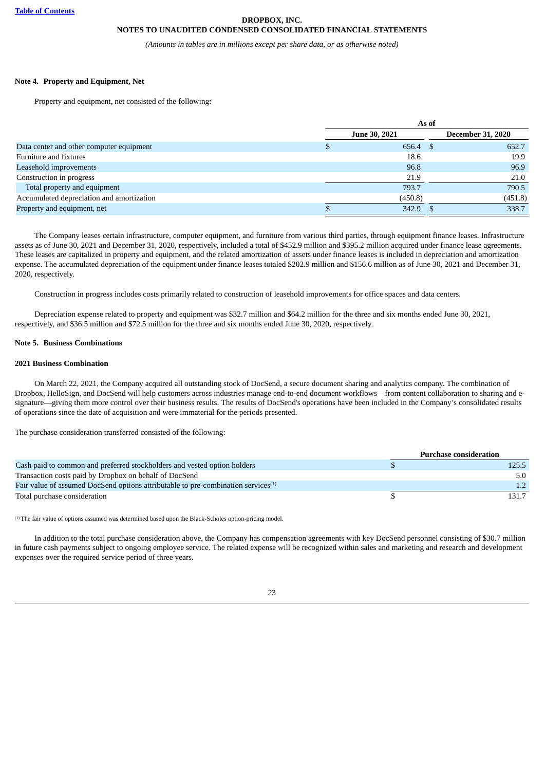# **NOTES TO UNAUDITED CONDENSED CONSOLIDATED FINANCIAL STATEMENTS**

*(Amounts in tables are in millions except per share data, or as otherwise noted)*

# **Note 4. Property and Equipment, Net**

Property and equipment, net consisted of the following:

|                                           | As of |               |  |                          |
|-------------------------------------------|-------|---------------|--|--------------------------|
|                                           |       | June 30, 2021 |  | <b>December 31, 2020</b> |
| Data center and other computer equipment  |       | 656.4 \$      |  | 652.7                    |
| Furniture and fixtures                    |       | 18.6          |  | 19.9                     |
| Leasehold improvements                    |       | 96.8          |  | 96.9                     |
| Construction in progress                  |       | 21.9          |  | 21.0                     |
| Total property and equipment              |       | 793.7         |  | 790.5                    |
| Accumulated depreciation and amortization |       | (450.8)       |  | (451.8)                  |
| Property and equipment, net               |       | 342.9         |  | 338.7                    |

The Company leases certain infrastructure, computer equipment, and furniture from various third parties, through equipment finance leases. Infrastructure assets as of June 30, 2021 and December 31, 2020, respectively, included a total of \$452.9 million and \$395.2 million acquired under finance lease agreements. These leases are capitalized in property and equipment, and the related amortization of assets under finance leases is included in depreciation and amortization expense. The accumulated depreciation of the equipment under finance leases totaled \$202.9 million and \$156.6 million as of June 30, 2021 and December 31, 2020, respectively.

Construction in progress includes costs primarily related to construction of leasehold improvements for office spaces and data centers.

Depreciation expense related to property and equipment was \$32.7 million and \$64.2 million for the three and six months ended June 30, 2021, respectively, and \$36.5 million and \$72.5 million for the three and six months ended June 30, 2020, respectively.

## **Note 5. Business Combinations**

## **2021 Business Combination**

On March 22, 2021, the Company acquired all outstanding stock of DocSend, a secure document sharing and analytics company. The combination of Dropbox, HelloSign, and DocSend will help customers across industries manage end-to-end document workflows—from content collaboration to sharing and esignature—giving them more control over their business results. The results of DocSend's operations have been included in the Company's consolidated results of operations since the date of acquisition and were immaterial for the periods presented.

The purchase consideration transferred consisted of the following:

|                                                                                               | Purchase consideration |
|-----------------------------------------------------------------------------------------------|------------------------|
| Cash paid to common and preferred stockholders and vested option holders                      | 125.5                  |
| Transaction costs paid by Dropbox on behalf of DocSend                                        | 5.0                    |
| Fair value of assumed DocSend options attributable to pre-combination services <sup>(1)</sup> | 1.2                    |
| Total purchase consideration                                                                  | 131.7                  |

 $<sup>(1)</sup>$  The fair value of options assumed was determined based upon the Black-Scholes option-pricing model.</sup>

In addition to the total purchase consideration above, the Company has compensation agreements with key DocSend personnel consisting of \$30.7 million in future cash payments subject to ongoing employee service. The related expense will be recognized within sales and marketing and research and development expenses over the required service period of three years.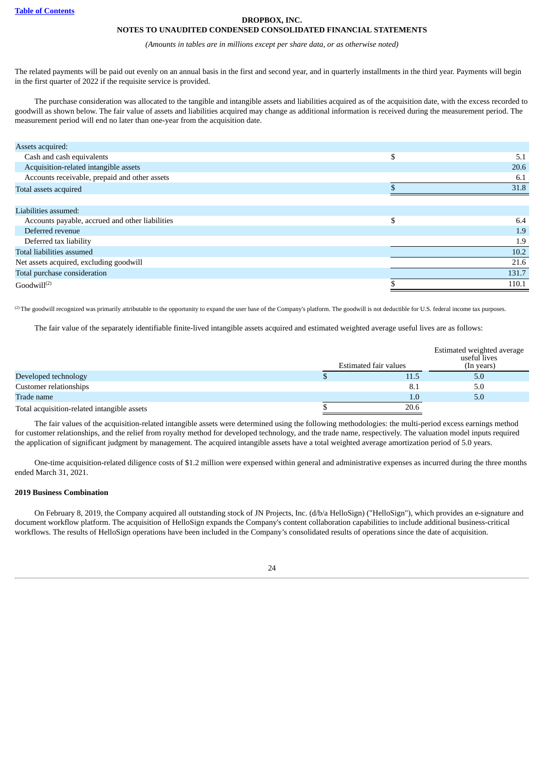# **NOTES TO UNAUDITED CONDENSED CONSOLIDATED FINANCIAL STATEMENTS**

*(Amounts in tables are in millions except per share data, or as otherwise noted)*

The related payments will be paid out evenly on an annual basis in the first and second year, and in quarterly installments in the third year. Payments will begin in the first quarter of 2022 if the requisite service is provided.

The purchase consideration was allocated to the tangible and intangible assets and liabilities acquired as of the acquisition date, with the excess recorded to goodwill as shown below. The fair value of assets and liabilities acquired may change as additional information is received during the measurement period. The measurement period will end no later than one-year from the acquisition date.

| Assets acquired:                                |               |       |
|-------------------------------------------------|---------------|-------|
| Cash and cash equivalents                       | <b>ታ</b><br>æ | 5.1   |
| Acquisition-related intangible assets           |               | 20.6  |
| Accounts receivable, prepaid and other assets   |               | 6.1   |
| Total assets acquired                           |               | 31.8  |
|                                                 |               |       |
| Liabilities assumed:                            |               |       |
| Accounts payable, accrued and other liabilities | ¢             | 6.4   |
| Deferred revenue                                |               | 1.9   |
| Deferred tax liability                          |               | 1.9   |
| Total liabilities assumed                       |               | 10.2  |
| Net assets acquired, excluding goodwill         |               | 21.6  |
| Total purchase consideration                    |               | 131.7 |
| Goodwill <sup>(2)</sup>                         |               | 110.1 |

(2) The goodwill recognized was primarily attributable to the opportunity to expand the user base of the Company's platform. The goodwill is not deductible for U.S. federal income tax purposes.

The fair value of the separately identifiable finite-lived intangible assets acquired and estimated weighted average useful lives are as follows:

|                                             | Estimated fair values | Estimated weighted average<br>useful lives<br>(In years) |
|---------------------------------------------|-----------------------|----------------------------------------------------------|
| Developed technology                        | 11.5                  | 5.0                                                      |
| Customer relationships                      | 8.1                   | 5.0                                                      |
| Trade name                                  | $1.0\,$               | 5.0                                                      |
| Total acquisition-related intangible assets | 20.6                  |                                                          |

The fair values of the acquisition-related intangible assets were determined using the following methodologies: the multi-period excess earnings method for customer relationships, and the relief from royalty method for developed technology, and the trade name, respectively. The valuation model inputs required the application of significant judgment by management. The acquired intangible assets have a total weighted average amortization period of 5.0 years.

One-time acquisition-related diligence costs of \$1.2 million were expensed within general and administrative expenses as incurred during the three months ended March 31, 2021.

## **2019 Business Combination**

On February 8, 2019, the Company acquired all outstanding stock of JN Projects, Inc. (d/b/a HelloSign) ("HelloSign"), which provides an e-signature and document workflow platform. The acquisition of HelloSign expands the Company's content collaboration capabilities to include additional business-critical workflows. The results of HelloSign operations have been included in the Company's consolidated results of operations since the date of acquisition.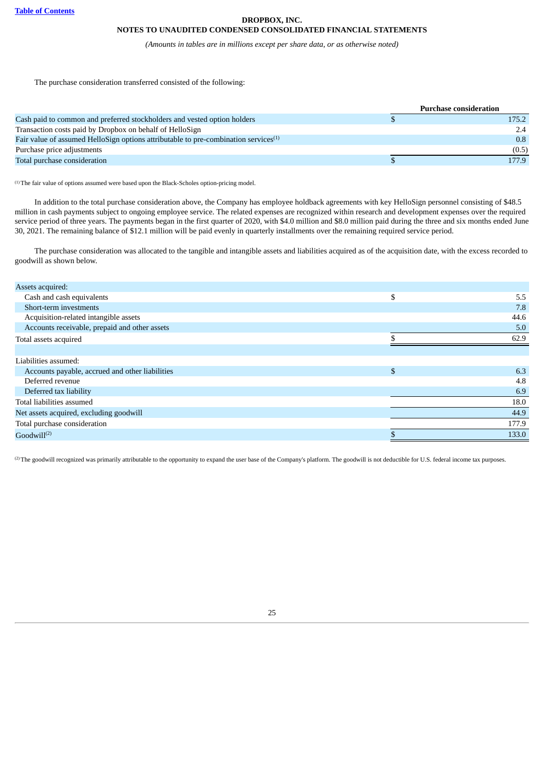## **DROPBOX, INC. NOTES TO UNAUDITED CONDENSED CONSOLIDATED FINANCIAL STATEMENTS**

*(Amounts in tables are in millions except per share data, or as otherwise noted)*

The purchase consideration transferred consisted of the following:

|                                                                                                 | <b>Purchase consideration</b> |
|-------------------------------------------------------------------------------------------------|-------------------------------|
| Cash paid to common and preferred stockholders and vested option holders                        | 175.2                         |
| Transaction costs paid by Dropbox on behalf of HelloSign                                        | 2.4                           |
| Fair value of assumed HelloSign options attributable to pre-combination services <sup>(1)</sup> | 0.8                           |
| Purchase price adjustments                                                                      | (0.5)                         |
| Total purchase consideration                                                                    | 177.9                         |

 $(1)$  The fair value of options assumed were based upon the Black-Scholes option-pricing model.

In addition to the total purchase consideration above, the Company has employee holdback agreements with key HelloSign personnel consisting of \$48.5 million in cash payments subject to ongoing employee service. The related expenses are recognized within research and development expenses over the required service period of three years. The payments began in the first quarter of 2020, with \$4.0 million and \$8.0 million paid during the three and six months ended June 30, 2021. The remaining balance of \$12.1 million will be paid evenly in quarterly installments over the remaining required service period.

The purchase consideration was allocated to the tangible and intangible assets and liabilities acquired as of the acquisition date, with the excess recorded to goodwill as shown below.

| Assets acquired:                                |           |
|-------------------------------------------------|-----------|
| Cash and cash equivalents                       | \$<br>5.5 |
| Short-term investments                          | 7.8       |
| Acquisition-related intangible assets           | 44.6      |
| Accounts receivable, prepaid and other assets   | 5.0       |
| Total assets acquired                           | 62.9      |
|                                                 |           |
| Liabilities assumed:                            |           |
| Accounts payable, accrued and other liabilities | \$<br>6.3 |
| Deferred revenue                                | 4.8       |
| Deferred tax liability                          | 6.9       |
| Total liabilities assumed                       | 18.0      |
| Net assets acquired, excluding goodwill         | 44.9      |
| Total purchase consideration                    | 177.9     |
| Goodwill <sup>(2)</sup>                         | 133.0     |

( $^{(2)}$  The goodwill recognized was primarily attributable to the opportunity to expand the user base of the Company's platform. The goodwill is not deductible for U.S. federal income tax purposes.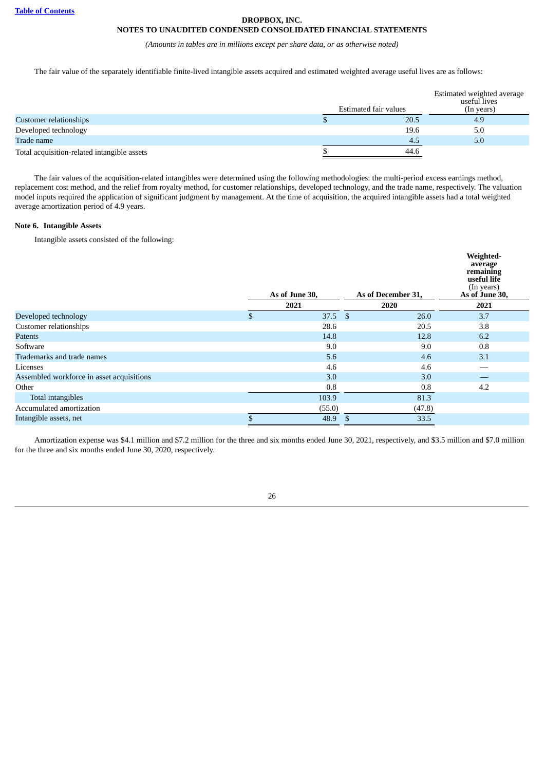# **NOTES TO UNAUDITED CONDENSED CONSOLIDATED FINANCIAL STATEMENTS**

*(Amounts in tables are in millions except per share data, or as otherwise noted)*

The fair value of the separately identifiable finite-lived intangible assets acquired and estimated weighted average useful lives are as follows:

|                                             | Estimated fair values | Estimated weighted average<br>useful lives<br>(In years) |
|---------------------------------------------|-----------------------|----------------------------------------------------------|
| <b>Customer relationships</b>               | 20.5                  | 4.9                                                      |
| Developed technology                        | 19.6                  | 5.0                                                      |
| Trade name                                  | 4.5                   | 5.0                                                      |
| Total acquisition-related intangible assets | 44.6                  |                                                          |

The fair values of the acquisition-related intangibles were determined using the following methodologies: the multi-period excess earnings method, replacement cost method, and the relief from royalty method, for customer relationships, developed technology, and the trade name, respectively. The valuation model inputs required the application of significant judgment by management. At the time of acquisition, the acquired intangible assets had a total weighted average amortization period of 4.9 years.

## **Note 6. Intangible Assets**

Intangible assets consisted of the following:

|                                           | As of June 30,  | As of December 31, | Weighted-<br>average<br>remaining<br>useful life<br>(In years)<br>As of June 30, |
|-------------------------------------------|-----------------|--------------------|----------------------------------------------------------------------------------|
|                                           | 2021            | 2020               | 2021                                                                             |
| Developed technology                      | \$<br>$37.5$ \$ | 26.0               | 3.7                                                                              |
| Customer relationships                    | 28.6            | 20.5               | 3.8                                                                              |
| Patents                                   | 14.8            | 12.8               | 6.2                                                                              |
| Software                                  | 9.0             | 9.0                | 0.8                                                                              |
| Trademarks and trade names                | 5.6             | 4.6                | 3.1                                                                              |
| Licenses                                  | 4.6             | 4.6                |                                                                                  |
| Assembled workforce in asset acquisitions | 3.0             | 3.0                |                                                                                  |
| Other                                     | 0.8             | 0.8                | 4.2                                                                              |
| Total intangibles                         | 103.9           | 81.3               |                                                                                  |
| Accumulated amortization                  | (55.0)          | (47.8)             |                                                                                  |
| Intangible assets, net                    | 48.9            | 33.5<br>\$         |                                                                                  |

Amortization expense was \$4.1 million and \$7.2 million for the three and six months ended June 30, 2021, respectively, and \$3.5 million and \$7.0 million for the three and six months ended June 30, 2020, respectively.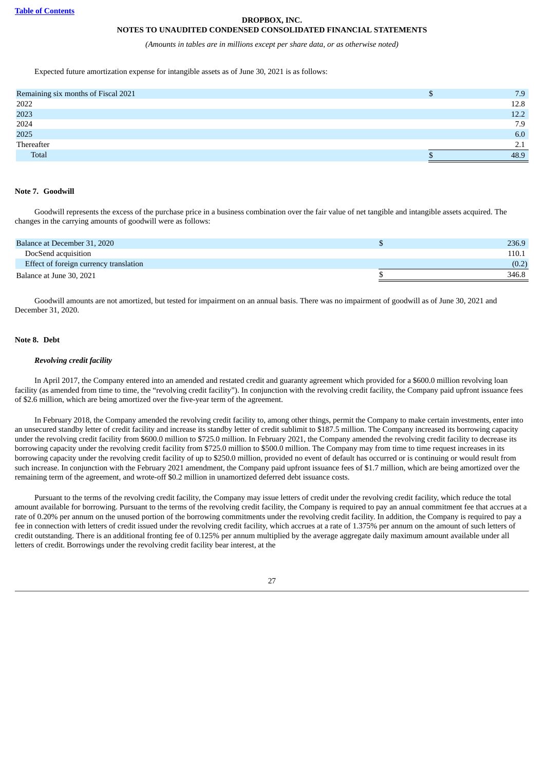## **NOTES TO UNAUDITED CONDENSED CONSOLIDATED FINANCIAL STATEMENTS**

*(Amounts in tables are in millions except per share data, or as otherwise noted)*

Expected future amortization expense for intangible assets as of June 30, 2021 is as follows:

| Remaining six months of Fiscal 2021 | 7.9  |
|-------------------------------------|------|
| 2022                                | 12.8 |
| 2023                                | 12.2 |
| 2024                                | 7.9  |
| 2025                                | 6.0  |
| Thereafter                          | 2.1  |
| <b>Total</b>                        | 48.9 |
|                                     |      |

### **Note 7. Goodwill**

Goodwill represents the excess of the purchase price in a business combination over the fair value of net tangible and intangible assets acquired. The changes in the carrying amounts of goodwill were as follows:

| Balance at December 31, 2020           | 236.9 |
|----------------------------------------|-------|
| DocSend acquisition                    | 110.1 |
| Effect of foreign currency translation | (0.2) |
| Balance at June 30, 2021               | 346.8 |
|                                        |       |

Goodwill amounts are not amortized, but tested for impairment on an annual basis. There was no impairment of goodwill as of June 30, 2021 and December 31, 2020.

## **Note 8. Debt**

## *Revolving credit facility*

In April 2017, the Company entered into an amended and restated credit and guaranty agreement which provided for a \$600.0 million revolving loan facility (as amended from time to time, the "revolving credit facility"). In conjunction with the revolving credit facility, the Company paid upfront issuance fees of \$2.6 million, which are being amortized over the five-year term of the agreement.

In February 2018, the Company amended the revolving credit facility to, among other things, permit the Company to make certain investments, enter into an unsecured standby letter of credit facility and increase its standby letter of credit sublimit to \$187.5 million. The Company increased its borrowing capacity under the revolving credit facility from \$600.0 million to \$725.0 million. In February 2021, the Company amended the revolving credit facility to decrease its borrowing capacity under the revolving credit facility from \$725.0 million to \$500.0 million. The Company may from time to time request increases in its borrowing capacity under the revolving credit facility of up to \$250.0 million, provided no event of default has occurred or is continuing or would result from such increase. In conjunction with the February 2021 amendment, the Company paid upfront issuance fees of \$1.7 million, which are being amortized over the remaining term of the agreement, and wrote-off \$0.2 million in unamortized deferred debt issuance costs.

Pursuant to the terms of the revolving credit facility, the Company may issue letters of credit under the revolving credit facility, which reduce the total amount available for borrowing. Pursuant to the terms of the revolving credit facility, the Company is required to pay an annual commitment fee that accrues at a rate of 0.20% per annum on the unused portion of the borrowing commitments under the revolving credit facility. In addition, the Company is required to pay a fee in connection with letters of credit issued under the revolving credit facility, which accrues at a rate of 1.375% per annum on the amount of such letters of credit outstanding. There is an additional fronting fee of 0.125% per annum multiplied by the average aggregate daily maximum amount available under all letters of credit. Borrowings under the revolving credit facility bear interest, at the

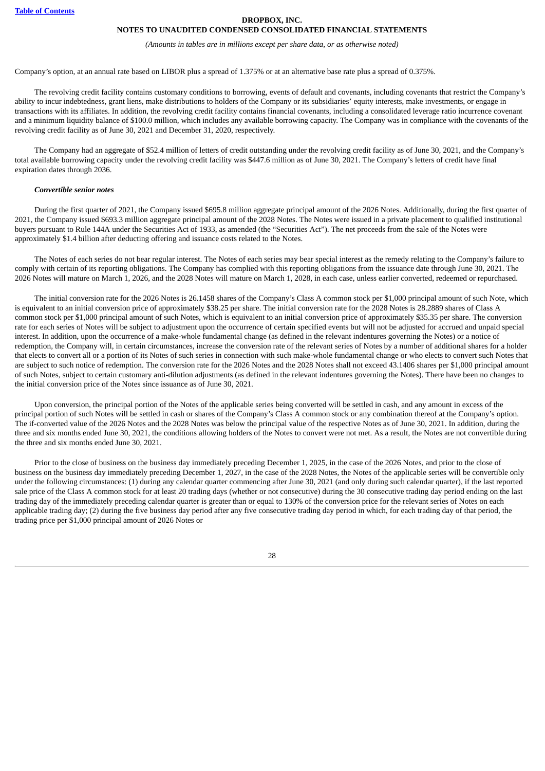# **NOTES TO UNAUDITED CONDENSED CONSOLIDATED FINANCIAL STATEMENTS**

*(Amounts in tables are in millions except per share data, or as otherwise noted)*

Company's option, at an annual rate based on LIBOR plus a spread of 1.375% or at an alternative base rate plus a spread of 0.375%.

The revolving credit facility contains customary conditions to borrowing, events of default and covenants, including covenants that restrict the Company's ability to incur indebtedness, grant liens, make distributions to holders of the Company or its subsidiaries' equity interests, make investments, or engage in transactions with its affiliates. In addition, the revolving credit facility contains financial covenants, including a consolidated leverage ratio incurrence covenant and a minimum liquidity balance of \$100.0 million, which includes any available borrowing capacity. The Company was in compliance with the covenants of the revolving credit facility as of June 30, 2021 and December 31, 2020, respectively.

The Company had an aggregate of \$52.4 million of letters of credit outstanding under the revolving credit facility as of June 30, 2021, and the Company's total available borrowing capacity under the revolving credit facility was \$447.6 million as of June 30, 2021. The Company's letters of credit have final expiration dates through 2036.

### *Convertible senior notes*

During the first quarter of 2021, the Company issued \$695.8 million aggregate principal amount of the 2026 Notes. Additionally, during the first quarter of 2021, the Company issued \$693.3 million aggregate principal amount of the 2028 Notes. The Notes were issued in a private placement to qualified institutional buyers pursuant to Rule 144A under the Securities Act of 1933, as amended (the "Securities Act"). The net proceeds from the sale of the Notes were approximately \$1.4 billion after deducting offering and issuance costs related to the Notes.

The Notes of each series do not bear regular interest. The Notes of each series may bear special interest as the remedy relating to the Company's failure to comply with certain of its reporting obligations. The Company has complied with this reporting obligations from the issuance date through June 30, 2021. The 2026 Notes will mature on March 1, 2026, and the 2028 Notes will mature on March 1, 2028, in each case, unless earlier converted, redeemed or repurchased.

The initial conversion rate for the 2026 Notes is 26.1458 shares of the Company's Class A common stock per \$1,000 principal amount of such Note, which is equivalent to an initial conversion price of approximately \$38.25 per share. The initial conversion rate for the 2028 Notes is 28.2889 shares of Class A common stock per \$1,000 principal amount of such Notes, which is equivalent to an initial conversion price of approximately \$35.35 per share. The conversion rate for each series of Notes will be subject to adjustment upon the occurrence of certain specified events but will not be adjusted for accrued and unpaid special interest. In addition, upon the occurrence of a make-whole fundamental change (as defined in the relevant indentures governing the Notes) or a notice of redemption, the Company will, in certain circumstances, increase the conversion rate of the relevant series of Notes by a number of additional shares for a holder that elects to convert all or a portion of its Notes of such series in connection with such make-whole fundamental change or who elects to convert such Notes that are subject to such notice of redemption. The conversion rate for the 2026 Notes and the 2028 Notes shall not exceed 43.1406 shares per \$1,000 principal amount of such Notes, subject to certain customary anti-dilution adjustments (as defined in the relevant indentures governing the Notes). There have been no changes to the initial conversion price of the Notes since issuance as of June 30, 2021.

Upon conversion, the principal portion of the Notes of the applicable series being converted will be settled in cash, and any amount in excess of the principal portion of such Notes will be settled in cash or shares of the Company's Class A common stock or any combination thereof at the Company's option. The if-converted value of the 2026 Notes and the 2028 Notes was below the principal value of the respective Notes as of June 30, 2021. In addition, during the three and six months ended June 30, 2021, the conditions allowing holders of the Notes to convert were not met. As a result, the Notes are not convertible during the three and six months ended June 30, 2021.

Prior to the close of business on the business day immediately preceding December 1, 2025, in the case of the 2026 Notes, and prior to the close of business on the business day immediately preceding December 1, 2027, in the case of the 2028 Notes, the Notes of the applicable series will be convertible only under the following circumstances: (1) during any calendar quarter commencing after June 30, 2021 (and only during such calendar quarter), if the last reported sale price of the Class A common stock for at least 20 trading days (whether or not consecutive) during the 30 consecutive trading day period ending on the last trading day of the immediately preceding calendar quarter is greater than or equal to 130% of the conversion price for the relevant series of Notes on each applicable trading day; (2) during the five business day period after any five consecutive trading day period in which, for each trading day of that period, the trading price per \$1,000 principal amount of 2026 Notes or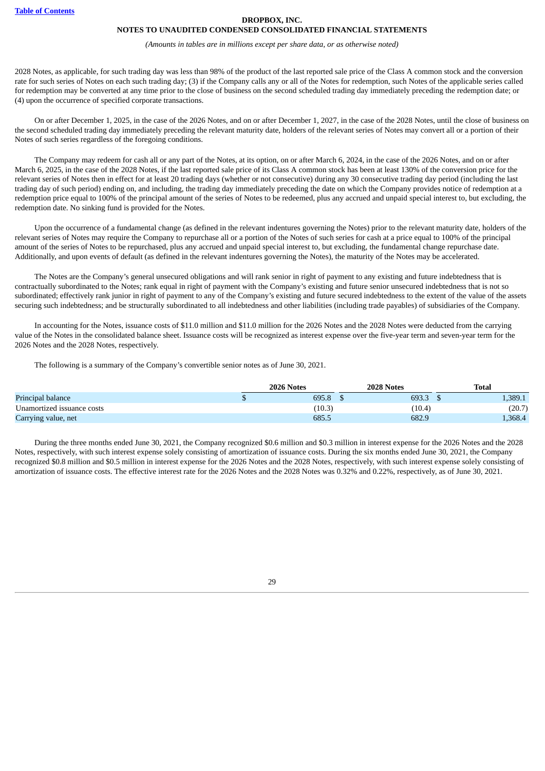## **DROPBOX, INC. NOTES TO UNAUDITED CONDENSED CONSOLIDATED FINANCIAL STATEMENTS**

*(Amounts in tables are in millions except per share data, or as otherwise noted)*

2028 Notes, as applicable, for such trading day was less than 98% of the product of the last reported sale price of the Class A common stock and the conversion rate for such series of Notes on each such trading day; (3) if the Company calls any or all of the Notes for redemption, such Notes of the applicable series called for redemption may be converted at any time prior to the close of business on the second scheduled trading day immediately preceding the redemption date; or (4) upon the occurrence of specified corporate transactions.

On or after December 1, 2025, in the case of the 2026 Notes, and on or after December 1, 2027, in the case of the 2028 Notes, until the close of business on the second scheduled trading day immediately preceding the relevant maturity date, holders of the relevant series of Notes may convert all or a portion of their Notes of such series regardless of the foregoing conditions.

The Company may redeem for cash all or any part of the Notes, at its option, on or after March 6, 2024, in the case of the 2026 Notes, and on or after March 6, 2025, in the case of the 2028 Notes, if the last reported sale price of its Class A common stock has been at least 130% of the conversion price for the relevant series of Notes then in effect for at least 20 trading days (whether or not consecutive) during any 30 consecutive trading day period (including the last trading day of such period) ending on, and including, the trading day immediately preceding the date on which the Company provides notice of redemption at a redemption price equal to 100% of the principal amount of the series of Notes to be redeemed, plus any accrued and unpaid special interest to, but excluding, the redemption date. No sinking fund is provided for the Notes.

Upon the occurrence of a fundamental change (as defined in the relevant indentures governing the Notes) prior to the relevant maturity date, holders of the relevant series of Notes may require the Company to repurchase all or a portion of the Notes of such series for cash at a price equal to 100% of the principal amount of the series of Notes to be repurchased, plus any accrued and unpaid special interest to, but excluding, the fundamental change repurchase date. Additionally, and upon events of default (as defined in the relevant indentures governing the Notes), the maturity of the Notes may be accelerated.

The Notes are the Company's general unsecured obligations and will rank senior in right of payment to any existing and future indebtedness that is contractually subordinated to the Notes; rank equal in right of payment with the Company's existing and future senior unsecured indebtedness that is not so subordinated; effectively rank junior in right of payment to any of the Company's existing and future secured indebtedness to the extent of the value of the assets securing such indebtedness; and be structurally subordinated to all indebtedness and other liabilities (including trade payables) of subsidiaries of the Company.

In accounting for the Notes, issuance costs of \$11.0 million and \$11.0 million for the 2026 Notes and the 2028 Notes were deducted from the carrying value of the Notes in the consolidated balance sheet. Issuance costs will be recognized as interest expense over the five-year term and seven-year term for the 2026 Notes and the 2028 Notes, respectively.

The following is a summary of the Company's convertible senior notes as of June 30, 2021.

|                            | 2026 Notes | 2028 Notes | <b>Total</b> |
|----------------------------|------------|------------|--------------|
| Principal balance          | 695.8      | 693.3      | 1,389.1      |
| Unamortized issuance costs | (10.3)     | (10.4)     | (20.7)       |
| Carrying value, net        | 685.5      | 682.9      | 1,368.4      |

During the three months ended June 30, 2021, the Company recognized \$0.6 million and \$0.3 million in interest expense for the 2026 Notes and the 2028 Notes, respectively, with such interest expense solely consisting of amortization of issuance costs. During the six months ended June 30, 2021, the Company recognized \$0.8 million and \$0.5 million in interest expense for the 2026 Notes and the 2028 Notes, respectively, with such interest expense solely consisting of amortization of issuance costs. The effective interest rate for the 2026 Notes and the 2028 Notes was 0.32% and 0.22%, respectively, as of June 30, 2021.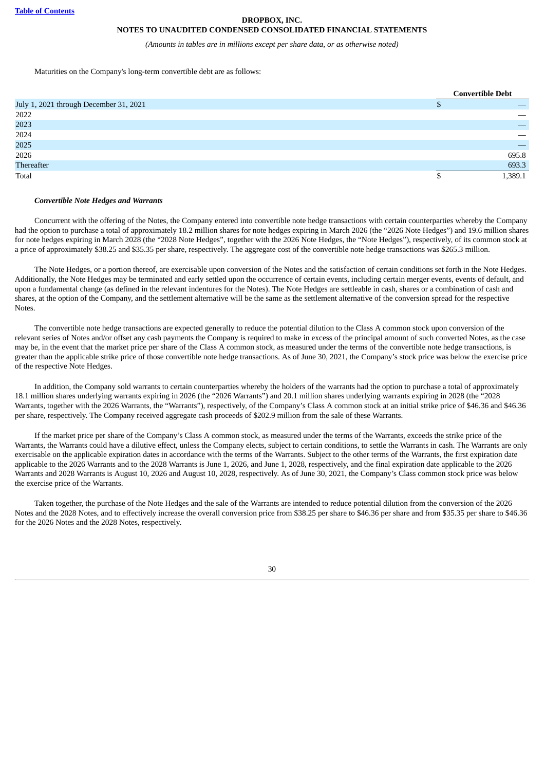# **NOTES TO UNAUDITED CONDENSED CONSOLIDATED FINANCIAL STATEMENTS**

*(Amounts in tables are in millions except per share data, or as otherwise noted)*

Maturities on the Company's long-term convertible debt are as follows:

|                                        | <b>Convertible Debt</b> |
|----------------------------------------|-------------------------|
| July 1, 2021 through December 31, 2021 |                         |
| 2022                                   |                         |
| 2023                                   |                         |
| 2024                                   |                         |
| 2025                                   |                         |
| 2026                                   | 695.8                   |
| Thereafter                             | 693.3                   |
| Total                                  | 1,389.1                 |
|                                        |                         |

### *Convertible Note Hedges and Warrants*

Concurrent with the offering of the Notes, the Company entered into convertible note hedge transactions with certain counterparties whereby the Company had the option to purchase a total of approximately 18.2 million shares for note hedges expiring in March 2026 (the "2026 Note Hedges") and 19.6 million shares for note hedges expiring in March 2028 (the "2028 Note Hedges", together with the 2026 Note Hedges, the "Note Hedges"), respectively, of its common stock at a price of approximately \$38.25 and \$35.35 per share, respectively. The aggregate cost of the convertible note hedge transactions was \$265.3 million.

The Note Hedges, or a portion thereof, are exercisable upon conversion of the Notes and the satisfaction of certain conditions set forth in the Note Hedges. Additionally, the Note Hedges may be terminated and early settled upon the occurrence of certain events, including certain merger events, events of default, and upon a fundamental change (as defined in the relevant indentures for the Notes). The Note Hedges are settleable in cash, shares or a combination of cash and shares, at the option of the Company, and the settlement alternative will be the same as the settlement alternative of the conversion spread for the respective Notes.

The convertible note hedge transactions are expected generally to reduce the potential dilution to the Class A common stock upon conversion of the relevant series of Notes and/or offset any cash payments the Company is required to make in excess of the principal amount of such converted Notes, as the case may be, in the event that the market price per share of the Class A common stock, as measured under the terms of the convertible note hedge transactions, is greater than the applicable strike price of those convertible note hedge transactions. As of June 30, 2021, the Company's stock price was below the exercise price of the respective Note Hedges.

In addition, the Company sold warrants to certain counterparties whereby the holders of the warrants had the option to purchase a total of approximately 18.1 million shares underlying warrants expiring in 2026 (the "2026 Warrants") and 20.1 million shares underlying warrants expiring in 2028 (the "2028 Warrants, together with the 2026 Warrants, the "Warrants"), respectively, of the Company's Class A common stock at an initial strike price of \$46.36 and \$46.36 per share, respectively. The Company received aggregate cash proceeds of \$202.9 million from the sale of these Warrants.

If the market price per share of the Company's Class A common stock, as measured under the terms of the Warrants, exceeds the strike price of the Warrants, the Warrants could have a dilutive effect, unless the Company elects, subject to certain conditions, to settle the Warrants in cash. The Warrants are only exercisable on the applicable expiration dates in accordance with the terms of the Warrants. Subject to the other terms of the Warrants, the first expiration date applicable to the 2026 Warrants and to the 2028 Warrants is June 1, 2026, and June 1, 2028, respectively, and the final expiration date applicable to the 2026 Warrants and 2028 Warrants is August 10, 2026 and August 10, 2028, respectively. As of June 30, 2021, the Company's Class common stock price was below the exercise price of the Warrants.

Taken together, the purchase of the Note Hedges and the sale of the Warrants are intended to reduce potential dilution from the conversion of the 2026 Notes and the 2028 Notes, and to effectively increase the overall conversion price from \$38.25 per share to \$46.36 per share and from \$35.35 per share to \$46.36 for the 2026 Notes and the 2028 Notes, respectively.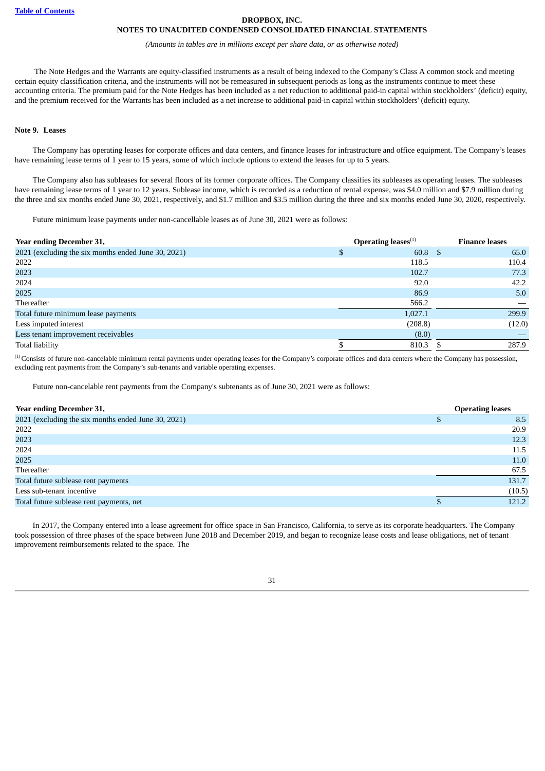### **DROPBOX, INC. NOTES TO UNAUDITED CONDENSED CONSOLIDATED FINANCIAL STATEMENTS**

*(Amounts in tables are in millions except per share data, or as otherwise noted)*

The Note Hedges and the Warrants are equity-classified instruments as a result of being indexed to the Company's Class A common stock and meeting certain equity classification criteria, and the instruments will not be remeasured in subsequent periods as long as the instruments continue to meet these accounting criteria. The premium paid for the Note Hedges has been included as a net reduction to additional paid-in capital within stockholders' (deficit) equity, and the premium received for the Warrants has been included as a net increase to additional paid-in capital within stockholders' (deficit) equity.

## **Note 9. Leases**

The Company has operating leases for corporate offices and data centers, and finance leases for infrastructure and office equipment. The Company's leases have remaining lease terms of 1 year to 15 years, some of which include options to extend the leases for up to 5 years.

The Company also has subleases for several floors of its former corporate offices. The Company classifies its subleases as operating leases. The subleases have remaining lease terms of 1 year to 12 years. Sublease income, which is recorded as a reduction of rental expense, was \$4.0 million and \$7.9 million during the three and six months ended June 30, 2021, respectively, and \$1.7 million and \$3.5 million during the three and six months ended June 30, 2020, respectively.

Future minimum lease payments under non-cancellable leases as of June 30, 2021 were as follows:

| <b>Year ending December 31,</b>                     | <b>Operating leases</b> $^{(1)}$ |                   |  | <b>Finance leases</b> |  |  |
|-----------------------------------------------------|----------------------------------|-------------------|--|-----------------------|--|--|
| 2021 (excluding the six months ended June 30, 2021) |                                  | 60.8 <sup>5</sup> |  | 65.0                  |  |  |
| 2022                                                |                                  | 118.5             |  | 110.4                 |  |  |
| 2023                                                |                                  | 102.7             |  | 77.3                  |  |  |
| 2024                                                |                                  | 92.0              |  | 42.2                  |  |  |
| 2025                                                |                                  | 86.9              |  | 5.0                   |  |  |
| Thereafter                                          |                                  | 566.2             |  |                       |  |  |
| Total future minimum lease payments                 |                                  | 1,027.1           |  | 299.9                 |  |  |
| Less imputed interest                               |                                  | (208.8)           |  | (12.0)                |  |  |
| Less tenant improvement receivables                 |                                  | (8.0)             |  |                       |  |  |
| Total liability                                     |                                  | 810.3             |  | 287.9                 |  |  |

 $(1)$  Consists of future non-cancelable minimum rental payments under operating leases for the Company's corporate offices and data centers where the Company has possession, excluding rent payments from the Company's sub-tenants and variable operating expenses.

Future non-cancelable rent payments from the Company's subtenants as of June 30, 2021 were as follows:

## **Year ending December 31, Operating leases**

| real ending <i>b</i> ecentric <i>bi</i> ,           | $\sigma$ per uting reuses |
|-----------------------------------------------------|---------------------------|
| 2021 (excluding the six months ended June 30, 2021) | 8.5                       |
| 2022                                                | 20.9                      |
| 2023                                                | 12.3                      |
| 2024                                                | 11.5                      |
| 2025                                                | 11.0                      |
| Thereafter                                          | 67.5                      |
| Total future sublease rent payments                 | 131.7                     |
| Less sub-tenant incentive                           | (10.5)                    |
| Total future sublease rent payments, net            | 121.2                     |
|                                                     |                           |

In 2017, the Company entered into a lease agreement for office space in San Francisco, California, to serve as its corporate headquarters. The Company took possession of three phases of the space between June 2018 and December 2019, and began to recognize lease costs and lease obligations, net of tenant improvement reimbursements related to the space. The

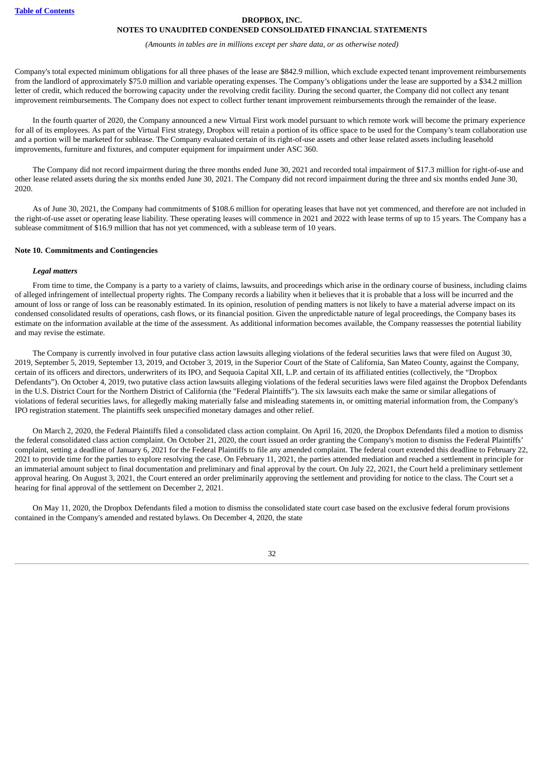## **DROPBOX, INC. NOTES TO UNAUDITED CONDENSED CONSOLIDATED FINANCIAL STATEMENTS**

*(Amounts in tables are in millions except per share data, or as otherwise noted)*

Company's total expected minimum obligations for all three phases of the lease are \$842.9 million, which exclude expected tenant improvement reimbursements from the landlord of approximately \$75.0 million and variable operating expenses. The Company's obligations under the lease are supported by a \$34.2 million letter of credit, which reduced the borrowing capacity under the revolving credit facility. During the second quarter, the Company did not collect any tenant improvement reimbursements. The Company does not expect to collect further tenant improvement reimbursements through the remainder of the lease.

In the fourth quarter of 2020, the Company announced a new Virtual First work model pursuant to which remote work will become the primary experience for all of its employees. As part of the Virtual First strategy, Dropbox will retain a portion of its office space to be used for the Company's team collaboration use and a portion will be marketed for sublease. The Company evaluated certain of its right-of-use assets and other lease related assets including leasehold improvements, furniture and fixtures, and computer equipment for impairment under ASC 360.

The Company did not record impairment during the three months ended June 30, 2021 and recorded total impairment of \$17.3 million for right-of-use and other lease related assets during the six months ended June 30, 2021. The Company did not record impairment during the three and six months ended June 30, 2020.

As of June 30, 2021, the Company had commitments of \$108.6 million for operating leases that have not yet commenced, and therefore are not included in the right-of-use asset or operating lease liability. These operating leases will commence in 2021 and 2022 with lease terms of up to 15 years. The Company has a sublease commitment of \$16.9 million that has not yet commenced, with a sublease term of 10 years.

### **Note 10. Commitments and Contingencies**

## *Legal matters*

From time to time, the Company is a party to a variety of claims, lawsuits, and proceedings which arise in the ordinary course of business, including claims of alleged infringement of intellectual property rights. The Company records a liability when it believes that it is probable that a loss will be incurred and the amount of loss or range of loss can be reasonably estimated. In its opinion, resolution of pending matters is not likely to have a material adverse impact on its condensed consolidated results of operations, cash flows, or its financial position. Given the unpredictable nature of legal proceedings, the Company bases its estimate on the information available at the time of the assessment. As additional information becomes available, the Company reassesses the potential liability and may revise the estimate.

The Company is currently involved in four putative class action lawsuits alleging violations of the federal securities laws that were filed on August 30, 2019, September 5, 2019, September 13, 2019, and October 3, 2019, in the Superior Court of the State of California, San Mateo County, against the Company, certain of its officers and directors, underwriters of its IPO, and Sequoia Capital XII, L.P. and certain of its affiliated entities (collectively, the "Dropbox Defendants"). On October 4, 2019, two putative class action lawsuits alleging violations of the federal securities laws were filed against the Dropbox Defendants in the U.S. District Court for the Northern District of California (the "Federal Plaintiffs"). The six lawsuits each make the same or similar allegations of violations of federal securities laws, for allegedly making materially false and misleading statements in, or omitting material information from, the Company's IPO registration statement. The plaintiffs seek unspecified monetary damages and other relief.

On March 2, 2020, the Federal Plaintiffs filed a consolidated class action complaint. On April 16, 2020, the Dropbox Defendants filed a motion to dismiss the federal consolidated class action complaint. On October 21, 2020, the court issued an order granting the Company's motion to dismiss the Federal Plaintiffs' complaint, setting a deadline of January 6, 2021 for the Federal Plaintiffs to file any amended complaint. The federal court extended this deadline to February 22, 2021 to provide time for the parties to explore resolving the case. On February 11, 2021, the parties attended mediation and reached a settlement in principle for an immaterial amount subject to final documentation and preliminary and final approval by the court. On July 22, 2021, the Court held a preliminary settlement approval hearing. On August 3, 2021, the Court entered an order preliminarily approving the settlement and providing for notice to the class. The Court set a hearing for final approval of the settlement on December 2, 2021.

On May 11, 2020, the Dropbox Defendants filed a motion to dismiss the consolidated state court case based on the exclusive federal forum provisions contained in the Company's amended and restated bylaws. On December 4, 2020, the state

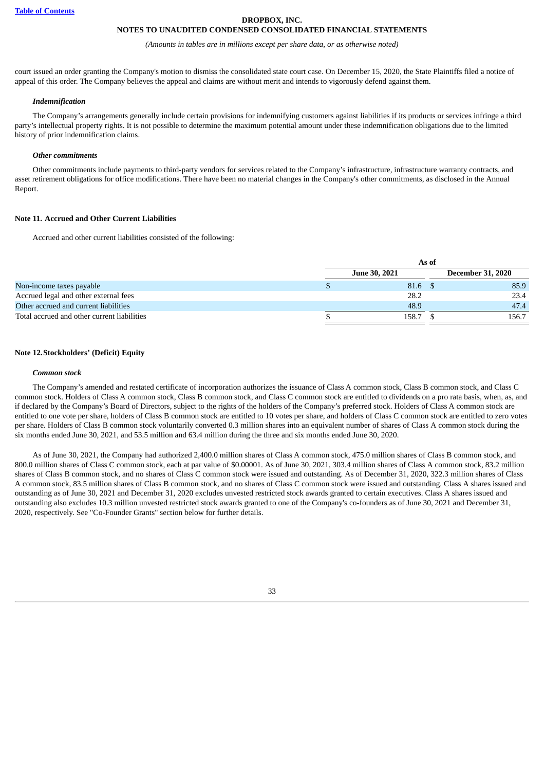## **NOTES TO UNAUDITED CONDENSED CONSOLIDATED FINANCIAL STATEMENTS**

*(Amounts in tables are in millions except per share data, or as otherwise noted)*

court issued an order granting the Company's motion to dismiss the consolidated state court case. On December 15, 2020, the State Plaintiffs filed a notice of appeal of this order. The Company believes the appeal and claims are without merit and intends to vigorously defend against them.

### *Indemnification*

The Company's arrangements generally include certain provisions for indemnifying customers against liabilities if its products or services infringe a third party's intellectual property rights. It is not possible to determine the maximum potential amount under these indemnification obligations due to the limited history of prior indemnification claims.

### *Other commitments*

Other commitments include payments to third-party vendors for services related to the Company's infrastructure, infrastructure warranty contracts, and asset retirement obligations for office modifications. There have been no material changes in the Company's other commitments, as disclosed in the Annual Report.

## **Note 11. Accrued and Other Current Liabilities**

Accrued and other current liabilities consisted of the following:

|                                             | As of |                      |  |                          |
|---------------------------------------------|-------|----------------------|--|--------------------------|
|                                             |       | <b>June 30, 2021</b> |  | <b>December 31, 2020</b> |
| Non-income taxes payable                    |       | 81.6 \$              |  | 85.9                     |
| Accrued legal and other external fees       |       | 28.2                 |  | 23.4                     |
| Other accrued and current liabilities       |       | 48.9                 |  | 47.4                     |
| Total accrued and other current liabilities |       | 158.7                |  | 156.7                    |

### **Note 12.Stockholders' (Deficit) Equity**

### *Common stock*

The Company's amended and restated certificate of incorporation authorizes the issuance of Class A common stock, Class B common stock, and Class C common stock. Holders of Class A common stock, Class B common stock, and Class C common stock are entitled to dividends on a pro rata basis, when, as, and if declared by the Company's Board of Directors, subject to the rights of the holders of the Company's preferred stock. Holders of Class A common stock are entitled to one vote per share, holders of Class B common stock are entitled to 10 votes per share, and holders of Class C common stock are entitled to zero votes per share. Holders of Class B common stock voluntarily converted 0.3 million shares into an equivalent number of shares of Class A common stock during the six months ended June 30, 2021, and 53.5 million and 63.4 million during the three and six months ended June 30, 2020.

As of June 30, 2021, the Company had authorized 2,400.0 million shares of Class A common stock, 475.0 million shares of Class B common stock, and 800.0 million shares of Class C common stock, each at par value of \$0.00001. As of June 30, 2021, 303.4 million shares of Class A common stock, 83.2 million shares of Class B common stock, and no shares of Class C common stock were issued and outstanding. As of December 31, 2020, 322.3 million shares of Class A common stock, 83.5 million shares of Class B common stock, and no shares of Class C common stock were issued and outstanding. Class A shares issued and outstanding as of June 30, 2021 and December 31, 2020 excludes unvested restricted stock awards granted to certain executives. Class A shares issued and outstanding also excludes 10.3 million unvested restricted stock awards granted to one of the Company's co-founders as of June 30, 2021 and December 31, 2020, respectively. See "Co-Founder Grants" section below for further details.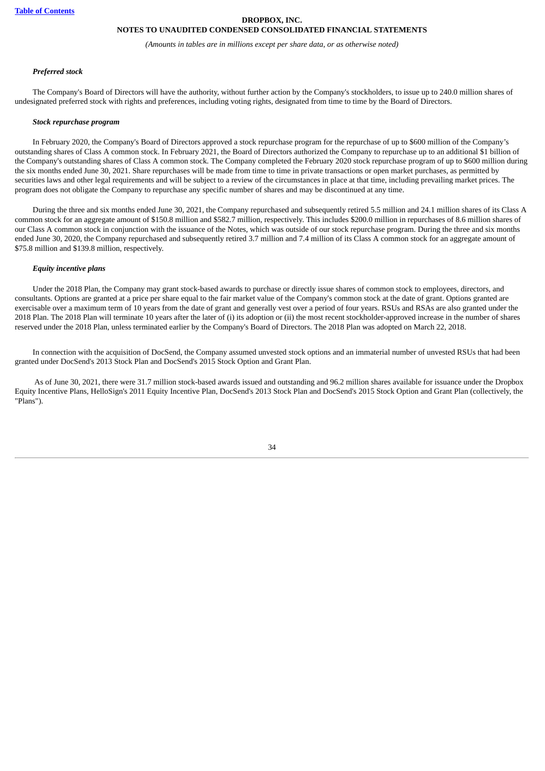## **NOTES TO UNAUDITED CONDENSED CONSOLIDATED FINANCIAL STATEMENTS**

*(Amounts in tables are in millions except per share data, or as otherwise noted)*

### *Preferred stock*

The Company's Board of Directors will have the authority, without further action by the Company's stockholders, to issue up to 240.0 million shares of undesignated preferred stock with rights and preferences, including voting rights, designated from time to time by the Board of Directors.

#### *Stock repurchase program*

In February 2020, the Company's Board of Directors approved a stock repurchase program for the repurchase of up to \$600 million of the Company's outstanding shares of Class A common stock. In February 2021, the Board of Directors authorized the Company to repurchase up to an additional \$1 billion of the Company's outstanding shares of Class A common stock. The Company completed the February 2020 stock repurchase program of up to \$600 million during the six months ended June 30, 2021. Share repurchases will be made from time to time in private transactions or open market purchases, as permitted by securities laws and other legal requirements and will be subject to a review of the circumstances in place at that time, including prevailing market prices. The program does not obligate the Company to repurchase any specific number of shares and may be discontinued at any time.

During the three and six months ended June 30, 2021, the Company repurchased and subsequently retired 5.5 million and 24.1 million shares of its Class A common stock for an aggregate amount of \$150.8 million and \$582.7 million, respectively. This includes \$200.0 million in repurchases of 8.6 million shares of our Class A common stock in conjunction with the issuance of the Notes, which was outside of our stock repurchase program. During the three and six months ended June 30, 2020, the Company repurchased and subsequently retired 3.7 million and 7.4 million of its Class A common stock for an aggregate amount of \$75.8 million and \$139.8 million, respectively.

#### *Equity incentive plans*

Under the 2018 Plan, the Company may grant stock-based awards to purchase or directly issue shares of common stock to employees, directors, and consultants. Options are granted at a price per share equal to the fair market value of the Company's common stock at the date of grant. Options granted are exercisable over a maximum term of 10 years from the date of grant and generally vest over a period of four years. RSUs and RSAs are also granted under the 2018 Plan. The 2018 Plan will terminate 10 years after the later of (i) its adoption or (ii) the most recent stockholder-approved increase in the number of shares reserved under the 2018 Plan, unless terminated earlier by the Company's Board of Directors. The 2018 Plan was adopted on March 22, 2018.

In connection with the acquisition of DocSend, the Company assumed unvested stock options and an immaterial number of unvested RSUs that had been granted under DocSend's 2013 Stock Plan and DocSend's 2015 Stock Option and Grant Plan.

As of June 30, 2021, there were 31.7 million stock-based awards issued and outstanding and 96.2 million shares available for issuance under the Dropbox Equity Incentive Plans, HelloSign's 2011 Equity Incentive Plan, DocSend's 2013 Stock Plan and DocSend's 2015 Stock Option and Grant Plan (collectively, the "Plans").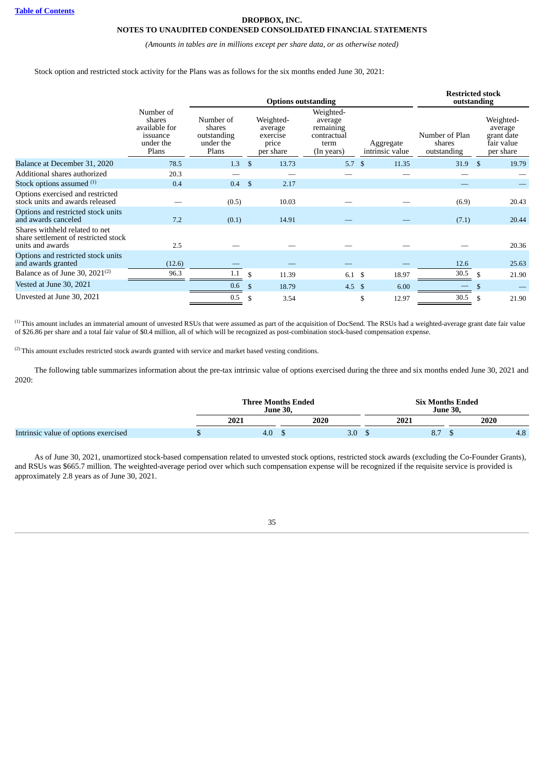# **NOTES TO UNAUDITED CONDENSED CONSOLIDATED FINANCIAL STATEMENTS**

*(Amounts in tables are in millions except per share data, or as otherwise noted)*

Stock option and restricted stock activity for the Plans was as follows for the six months ended June 30, 2021:

|                                                                                            |                                                                        |                                                          |              | <b>Options outstanding</b>                             |                                                                        |                              | <b>Restricted stock</b><br>outstanding  |     |                                                               |
|--------------------------------------------------------------------------------------------|------------------------------------------------------------------------|----------------------------------------------------------|--------------|--------------------------------------------------------|------------------------------------------------------------------------|------------------------------|-----------------------------------------|-----|---------------------------------------------------------------|
|                                                                                            | Number of<br>shares<br>available for<br>issuance<br>under the<br>Plans | Number of<br>shares<br>outstanding<br>under the<br>Plans |              | Weighted-<br>average<br>exercise<br>price<br>per share | Weighted-<br>average<br>remaining<br>contractual<br>term<br>(In years) | Aggregate<br>intrinsic value | Number of Plan<br>shares<br>outstanding |     | Weighted-<br>average<br>grant date<br>fair value<br>per share |
| Balance at December 31, 2020                                                               | 78.5                                                                   | 1.3                                                      | $\mathbb{S}$ | 13.73                                                  | 5.7 <sup>5</sup>                                                       | 11.35                        | 31.9                                    | \$  | 19.79                                                         |
| Additional shares authorized                                                               | 20.3                                                                   |                                                          |              |                                                        |                                                                        |                              |                                         |     |                                                               |
| Stock options assumed (1)                                                                  | 0.4                                                                    | 0.4 <sup>5</sup>                                         |              | 2.17                                                   |                                                                        |                              |                                         |     |                                                               |
| Options exercised and restricted<br>stock units and awards released                        |                                                                        | (0.5)                                                    |              | 10.03                                                  |                                                                        |                              | (6.9)                                   |     | 20.43                                                         |
| Options and restricted stock units<br>and awards canceled                                  | 7.2                                                                    | (0.1)                                                    |              | 14.91                                                  |                                                                        |                              | (7.1)                                   |     | 20.44                                                         |
| Shares withheld related to net<br>share settlement of restricted stock<br>units and awards | 2.5                                                                    |                                                          |              |                                                        |                                                                        |                              |                                         |     | 20.36                                                         |
| Options and restricted stock units<br>and awards granted                                   | (12.6)                                                                 |                                                          |              |                                                        |                                                                        |                              | 12.6                                    |     | 25.63                                                         |
| Balance as of June 30, $2021^{(2)}$                                                        | 96.3                                                                   | 1.1                                                      | \$           | 11.39                                                  | 6.1 \$                                                                 | 18.97                        | 30.5                                    | \$. | 21.90                                                         |
| Vested at June 30, 2021                                                                    |                                                                        | 0.6                                                      | \$           | 18.79                                                  | 4.5 \$                                                                 | 6.00                         |                                         | \$  |                                                               |
| Unvested at June 30, 2021                                                                  |                                                                        | 0.5                                                      | \$           | 3.54                                                   |                                                                        | \$<br>12.97                  | 30.5                                    | \$  | 21.90                                                         |

 $^{(1)}$ This amount includes an immaterial amount of unvested RSUs that were assumed as part of the acquisition of DocSend. The RSUs had a weighted-average grant date fair value of \$26.86 per share and a total fair value of \$0.4 million, all of which will be recognized as post-combination stock-based compensation expense.

 $(2)$  This amount excludes restricted stock awards granted with service and market based vesting conditions.

The following table summarizes information about the pre-tax intrinsic value of options exercised during the three and six months ended June 30, 2021 and 2020:

|                                      | <b>Three Months Ended</b><br>June 30, |  |      |      | <b>Six Months Ended</b> |      |
|--------------------------------------|---------------------------------------|--|------|------|-------------------------|------|
|                                      | 2021                                  |  | 2020 | 2021 |                         | 2020 |
| Intrinsic value of options exercised | 4.0                                   |  | 3.0  |      | о٠.                     | 4.8  |

As of June 30, 2021, unamortized stock-based compensation related to unvested stock options, restricted stock awards (excluding the Co-Founder Grants), and RSUs was \$665.7 million. The weighted-average period over which such compensation expense will be recognized if the requisite service is provided is approximately 2.8 years as of June 30, 2021.

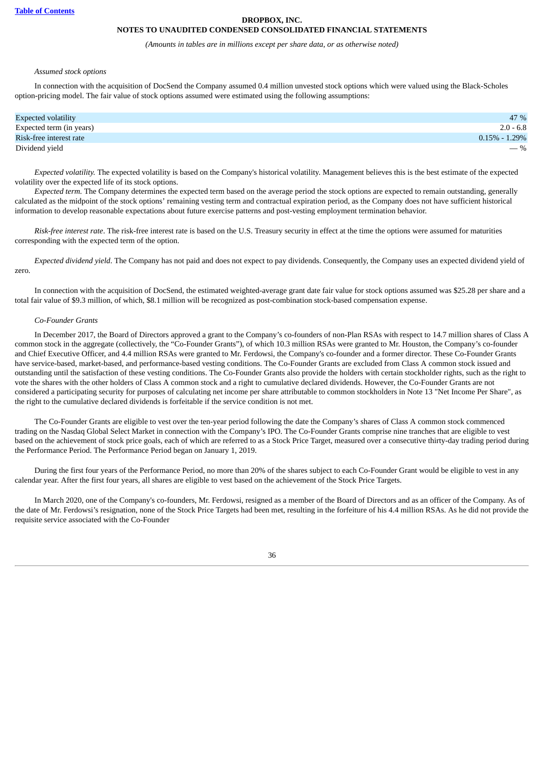# **NOTES TO UNAUDITED CONDENSED CONSOLIDATED FINANCIAL STATEMENTS**

*(Amounts in tables are in millions except per share data, or as otherwise noted)*

## *Assumed stock options*

In connection with the acquisition of DocSend the Company assumed 0.4 million unvested stock options which were valued using the Black-Scholes option-pricing model. The fair value of stock options assumed were estimated using the following assumptions:

| 47 %              |
|-------------------|
| $2.0 - 6.8$       |
| $0.15\% - 1.29\%$ |
| $-$ %             |
|                   |

*Expected volatility.* The expected volatility is based on the Company's historical volatility. Management believes this is the best estimate of the expected volatility over the expected life of its stock options.

*Expected term.* The Company determines the expected term based on the average period the stock options are expected to remain outstanding, generally calculated as the midpoint of the stock options' remaining vesting term and contractual expiration period, as the Company does not have sufficient historical information to develop reasonable expectations about future exercise patterns and post-vesting employment termination behavior.

*Risk-free interest rate*. The risk-free interest rate is based on the U.S. Treasury security in effect at the time the options were assumed for maturities corresponding with the expected term of the option.

*Expected dividend yield*. The Company has not paid and does not expect to pay dividends. Consequently, the Company uses an expected dividend yield of zero.

In connection with the acquisition of DocSend, the estimated weighted-average grant date fair value for stock options assumed was \$25.28 per share and a total fair value of \$9.3 million, of which, \$8.1 million will be recognized as post-combination stock-based compensation expense.

### *Co-Founder Grants*

In December 2017, the Board of Directors approved a grant to the Company's co-founders of non-Plan RSAs with respect to 14.7 million shares of Class A common stock in the aggregate (collectively, the "Co-Founder Grants"), of which 10.3 million RSAs were granted to Mr. Houston, the Company's co-founder and Chief Executive Officer, and 4.4 million RSAs were granted to Mr. Ferdowsi, the Company's co-founder and a former director. These Co-Founder Grants have service-based, market-based, and performance-based vesting conditions. The Co-Founder Grants are excluded from Class A common stock issued and outstanding until the satisfaction of these vesting conditions. The Co-Founder Grants also provide the holders with certain stockholder rights, such as the right to vote the shares with the other holders of Class A common stock and a right to cumulative declared dividends. However, the Co-Founder Grants are not considered a participating security for purposes of calculating net income per share attributable to common stockholders in Note 13 "Net Income Per Share", as the right to the cumulative declared dividends is forfeitable if the service condition is not met.

The Co-Founder Grants are eligible to vest over the ten-year period following the date the Company's shares of Class A common stock commenced trading on the Nasdaq Global Select Market in connection with the Company's IPO. The Co-Founder Grants comprise nine tranches that are eligible to vest based on the achievement of stock price goals, each of which are referred to as a Stock Price Target, measured over a consecutive thirty-day trading period during the Performance Period. The Performance Period began on January 1, 2019.

During the first four years of the Performance Period, no more than 20% of the shares subject to each Co-Founder Grant would be eligible to vest in any calendar year. After the first four years, all shares are eligible to vest based on the achievement of the Stock Price Targets.

In March 2020, one of the Company's co-founders, Mr. Ferdowsi, resigned as a member of the Board of Directors and as an officer of the Company. As of the date of Mr. Ferdowsi's resignation, none of the Stock Price Targets had been met, resulting in the forfeiture of his 4.4 million RSAs. As he did not provide the requisite service associated with the Co-Founder

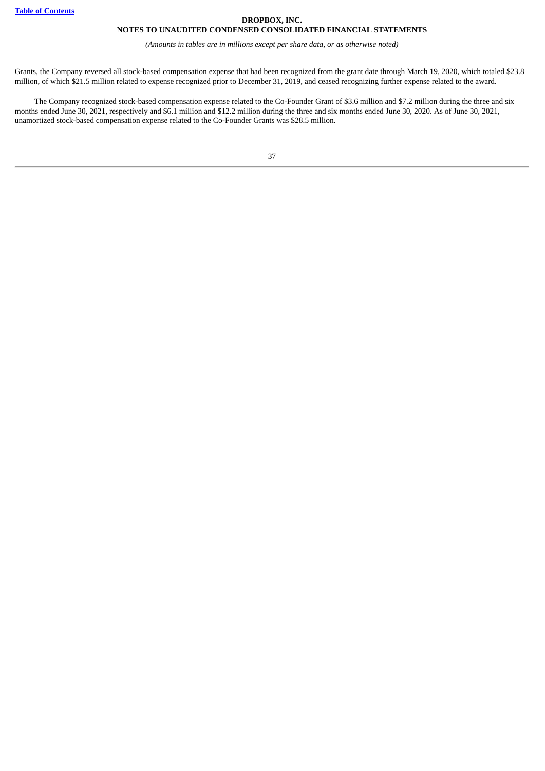### **DROPBOX, INC. NOTES TO UNAUDITED CONDENSED CONSOLIDATED FINANCIAL STATEMENTS**

*(Amounts in tables are in millions except per share data, or as otherwise noted)*

Grants, the Company reversed all stock-based compensation expense that had been recognized from the grant date through March 19, 2020, which totaled \$23.8 million, of which \$21.5 million related to expense recognized prior to December 31, 2019, and ceased recognizing further expense related to the award.

The Company recognized stock-based compensation expense related to the Co-Founder Grant of \$3.6 million and \$7.2 million during the three and six months ended June 30, 2021, respectively and \$6.1 million and \$12.2 million during the three and six months ended June 30, 2020. As of June 30, 2021, unamortized stock-based compensation expense related to the Co-Founder Grants was \$28.5 million.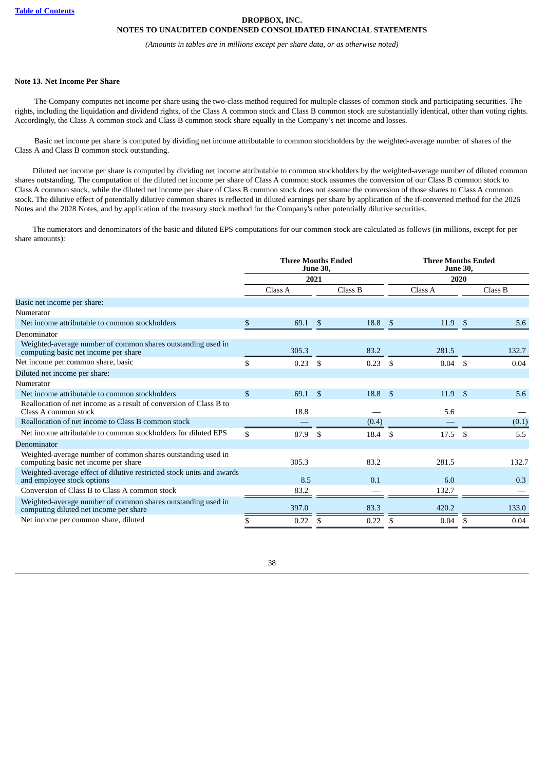## **DROPBOX, INC.**

## **NOTES TO UNAUDITED CONDENSED CONSOLIDATED FINANCIAL STATEMENTS**

*(Amounts in tables are in millions except per share data, or as otherwise noted)*

## **Note 13. Net Income Per Share**

The Company computes net income per share using the two-class method required for multiple classes of common stock and participating securities. The rights, including the liquidation and dividend rights, of the Class A common stock and Class B common stock are substantially identical, other than voting rights. Accordingly, the Class A common stock and Class B common stock share equally in the Company's net income and losses.

Basic net income per share is computed by dividing net income attributable to common stockholders by the weighted-average number of shares of the Class A and Class B common stock outstanding.

Diluted net income per share is computed by dividing net income attributable to common stockholders by the weighted-average number of diluted common shares outstanding. The computation of the diluted net income per share of Class A common stock assumes the conversion of our Class B common stock to Class A common stock, while the diluted net income per share of Class B common stock does not assume the conversion of those shares to Class A common stock. The dilutive effect of potentially dilutive common shares is reflected in diluted earnings per share by application of the if-converted method for the 2026 Notes and the 2028 Notes, and by application of the treasury stock method for the Company's other potentially dilutive securities.

The numerators and denominators of the basic and diluted EPS computations for our common stock are calculated as follows (in millions, except for per share amounts):

|                                                                                                        | <b>Three Months Ended</b><br><b>June 30,</b> |                |                |                   |     | <b>Three Months Ended</b><br><b>June 30,</b> |               |         |  |
|--------------------------------------------------------------------------------------------------------|----------------------------------------------|----------------|----------------|-------------------|-----|----------------------------------------------|---------------|---------|--|
|                                                                                                        | 2021                                         |                |                |                   |     | 2020                                         |               |         |  |
|                                                                                                        |                                              | Class A        |                | Class B           |     | Class A                                      |               | Class B |  |
| Basic net income per share:                                                                            |                                              |                |                |                   |     |                                              |               |         |  |
| Numerator                                                                                              |                                              |                |                |                   |     |                                              |               |         |  |
| Net income attributable to common stockholders                                                         | \$                                           | $69.1\quad$ \$ |                | 18.8              | -\$ | 11.9                                         | -S            | 5.6     |  |
| Denominator                                                                                            |                                              |                |                |                   |     |                                              |               |         |  |
| Weighted-average number of common shares outstanding used in<br>computing basic net income per share   |                                              | 305.3          |                | 83.2              |     | 281.5                                        |               | 132.7   |  |
| Net income per common share, basic                                                                     | \$                                           | 0.23           | $\mathfrak{L}$ | 0.23              | -\$ | 0.04                                         | \$.           | 0.04    |  |
| Diluted net income per share:                                                                          |                                              |                |                |                   |     |                                              |               |         |  |
| Numerator                                                                                              |                                              |                |                |                   |     |                                              |               |         |  |
| Net income attributable to common stockholders                                                         | $\mathbf{s}$                                 | 69.1 \$        |                | 18.8 <sup>5</sup> |     | 11.9                                         | $\mathbf{\$}$ | 5.6     |  |
| Reallocation of net income as a result of conversion of Class B to<br>Class A common stock             |                                              | 18.8           |                |                   |     | 5.6                                          |               |         |  |
| Reallocation of net income to Class B common stock                                                     |                                              |                |                | (0.4)             |     |                                              |               | (0.1)   |  |
| Net income attributable to common stockholders for diluted EPS                                         | \$                                           | 87.9           | $\mathfrak{F}$ | 18.4              | -S  | 17.5                                         | \$            | 5.5     |  |
| Denominator                                                                                            |                                              |                |                |                   |     |                                              |               |         |  |
| Weighted-average number of common shares outstanding used in<br>computing basic net income per share   |                                              | 305.3          |                | 83.2              |     | 281.5                                        |               | 132.7   |  |
| Weighted-average effect of dilutive restricted stock units and awards<br>and employee stock options    |                                              | 8.5            |                | 0.1               |     | 6.0                                          |               | 0.3     |  |
| Conversion of Class B to Class A common stock                                                          |                                              | 83.2           |                |                   |     | 132.7                                        |               |         |  |
| Weighted-average number of common shares outstanding used in<br>computing diluted net income per share |                                              | 397.0          |                | 83.3              |     | 420.2                                        |               | 133.0   |  |
| Net income per common share, diluted                                                                   | \$                                           | 0.22           | \$.            | 0.22              |     | 0.04                                         |               | 0.04    |  |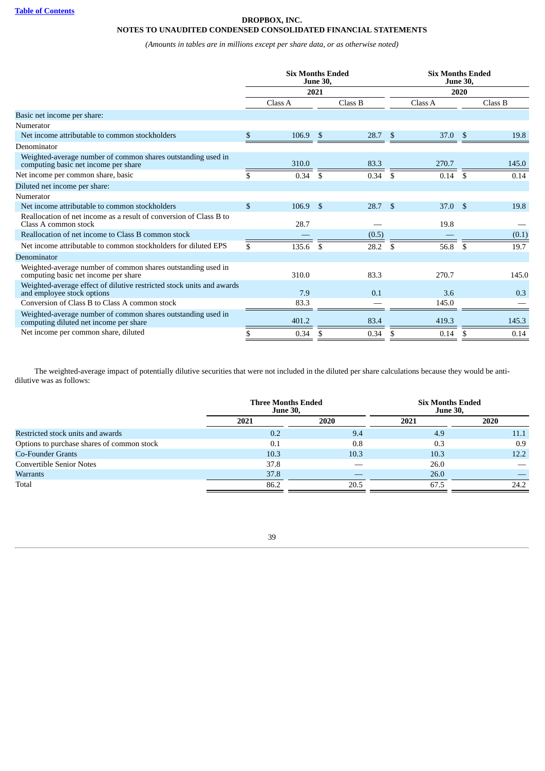## **DROPBOX, INC. NOTES TO UNAUDITED CONDENSED CONSOLIDATED FINANCIAL STATEMENTS**

*(Amounts in tables are in millions except per share data, or as otherwise noted)*

|                                                                                                        | <b>Six Months Ended</b><br><b>June 30,</b> |         |                           |         |                    | <b>Six Months Ended</b><br><b>June 30,</b> |                |         |  |
|--------------------------------------------------------------------------------------------------------|--------------------------------------------|---------|---------------------------|---------|--------------------|--------------------------------------------|----------------|---------|--|
|                                                                                                        | 2021                                       |         |                           |         |                    | 2020                                       |                |         |  |
|                                                                                                        |                                            | Class A |                           | Class B |                    | Class A                                    |                | Class B |  |
| Basic net income per share:                                                                            |                                            |         |                           |         |                    |                                            |                |         |  |
| Numerator                                                                                              |                                            |         |                           |         |                    |                                            |                |         |  |
| Net income attributable to common stockholders                                                         | \$                                         | 106.9   | $\boldsymbol{\mathsf{S}}$ | 28.7    | \$                 | 37.0                                       | \$             | 19.8    |  |
| Denominator                                                                                            |                                            |         |                           |         |                    |                                            |                |         |  |
| Weighted-average number of common shares outstanding used in<br>computing basic net income per share   |                                            | 310.0   |                           | 83.3    |                    | 270.7                                      |                | 145.0   |  |
| Net income per common share, basic                                                                     | \$                                         | 0.34    | \$                        | 0.34    | $\mathbf{s}$       | 0.14                                       | \$             | 0.14    |  |
| Diluted net income per share:                                                                          |                                            |         |                           |         |                    |                                            |                |         |  |
| Numerator                                                                                              |                                            |         |                           |         |                    |                                            |                |         |  |
| Net income attributable to common stockholders                                                         | \$                                         | 106.9   | $\mathbf{\hat{S}}$        | 28.7    | $\mathbf{\hat{S}}$ | 37.0                                       | $\mathfrak{L}$ | 19.8    |  |
| Reallocation of net income as a result of conversion of Class B to<br>Class A common stock             |                                            | 28.7    |                           |         |                    | 19.8                                       |                |         |  |
| Reallocation of net income to Class B common stock                                                     |                                            |         |                           | (0.5)   |                    |                                            |                | (0.1)   |  |
| Net income attributable to common stockholders for diluted EPS                                         | \$                                         | 135.6   | \$                        | 28.2    | \$                 | 56.8                                       | \$             | 19.7    |  |
| Denominator                                                                                            |                                            |         |                           |         |                    |                                            |                |         |  |
| Weighted-average number of common shares outstanding used in<br>computing basic net income per share   |                                            | 310.0   |                           | 83.3    |                    | 270.7                                      |                | 145.0   |  |
| Weighted-average effect of dilutive restricted stock units and awards<br>and employee stock options    |                                            | 7.9     |                           | 0.1     |                    | 3.6                                        |                | 0.3     |  |
| Conversion of Class B to Class A common stock                                                          |                                            | 83.3    |                           |         |                    | 145.0                                      |                |         |  |
| Weighted-average number of common shares outstanding used in<br>computing diluted net income per share |                                            | 401.2   |                           | 83.4    |                    | 419.3                                      |                | 145.3   |  |
| Net income per common share, diluted                                                                   | \$                                         | 0.34    | .S                        | 0.34    | S.                 | 0.14                                       | \$             | 0.14    |  |

The weighted-average impact of potentially dilutive securities that were not included in the diluted per share calculations because they would be antidilutive was as follows:

|                                            | <b>Three Months Ended</b><br><b>June 30,</b> |      | <b>Six Months Ended</b><br><b>June 30,</b> |      |
|--------------------------------------------|----------------------------------------------|------|--------------------------------------------|------|
|                                            | 2021                                         | 2020 | 2021                                       | 2020 |
| Restricted stock units and awards          | 0.2                                          | 9.4  | 4.9                                        | 11.1 |
| Options to purchase shares of common stock | 0.1                                          | 0.8  | 0.3                                        | 0.9  |
| <b>Co-Founder Grants</b>                   | 10.3                                         | 10.3 | 10.3                                       | 12.2 |
| <b>Convertible Senior Notes</b>            | 37.8                                         |      | 26.0                                       |      |
| <b>Warrants</b>                            | 37.8                                         |      | 26.0                                       |      |
| Total                                      | 86.2                                         | 20.5 | 67.5                                       | 24.2 |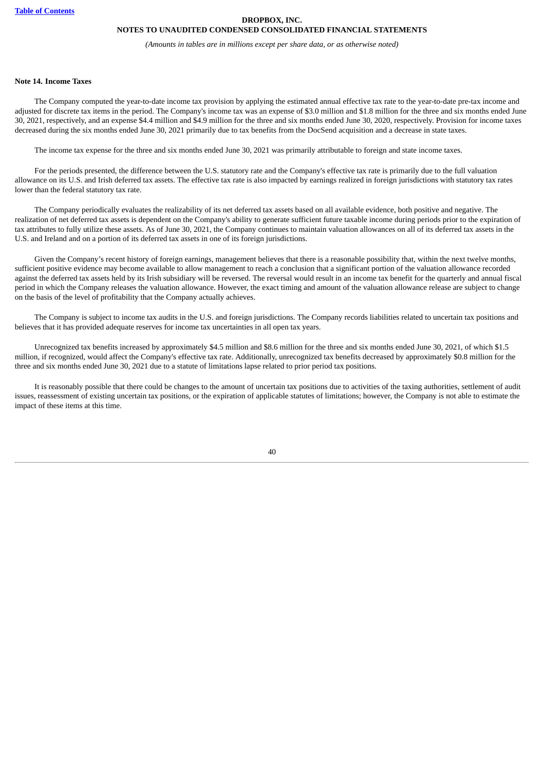## **DROPBOX, INC.**

## **NOTES TO UNAUDITED CONDENSED CONSOLIDATED FINANCIAL STATEMENTS**

*(Amounts in tables are in millions except per share data, or as otherwise noted)*

## **Note 14. Income Taxes**

The Company computed the year-to-date income tax provision by applying the estimated annual effective tax rate to the year-to-date pre-tax income and adjusted for discrete tax items in the period. The Company's income tax was an expense of \$3.0 million and \$1.8 million for the three and six months ended June 30, 2021, respectively, and an expense \$4.4 million and \$4.9 million for the three and six months ended June 30, 2020, respectively. Provision for income taxes decreased during the six months ended June 30, 2021 primarily due to tax benefits from the DocSend acquisition and a decrease in state taxes.

The income tax expense for the three and six months ended June 30, 2021 was primarily attributable to foreign and state income taxes.

For the periods presented, the difference between the U.S. statutory rate and the Company's effective tax rate is primarily due to the full valuation allowance on its U.S. and Irish deferred tax assets. The effective tax rate is also impacted by earnings realized in foreign jurisdictions with statutory tax rates lower than the federal statutory tax rate.

The Company periodically evaluates the realizability of its net deferred tax assets based on all available evidence, both positive and negative. The realization of net deferred tax assets is dependent on the Company's ability to generate sufficient future taxable income during periods prior to the expiration of tax attributes to fully utilize these assets. As of June 30, 2021, the Company continues to maintain valuation allowances on all of its deferred tax assets in the U.S. and Ireland and on a portion of its deferred tax assets in one of its foreign jurisdictions.

Given the Company's recent history of foreign earnings, management believes that there is a reasonable possibility that, within the next twelve months, sufficient positive evidence may become available to allow management to reach a conclusion that a significant portion of the valuation allowance recorded against the deferred tax assets held by its Irish subsidiary will be reversed. The reversal would result in an income tax benefit for the quarterly and annual fiscal period in which the Company releases the valuation allowance. However, the exact timing and amount of the valuation allowance release are subject to change on the basis of the level of profitability that the Company actually achieves.

The Company is subject to income tax audits in the U.S. and foreign jurisdictions. The Company records liabilities related to uncertain tax positions and believes that it has provided adequate reserves for income tax uncertainties in all open tax years.

Unrecognized tax benefits increased by approximately \$4.5 million and \$8.6 million for the three and six months ended June 30, 2021, of which \$1.5 million, if recognized, would affect the Company's effective tax rate. Additionally, unrecognized tax benefits decreased by approximately \$0.8 million for the three and six months ended June 30, 2021 due to a statute of limitations lapse related to prior period tax positions.

It is reasonably possible that there could be changes to the amount of uncertain tax positions due to activities of the taxing authorities, settlement of audit issues, reassessment of existing uncertain tax positions, or the expiration of applicable statutes of limitations; however, the Company is not able to estimate the impact of these items at this time.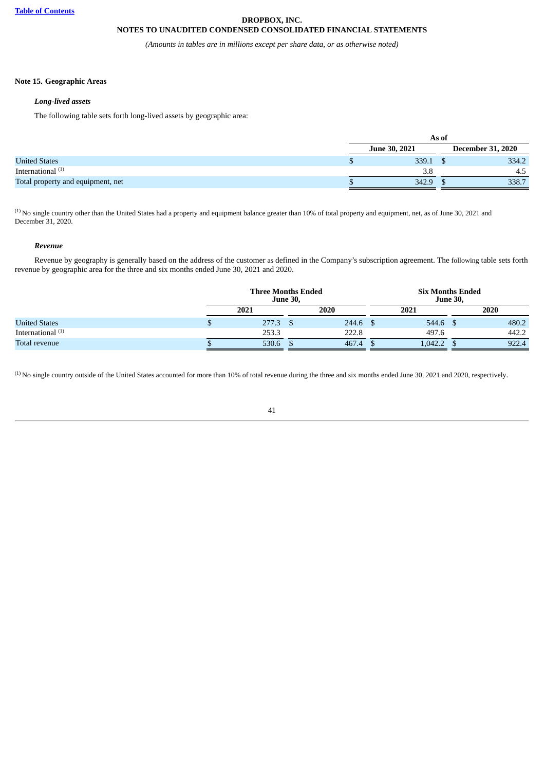## **DROPBOX, INC.**

# **NOTES TO UNAUDITED CONDENSED CONSOLIDATED FINANCIAL STATEMENTS**

*(Amounts in tables are in millions except per share data, or as otherwise noted)*

## **Note 15. Geographic Areas**

## *Long-lived assets*

The following table sets forth long-lived assets by geographic area:

|                                   | As of                |  |                          |  |  |
|-----------------------------------|----------------------|--|--------------------------|--|--|
|                                   | <b>June 30, 2021</b> |  | <b>December 31, 2020</b> |  |  |
| <b>United States</b>              | 339.1                |  | 334.2                    |  |  |
| International <sup>(1)</sup>      | 3.8                  |  | 4.5                      |  |  |
| Total property and equipment, net | 342.9                |  | 338.7                    |  |  |
|                                   |                      |  |                          |  |  |

 $^{(1)}$  No single country other than the United States had a property and equipment balance greater than 10% of total property and equipment, net, as of June 30, 2021 and December 31, 2020.

### *Revenue*

Revenue by geography is generally based on the address of the customer as defined in the Company's subscription agreement. The following table sets forth revenue by geographic area for the three and six months ended June 30, 2021 and 2020.

|                              | <b>Three Months Ended</b><br><b>June 30,</b> |       |  |       |  | <b>Six Months Ended</b><br><b>June 30,</b> |  |       |
|------------------------------|----------------------------------------------|-------|--|-------|--|--------------------------------------------|--|-------|
|                              |                                              | 2021  |  | 2020  |  | 2021                                       |  | 2020  |
| <b>United States</b>         |                                              | 277.3 |  | 244.6 |  | 544.6                                      |  | 480.2 |
| International <sup>(1)</sup> |                                              | 253.3 |  | 222.8 |  | 497.6                                      |  | 442.2 |
| Total revenue                |                                              | 530.6 |  | 467.4 |  | 1,042.2                                    |  | 922.4 |

 $^{(1)}$  No single country outside of the United States accounted for more than 10% of total revenue during the three and six months ended June 30, 2021 and 2020, respectively.

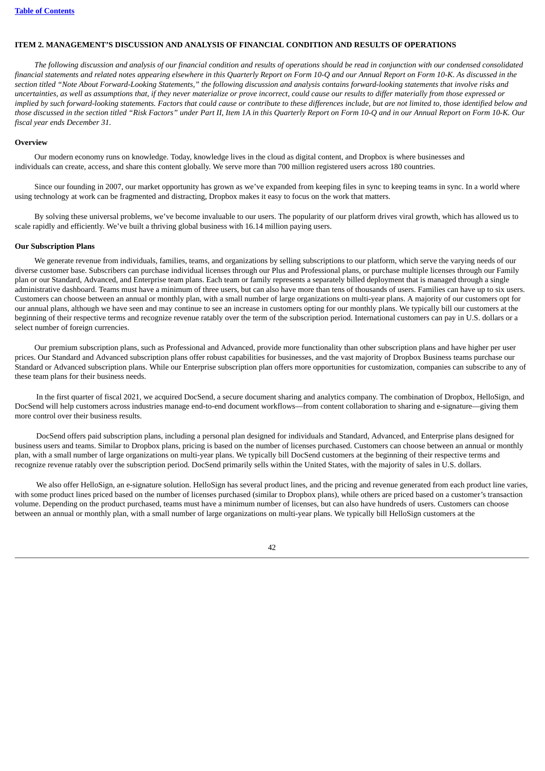## **ITEM 2. MANAGEMENT'S DISCUSSION AND ANALYSIS OF FINANCIAL CONDITION AND RESULTS OF OPERATIONS**

The following discussion and analysis of our financial condition and results of operations should be read in conjunction with our condensed consolidated financial statements and related notes appearing elsewhere in this Quarterly Report on Form 10-Q and our Annual Report on Form 10-K. As discussed in the section titled "Note About Forward-Looking Statements," the following discussion and analysis contains forward-looking statements that involve risks and uncertainties, as well as assumptions that, if they never materialize or prove incorrect, could cause our results to differ materially from those expressed or implied by such forward-looking statements. Factors that could cause or contribute to these differences include, but are not limited to, those identified below and those discussed in the section titled "Risk Factors" under Part II, Item 1A in this Quarterly Report on Form 10-Q and in our Annual Report on Form 10-K. Our *fiscal year ends December 31.*

#### **Overview**

Our modern economy runs on knowledge. Today, knowledge lives in the cloud as digital content, and Dropbox is where businesses and individuals can create, access, and share this content globally. We serve more than 700 million registered users across 180 countries.

Since our founding in 2007, our market opportunity has grown as we've expanded from keeping files in sync to keeping teams in sync. In a world where using technology at work can be fragmented and distracting, Dropbox makes it easy to focus on the work that matters.

By solving these universal problems, we've become invaluable to our users. The popularity of our platform drives viral growth, which has allowed us to scale rapidly and efficiently. We've built a thriving global business with 16.14 million paying users.

#### **Our Subscription Plans**

We generate revenue from individuals, families, teams, and organizations by selling subscriptions to our platform, which serve the varying needs of our diverse customer base. Subscribers can purchase individual licenses through our Plus and Professional plans, or purchase multiple licenses through our Family plan or our Standard, Advanced, and Enterprise team plans. Each team or family represents a separately billed deployment that is managed through a single administrative dashboard. Teams must have a minimum of three users, but can also have more than tens of thousands of users. Families can have up to six users. Customers can choose between an annual or monthly plan, with a small number of large organizations on multi-year plans. A majority of our customers opt for our annual plans, although we have seen and may continue to see an increase in customers opting for our monthly plans. We typically bill our customers at the beginning of their respective terms and recognize revenue ratably over the term of the subscription period. International customers can pay in U.S. dollars or a select number of foreign currencies.

Our premium subscription plans, such as Professional and Advanced, provide more functionality than other subscription plans and have higher per user prices. Our Standard and Advanced subscription plans offer robust capabilities for businesses, and the vast majority of Dropbox Business teams purchase our Standard or Advanced subscription plans. While our Enterprise subscription plan offers more opportunities for customization, companies can subscribe to any of these team plans for their business needs.

In the first quarter of fiscal 2021, we acquired DocSend, a secure document sharing and analytics company. The combination of Dropbox, HelloSign, and DocSend will help customers across industries manage end-to-end document workflows—from content collaboration to sharing and e-signature—giving them more control over their business results.

DocSend offers paid subscription plans, including a personal plan designed for individuals and Standard, Advanced, and Enterprise plans designed for business users and teams. Similar to Dropbox plans, pricing is based on the number of licenses purchased. Customers can choose between an annual or monthly plan, with a small number of large organizations on multi-year plans. We typically bill DocSend customers at the beginning of their respective terms and recognize revenue ratably over the subscription period. DocSend primarily sells within the United States, with the majority of sales in U.S. dollars.

We also offer HelloSign, an e-signature solution. HelloSign has several product lines, and the pricing and revenue generated from each product line varies, with some product lines priced based on the number of licenses purchased (similar to Dropbox plans), while others are priced based on a customer's transaction volume. Depending on the product purchased, teams must have a minimum number of licenses, but can also have hundreds of users. Customers can choose between an annual or monthly plan, with a small number of large organizations on multi-year plans. We typically bill HelloSign customers at the

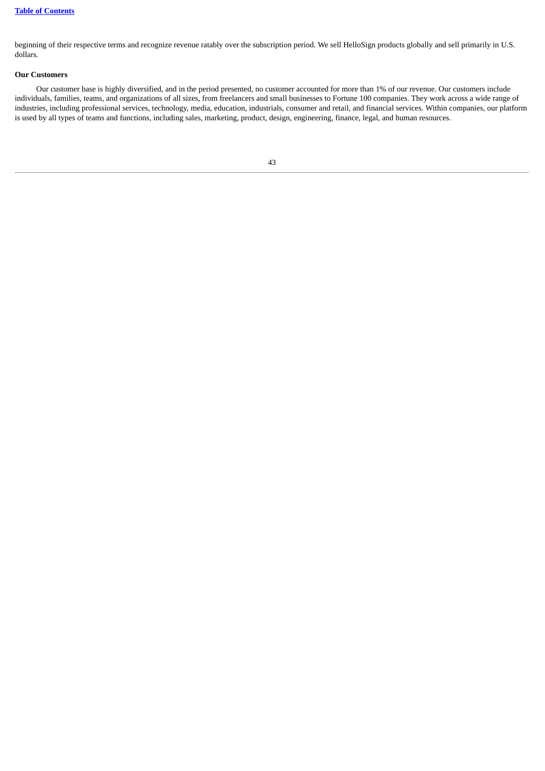beginning of their respective terms and recognize revenue ratably over the subscription period. We sell HelloSign products globally and sell primarily in U.S. dollars*.*

## **Our Customers**

Our customer base is highly diversified, and in the period presented, no customer accounted for more than 1% of our revenue. Our customers include individuals, families, teams, and organizations of all sizes, from freelancers and small businesses to Fortune 100 companies. They work across a wide range of industries, including professional services, technology, media, education, industrials, consumer and retail, and financial services. Within companies, our platform is used by all types of teams and functions, including sales, marketing, product, design, engineering, finance, legal, and human resources.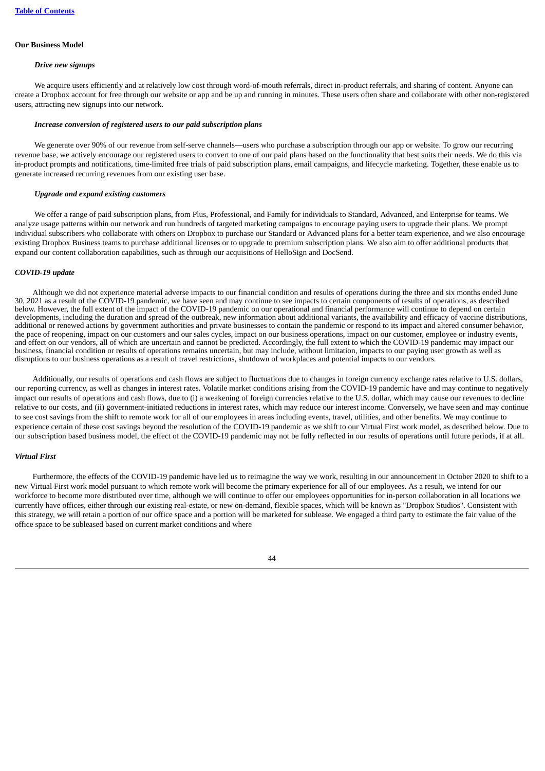### **Our Business Model**

#### *Drive new signups*

We acquire users efficiently and at relatively low cost through word-of-mouth referrals, direct in-product referrals, and sharing of content. Anyone can create a Dropbox account for free through our website or app and be up and running in minutes. These users often share and collaborate with other non-registered users, attracting new signups into our network.

#### *Increase conversion of registered users to our paid subscription plans*

We generate over 90% of our revenue from self-serve channels—users who purchase a subscription through our app or website. To grow our recurring revenue base, we actively encourage our registered users to convert to one of our paid plans based on the functionality that best suits their needs. We do this via in-product prompts and notifications, time-limited free trials of paid subscription plans, email campaigns, and lifecycle marketing. Together, these enable us to generate increased recurring revenues from our existing user base.

#### *Upgrade and expand existing customers*

We offer a range of paid subscription plans, from Plus, Professional, and Family for individuals to Standard, Advanced, and Enterprise for teams. We analyze usage patterns within our network and run hundreds of targeted marketing campaigns to encourage paying users to upgrade their plans. We prompt individual subscribers who collaborate with others on Dropbox to purchase our Standard or Advanced plans for a better team experience, and we also encourage existing Dropbox Business teams to purchase additional licenses or to upgrade to premium subscription plans. We also aim to offer additional products that expand our content collaboration capabilities, such as through our acquisitions of HelloSign and DocSend.

#### *COVID-19 update*

Although we did not experience material adverse impacts to our financial condition and results of operations during the three and six months ended June 30, 2021 as a result of the COVID-19 pandemic, we have seen and may continue to see impacts to certain components of results of operations, as described below. However, the full extent of the impact of the COVID-19 pandemic on our operational and financial performance will continue to depend on certain developments, including the duration and spread of the outbreak, new information about additional variants, the availability and efficacy of vaccine distributions, additional or renewed actions by government authorities and private businesses to contain the pandemic or respond to its impact and altered consumer behavior, the pace of reopening, impact on our customers and our sales cycles, impact on our business operations, impact on our customer, employee or industry events, and effect on our vendors, all of which are uncertain and cannot be predicted. Accordingly, the full extent to which the COVID-19 pandemic may impact our business, financial condition or results of operations remains uncertain, but may include, without limitation, impacts to our paying user growth as well as disruptions to our business operations as a result of travel restrictions, shutdown of workplaces and potential impacts to our vendors.

Additionally, our results of operations and cash flows are subject to fluctuations due to changes in foreign currency exchange rates relative to U.S. dollars, our reporting currency, as well as changes in interest rates. Volatile market conditions arising from the COVID-19 pandemic have and may continue to negatively impact our results of operations and cash flows, due to (i) a weakening of foreign currencies relative to the U.S. dollar, which may cause our revenues to decline relative to our costs, and (ii) government-initiated reductions in interest rates, which may reduce our interest income. Conversely, we have seen and may continue to see cost savings from the shift to remote work for all of our employees in areas including events, travel, utilities, and other benefits. We may continue to experience certain of these cost savings beyond the resolution of the COVID-19 pandemic as we shift to our Virtual First work model, as described below. Due to our subscription based business model, the effect of the COVID-19 pandemic may not be fully reflected in our results of operations until future periods, if at all.

### *Virtual First*

Furthermore, the effects of the COVID-19 pandemic have led us to reimagine the way we work, resulting in our announcement in October 2020 to shift to a new Virtual First work model pursuant to which remote work will become the primary experience for all of our employees. As a result, we intend for our workforce to become more distributed over time, although we will continue to offer our employees opportunities for in-person collaboration in all locations we currently have offices, either through our existing real-estate, or new on-demand, flexible spaces, which will be known as "Dropbox Studios". Consistent with this strategy, we will retain a portion of our office space and a portion will be marketed for sublease. We engaged a third party to estimate the fair value of the office space to be subleased based on current market conditions and where

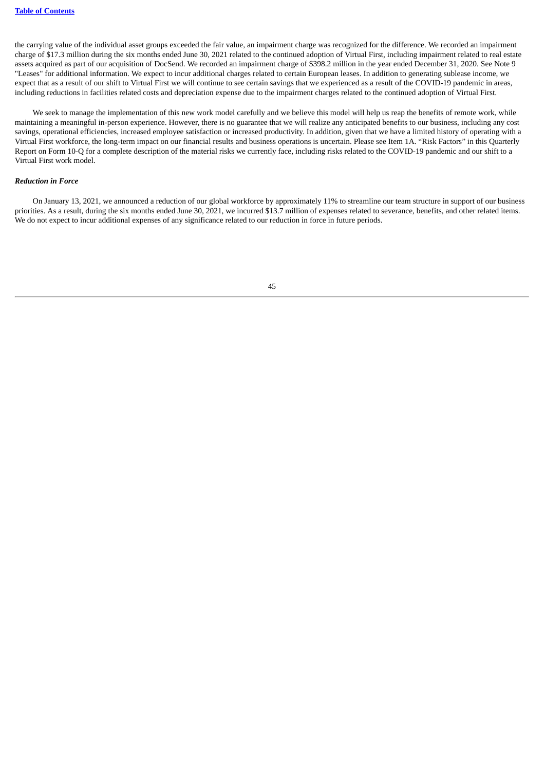the carrying value of the individual asset groups exceeded the fair value, an impairment charge was recognized for the difference. We recorded an impairment charge of \$17.3 million during the six months ended June 30, 2021 related to the continued adoption of Virtual First, including impairment related to real estate assets acquired as part of our acquisition of DocSend. We recorded an impairment charge of \$398.2 million in the year ended December 31, 2020. See Note 9 "Leases" for additional information. We expect to incur additional charges related to certain European leases. In addition to generating sublease income, we expect that as a result of our shift to Virtual First we will continue to see certain savings that we experienced as a result of the COVID-19 pandemic in areas, including reductions in facilities related costs and depreciation expense due to the impairment charges related to the continued adoption of Virtual First.

We seek to manage the implementation of this new work model carefully and we believe this model will help us reap the benefits of remote work, while maintaining a meaningful in-person experience. However, there is no guarantee that we will realize any anticipated benefits to our business, including any cost savings, operational efficiencies, increased employee satisfaction or increased productivity. In addition, given that we have a limited history of operating with a Virtual First workforce, the long-term impact on our financial results and business operations is uncertain. Please see Item 1A. "Risk Factors" in this Quarterly Report on Form 10-Q for a complete description of the material risks we currently face, including risks related to the COVID-19 pandemic and our shift to a Virtual First work model.

## *Reduction in Force*

On January 13, 2021, we announced a reduction of our global workforce by approximately 11% to streamline our team structure in support of our business priorities. As a result, during the six months ended June 30, 2021, we incurred \$13.7 million of expenses related to severance, benefits, and other related items. We do not expect to incur additional expenses of any significance related to our reduction in force in future periods.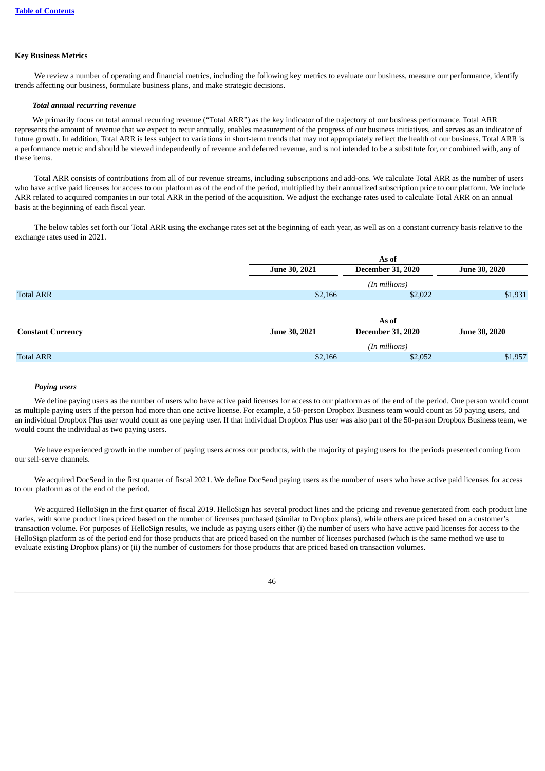#### **Key Business Metrics**

We review a number of operating and financial metrics, including the following key metrics to evaluate our business, measure our performance, identify trends affecting our business, formulate business plans, and make strategic decisions.

#### *Total annual recurring revenue*

We primarily focus on total annual recurring revenue ("Total ARR") as the key indicator of the trajectory of our business performance. Total ARR represents the amount of revenue that we expect to recur annually, enables measurement of the progress of our business initiatives, and serves as an indicator of future growth. In addition, Total ARR is less subject to variations in short-term trends that may not appropriately reflect the health of our business. Total ARR is a performance metric and should be viewed independently of revenue and deferred revenue, and is not intended to be a substitute for, or combined with, any of these items.

Total ARR consists of contributions from all of our revenue streams, including subscriptions and add-ons. We calculate Total ARR as the number of users who have active paid licenses for access to our platform as of the end of the period, multiplied by their annualized subscription price to our platform. We include ARR related to acquired companies in our total ARR in the period of the acquisition. We adjust the exchange rates used to calculate Total ARR on an annual basis at the beginning of each fiscal year.

The below tables set forth our Total ARR using the exchange rates set at the beginning of each year, as well as on a constant currency basis relative to the exchange rates used in 2021.

|                          |               | As of                    |                      |
|--------------------------|---------------|--------------------------|----------------------|
|                          | June 30, 2021 | <b>December 31, 2020</b> | <b>June 30, 2020</b> |
|                          |               | (In millions)            |                      |
| <b>Total ARR</b>         | \$2,166       | \$2,022                  | \$1,931              |
|                          |               | As of                    |                      |
| <b>Constant Currency</b> | June 30, 2021 | <b>December 31, 2020</b> | <b>June 30, 2020</b> |
|                          |               | (In millions)            |                      |
| <b>Total ARR</b>         | \$2,166       | \$2,052                  | \$1,957              |

#### *Paying users*

We define paying users as the number of users who have active paid licenses for access to our platform as of the end of the period. One person would count as multiple paying users if the person had more than one active license. For example, a 50-person Dropbox Business team would count as 50 paying users, and an individual Dropbox Plus user would count as one paying user. If that individual Dropbox Plus user was also part of the 50-person Dropbox Business team, we would count the individual as two paying users.

We have experienced growth in the number of paying users across our products, with the majority of paying users for the periods presented coming from our self-serve channels.

We acquired DocSend in the first quarter of fiscal 2021. We define DocSend paying users as the number of users who have active paid licenses for access to our platform as of the end of the period.

We acquired HelloSign in the first quarter of fiscal 2019. HelloSign has several product lines and the pricing and revenue generated from each product line varies, with some product lines priced based on the number of licenses purchased (similar to Dropbox plans), while others are priced based on a customer's transaction volume. For purposes of HelloSign results, we include as paying users either (i) the number of users who have active paid licenses for access to the HelloSign platform as of the period end for those products that are priced based on the number of licenses purchased (which is the same method we use to evaluate existing Dropbox plans) or (ii) the number of customers for those products that are priced based on transaction volumes.

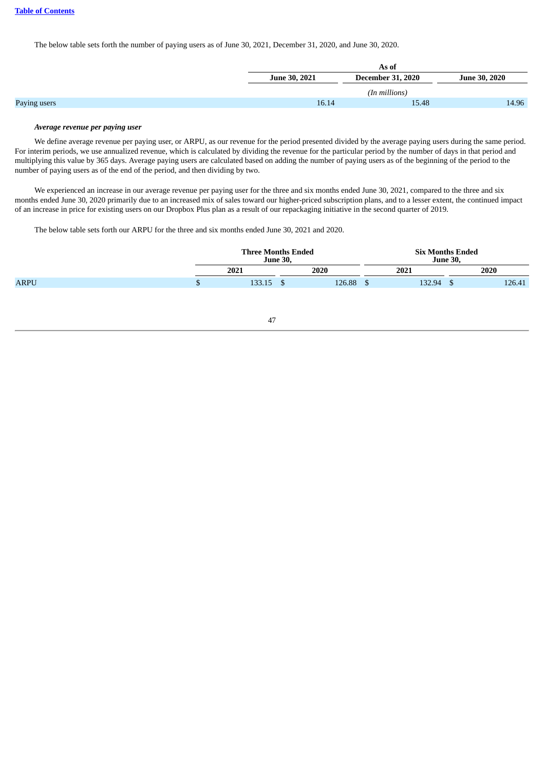The below table sets forth the number of paying users as of June 30, 2021, December 31, 2020, and June 30, 2020.

|              |                      | As of                    |                      |
|--------------|----------------------|--------------------------|----------------------|
|              | <b>June 30, 2021</b> | <b>December 31, 2020</b> | <b>June 30, 2020</b> |
|              |                      | (In millions)            |                      |
| Paying users | 16.14                | 15.48                    | 14.96                |

#### *Average revenue per paying user*

We define average revenue per paying user, or ARPU, as our revenue for the period presented divided by the average paying users during the same period. For interim periods, we use annualized revenue, which is calculated by dividing the revenue for the particular period by the number of days in that period and multiplying this value by 365 days. Average paying users are calculated based on adding the number of paying users as of the beginning of the period to the number of paying users as of the end of the period, and then dividing by two.

We experienced an increase in our average revenue per paying user for the three and six months ended June 30, 2021, compared to the three and six months ended June 30, 2020 primarily due to an increased mix of sales toward our higher-priced subscription plans, and to a lesser extent, the continued impact of an increase in price for existing users on our Dropbox Plus plan as a result of our repackaging initiative in the second quarter of 2019.

The below table sets forth our ARPU for the three and six months ended June 30, 2021 and 2020.

|             | <b>Three Months Ended</b><br><b>June 30,</b> |        |  |        | <b>Six Months Ended</b><br><b>June 30,</b> |        |   |        |  |
|-------------|----------------------------------------------|--------|--|--------|--------------------------------------------|--------|---|--------|--|
|             |                                              | 2021   |  | 2020   |                                            | 2021   |   | 2020   |  |
| <b>ARPU</b> |                                              | 133.15 |  | 126.88 |                                            | 132.94 | ъ | 126.41 |  |
|             |                                              |        |  |        |                                            |        |   |        |  |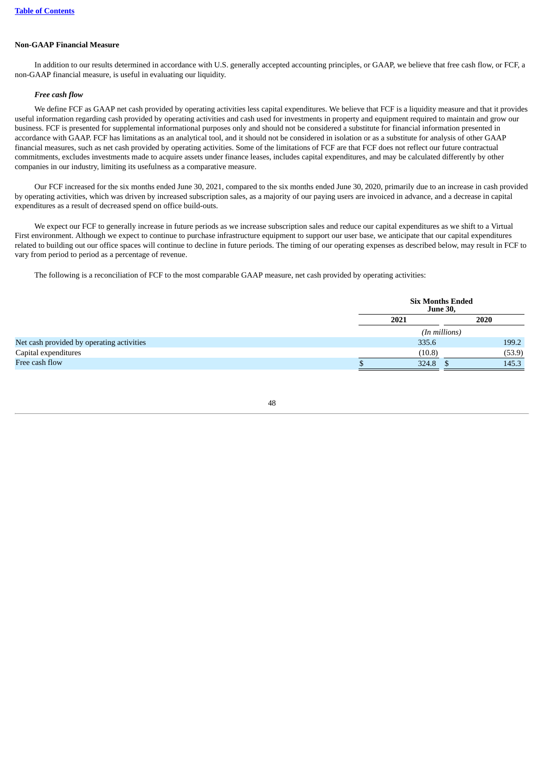## **Non-GAAP Financial Measure**

In addition to our results determined in accordance with U.S. generally accepted accounting principles, or GAAP, we believe that free cash flow, or FCF, a non-GAAP financial measure, is useful in evaluating our liquidity.

### *Free cash flow*

We define FCF as GAAP net cash provided by operating activities less capital expenditures. We believe that FCF is a liquidity measure and that it provides useful information regarding cash provided by operating activities and cash used for investments in property and equipment required to maintain and grow our business. FCF is presented for supplemental informational purposes only and should not be considered a substitute for financial information presented in accordance with GAAP. FCF has limitations as an analytical tool, and it should not be considered in isolation or as a substitute for analysis of other GAAP financial measures, such as net cash provided by operating activities. Some of the limitations of FCF are that FCF does not reflect our future contractual commitments, excludes investments made to acquire assets under finance leases, includes capital expenditures, and may be calculated differently by other companies in our industry, limiting its usefulness as a comparative measure.

Our FCF increased for the six months ended June 30, 2021, compared to the six months ended June 30, 2020, primarily due to an increase in cash provided by operating activities, which was driven by increased subscription sales, as a majority of our paying users are invoiced in advance, and a decrease in capital expenditures as a result of decreased spend on office build-outs.

We expect our FCF to generally increase in future periods as we increase subscription sales and reduce our capital expenditures as we shift to a Virtual First environment. Although we expect to continue to purchase infrastructure equipment to support our user base, we anticipate that our capital expenditures related to building out our office spaces will continue to decline in future periods. The timing of our operating expenses as described below, may result in FCF to vary from period to period as a percentage of revenue.

The following is a reconciliation of FCF to the most comparable GAAP measure, net cash provided by operating activities:

|                                           |      | <b>Six Months Ended</b><br><b>June 30,</b> |
|-------------------------------------------|------|--------------------------------------------|
|                                           | 2021 | 2020                                       |
|                                           |      | (In millions)                              |
| Net cash provided by operating activities |      | 199.2<br>335.6                             |
| Capital expenditures                      |      | (10.8)<br>(53.9)                           |
| Free cash flow                            |      | 145.3<br>324.8                             |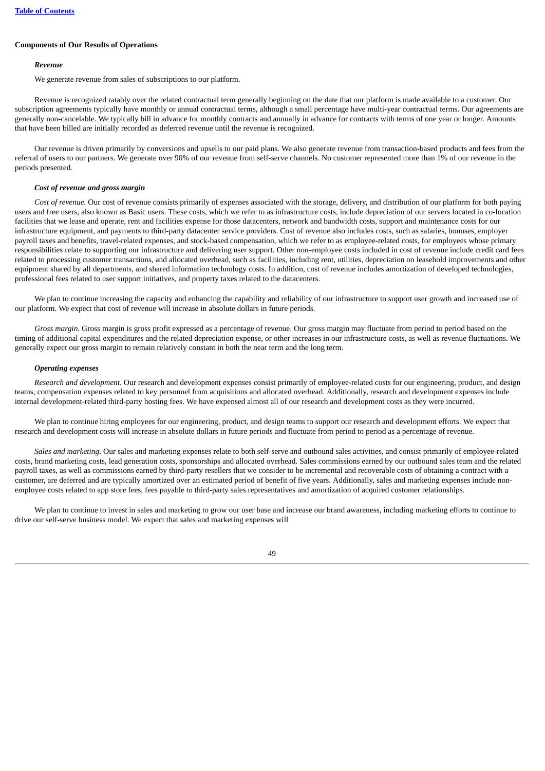### **Components of Our Results of Operations**

#### *Revenue*

We generate revenue from sales of subscriptions to our platform.

Revenue is recognized ratably over the related contractual term generally beginning on the date that our platform is made available to a customer. Our subscription agreements typically have monthly or annual contractual terms, although a small percentage have multi-year contractual terms. Our agreements are generally non-cancelable. We typically bill in advance for monthly contracts and annually in advance for contracts with terms of one year or longer. Amounts that have been billed are initially recorded as deferred revenue until the revenue is recognized.

Our revenue is driven primarily by conversions and upsells to our paid plans. We also generate revenue from transaction-based products and fees from the referral of users to our partners. We generate over 90% of our revenue from self-serve channels. No customer represented more than 1% of our revenue in the periods presented.

### *Cost of revenue and gross margin*

*Cost of revenue.* Our cost of revenue consists primarily of expenses associated with the storage, delivery, and distribution of our platform for both paying users and free users, also known as Basic users. These costs, which we refer to as infrastructure costs, include depreciation of our servers located in co-location facilities that we lease and operate, rent and facilities expense for those datacenters, network and bandwidth costs, support and maintenance costs for our infrastructure equipment, and payments to third-party datacenter service providers. Cost of revenue also includes costs, such as salaries, bonuses, employer payroll taxes and benefits, travel-related expenses, and stock-based compensation, which we refer to as employee-related costs, for employees whose primary responsibilities relate to supporting our infrastructure and delivering user support. Other non-employee costs included in cost of revenue include credit card fees related to processing customer transactions, and allocated overhead, such as facilities, including rent, utilities, depreciation on leasehold improvements and other equipment shared by all departments, and shared information technology costs. In addition, cost of revenue includes amortization of developed technologies, professional fees related to user support initiatives, and property taxes related to the datacenters.

We plan to continue increasing the capacity and enhancing the capability and reliability of our infrastructure to support user growth and increased use of our platform. We expect that cost of revenue will increase in absolute dollars in future periods.

*Gross margin.* Gross margin is gross profit expressed as a percentage of revenue. Our gross margin may fluctuate from period to period based on the timing of additional capital expenditures and the related depreciation expense, or other increases in our infrastructure costs, as well as revenue fluctuations. We generally expect our gross margin to remain relatively constant in both the near term and the long term.

### *Operating expenses*

*Research and development*. Our research and development expenses consist primarily of employee-related costs for our engineering, product, and design teams, compensation expenses related to key personnel from acquisitions and allocated overhead. Additionally, research and development expenses include internal development-related third-party hosting fees. We have expensed almost all of our research and development costs as they were incurred.

We plan to continue hiring employees for our engineering, product, and design teams to support our research and development efforts. We expect that research and development costs will increase in absolute dollars in future periods and fluctuate from period to period as a percentage of revenue.

*Sales and marketing*. Our sales and marketing expenses relate to both self-serve and outbound sales activities, and consist primarily of employee-related costs, brand marketing costs, lead generation costs, sponsorships and allocated overhead. Sales commissions earned by our outbound sales team and the related payroll taxes, as well as commissions earned by third-party resellers that we consider to be incremental and recoverable costs of obtaining a contract with a customer, are deferred and are typically amortized over an estimated period of benefit of five years. Additionally, sales and marketing expenses include nonemployee costs related to app store fees, fees payable to third-party sales representatives and amortization of acquired customer relationships.

We plan to continue to invest in sales and marketing to grow our user base and increase our brand awareness, including marketing efforts to continue to drive our self-serve business model. We expect that sales and marketing expenses will

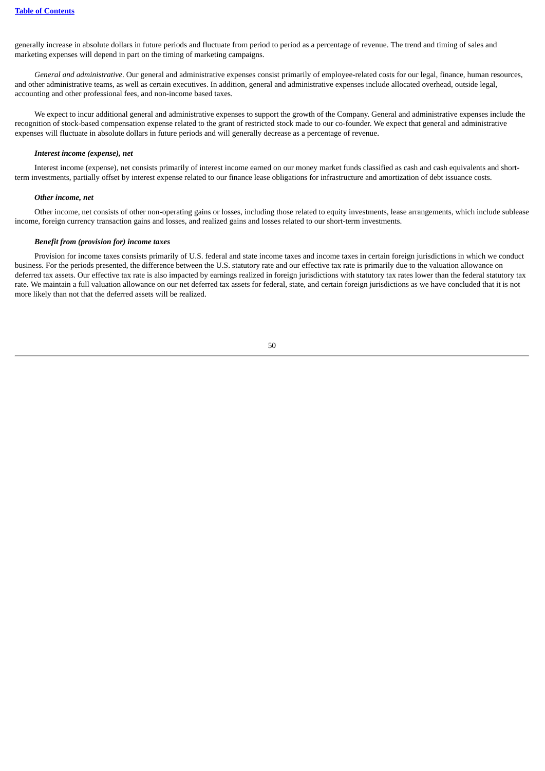generally increase in absolute dollars in future periods and fluctuate from period to period as a percentage of revenue. The trend and timing of sales and marketing expenses will depend in part on the timing of marketing campaigns.

*General and administrative*. Our general and administrative expenses consist primarily of employee-related costs for our legal, finance, human resources, and other administrative teams, as well as certain executives. In addition, general and administrative expenses include allocated overhead, outside legal, accounting and other professional fees, and non-income based taxes.

We expect to incur additional general and administrative expenses to support the growth of the Company. General and administrative expenses include the recognition of stock-based compensation expense related to the grant of restricted stock made to our co-founder. We expect that general and administrative expenses will fluctuate in absolute dollars in future periods and will generally decrease as a percentage of revenue.

#### *Interest income (expense), net*

Interest income (expense), net consists primarily of interest income earned on our money market funds classified as cash and cash equivalents and shortterm investments, partially offset by interest expense related to our finance lease obligations for infrastructure and amortization of debt issuance costs.

#### *Other income, net*

Other income, net consists of other non-operating gains or losses, including those related to equity investments, lease arrangements, which include sublease income, foreign currency transaction gains and losses, and realized gains and losses related to our short-term investments.

#### *Benefit from (provision for) income taxes*

Provision for income taxes consists primarily of U.S. federal and state income taxes and income taxes in certain foreign jurisdictions in which we conduct business. For the periods presented, the difference between the U.S. statutory rate and our effective tax rate is primarily due to the valuation allowance on deferred tax assets. Our effective tax rate is also impacted by earnings realized in foreign jurisdictions with statutory tax rates lower than the federal statutory tax rate. We maintain a full valuation allowance on our net deferred tax assets for federal, state, and certain foreign jurisdictions as we have concluded that it is not more likely than not that the deferred assets will be realized.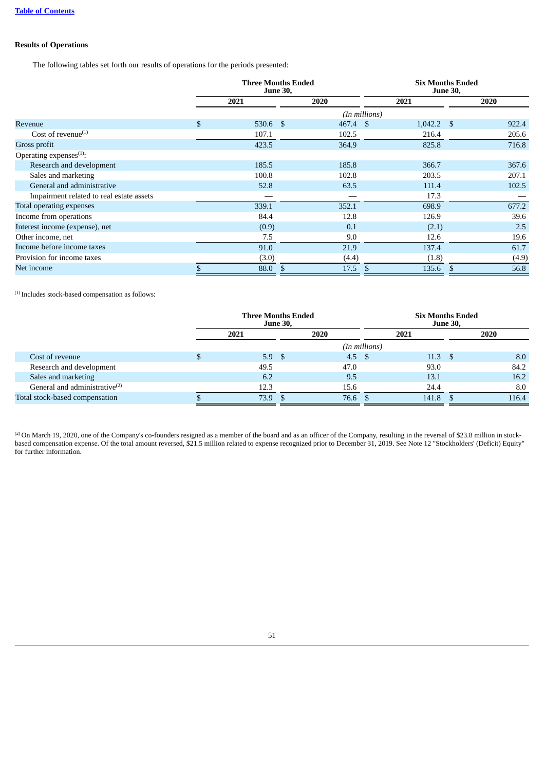## **Results of Operations**

The following tables set forth our results of operations for the periods presented:

|                                             | <b>Three Months Ended</b><br><b>June 30,</b> |          |    | <b>Six Months Ended</b><br><b>June 30,</b> |               |    |       |
|---------------------------------------------|----------------------------------------------|----------|----|--------------------------------------------|---------------|----|-------|
|                                             |                                              | 2021     |    | 2020                                       | 2021          |    | 2020  |
|                                             |                                              |          |    |                                            | (In millions) |    |       |
| Revenue                                     | \$                                           | 530.6 \$ |    | 467.4 \$                                   | $1,042.2$ \$  |    | 922.4 |
| Cost of revenue <sup><math>(1)</math></sup> |                                              | 107.1    |    | 102.5                                      | 216.4         |    | 205.6 |
| Gross profit                                |                                              | 423.5    |    | 364.9                                      | 825.8         |    | 716.8 |
| Operating expenses $(1)$ :                  |                                              |          |    |                                            |               |    |       |
| Research and development                    |                                              | 185.5    |    | 185.8                                      | 366.7         |    | 367.6 |
| Sales and marketing                         |                                              | 100.8    |    | 102.8                                      | 203.5         |    | 207.1 |
| General and administrative                  |                                              | 52.8     |    | 63.5                                       | 111.4         |    | 102.5 |
| Impairment related to real estate assets    |                                              |          |    |                                            | 17.3          |    |       |
| Total operating expenses                    |                                              | 339.1    |    | 352.1                                      | 698.9         |    | 677.2 |
| Income from operations                      |                                              | 84.4     |    | 12.8                                       | 126.9         |    | 39.6  |
| Interest income (expense), net              |                                              | (0.9)    |    | 0.1                                        | (2.1)         |    | 2.5   |
| Other income, net                           |                                              | 7.5      |    | 9.0                                        | 12.6          |    | 19.6  |
| Income before income taxes                  |                                              | 91.0     |    | 21.9                                       | 137.4         |    | 61.7  |
| Provision for income taxes                  |                                              | (3.0)    |    | (4.4)                                      | (1.8)         |    | (4.9) |
| Net income                                  |                                              | 88.0     | \$ | 17.5                                       | \$<br>135.6   | \$ | 56.8  |

 $<sup>(1)</sup>$  Includes stock-based compensation as follows:</sup>

|                                           | <b>Three Months Ended</b><br><b>June 30,</b> |  |            | <b>Six Months Ended</b><br><b>June 30,</b> |       |      |       |
|-------------------------------------------|----------------------------------------------|--|------------|--------------------------------------------|-------|------|-------|
|                                           | 2021                                         |  | 2020       | 2021                                       |       |      | 2020  |
|                                           |                                              |  |            | (In millions)                              |       |      |       |
| Cost of revenue                           | 5.9 <sup>5</sup>                             |  | $4.5\quad$ |                                            | 11.3  | - \$ | 8.0   |
| Research and development                  | 49.5                                         |  | 47.0       |                                            | 93.0  |      | 84.2  |
| Sales and marketing                       | 6.2                                          |  | 9.5        |                                            | 13.1  |      | 16.2  |
| General and administrative <sup>(2)</sup> | 12.3                                         |  | 15.6       |                                            | 24.4  |      | 8.0   |
| Total stock-based compensation            | 73.9                                         |  | 76.6       |                                            | 141.8 |      | 116.4 |

On March 19, 2020, one of the Company's co-founders resigned as a member of the board and as an officer of the Company, resulting in the reversal of \$23.8 million in stockbased compensation expense. Of the total amount reversed, \$21.5 million related to expense recognized prior to December 31, 2019. See Note 12 "Stockholders' (Deficit) Equity" for further information. (2)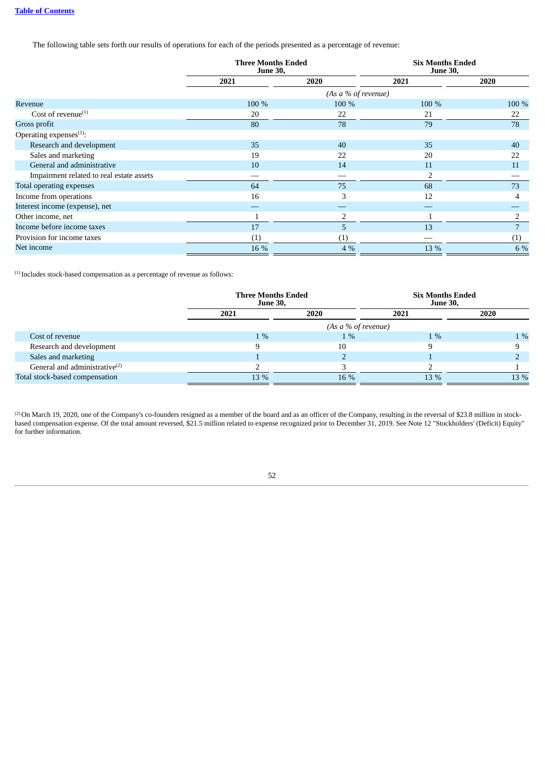The following table sets forth our results of operations for each of the periods presented as a percentage of revenue:

|                                          | <b>Three Months Ended</b><br><b>June 30,</b> |                     | <b>Six Months Ended</b><br><b>June 30,</b> |             |  |  |
|------------------------------------------|----------------------------------------------|---------------------|--------------------------------------------|-------------|--|--|
|                                          | 2021                                         | 2020                | 2021                                       | 2020        |  |  |
|                                          |                                              | (As a % of revenue) |                                            |             |  |  |
| Revenue                                  | 100 %                                        | 100 %               | 100 %                                      | 100 %       |  |  |
| Cost of revenue $^{(1)}$                 | 20                                           | 22                  | 21                                         | 22          |  |  |
| Gross profit                             | 80                                           | 78                  | 79                                         | 78          |  |  |
| Operating expenses $(1)$ :               |                                              |                     |                                            |             |  |  |
| Research and development                 | 35                                           | 40                  | 35                                         | 40          |  |  |
| Sales and marketing                      | 19                                           | 22                  | 20                                         | 22          |  |  |
| General and administrative               | 10                                           | 14                  | 11                                         | 11          |  |  |
| Impairment related to real estate assets |                                              |                     | $\overline{2}$                             |             |  |  |
| Total operating expenses                 | 64                                           | 75                  | 68                                         | 73          |  |  |
| Income from operations                   | 16                                           | 3                   | 12                                         | 4           |  |  |
| Interest income (expense), net           |                                              |                     |                                            |             |  |  |
| Other income, net                        |                                              | 2                   |                                            | 2           |  |  |
| Income before income taxes               | 17                                           | 5                   | 13                                         | $7^{\circ}$ |  |  |
| Provision for income taxes               | (1)                                          | (1)                 |                                            | (1)         |  |  |
| Net income                               | 16 %                                         | $4\%$               | 13 %                                       | 6 %         |  |  |

 $(1)$  Includes stock-based compensation as a percentage of revenue as follows:

|                                           | <b>Three Months Ended</b><br><b>June 30,</b> |                     | <b>Six Months Ended</b><br><b>June 30,</b> |       |  |  |
|-------------------------------------------|----------------------------------------------|---------------------|--------------------------------------------|-------|--|--|
|                                           | 2021                                         | 2020                | 2021                                       | 2020  |  |  |
|                                           |                                              | (As a % of revenue) |                                            |       |  |  |
| Cost of revenue                           | $1\%$                                        | 1 %                 | $1\%$                                      | $1\%$ |  |  |
| Research and development                  |                                              | 10                  |                                            |       |  |  |
| Sales and marketing                       |                                              |                     |                                            |       |  |  |
| General and administrative <sup>(2)</sup> |                                              |                     |                                            |       |  |  |
| Total stock-based compensation            | 13 %                                         | 16 %                | 13 %                                       | 13 %  |  |  |

On March 19, 2020, one of the Company's co-founders resigned as a member of the board and as an officer of the Company, resulting in the reversal of \$23.8 million in stockbased compensation expense. Of the total amount reversed, \$21.5 million related to expense recognized prior to December 31, 2019. See Note 12 "Stockholders' (Deficit) Equity" for further information. (2)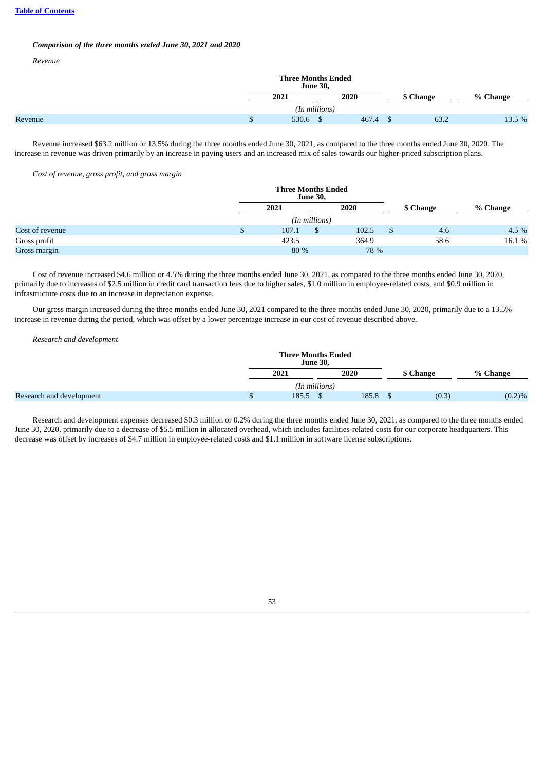## *Comparison of the three months ended June 30, 2021 and 2020*

*Revenue*

|         | <b>Three Months Ended</b><br><b>June 30,</b> |               |       |           |          |
|---------|----------------------------------------------|---------------|-------|-----------|----------|
|         | 2021                                         |               | 2020  | \$ Change | % Change |
|         |                                              | (In millions) |       |           |          |
| Revenue | 530.6                                        |               | 467.4 | 63.2      | 13.5 %   |
|         |                                              |               |       |           |          |

Revenue increased \$63.2 million or 13.5% during the three months ended June 30, 2021, as compared to the three months ended June 30, 2020. The increase in revenue was driven primarily by an increase in paying users and an increased mix of sales towards our higher-priced subscription plans.

*Cost of revenue, gross profit, and gross margin*

|                 | <b>Three Months Ended</b><br><b>June 30,</b> |               |       |           |          |
|-----------------|----------------------------------------------|---------------|-------|-----------|----------|
|                 | 2021                                         |               | 2020  | \$ Change | % Change |
|                 |                                              | (In millions) |       |           |          |
| Cost of revenue | 107.1                                        | -\$           | 102.5 | 4.6       | 4.5 %    |
| Gross profit    | 423.5                                        |               | 364.9 | 58.6      | 16.1 %   |
| Gross margin    | 80 %                                         |               | 78 %  |           |          |

Cost of revenue increased \$4.6 million or 4.5% during the three months ended June 30, 2021, as compared to the three months ended June 30, 2020, primarily due to increases of \$2.5 million in credit card transaction fees due to higher sales, \$1.0 million in employee-related costs, and \$0.9 million in infrastructure costs due to an increase in depreciation expense.

Our gross margin increased during the three months ended June 30, 2021 compared to the three months ended June 30, 2020, primarily due to a 13.5% increase in revenue during the period, which was offset by a lower percentage increase in our cost of revenue described above.

*Research and development*

|                          | <b>Three Months Ended</b><br><b>June 30,</b> |               |       |           |          |
|--------------------------|----------------------------------------------|---------------|-------|-----------|----------|
|                          |                                              | 2021          | 2020  | \$ Change | % Change |
|                          |                                              | (In millions) |       |           |          |
| Research and development |                                              | 185.5         | 185.8 | (0.3)     | (0.2)%   |

Research and development expenses decreased \$0.3 million or 0.2% during the three months ended June 30, 2021, as compared to the three months ended June 30, 2020, primarily due to a decrease of \$5.5 million in allocated overhead, which includes facilities-related costs for our corporate headquarters. This decrease was offset by increases of \$4.7 million in employee-related costs and \$1.1 million in software license subscriptions.

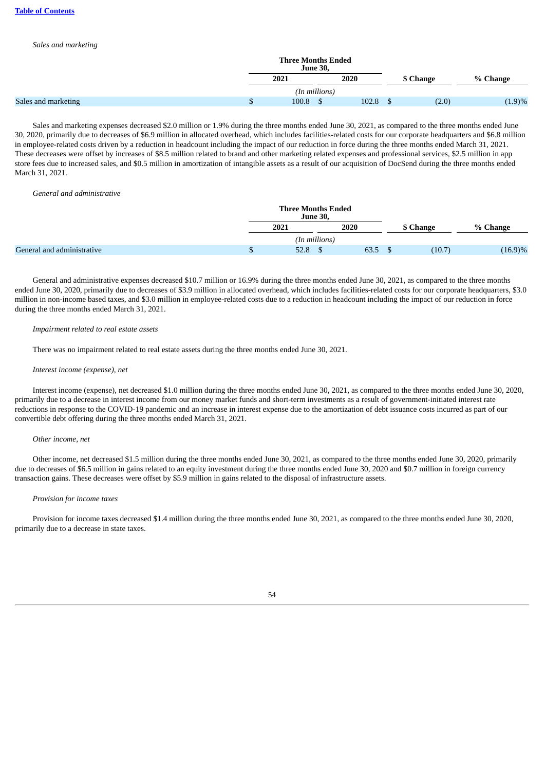*Sales and marketing*

# **Three Months Ended June 30, 2021 2020 \$ Change % Change** *(In millions)* Sales and marketing 1.99% **Sales and marketing** 1.99% **Sales and marketing** 1.99% **Sales and marketing** 1.99% **Sales and marketing** 1.99% **Sales** 2.0) **Sales and marketing 1.99% Sales and marketing** 1.99% **Sales** 2.0) **S**

Sales and marketing expenses decreased \$2.0 million or 1.9% during the three months ended June 30, 2021, as compared to the three months ended June 30, 2020, primarily due to decreases of \$6.9 million in allocated overhead, which includes facilities-related costs for our corporate headquarters and \$6.8 million in employee-related costs driven by a reduction in headcount including the impact of our reduction in force during the three months ended March 31, 2021. These decreases were offset by increases of \$8.5 million related to brand and other marketing related expenses and professional services, \$2.5 million in app store fees due to increased sales, and \$0.5 million in amortization of intangible assets as a result of our acquisition of DocSend during the three months ended March 31, 2021.

### *General and administrative*

|                            | <b>Three Months Ended</b><br><b>June 30,</b> |               |      |           |        |          |
|----------------------------|----------------------------------------------|---------------|------|-----------|--------|----------|
|                            |                                              | 2021          | 2020 | \$ Change |        | % Change |
|                            |                                              | (In millions) |      |           |        |          |
| General and administrative |                                              | 52.8          | 63.5 |           | (10.7) | (16.9)%  |

General and administrative expenses decreased \$10.7 million or 16.9% during the three months ended June 30, 2021, as compared to the three months ended June 30, 2020, primarily due to decreases of \$3.9 million in allocated overhead, which includes facilities-related costs for our corporate headquarters, \$3.0 million in non-income based taxes, and \$3.0 million in employee-related costs due to a reduction in headcount including the impact of our reduction in force during the three months ended March 31, 2021.

#### *Impairment related to real estate assets*

There was no impairment related to real estate assets during the three months ended June 30, 2021.

#### *Interest income (expense), net*

Interest income (expense), net decreased \$1.0 million during the three months ended June 30, 2021, as compared to the three months ended June 30, 2020, primarily due to a decrease in interest income from our money market funds and short-term investments as a result of government-initiated interest rate reductions in response to the COVID-19 pandemic and an increase in interest expense due to the amortization of debt issuance costs incurred as part of our convertible debt offering during the three months ended March 31, 2021.

#### *Other income, net*

Other income, net decreased \$1.5 million during the three months ended June 30, 2021, as compared to the three months ended June 30, 2020, primarily due to decreases of \$6.5 million in gains related to an equity investment during the three months ended June 30, 2020 and \$0.7 million in foreign currency transaction gains. These decreases were offset by \$5.9 million in gains related to the disposal of infrastructure assets.

#### *Provision for income taxes*

Provision for income taxes decreased \$1.4 million during the three months ended June 30, 2021, as compared to the three months ended June 30, 2020, primarily due to a decrease in state taxes.

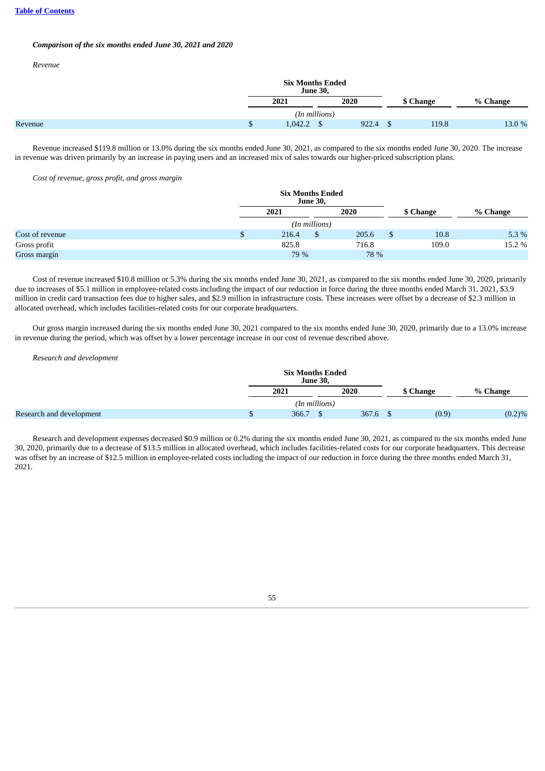### *Comparison of the six months ended June 30, 2021 and 2020*

*Revenue*

|         | <b>Six Months Ended</b><br><b>June 30,</b> |       |           |          |
|---------|--------------------------------------------|-------|-----------|----------|
|         | 2021                                       | 2020  | \$ Change | % Change |
|         | (In millions)                              |       |           |          |
| Revenue | 1,042.2<br>c                               | 922.4 | 119.8     | 13.0 %   |

Revenue increased \$119.8 million or 13.0% during the six months ended June 30, 2021, as compared to the six months ended June 30, 2020. The increase in revenue was driven primarily by an increase in paying users and an increased mix of sales towards our higher-priced subscription plans.

*Cost of revenue, gross profit, and gross margin*

|                 | <b>Six Months Ended</b><br><b>June 30,</b> |               |       |  |           |          |
|-----------------|--------------------------------------------|---------------|-------|--|-----------|----------|
|                 | 2021                                       |               | 2020  |  | \$ Change | % Change |
|                 |                                            | (In millions) |       |  |           |          |
| Cost of revenue | \$<br>216.4                                | \$            | 205.6 |  | 10.8      | 5.3 %    |
| Gross profit    | 825.8                                      |               | 716.8 |  | 109.0     | 15.2 %   |
| Gross margin    | 79 %                                       |               | 78 %  |  |           |          |

Cost of revenue increased \$10.8 million or 5.3% during the six months ended June 30, 2021, as compared to the six months ended June 30, 2020, primarily due to increases of \$5.1 million in employee-related costs including the impact of our reduction in force during the three months ended March 31, 2021, \$3.9 million in credit card transaction fees due to higher sales, and \$2.9 million in infrastructure costs. These increases were offset by a decrease of \$2.3 million in allocated overhead, which includes facilities-related costs for our corporate headquarters.

Our gross margin increased during the six months ended June 30, 2021 compared to the six months ended June 30, 2020, primarily due to a 13.0% increase in revenue during the period, which was offset by a lower percentage increase in our cost of revenue described above.

#### *Research and development*

|                          | <b>Six Months Ended</b><br><b>June 30,</b> |               |       |           |          |
|--------------------------|--------------------------------------------|---------------|-------|-----------|----------|
|                          |                                            | 2021          | 2020  | \$ Change | % Change |
|                          |                                            | (In millions) |       |           |          |
| Research and development |                                            | 366.7         | 367.6 | (0.9)     | (0.2)%   |

Research and development expenses decreased \$0.9 million or 0.2% during the six months ended June 30, 2021, as compared to the six months ended June 30, 2020, primarily due to a decrease of \$13.5 million in allocated overhead, which includes facilities-related costs for our corporate headquarters. This decrease was offset by an increase of \$12.5 million in employee-related costs including the impact of our reduction in force during the three months ended March 31, 2021.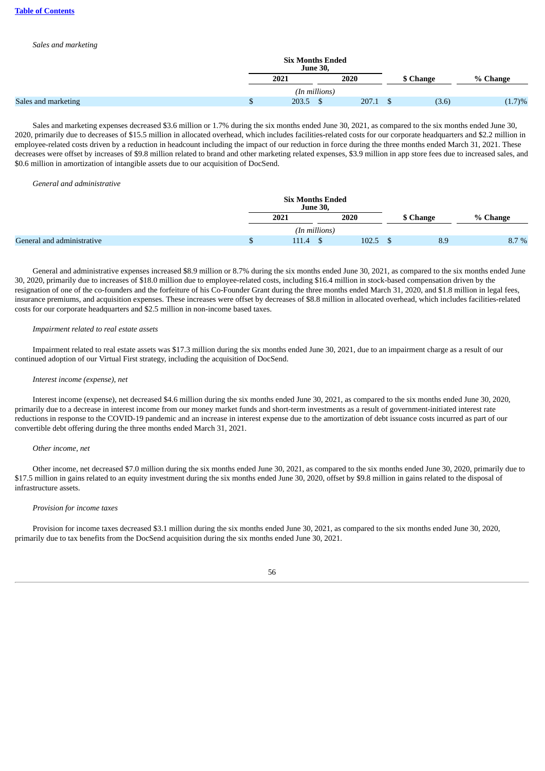*Sales and marketing*

# **Six Months Ended June 30, 2021 2020 \$ Change % Change** *(In millions)* Sales and marketing 1.7% and marketing 1.7% and the state of the state of the state of the state of the state of the state of the state of the state of the state of the state of the state of the state of the state of the s

Sales and marketing expenses decreased \$3.6 million or 1.7% during the six months ended June 30, 2021, as compared to the six months ended June 30, 2020, primarily due to decreases of \$15.5 million in allocated overhead, which includes facilities-related costs for our corporate headquarters and \$2.2 million in employee-related costs driven by a reduction in headcount including the impact of our reduction in force during the three months ended March 31, 2021. These decreases were offset by increases of \$9.8 million related to brand and other marketing related expenses, \$3.9 million in app store fees due to increased sales, and \$0.6 million in amortization of intangible assets due to our acquisition of DocSend.

#### *General and administrative*

|                            | <b>Six Months Ended</b><br><b>June 30,</b> |               |       |           |          |
|----------------------------|--------------------------------------------|---------------|-------|-----------|----------|
|                            |                                            | 2021          | 2020  | \$ Change | % Change |
|                            |                                            | (In millions) |       |           |          |
| General and administrative |                                            | 111.4         | 102.5 | 8.9       | 8.7 %    |

General and administrative expenses increased \$8.9 million or 8.7% during the six months ended June 30, 2021, as compared to the six months ended June 30, 2020, primarily due to increases of \$18.0 million due to employee-related costs, including \$16.4 million in stock-based compensation driven by the resignation of one of the co-founders and the forfeiture of his Co-Founder Grant during the three months ended March 31, 2020, and \$1.8 million in legal fees, insurance premiums, and acquisition expenses. These increases were offset by decreases of \$8.8 million in allocated overhead, which includes facilities-related costs for our corporate headquarters and \$2.5 million in non-income based taxes.

#### *Impairment related to real estate assets*

Impairment related to real estate assets was \$17.3 million during the six months ended June 30, 2021, due to an impairment charge as a result of our continued adoption of our Virtual First strategy, including the acquisition of DocSend.

#### *Interest income (expense), net*

Interest income (expense), net decreased \$4.6 million during the six months ended June 30, 2021, as compared to the six months ended June 30, 2020, primarily due to a decrease in interest income from our money market funds and short-term investments as a result of government-initiated interest rate reductions in response to the COVID-19 pandemic and an increase in interest expense due to the amortization of debt issuance costs incurred as part of our convertible debt offering during the three months ended March 31, 2021.

#### *Other income, net*

Other income, net decreased \$7.0 million during the six months ended June 30, 2021, as compared to the six months ended June 30, 2020, primarily due to \$17.5 million in gains related to an equity investment during the six months ended June 30, 2020, offset by \$9.8 million in gains related to the disposal of infrastructure assets.

#### *Provision for income taxes*

Provision for income taxes decreased \$3.1 million during the six months ended June 30, 2021, as compared to the six months ended June 30, 2020, primarily due to tax benefits from the DocSend acquisition during the six months ended June 30, 2021.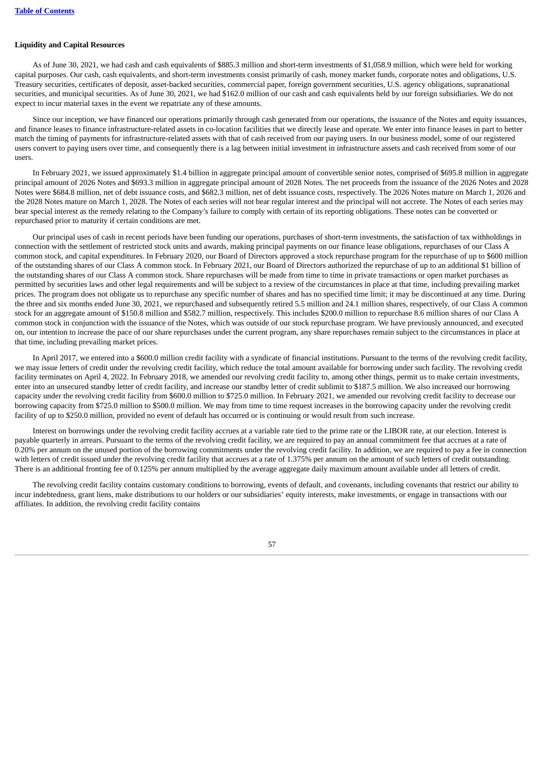### **Liquidity and Capital Resources**

As of June 30, 2021, we had cash and cash equivalents of \$885.3 million and short-term investments of \$1,058.9 million, which were held for working capital purposes. Our cash, cash equivalents, and short-term investments consist primarily of cash, money market funds, corporate notes and obligations, U.S. Treasury securities, certificates of deposit, asset-backed securities, commercial paper, foreign government securities, U.S. agency obligations, supranational securities, and municipal securities. As of June 30, 2021, we had \$162.0 million of our cash and cash equivalents held by our foreign subsidiaries. We do not expect to incur material taxes in the event we repatriate any of these amounts.

Since our inception, we have financed our operations primarily through cash generated from our operations, the issuance of the Notes and equity issuances, and finance leases to finance infrastructure-related assets in co-location facilities that we directly lease and operate. We enter into finance leases in part to better match the timing of payments for infrastructure-related assets with that of cash received from our paying users. In our business model, some of our registered users convert to paying users over time, and consequently there is a lag between initial investment in infrastructure assets and cash received from some of our users.

In February 2021, we issued approximately \$1.4 billion in aggregate principal amount of convertible senior notes, comprised of \$695.8 million in aggregate principal amount of 2026 Notes and \$693.3 million in aggregate principal amount of 2028 Notes. The net proceeds from the issuance of the 2026 Notes and 2028 Notes were \$684.8 million, net of debt issuance costs, and \$682.3 million, net of debt issuance costs, respectively. The 2026 Notes mature on March 1, 2026 and the 2028 Notes mature on March 1, 2028. The Notes of each series will not bear regular interest and the principal will not accrete. The Notes of each series may bear special interest as the remedy relating to the Company's failure to comply with certain of its reporting obligations. These notes can be converted or repurchased prior to maturity if certain conditions are met.

Our principal uses of cash in recent periods have been funding our operations, purchases of short-term investments, the satisfaction of tax withholdings in connection with the settlement of restricted stock units and awards, making principal payments on our finance lease obligations, repurchases of our Class A common stock, and capital expenditures. In February 2020, our Board of Directors approved a stock repurchase program for the repurchase of up to \$600 million of the outstanding shares of our Class A common stock. In February 2021, our Board of Directors authorized the repurchase of up to an additional \$1 billion of the outstanding shares of our Class A common stock. Share repurchases will be made from time to time in private transactions or open market purchases as permitted by securities laws and other legal requirements and will be subject to a review of the circumstances in place at that time, including prevailing market prices. The program does not obligate us to repurchase any specific number of shares and has no specified time limit; it may be discontinued at any time. During the three and six months ended June 30, 2021, we repurchased and subsequently retired 5.5 million and 24.1 million shares, respectively, of our Class A common stock for an aggregate amount of \$150.8 million and \$582.7 million, respectively. This includes \$200.0 million to repurchase 8.6 million shares of our Class A common stock in conjunction with the issuance of the Notes, which was outside of our stock repurchase program. We have previously announced, and executed on, our intention to increase the pace of our share repurchases under the current program, any share repurchases remain subject to the circumstances in place at that time, including prevailing market prices.

In April 2017, we entered into a \$600.0 million credit facility with a syndicate of financial institutions. Pursuant to the terms of the revolving credit facility, we may issue letters of credit under the revolving credit facility, which reduce the total amount available for borrowing under such facility. The revolving credit facility terminates on April 4, 2022. In February 2018, we amended our revolving credit facility to, among other things, permit us to make certain investments, enter into an unsecured standby letter of credit facility, and increase our standby letter of credit sublimit to \$187.5 million. We also increased our borrowing capacity under the revolving credit facility from \$600.0 million to \$725.0 million. In February 2021, we amended our revolving credit facility to decrease our borrowing capacity from \$725.0 million to \$500.0 million. We may from time to time request increases in the borrowing capacity under the revolving credit facility of up to \$250.0 million, provided no event of default has occurred or is continuing or would result from such increase.

Interest on borrowings under the revolving credit facility accrues at a variable rate tied to the prime rate or the LIBOR rate, at our election. Interest is payable quarterly in arrears. Pursuant to the terms of the revolving credit facility, we are required to pay an annual commitment fee that accrues at a rate of 0.20% per annum on the unused portion of the borrowing commitments under the revolving credit facility. In addition, we are required to pay a fee in connection with letters of credit issued under the revolving credit facility that accrues at a rate of 1.375% per annum on the amount of such letters of credit outstanding. There is an additional fronting fee of 0.125% per annum multiplied by the average aggregate daily maximum amount available under all letters of credit.

The revolving credit facility contains customary conditions to borrowing, events of default, and covenants, including covenants that restrict our ability to incur indebtedness, grant liens, make distributions to our holders or our subsidiaries' equity interests, make investments, or engage in transactions with our affiliates. In addition, the revolving credit facility contains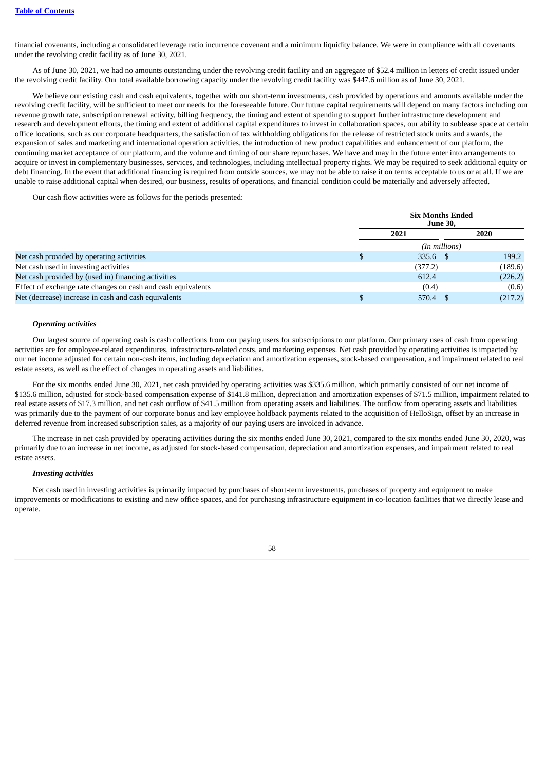financial covenants, including a consolidated leverage ratio incurrence covenant and a minimum liquidity balance. We were in compliance with all covenants under the revolving credit facility as of June 30, 2021.

As of June 30, 2021, we had no amounts outstanding under the revolving credit facility and an aggregate of \$52.4 million in letters of credit issued under the revolving credit facility. Our total available borrowing capacity under the revolving credit facility was \$447.6 million as of June 30, 2021.

We believe our existing cash and cash equivalents, together with our short-term investments, cash provided by operations and amounts available under the revolving credit facility, will be sufficient to meet our needs for the foreseeable future. Our future capital requirements will depend on many factors including our revenue growth rate, subscription renewal activity, billing frequency, the timing and extent of spending to support further infrastructure development and research and development efforts, the timing and extent of additional capital expenditures to invest in collaboration spaces, our ability to sublease space at certain office locations, such as our corporate headquarters, the satisfaction of tax withholding obligations for the release of restricted stock units and awards, the expansion of sales and marketing and international operation activities, the introduction of new product capabilities and enhancement of our platform, the continuing market acceptance of our platform, and the volume and timing of our share repurchases. We have and may in the future enter into arrangements to acquire or invest in complementary businesses, services, and technologies, including intellectual property rights. We may be required to seek additional equity or debt financing. In the event that additional financing is required from outside sources, we may not be able to raise it on terms acceptable to us or at all. If we are unable to raise additional capital when desired, our business, results of operations, and financial condition could be materially and adversely affected.

Our cash flow activities were as follows for the periods presented:

|                                                              | <b>Six Months Ended</b><br><b>June 30,</b> |  |         |  |
|--------------------------------------------------------------|--------------------------------------------|--|---------|--|
|                                                              | 2021<br>2020                               |  |         |  |
|                                                              | (In millions)                              |  |         |  |
| Net cash provided by operating activities                    | $335.6$ \$                                 |  | 199.2   |  |
| Net cash used in investing activities                        | (377.2)                                    |  | (189.6) |  |
| Net cash provided by (used in) financing activities          | 612.4                                      |  | (226.2) |  |
| Effect of exchange rate changes on cash and cash equivalents | (0.4)                                      |  | (0.6)   |  |
| Net (decrease) increase in cash and cash equivalents         | 570.4                                      |  | (217.2) |  |

### *Operating activities*

Our largest source of operating cash is cash collections from our paying users for subscriptions to our platform. Our primary uses of cash from operating activities are for employee-related expenditures, infrastructure-related costs, and marketing expenses. Net cash provided by operating activities is impacted by our net income adjusted for certain non-cash items, including depreciation and amortization expenses, stock-based compensation, and impairment related to real estate assets, as well as the effect of changes in operating assets and liabilities.

For the six months ended June 30, 2021, net cash provided by operating activities was \$335.6 million, which primarily consisted of our net income of \$135.6 million, adjusted for stock-based compensation expense of \$141.8 million, depreciation and amortization expenses of \$71.5 million, impairment related to real estate assets of \$17.3 million, and net cash outflow of \$41.5 million from operating assets and liabilities. The outflow from operating assets and liabilities was primarily due to the payment of our corporate bonus and key employee holdback payments related to the acquisition of HelloSign, offset by an increase in deferred revenue from increased subscription sales, as a majority of our paying users are invoiced in advance.

The increase in net cash provided by operating activities during the six months ended June 30, 2021, compared to the six months ended June 30, 2020, was primarily due to an increase in net income, as adjusted for stock-based compensation, depreciation and amortization expenses, and impairment related to real estate assets.

#### *Investing activities*

Net cash used in investing activities is primarily impacted by purchases of short-term investments, purchases of property and equipment to make improvements or modifications to existing and new office spaces, and for purchasing infrastructure equipment in co-location facilities that we directly lease and operate.

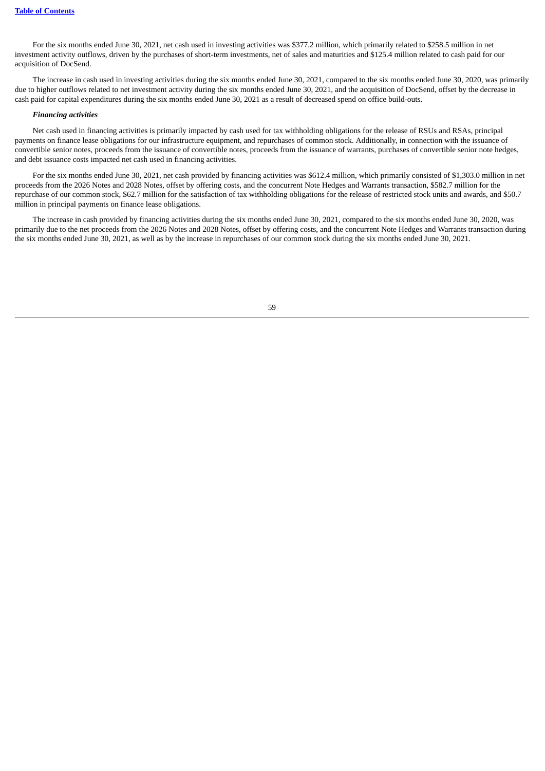For the six months ended June 30, 2021, net cash used in investing activities was \$377.2 million, which primarily related to \$258.5 million in net investment activity outflows, driven by the purchases of short-term investments, net of sales and maturities and \$125.4 million related to cash paid for our acquisition of DocSend.

The increase in cash used in investing activities during the six months ended June 30, 2021, compared to the six months ended June 30, 2020, was primarily due to higher outflows related to net investment activity during the six months ended June 30, 2021, and the acquisition of DocSend, offset by the decrease in cash paid for capital expenditures during the six months ended June 30, 2021 as a result of decreased spend on office build-outs.

#### *Financing activities*

Net cash used in financing activities is primarily impacted by cash used for tax withholding obligations for the release of RSUs and RSAs, principal payments on finance lease obligations for our infrastructure equipment, and repurchases of common stock. Additionally, in connection with the issuance of convertible senior notes, proceeds from the issuance of convertible notes, proceeds from the issuance of warrants, purchases of convertible senior note hedges, and debt issuance costs impacted net cash used in financing activities.

For the six months ended June 30, 2021, net cash provided by financing activities was \$612.4 million, which primarily consisted of \$1,303.0 million in net proceeds from the 2026 Notes and 2028 Notes, offset by offering costs, and the concurrent Note Hedges and Warrants transaction, \$582.7 million for the repurchase of our common stock, \$62.7 million for the satisfaction of tax withholding obligations for the release of restricted stock units and awards, and \$50.7 million in principal payments on finance lease obligations.

The increase in cash provided by financing activities during the six months ended June 30, 2021, compared to the six months ended June 30, 2020, was primarily due to the net proceeds from the 2026 Notes and 2028 Notes, offset by offering costs, and the concurrent Note Hedges and Warrants transaction during the six months ended June 30, 2021, as well as by the increase in repurchases of our common stock during the six months ended June 30, 2021.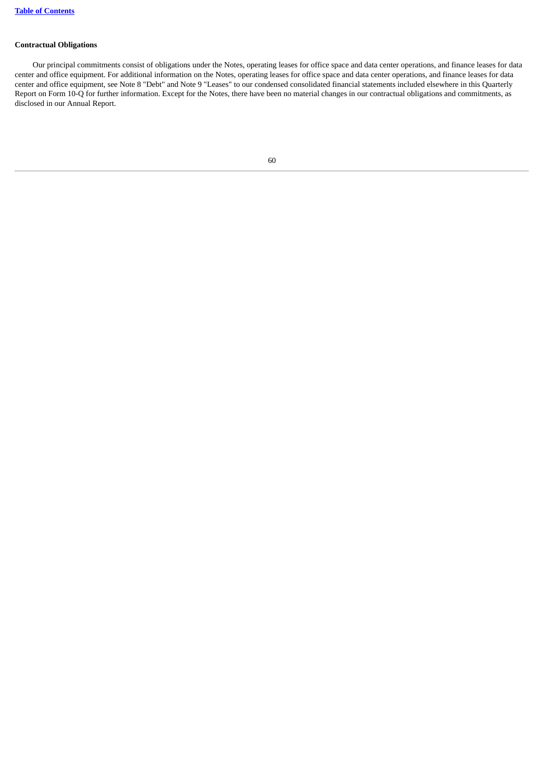## **Contractual Obligations**

Our principal commitments consist of obligations under the Notes, operating leases for office space and data center operations, and finance leases for data center and office equipment. For additional information on the Notes, operating leases for office space and data center operations, and finance leases for data center and office equipment, see Note 8 "Debt" and Note 9 "Leases" to our condensed consolidated financial statements included elsewhere in this Quarterly Report on Form 10-Q for further information. Except for the Notes, there have been no material changes in our contractual obligations and commitments, as disclosed in our Annual Report.

| ٠<br>원 사     |                   |
|--------------|-------------------|
| ٦<br>×<br>۰. | t<br>ï<br>×<br>۰. |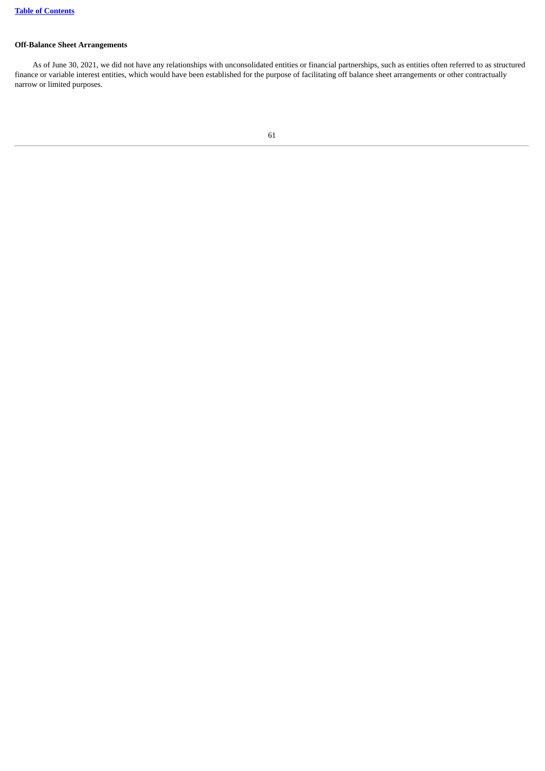## **Off-Balance Sheet Arrangements**

As of June 30, 2021, we did not have any relationships with unconsolidated entities or financial partnerships, such as entities often referred to as structured finance or variable interest entities, which would have been established for the purpose of facilitating off balance sheet arrangements or other contractually narrow or limited purposes.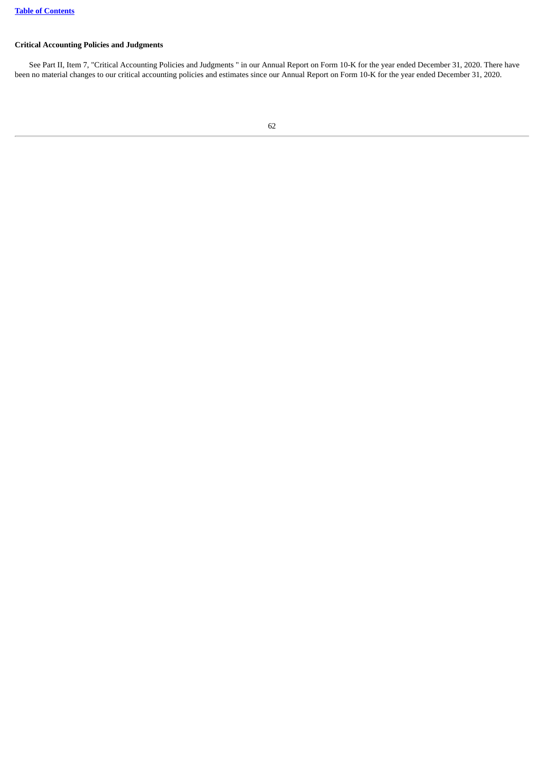## **Critical Accounting Policies and Judgments**

See Part II, Item 7, "Critical Accounting Policies and Judgments " in our Annual Report on Form 10-K for the year ended December 31, 2020. There have been no material changes to our critical accounting policies and estimates since our Annual Report on Form 10-K for the year ended December 31, 2020.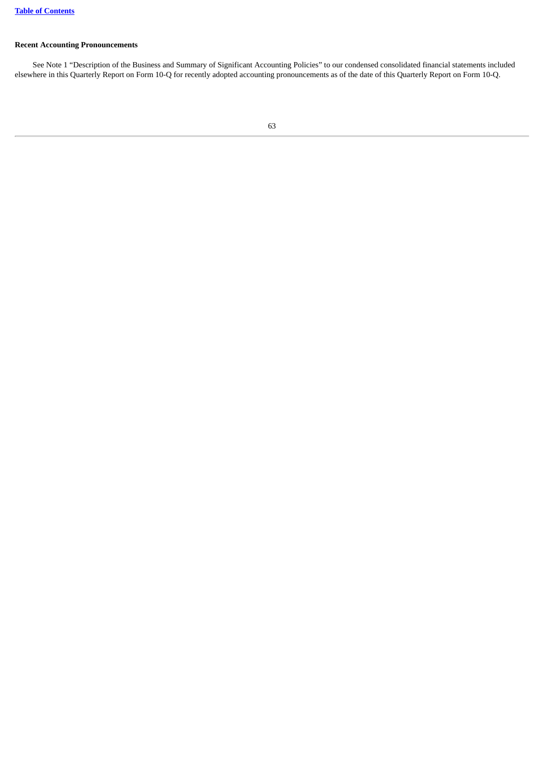## **Recent Accounting Pronouncements**

See Note 1 "Description of the Business and Summary of Significant Accounting Policies" to our condensed consolidated financial statements included elsewhere in this Quarterly Report on Form 10-Q for recently adopted accounting pronouncements as of the date of this Quarterly Report on Form 10-Q.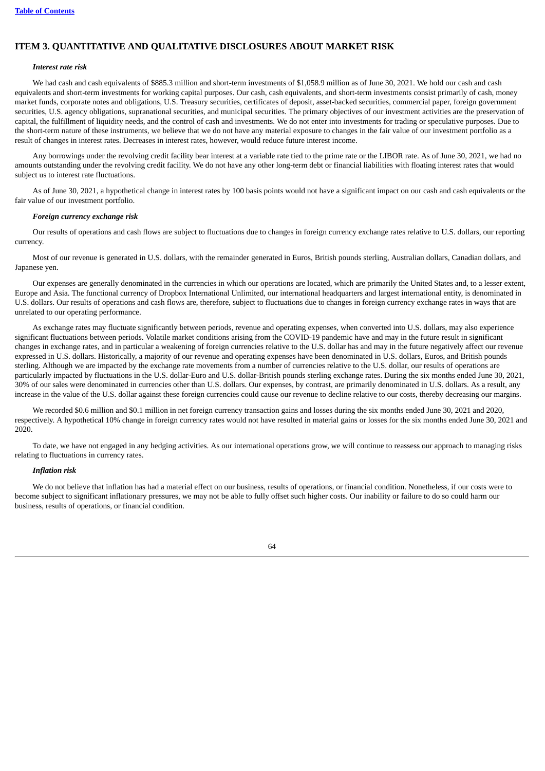## **ITEM 3. QUANTITATIVE AND QUALITATIVE DISCLOSURES ABOUT MARKET RISK**

#### *Interest rate risk*

We had cash and cash equivalents of \$885.3 million and short-term investments of \$1,058.9 million as of June 30, 2021. We hold our cash and cash equivalents and short-term investments for working capital purposes. Our cash, cash equivalents, and short-term investments consist primarily of cash, money market funds, corporate notes and obligations, U.S. Treasury securities, certificates of deposit, asset-backed securities, commercial paper, foreign government securities, U.S. agency obligations, supranational securities, and municipal securities. The primary objectives of our investment activities are the preservation of capital, the fulfillment of liquidity needs, and the control of cash and investments. We do not enter into investments for trading or speculative purposes. Due to the short-term nature of these instruments, we believe that we do not have any material exposure to changes in the fair value of our investment portfolio as a result of changes in interest rates. Decreases in interest rates, however, would reduce future interest income.

Any borrowings under the revolving credit facility bear interest at a variable rate tied to the prime rate or the LIBOR rate. As of June 30, 2021, we had no amounts outstanding under the revolving credit facility. We do not have any other long-term debt or financial liabilities with floating interest rates that would subject us to interest rate fluctuations.

As of June 30, 2021, a hypothetical change in interest rates by 100 basis points would not have a significant impact on our cash and cash equivalents or the fair value of our investment portfolio.

#### *Foreign currency exchange risk*

Our results of operations and cash flows are subject to fluctuations due to changes in foreign currency exchange rates relative to U.S. dollars, our reporting currency.

Most of our revenue is generated in U.S. dollars, with the remainder generated in Euros, British pounds sterling, Australian dollars, Canadian dollars, and Japanese yen.

Our expenses are generally denominated in the currencies in which our operations are located, which are primarily the United States and, to a lesser extent, Europe and Asia. The functional currency of Dropbox International Unlimited, our international headquarters and largest international entity, is denominated in U.S. dollars. Our results of operations and cash flows are, therefore, subject to fluctuations due to changes in foreign currency exchange rates in ways that are unrelated to our operating performance.

As exchange rates may fluctuate significantly between periods, revenue and operating expenses, when converted into U.S. dollars, may also experience significant fluctuations between periods. Volatile market conditions arising from the COVID-19 pandemic have and may in the future result in significant changes in exchange rates, and in particular a weakening of foreign currencies relative to the U.S. dollar has and may in the future negatively affect our revenue expressed in U.S. dollars. Historically, a majority of our revenue and operating expenses have been denominated in U.S. dollars, Euros, and British pounds sterling. Although we are impacted by the exchange rate movements from a number of currencies relative to the U.S. dollar, our results of operations are particularly impacted by fluctuations in the U.S. dollar-Euro and U.S. dollar-British pounds sterling exchange rates. During the six months ended June 30, 2021, 30% of our sales were denominated in currencies other than U.S. dollars. Our expenses, by contrast, are primarily denominated in U.S. dollars. As a result, any increase in the value of the U.S. dollar against these foreign currencies could cause our revenue to decline relative to our costs, thereby decreasing our margins.

We recorded \$0.6 million and \$0.1 million in net foreign currency transaction gains and losses during the six months ended June 30, 2021 and 2020, respectively. A hypothetical 10% change in foreign currency rates would not have resulted in material gains or losses for the six months ended June 30, 2021 and 2020.

To date, we have not engaged in any hedging activities. As our international operations grow, we will continue to reassess our approach to managing risks relating to fluctuations in currency rates.

### *Inflation risk*

We do not believe that inflation has had a material effect on our business, results of operations, or financial condition. Nonetheless, if our costs were to become subject to significant inflationary pressures, we may not be able to fully offset such higher costs. Our inability or failure to do so could harm our business, results of operations, or financial condition.

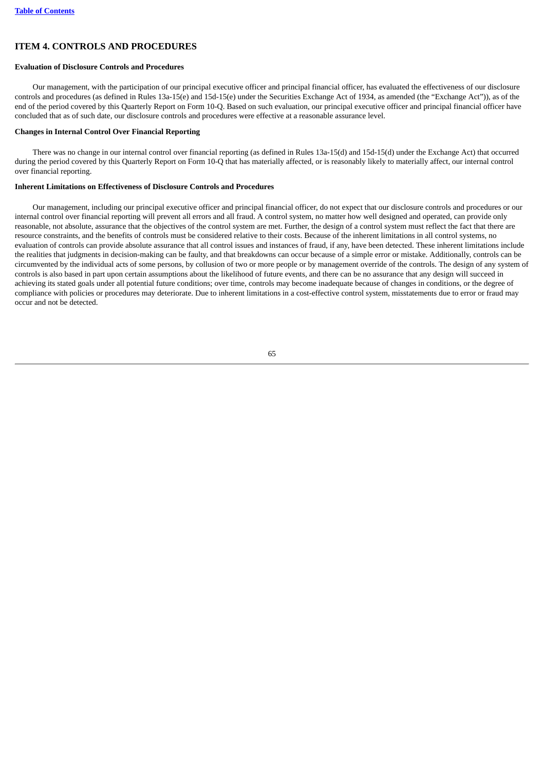## **ITEM 4. CONTROLS AND PROCEDURES**

## **Evaluation of Disclosure Controls and Procedures**

Our management, with the participation of our principal executive officer and principal financial officer, has evaluated the effectiveness of our disclosure controls and procedures (as defined in Rules 13a-15(e) and 15d-15(e) under the Securities Exchange Act of 1934, as amended (the "Exchange Act")), as of the end of the period covered by this Quarterly Report on Form 10-Q. Based on such evaluation, our principal executive officer and principal financial officer have concluded that as of such date, our disclosure controls and procedures were effective at a reasonable assurance level.

#### **Changes in Internal Control Over Financial Reporting**

There was no change in our internal control over financial reporting (as defined in Rules 13a-15(d) and 15d-15(d) under the Exchange Act) that occurred during the period covered by this Quarterly Report on Form 10-Q that has materially affected, or is reasonably likely to materially affect, our internal control over financial reporting.

## **Inherent Limitations on Effectiveness of Disclosure Controls and Procedures**

Our management, including our principal executive officer and principal financial officer, do not expect that our disclosure controls and procedures or our internal control over financial reporting will prevent all errors and all fraud. A control system, no matter how well designed and operated, can provide only reasonable, not absolute, assurance that the objectives of the control system are met. Further, the design of a control system must reflect the fact that there are resource constraints, and the benefits of controls must be considered relative to their costs. Because of the inherent limitations in all control systems, no evaluation of controls can provide absolute assurance that all control issues and instances of fraud, if any, have been detected. These inherent limitations include the realities that judgments in decision-making can be faulty, and that breakdowns can occur because of a simple error or mistake. Additionally, controls can be circumvented by the individual acts of some persons, by collusion of two or more people or by management override of the controls. The design of any system of controls is also based in part upon certain assumptions about the likelihood of future events, and there can be no assurance that any design will succeed in achieving its stated goals under all potential future conditions; over time, controls may become inadequate because of changes in conditions, or the degree of compliance with policies or procedures may deteriorate. Due to inherent limitations in a cost-effective control system, misstatements due to error or fraud may occur and not be detected.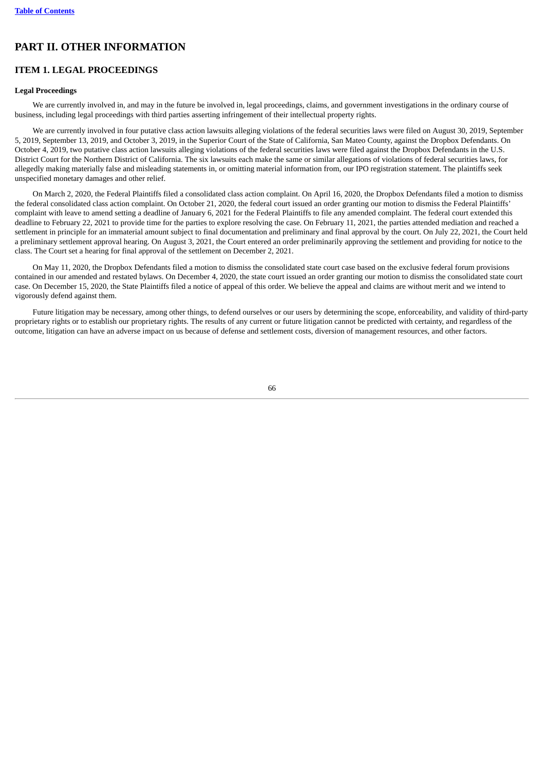# **PART II. OTHER INFORMATION**

## **ITEM 1. LEGAL PROCEEDINGS**

## **Legal Proceedings**

We are currently involved in, and may in the future be involved in, legal proceedings, claims, and government investigations in the ordinary course of business, including legal proceedings with third parties asserting infringement of their intellectual property rights.

We are currently involved in four putative class action lawsuits alleging violations of the federal securities laws were filed on August 30, 2019, September 5, 2019, September 13, 2019, and October 3, 2019, in the Superior Court of the State of California, San Mateo County, against the Dropbox Defendants. On October 4, 2019, two putative class action lawsuits alleging violations of the federal securities laws were filed against the Dropbox Defendants in the U.S. District Court for the Northern District of California. The six lawsuits each make the same or similar allegations of violations of federal securities laws, for allegedly making materially false and misleading statements in, or omitting material information from, our IPO registration statement. The plaintiffs seek unspecified monetary damages and other relief.

On March 2, 2020, the Federal Plaintiffs filed a consolidated class action complaint. On April 16, 2020, the Dropbox Defendants filed a motion to dismiss the federal consolidated class action complaint. On October 21, 2020, the federal court issued an order granting our motion to dismiss the Federal Plaintiffs' complaint with leave to amend setting a deadline of January 6, 2021 for the Federal Plaintiffs to file any amended complaint. The federal court extended this deadline to February 22, 2021 to provide time for the parties to explore resolving the case. On February 11, 2021, the parties attended mediation and reached a settlement in principle for an immaterial amount subject to final documentation and preliminary and final approval by the court. On July 22, 2021, the Court held a preliminary settlement approval hearing. On August 3, 2021, the Court entered an order preliminarily approving the settlement and providing for notice to the class. The Court set a hearing for final approval of the settlement on December 2, 2021.

On May 11, 2020, the Dropbox Defendants filed a motion to dismiss the consolidated state court case based on the exclusive federal forum provisions contained in our amended and restated bylaws. On December 4, 2020, the state court issued an order granting our motion to dismiss the consolidated state court case. On December 15, 2020, the State Plaintiffs filed a notice of appeal of this order. We believe the appeal and claims are without merit and we intend to vigorously defend against them.

Future litigation may be necessary, among other things, to defend ourselves or our users by determining the scope, enforceability, and validity of third-party proprietary rights or to establish our proprietary rights. The results of any current or future litigation cannot be predicted with certainty, and regardless of the outcome, litigation can have an adverse impact on us because of defense and settlement costs, diversion of management resources, and other factors.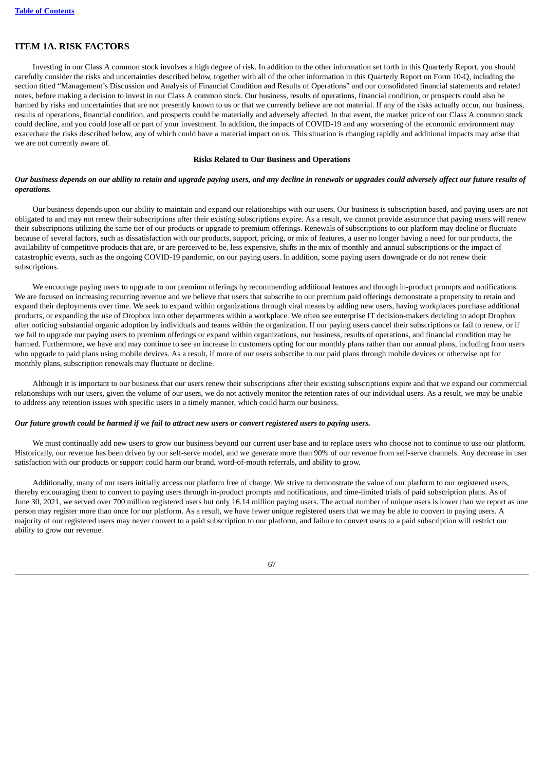## **ITEM 1A. RISK FACTORS**

Investing in our Class A common stock involves a high degree of risk. In addition to the other information set forth in this Quarterly Report, you should carefully consider the risks and uncertainties described below, together with all of the other information in this Quarterly Report on Form 10-Q, including the section titled "Management's Discussion and Analysis of Financial Condition and Results of Operations" and our consolidated financial statements and related notes, before making a decision to invest in our Class A common stock. Our business, results of operations, financial condition, or prospects could also be harmed by risks and uncertainties that are not presently known to us or that we currently believe are not material. If any of the risks actually occur, our business, results of operations, financial condition, and prospects could be materially and adversely affected. In that event, the market price of our Class A common stock could decline, and you could lose all or part of your investment. In addition, the impacts of COVID-19 and any worsening of the economic environment may exacerbate the risks described below, any of which could have a material impact on us. This situation is changing rapidly and additional impacts may arise that we are not currently aware of.

#### **Risks Related to Our Business and Operations**

## Our business depends on our ability to retain and upgrade paying users, and any decline in renewals or upgrades could adversely affect our future results of *operations.*

Our business depends upon our ability to maintain and expand our relationships with our users. Our business is subscription based, and paying users are not obligated to and may not renew their subscriptions after their existing subscriptions expire. As a result, we cannot provide assurance that paying users will renew their subscriptions utilizing the same tier of our products or upgrade to premium offerings. Renewals of subscriptions to our platform may decline or fluctuate because of several factors, such as dissatisfaction with our products, support, pricing, or mix of features, a user no longer having a need for our products, the availability of competitive products that are, or are perceived to be, less expensive, shifts in the mix of monthly and annual subscriptions or the impact of catastrophic events, such as the ongoing COVID-19 pandemic, on our paying users. In addition, some paying users downgrade or do not renew their subscriptions.

We encourage paying users to upgrade to our premium offerings by recommending additional features and through in-product prompts and notifications. We are focused on increasing recurring revenue and we believe that users that subscribe to our premium paid offerings demonstrate a propensity to retain and expand their deployments over time. We seek to expand within organizations through viral means by adding new users, having workplaces purchase additional products, or expanding the use of Dropbox into other departments within a workplace. We often see enterprise IT decision-makers deciding to adopt Dropbox after noticing substantial organic adoption by individuals and teams within the organization. If our paying users cancel their subscriptions or fail to renew, or if we fail to upgrade our paying users to premium offerings or expand within organizations, our business, results of operations, and financial condition may be harmed. Furthermore, we have and may continue to see an increase in customers opting for our monthly plans rather than our annual plans, including from users who upgrade to paid plans using mobile devices. As a result, if more of our users subscribe to our paid plans through mobile devices or otherwise opt for monthly plans, subscription renewals may fluctuate or decline.

Although it is important to our business that our users renew their subscriptions after their existing subscriptions expire and that we expand our commercial relationships with our users, given the volume of our users, we do not actively monitor the retention rates of our individual users. As a result, we may be unable to address any retention issues with specific users in a timely manner, which could harm our business.

## Our future growth could be harmed if we fail to attract new users or convert registered users to paying users.

We must continually add new users to grow our business beyond our current user base and to replace users who choose not to continue to use our platform. Historically, our revenue has been driven by our self-serve model, and we generate more than 90% of our revenue from self-serve channels. Any decrease in user satisfaction with our products or support could harm our brand, word-of-mouth referrals, and ability to grow.

Additionally, many of our users initially access our platform free of charge. We strive to demonstrate the value of our platform to our registered users, thereby encouraging them to convert to paying users through in-product prompts and notifications, and time-limited trials of paid subscription plans. As of June 30, 2021, we served over 700 million registered users but only 16.14 million paying users. The actual number of unique users is lower than we report as one person may register more than once for our platform. As a result, we have fewer unique registered users that we may be able to convert to paying users. A majority of our registered users may never convert to a paid subscription to our platform, and failure to convert users to a paid subscription will restrict our ability to grow our revenue.

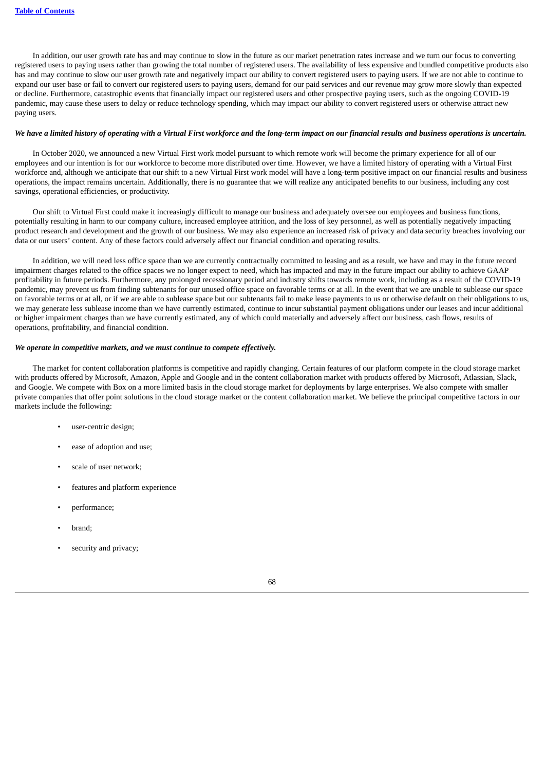In addition, our user growth rate has and may continue to slow in the future as our market penetration rates increase and we turn our focus to converting registered users to paying users rather than growing the total number of registered users. The availability of less expensive and bundled competitive products also has and may continue to slow our user growth rate and negatively impact our ability to convert registered users to paying users. If we are not able to continue to expand our user base or fail to convert our registered users to paying users, demand for our paid services and our revenue may grow more slowly than expected or decline. Furthermore, catastrophic events that financially impact our registered users and other prospective paying users, such as the ongoing COVID-19 pandemic, may cause these users to delay or reduce technology spending, which may impact our ability to convert registered users or otherwise attract new paying users.

#### We have a limited history of operating with a Virtual First workforce and the long-term impact on our financial results and business operations is uncertain.

In October 2020, we announced a new Virtual First work model pursuant to which remote work will become the primary experience for all of our employees and our intention is for our workforce to become more distributed over time. However, we have a limited history of operating with a Virtual First workforce and, although we anticipate that our shift to a new Virtual First work model will have a long-term positive impact on our financial results and business operations, the impact remains uncertain. Additionally, there is no guarantee that we will realize any anticipated benefits to our business, including any cost savings, operational efficiencies, or productivity.

Our shift to Virtual First could make it increasingly difficult to manage our business and adequately oversee our employees and business functions, potentially resulting in harm to our company culture, increased employee attrition, and the loss of key personnel, as well as potentially negatively impacting product research and development and the growth of our business. We may also experience an increased risk of privacy and data security breaches involving our data or our users' content. Any of these factors could adversely affect our financial condition and operating results.

In addition, we will need less office space than we are currently contractually committed to leasing and as a result, we have and may in the future record impairment charges related to the office spaces we no longer expect to need, which has impacted and may in the future impact our ability to achieve GAAP profitability in future periods. Furthermore, any prolonged recessionary period and industry shifts towards remote work, including as a result of the COVID-19 pandemic, may prevent us from finding subtenants for our unused office space on favorable terms or at all. In the event that we are unable to sublease our space on favorable terms or at all, or if we are able to sublease space but our subtenants fail to make lease payments to us or otherwise default on their obligations to us, we may generate less sublease income than we have currently estimated, continue to incur substantial payment obligations under our leases and incur additional or higher impairment charges than we have currently estimated, any of which could materially and adversely affect our business, cash flows, results of operations, profitability, and financial condition.

#### *We operate in competitive markets, and we must continue to compete effectively.*

The market for content collaboration platforms is competitive and rapidly changing. Certain features of our platform compete in the cloud storage market with products offered by Microsoft, Amazon, Apple and Google and in the content collaboration market with products offered by Microsoft, Atlassian, Slack, and Google. We compete with Box on a more limited basis in the cloud storage market for deployments by large enterprises. We also compete with smaller private companies that offer point solutions in the cloud storage market or the content collaboration market. We believe the principal competitive factors in our markets include the following:

- user-centric design;
- ease of adoption and use;
- scale of user network;
- features and platform experience
- performance;
- brand;
- security and privacy:

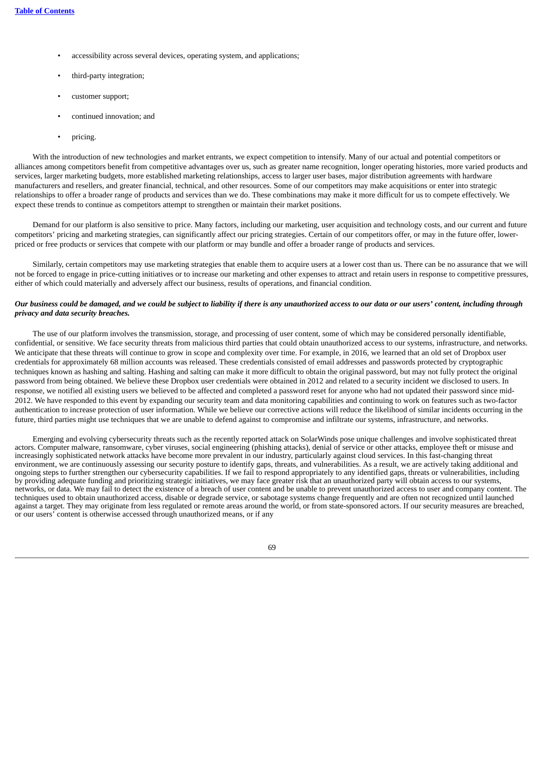- accessibility across several devices, operating system, and applications;
- third-party integration;
- customer support;
- continued innovation; and
- pricing.

With the introduction of new technologies and market entrants, we expect competition to intensify. Many of our actual and potential competitors or alliances among competitors benefit from competitive advantages over us, such as greater name recognition, longer operating histories, more varied products and services, larger marketing budgets, more established marketing relationships, access to larger user bases, major distribution agreements with hardware manufacturers and resellers, and greater financial, technical, and other resources. Some of our competitors may make acquisitions or enter into strategic relationships to offer a broader range of products and services than we do. These combinations may make it more difficult for us to compete effectively. We expect these trends to continue as competitors attempt to strengthen or maintain their market positions.

Demand for our platform is also sensitive to price. Many factors, including our marketing, user acquisition and technology costs, and our current and future competitors' pricing and marketing strategies, can significantly affect our pricing strategies. Certain of our competitors offer, or may in the future offer, lowerpriced or free products or services that compete with our platform or may bundle and offer a broader range of products and services.

Similarly, certain competitors may use marketing strategies that enable them to acquire users at a lower cost than us. There can be no assurance that we will not be forced to engage in price-cutting initiatives or to increase our marketing and other expenses to attract and retain users in response to competitive pressures, either of which could materially and adversely affect our business, results of operations, and financial condition.

### Our business could be damaged, and we could be subject to liability if there is any unauthorized access to our data or our users' content, including through *privacy and data security breaches.*

The use of our platform involves the transmission, storage, and processing of user content, some of which may be considered personally identifiable, confidential, or sensitive. We face security threats from malicious third parties that could obtain unauthorized access to our systems, infrastructure, and networks. We anticipate that these threats will continue to grow in scope and complexity over time. For example, in 2016, we learned that an old set of Dropbox user credentials for approximately 68 million accounts was released. These credentials consisted of email addresses and passwords protected by cryptographic techniques known as hashing and salting. Hashing and salting can make it more difficult to obtain the original password, but may not fully protect the original password from being obtained. We believe these Dropbox user credentials were obtained in 2012 and related to a security incident we disclosed to users. In response, we notified all existing users we believed to be affected and completed a password reset for anyone who had not updated their password since mid-2012. We have responded to this event by expanding our security team and data monitoring capabilities and continuing to work on features such as two-factor authentication to increase protection of user information. While we believe our corrective actions will reduce the likelihood of similar incidents occurring in the future, third parties might use techniques that we are unable to defend against to compromise and infiltrate our systems, infrastructure, and networks.

Emerging and evolving cybersecurity threats such as the recently reported attack on SolarWinds pose unique challenges and involve sophisticated threat actors. Computer malware, ransomware, cyber viruses, social engineering (phishing attacks), denial of service or other attacks, employee theft or misuse and increasingly sophisticated network attacks have become more prevalent in our industry, particularly against cloud services. In this fast-changing threat environment, we are continuously assessing our security posture to identify gaps, threats, and vulnerabilities. As a result, we are actively taking additional and ongoing steps to further strengthen our cybersecurity capabilities. If we fail to respond appropriately to any identified gaps, threats or vulnerabilities, including by providing adequate funding and prioritizing strategic initiatives, we may face greater risk that an unauthorized party will obtain access to our systems, networks, or data. We may fail to detect the existence of a breach of user content and be unable to prevent unauthorized access to user and company content. The techniques used to obtain unauthorized access, disable or degrade service, or sabotage systems change frequently and are often not recognized until launched against a target. They may originate from less regulated or remote areas around the world, or from state-sponsored actors. If our security measures are breached, or our users' content is otherwise accessed through unauthorized means, or if any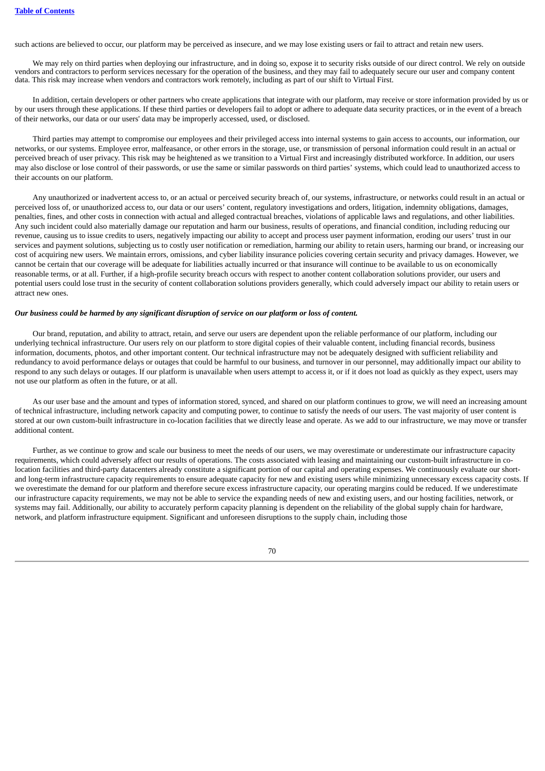such actions are believed to occur, our platform may be perceived as insecure, and we may lose existing users or fail to attract and retain new users.

We may rely on third parties when deploying our infrastructure, and in doing so, expose it to security risks outside of our direct control. We rely on outside vendors and contractors to perform services necessary for the operation of the business, and they may fail to adequately secure our user and company content data. This risk may increase when vendors and contractors work remotely, including as part of our shift to Virtual First.

In addition, certain developers or other partners who create applications that integrate with our platform, may receive or store information provided by us or by our users through these applications. If these third parties or developers fail to adopt or adhere to adequate data security practices, or in the event of a breach of their networks, our data or our users' data may be improperly accessed, used, or disclosed.

Third parties may attempt to compromise our employees and their privileged access into internal systems to gain access to accounts, our information, our networks, or our systems. Employee error, malfeasance, or other errors in the storage, use, or transmission of personal information could result in an actual or perceived breach of user privacy. This risk may be heightened as we transition to a Virtual First and increasingly distributed workforce. In addition, our users may also disclose or lose control of their passwords, or use the same or similar passwords on third parties' systems, which could lead to unauthorized access to their accounts on our platform.

Any unauthorized or inadvertent access to, or an actual or perceived security breach of, our systems, infrastructure, or networks could result in an actual or perceived loss of, or unauthorized access to, our data or our users' content, regulatory investigations and orders, litigation, indemnity obligations, damages, penalties, fines, and other costs in connection with actual and alleged contractual breaches, violations of applicable laws and regulations, and other liabilities. Any such incident could also materially damage our reputation and harm our business, results of operations, and financial condition, including reducing our revenue, causing us to issue credits to users, negatively impacting our ability to accept and process user payment information, eroding our users' trust in our services and payment solutions, subjecting us to costly user notification or remediation, harming our ability to retain users, harming our brand, or increasing our cost of acquiring new users. We maintain errors, omissions, and cyber liability insurance policies covering certain security and privacy damages. However, we cannot be certain that our coverage will be adequate for liabilities actually incurred or that insurance will continue to be available to us on economically reasonable terms, or at all. Further, if a high-profile security breach occurs with respect to another content collaboration solutions provider, our users and potential users could lose trust in the security of content collaboration solutions providers generally, which could adversely impact our ability to retain users or attract new ones.

#### Our business could be harmed by any significant disruption of service on our platform or loss of content.

Our brand, reputation, and ability to attract, retain, and serve our users are dependent upon the reliable performance of our platform, including our underlying technical infrastructure. Our users rely on our platform to store digital copies of their valuable content, including financial records, business information, documents, photos, and other important content. Our technical infrastructure may not be adequately designed with sufficient reliability and redundancy to avoid performance delays or outages that could be harmful to our business, and turnover in our personnel, may additionally impact our ability to respond to any such delays or outages. If our platform is unavailable when users attempt to access it, or if it does not load as quickly as they expect, users may not use our platform as often in the future, or at all.

As our user base and the amount and types of information stored, synced, and shared on our platform continues to grow, we will need an increasing amount of technical infrastructure, including network capacity and computing power, to continue to satisfy the needs of our users. The vast majority of user content is stored at our own custom-built infrastructure in co-location facilities that we directly lease and operate. As we add to our infrastructure, we may move or transfer additional content.

Further, as we continue to grow and scale our business to meet the needs of our users, we may overestimate or underestimate our infrastructure capacity requirements, which could adversely affect our results of operations. The costs associated with leasing and maintaining our custom-built infrastructure in colocation facilities and third-party datacenters already constitute a significant portion of our capital and operating expenses. We continuously evaluate our shortand long-term infrastructure capacity requirements to ensure adequate capacity for new and existing users while minimizing unnecessary excess capacity costs. If we overestimate the demand for our platform and therefore secure excess infrastructure capacity, our operating margins could be reduced. If we underestimate our infrastructure capacity requirements, we may not be able to service the expanding needs of new and existing users, and our hosting facilities, network, or systems may fail. Additionally, our ability to accurately perform capacity planning is dependent on the reliability of the global supply chain for hardware, network, and platform infrastructure equipment. Significant and unforeseen disruptions to the supply chain, including those

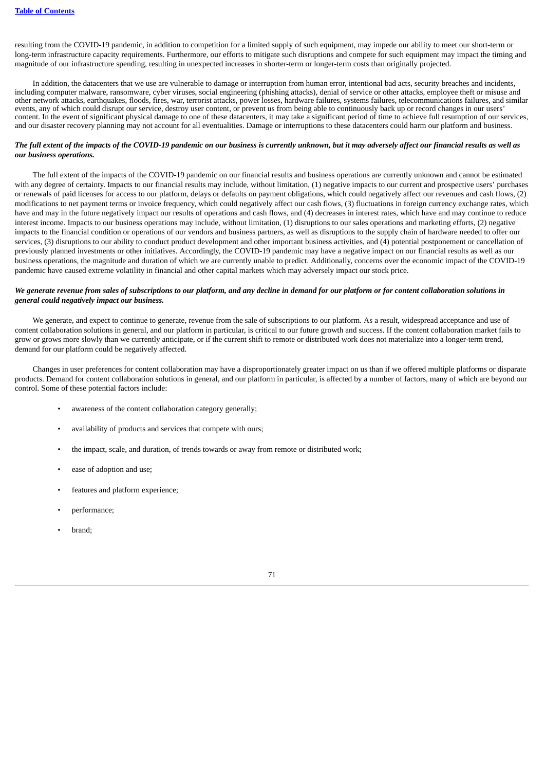resulting from the COVID-19 pandemic, in addition to competition for a limited supply of such equipment, may impede our ability to meet our short-term or long-term infrastructure capacity requirements. Furthermore, our efforts to mitigate such disruptions and compete for such equipment may impact the timing and magnitude of our infrastructure spending, resulting in unexpected increases in shorter-term or longer-term costs than originally projected.

In addition, the datacenters that we use are vulnerable to damage or interruption from human error, intentional bad acts, security breaches and incidents, including computer malware, ransomware, cyber viruses, social engineering (phishing attacks), denial of service or other attacks, employee theft or misuse and other network attacks, earthquakes, floods, fires, war, terrorist attacks, power losses, hardware failures, systems failures, telecommunications failures, and similar events, any of which could disrupt our service, destroy user content, or prevent us from being able to continuously back up or record changes in our users' content. In the event of significant physical damage to one of these datacenters, it may take a significant period of time to achieve full resumption of our services, and our disaster recovery planning may not account for all eventualities. Damage or interruptions to these datacenters could harm our platform and business.

### The full extent of the impacts of the COVID-19 pandemic on our business is currently unknown, but it may adversely affect our financial results as well as *our business operations.*

The full extent of the impacts of the COVID-19 pandemic on our financial results and business operations are currently unknown and cannot be estimated with any degree of certainty. Impacts to our financial results may include, without limitation, (1) negative impacts to our current and prospective users' purchases or renewals of paid licenses for access to our platform, delays or defaults on payment obligations, which could negatively affect our revenues and cash flows, (2) modifications to net payment terms or invoice frequency, which could negatively affect our cash flows, (3) fluctuations in foreign currency exchange rates, which have and may in the future negatively impact our results of operations and cash flows, and (4) decreases in interest rates, which have and may continue to reduce interest income. Impacts to our business operations may include, without limitation, (1) disruptions to our sales operations and marketing efforts, (2) negative impacts to the financial condition or operations of our vendors and business partners, as well as disruptions to the supply chain of hardware needed to offer our services, (3) disruptions to our ability to conduct product development and other important business activities, and (4) potential postponement or cancellation of previously planned investments or other initiatives. Accordingly, the COVID-19 pandemic may have a negative impact on our financial results as well as our business operations, the magnitude and duration of which we are currently unable to predict. Additionally, concerns over the economic impact of the COVID-19 pandemic have caused extreme volatility in financial and other capital markets which may adversely impact our stock price.

### We generate revenue from sales of subscriptions to our platform, and any decline in demand for our platform or for content collaboration solutions in *general could negatively impact our business.*

We generate, and expect to continue to generate, revenue from the sale of subscriptions to our platform. As a result, widespread acceptance and use of content collaboration solutions in general, and our platform in particular, is critical to our future growth and success. If the content collaboration market fails to grow or grows more slowly than we currently anticipate, or if the current shift to remote or distributed work does not materialize into a longer-term trend, demand for our platform could be negatively affected.

Changes in user preferences for content collaboration may have a disproportionately greater impact on us than if we offered multiple platforms or disparate products. Demand for content collaboration solutions in general, and our platform in particular, is affected by a number of factors, many of which are beyond our control. Some of these potential factors include:

- awareness of the content collaboration category generally;
- availability of products and services that compete with ours;
- the impact, scale, and duration, of trends towards or away from remote or distributed work;
- ease of adoption and use;
- features and platform experience;
- performance;
- brand;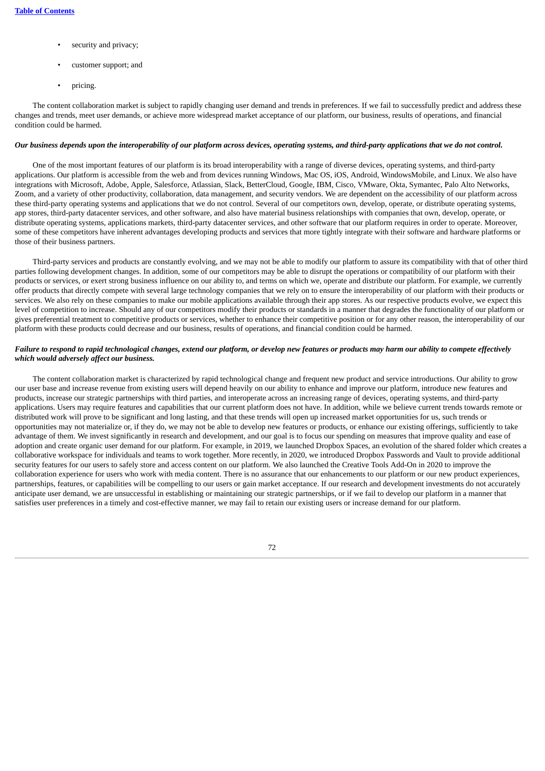- security and privacy;
- customer support; and
- pricing.

The content collaboration market is subject to rapidly changing user demand and trends in preferences. If we fail to successfully predict and address these changes and trends, meet user demands, or achieve more widespread market acceptance of our platform, our business, results of operations, and financial condition could be harmed.

### Our business depends upon the interoperability of our platform across devices, operating systems, and third-party applications that we do not control.

One of the most important features of our platform is its broad interoperability with a range of diverse devices, operating systems, and third-party applications. Our platform is accessible from the web and from devices running Windows, Mac OS, iOS, Android, WindowsMobile, and Linux. We also have integrations with Microsoft, Adobe, Apple, Salesforce, Atlassian, Slack, BetterCloud, Google, IBM, Cisco, VMware, Okta, Symantec, Palo Alto Networks, Zoom, and a variety of other productivity, collaboration, data management, and security vendors. We are dependent on the accessibility of our platform across these third-party operating systems and applications that we do not control. Several of our competitors own, develop, operate, or distribute operating systems, app stores, third-party datacenter services, and other software, and also have material business relationships with companies that own, develop, operate, or distribute operating systems, applications markets, third-party datacenter services, and other software that our platform requires in order to operate. Moreover, some of these competitors have inherent advantages developing products and services that more tightly integrate with their software and hardware platforms or those of their business partners.

Third-party services and products are constantly evolving, and we may not be able to modify our platform to assure its compatibility with that of other third parties following development changes. In addition, some of our competitors may be able to disrupt the operations or compatibility of our platform with their products or services, or exert strong business influence on our ability to, and terms on which we, operate and distribute our platform. For example, we currently offer products that directly compete with several large technology companies that we rely on to ensure the interoperability of our platform with their products or services. We also rely on these companies to make our mobile applications available through their app stores. As our respective products evolve, we expect this level of competition to increase. Should any of our competitors modify their products or standards in a manner that degrades the functionality of our platform or gives preferential treatment to competitive products or services, whether to enhance their competitive position or for any other reason, the interoperability of our platform with these products could decrease and our business, results of operations, and financial condition could be harmed.

### Failure to respond to rapid technological changes, extend our platform, or develop new features or products may harm our ability to compete effectively *which would adversely affect our business.*

The content collaboration market is characterized by rapid technological change and frequent new product and service introductions. Our ability to grow our user base and increase revenue from existing users will depend heavily on our ability to enhance and improve our platform, introduce new features and products, increase our strategic partnerships with third parties, and interoperate across an increasing range of devices, operating systems, and third-party applications. Users may require features and capabilities that our current platform does not have. In addition, while we believe current trends towards remote or distributed work will prove to be significant and long lasting, and that these trends will open up increased market opportunities for us, such trends or opportunities may not materialize or, if they do, we may not be able to develop new features or products, or enhance our existing offerings, sufficiently to take advantage of them. We invest significantly in research and development, and our goal is to focus our spending on measures that improve quality and ease of adoption and create organic user demand for our platform. For example, in 2019, we launched Dropbox Spaces, an evolution of the shared folder which creates a collaborative workspace for individuals and teams to work together. More recently, in 2020, we introduced Dropbox Passwords and Vault to provide additional security features for our users to safely store and access content on our platform. We also launched the Creative Tools Add-On in 2020 to improve the collaboration experience for users who work with media content. There is no assurance that our enhancements to our platform or our new product experiences, partnerships, features, or capabilities will be compelling to our users or gain market acceptance. If our research and development investments do not accurately anticipate user demand, we are unsuccessful in establishing or maintaining our strategic partnerships, or if we fail to develop our platform in a manner that satisfies user preferences in a timely and cost-effective manner, we may fail to retain our existing users or increase demand for our platform.

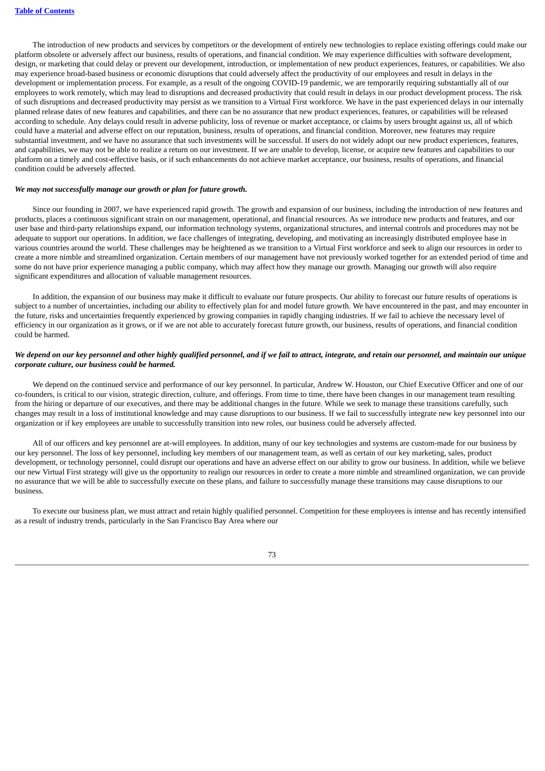The introduction of new products and services by competitors or the development of entirely new technologies to replace existing offerings could make our platform obsolete or adversely affect our business, results of operations, and financial condition. We may experience difficulties with software development, design, or marketing that could delay or prevent our development, introduction, or implementation of new product experiences, features, or capabilities. We also may experience broad-based business or economic disruptions that could adversely affect the productivity of our employees and result in delays in the development or implementation process. For example, as a result of the ongoing COVID-19 pandemic, we are temporarily requiring substantially all of our employees to work remotely, which may lead to disruptions and decreased productivity that could result in delays in our product development process. The risk of such disruptions and decreased productivity may persist as we transition to a Virtual First workforce. We have in the past experienced delays in our internally planned release dates of new features and capabilities, and there can be no assurance that new product experiences, features, or capabilities will be released according to schedule. Any delays could result in adverse publicity, loss of revenue or market acceptance, or claims by users brought against us, all of which could have a material and adverse effect on our reputation, business, results of operations, and financial condition. Moreover, new features may require substantial investment, and we have no assurance that such investments will be successful. If users do not widely adopt our new product experiences, features, and capabilities, we may not be able to realize a return on our investment. If we are unable to develop, license, or acquire new features and capabilities to our platform on a timely and cost-effective basis, or if such enhancements do not achieve market acceptance, our business, results of operations, and financial condition could be adversely affected.

#### *We may not successfully manage our growth or plan for future growth.*

Since our founding in 2007, we have experienced rapid growth. The growth and expansion of our business, including the introduction of new features and products, places a continuous significant strain on our management, operational, and financial resources. As we introduce new products and features, and our user base and third-party relationships expand, our information technology systems, organizational structures, and internal controls and procedures may not be adequate to support our operations. In addition, we face challenges of integrating, developing, and motivating an increasingly distributed employee base in various countries around the world. These challenges may be heightened as we transition to a Virtual First workforce and seek to align our resources in order to create a more nimble and streamlined organization. Certain members of our management have not previously worked together for an extended period of time and some do not have prior experience managing a public company, which may affect how they manage our growth. Managing our growth will also require significant expenditures and allocation of valuable management resources.

In addition, the expansion of our business may make it difficult to evaluate our future prospects. Our ability to forecast our future results of operations is subject to a number of uncertainties, including our ability to effectively plan for and model future growth. We have encountered in the past, and may encounter in the future, risks and uncertainties frequently experienced by growing companies in rapidly changing industries. If we fail to achieve the necessary level of efficiency in our organization as it grows, or if we are not able to accurately forecast future growth, our business, results of operations, and financial condition could be harmed.

# We depend on our key personnel and other highly qualified personnel, and if we fail to attract, integrate, and retain our personnel, and maintain our unique *corporate culture, our business could be harmed.*

We depend on the continued service and performance of our key personnel. In particular, Andrew W. Houston, our Chief Executive Officer and one of our co-founders, is critical to our vision, strategic direction, culture, and offerings. From time to time, there have been changes in our management team resulting from the hiring or departure of our executives, and there may be additional changes in the future. While we seek to manage these transitions carefully, such changes may result in a loss of institutional knowledge and may cause disruptions to our business. If we fail to successfully integrate new key personnel into our organization or if key employees are unable to successfully transition into new roles, our business could be adversely affected.

All of our officers and key personnel are at-will employees. In addition, many of our key technologies and systems are custom-made for our business by our key personnel. The loss of key personnel, including key members of our management team, as well as certain of our key marketing, sales, product development, or technology personnel, could disrupt our operations and have an adverse effect on our ability to grow our business. In addition, while we believe our new Virtual First strategy will give us the opportunity to realign our resources in order to create a more nimble and streamlined organization, we can provide no assurance that we will be able to successfully execute on these plans, and failure to successfully manage these transitions may cause disruptions to our business.

To execute our business plan, we must attract and retain highly qualified personnel. Competition for these employees is intense and has recently intensified as a result of industry trends, particularly in the San Francisco Bay Area where our

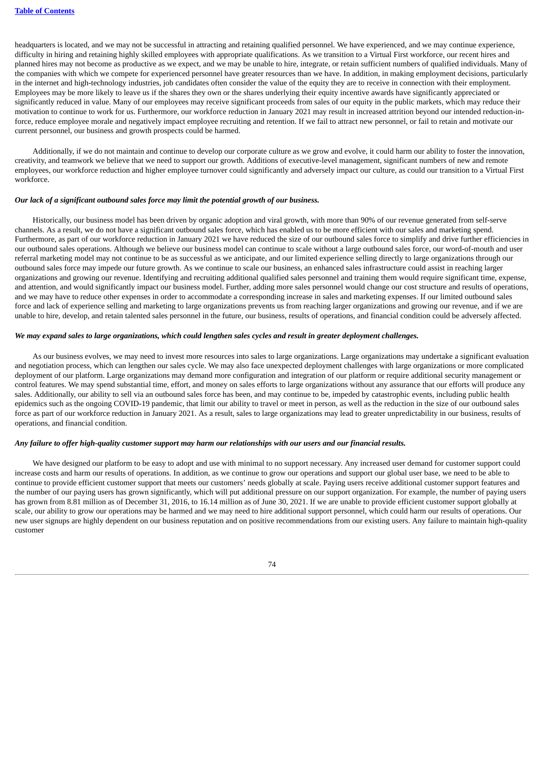headquarters is located, and we may not be successful in attracting and retaining qualified personnel. We have experienced, and we may continue experience, difficulty in hiring and retaining highly skilled employees with appropriate qualifications. As we transition to a Virtual First workforce, our recent hires and planned hires may not become as productive as we expect, and we may be unable to hire, integrate, or retain sufficient numbers of qualified individuals. Many of the companies with which we compete for experienced personnel have greater resources than we have. In addition, in making employment decisions, particularly in the internet and high-technology industries, job candidates often consider the value of the equity they are to receive in connection with their employment. Employees may be more likely to leave us if the shares they own or the shares underlying their equity incentive awards have significantly appreciated or significantly reduced in value. Many of our employees may receive significant proceeds from sales of our equity in the public markets, which may reduce their motivation to continue to work for us. Furthermore, our workforce reduction in January 2021 may result in increased attrition beyond our intended reduction-inforce, reduce employee morale and negatively impact employee recruiting and retention. If we fail to attract new personnel, or fail to retain and motivate our current personnel, our business and growth prospects could be harmed.

Additionally, if we do not maintain and continue to develop our corporate culture as we grow and evolve, it could harm our ability to foster the innovation, creativity, and teamwork we believe that we need to support our growth. Additions of executive-level management, significant numbers of new and remote employees, our workforce reduction and higher employee turnover could significantly and adversely impact our culture, as could our transition to a Virtual First workforce.

#### *Our lack of a significant outbound sales force may limit the potential growth of our business.*

Historically, our business model has been driven by organic adoption and viral growth, with more than 90% of our revenue generated from self-serve channels. As a result, we do not have a significant outbound sales force, which has enabled us to be more efficient with our sales and marketing spend. Furthermore, as part of our workforce reduction in January 2021 we have reduced the size of our outbound sales force to simplify and drive further efficiencies in our outbound sales operations. Although we believe our business model can continue to scale without a large outbound sales force, our word-of-mouth and user referral marketing model may not continue to be as successful as we anticipate, and our limited experience selling directly to large organizations through our outbound sales force may impede our future growth. As we continue to scale our business, an enhanced sales infrastructure could assist in reaching larger organizations and growing our revenue. Identifying and recruiting additional qualified sales personnel and training them would require significant time, expense, and attention, and would significantly impact our business model. Further, adding more sales personnel would change our cost structure and results of operations, and we may have to reduce other expenses in order to accommodate a corresponding increase in sales and marketing expenses. If our limited outbound sales force and lack of experience selling and marketing to large organizations prevents us from reaching larger organizations and growing our revenue, and if we are unable to hire, develop, and retain talented sales personnel in the future, our business, results of operations, and financial condition could be adversely affected.

#### We may expand sales to large organizations, which could lengthen sales cycles and result in greater deployment challenges.

As our business evolves, we may need to invest more resources into sales to large organizations. Large organizations may undertake a significant evaluation and negotiation process, which can lengthen our sales cycle. We may also face unexpected deployment challenges with large organizations or more complicated deployment of our platform. Large organizations may demand more configuration and integration of our platform or require additional security management or control features. We may spend substantial time, effort, and money on sales efforts to large organizations without any assurance that our efforts will produce any sales. Additionally, our ability to sell via an outbound sales force has been, and may continue to be, impeded by catastrophic events, including public health epidemics such as the ongoing COVID-19 pandemic, that limit our ability to travel or meet in person, as well as the reduction in the size of our outbound sales force as part of our workforce reduction in January 2021. As a result, sales to large organizations may lead to greater unpredictability in our business, results of operations, and financial condition.

#### Any failure to offer high-quality customer support may harm our relationships with our users and our financial results.

We have designed our platform to be easy to adopt and use with minimal to no support necessary. Any increased user demand for customer support could increase costs and harm our results of operations. In addition, as we continue to grow our operations and support our global user base, we need to be able to continue to provide efficient customer support that meets our customers' needs globally at scale. Paying users receive additional customer support features and the number of our paying users has grown significantly, which will put additional pressure on our support organization. For example, the number of paying users has grown from 8.81 million as of December 31, 2016, to 16.14 million as of June 30, 2021. If we are unable to provide efficient customer support globally at scale, our ability to grow our operations may be harmed and we may need to hire additional support personnel, which could harm our results of operations. Our new user signups are highly dependent on our business reputation and on positive recommendations from our existing users. Any failure to maintain high-quality customer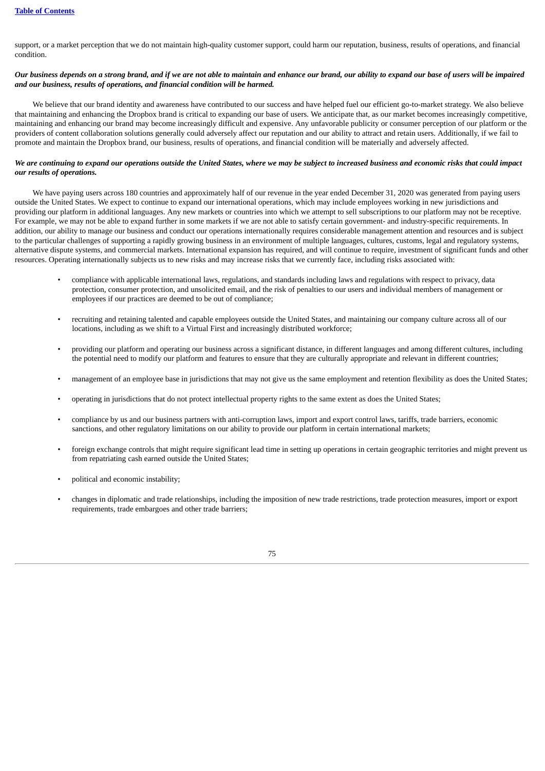support, or a market perception that we do not maintain high-quality customer support, could harm our reputation, business, results of operations, and financial condition.

# Our business depends on a strong brand, and if we are not able to maintain and enhance our brand, our ability to expand our base of users will be impaired *and our business, results of operations, and financial condition will be harmed.*

We believe that our brand identity and awareness have contributed to our success and have helped fuel our efficient go-to-market strategy. We also believe that maintaining and enhancing the Dropbox brand is critical to expanding our base of users. We anticipate that, as our market becomes increasingly competitive, maintaining and enhancing our brand may become increasingly difficult and expensive. Any unfavorable publicity or consumer perception of our platform or the providers of content collaboration solutions generally could adversely affect our reputation and our ability to attract and retain users. Additionally, if we fail to promote and maintain the Dropbox brand, our business, results of operations, and financial condition will be materially and adversely affected.

### We are continuing to expand our operations outside the United States, where we may be subject to increased business and economic risks that could impact *our results of operations.*

We have paying users across 180 countries and approximately half of our revenue in the year ended December 31, 2020 was generated from paying users outside the United States. We expect to continue to expand our international operations, which may include employees working in new jurisdictions and providing our platform in additional languages. Any new markets or countries into which we attempt to sell subscriptions to our platform may not be receptive. For example, we may not be able to expand further in some markets if we are not able to satisfy certain government- and industry-specific requirements. In addition, our ability to manage our business and conduct our operations internationally requires considerable management attention and resources and is subject to the particular challenges of supporting a rapidly growing business in an environment of multiple languages, cultures, customs, legal and regulatory systems, alternative dispute systems, and commercial markets. International expansion has required, and will continue to require, investment of significant funds and other resources. Operating internationally subjects us to new risks and may increase risks that we currently face, including risks associated with:

- compliance with applicable international laws, regulations, and standards including laws and regulations with respect to privacy, data protection, consumer protection, and unsolicited email, and the risk of penalties to our users and individual members of management or employees if our practices are deemed to be out of compliance;
- recruiting and retaining talented and capable employees outside the United States, and maintaining our company culture across all of our locations, including as we shift to a Virtual First and increasingly distributed workforce;
- providing our platform and operating our business across a significant distance, in different languages and among different cultures, including the potential need to modify our platform and features to ensure that they are culturally appropriate and relevant in different countries;
- management of an employee base in jurisdictions that may not give us the same employment and retention flexibility as does the United States;
- operating in jurisdictions that do not protect intellectual property rights to the same extent as does the United States;
- compliance by us and our business partners with anti-corruption laws, import and export control laws, tariffs, trade barriers, economic sanctions, and other regulatory limitations on our ability to provide our platform in certain international markets;
- foreign exchange controls that might require significant lead time in setting up operations in certain geographic territories and might prevent us from repatriating cash earned outside the United States;
- political and economic instability;
- changes in diplomatic and trade relationships, including the imposition of new trade restrictions, trade protection measures, import or export requirements, trade embargoes and other trade barriers;

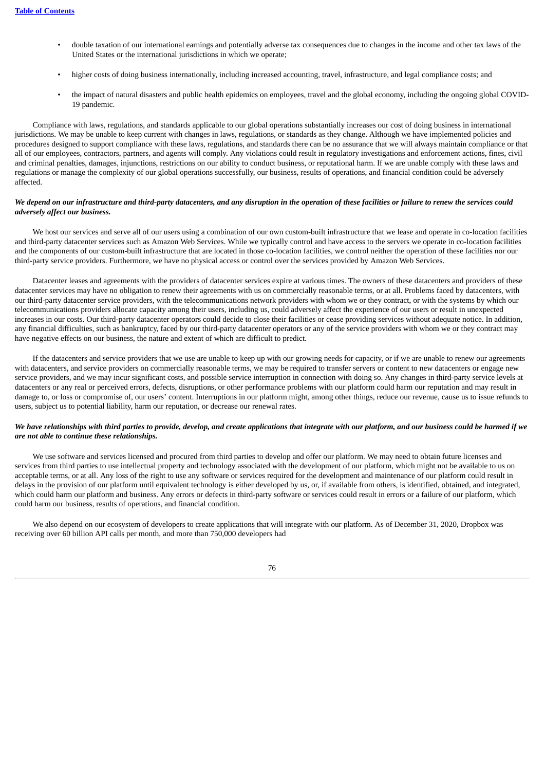- double taxation of our international earnings and potentially adverse tax consequences due to changes in the income and other tax laws of the United States or the international jurisdictions in which we operate;
- higher costs of doing business internationally, including increased accounting, travel, infrastructure, and legal compliance costs; and
- the impact of natural disasters and public health epidemics on employees, travel and the global economy, including the ongoing global COVID-19 pandemic.

Compliance with laws, regulations, and standards applicable to our global operations substantially increases our cost of doing business in international jurisdictions. We may be unable to keep current with changes in laws, regulations, or standards as they change. Although we have implemented policies and procedures designed to support compliance with these laws, regulations, and standards there can be no assurance that we will always maintain compliance or that all of our employees, contractors, partners, and agents will comply. Any violations could result in regulatory investigations and enforcement actions, fines, civil and criminal penalties, damages, injunctions, restrictions on our ability to conduct business, or reputational harm. If we are unable comply with these laws and regulations or manage the complexity of our global operations successfully, our business, results of operations, and financial condition could be adversely affected.

#### We depend on our infrastructure and third-party datacenters, and any disruption in the operation of these facilities or failure to renew the services could *adversely affect our business.*

We host our services and serve all of our users using a combination of our own custom-built infrastructure that we lease and operate in co-location facilities and third-party datacenter services such as Amazon Web Services. While we typically control and have access to the servers we operate in co-location facilities and the components of our custom-built infrastructure that are located in those co-location facilities, we control neither the operation of these facilities nor our third-party service providers. Furthermore, we have no physical access or control over the services provided by Amazon Web Services.

Datacenter leases and agreements with the providers of datacenter services expire at various times. The owners of these datacenters and providers of these datacenter services may have no obligation to renew their agreements with us on commercially reasonable terms, or at all. Problems faced by datacenters, with our third-party datacenter service providers, with the telecommunications network providers with whom we or they contract, or with the systems by which our telecommunications providers allocate capacity among their users, including us, could adversely affect the experience of our users or result in unexpected increases in our costs. Our third-party datacenter operators could decide to close their facilities or cease providing services without adequate notice. In addition, any financial difficulties, such as bankruptcy, faced by our third-party datacenter operators or any of the service providers with whom we or they contract may have negative effects on our business, the nature and extent of which are difficult to predict.

If the datacenters and service providers that we use are unable to keep up with our growing needs for capacity, or if we are unable to renew our agreements with datacenters, and service providers on commercially reasonable terms, we may be required to transfer servers or content to new datacenters or engage new service providers, and we may incur significant costs, and possible service interruption in connection with doing so. Any changes in third-party service levels at datacenters or any real or perceived errors, defects, disruptions, or other performance problems with our platform could harm our reputation and may result in damage to, or loss or compromise of, our users' content. Interruptions in our platform might, among other things, reduce our revenue, cause us to issue refunds to users, subject us to potential liability, harm our reputation, or decrease our renewal rates.

# We have relationships with third parties to provide, develop, and create applications that integrate with our platform, and our business could be harmed if we *are not able to continue these relationships.*

We use software and services licensed and procured from third parties to develop and offer our platform. We may need to obtain future licenses and services from third parties to use intellectual property and technology associated with the development of our platform, which might not be available to us on acceptable terms, or at all. Any loss of the right to use any software or services required for the development and maintenance of our platform could result in delays in the provision of our platform until equivalent technology is either developed by us, or, if available from others, is identified, obtained, and integrated, which could harm our platform and business. Any errors or defects in third-party software or services could result in errors or a failure of our platform, which could harm our business, results of operations, and financial condition.

We also depend on our ecosystem of developers to create applications that will integrate with our platform. As of December 31, 2020, Dropbox was receiving over 60 billion API calls per month, and more than 750,000 developers had

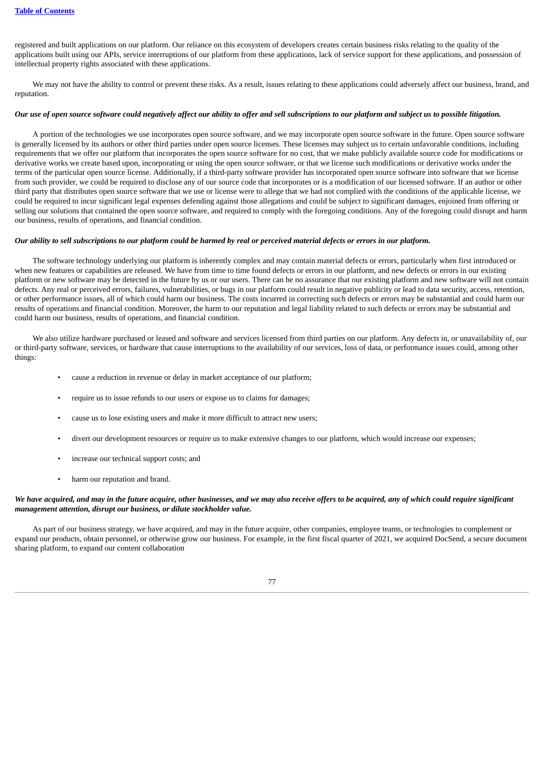registered and built applications on our platform. Our reliance on this ecosystem of developers creates certain business risks relating to the quality of the applications built using our APIs, service interruptions of our platform from these applications, lack of service support for these applications, and possession of intellectual property rights associated with these applications.

We may not have the ability to control or prevent these risks. As a result, issues relating to these applications could adversely affect our business, brand, and reputation.

# Our use of open source software could negatively affect our ability to offer and sell subscriptions to our platform and subject us to possible litigation.

A portion of the technologies we use incorporates open source software, and we may incorporate open source software in the future. Open source software is generally licensed by its authors or other third parties under open source licenses. These licenses may subject us to certain unfavorable conditions, including requirements that we offer our platform that incorporates the open source software for no cost, that we make publicly available source code for modifications or derivative works we create based upon, incorporating or using the open source software, or that we license such modifications or derivative works under the terms of the particular open source license. Additionally, if a third-party software provider has incorporated open source software into software that we license from such provider, we could be required to disclose any of our source code that incorporates or is a modification of our licensed software. If an author or other third party that distributes open source software that we use or license were to allege that we had not complied with the conditions of the applicable license, we could be required to incur significant legal expenses defending against those allegations and could be subject to significant damages, enjoined from offering or selling our solutions that contained the open source software, and required to comply with the foregoing conditions. Any of the foregoing could disrupt and harm our business, results of operations, and financial condition.

#### Our ability to sell subscriptions to our platform could be harmed by real or perceived material defects or errors in our platform.

The software technology underlying our platform is inherently complex and may contain material defects or errors, particularly when first introduced or when new features or capabilities are released. We have from time to time found defects or errors in our platform, and new defects or errors in our existing platform or new software may be detected in the future by us or our users. There can be no assurance that our existing platform and new software will not contain defects. Any real or perceived errors, failures, vulnerabilities, or bugs in our platform could result in negative publicity or lead to data security, access, retention, or other performance issues, all of which could harm our business. The costs incurred in correcting such defects or errors may be substantial and could harm our results of operations and financial condition. Moreover, the harm to our reputation and legal liability related to such defects or errors may be substantial and could harm our business, results of operations, and financial condition.

We also utilize hardware purchased or leased and software and services licensed from third parties on our platform. Any defects in, or unavailability of, our or third-party software, services, or hardware that cause interruptions to the availability of our services, loss of data, or performance issues could, among other things:

- cause a reduction in revenue or delay in market acceptance of our platform;
- require us to issue refunds to our users or expose us to claims for damages;
- cause us to lose existing users and make it more difficult to attract new users;
- divert our development resources or require us to make extensive changes to our platform, which would increase our expenses;
- increase our technical support costs; and
- harm our reputation and brand.

# We have acquired, and may in the future acquire, other businesses, and we may also receive offers to be acquired, any of which could require significant *management attention, disrupt our business, or dilute stockholder value.*

As part of our business strategy, we have acquired, and may in the future acquire, other companies, employee teams, or technologies to complement or expand our products, obtain personnel, or otherwise grow our business. For example, in the first fiscal quarter of 2021, we acquired DocSend, a secure document sharing platform, to expand our content collaboration

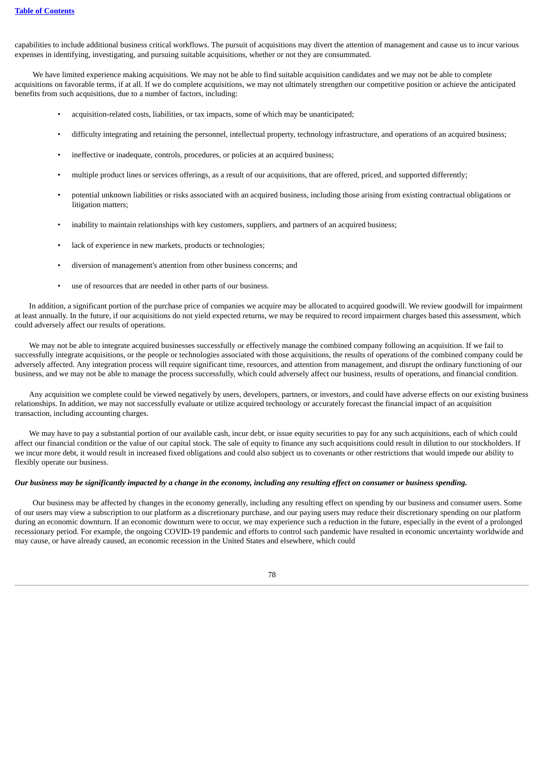capabilities to include additional business critical workflows. The pursuit of acquisitions may divert the attention of management and cause us to incur various expenses in identifying, investigating, and pursuing suitable acquisitions, whether or not they are consummated.

We have limited experience making acquisitions. We may not be able to find suitable acquisition candidates and we may not be able to complete acquisitions on favorable terms, if at all. If we do complete acquisitions, we may not ultimately strengthen our competitive position or achieve the anticipated benefits from such acquisitions, due to a number of factors, including:

- acquisition-related costs, liabilities, or tax impacts, some of which may be unanticipated;
- difficulty integrating and retaining the personnel, intellectual property, technology infrastructure, and operations of an acquired business;
- ineffective or inadequate, controls, procedures, or policies at an acquired business;
- multiple product lines or services offerings, as a result of our acquisitions, that are offered, priced, and supported differently;
- potential unknown liabilities or risks associated with an acquired business, including those arising from existing contractual obligations or litigation matters;
- inability to maintain relationships with key customers, suppliers, and partners of an acquired business;
- lack of experience in new markets, products or technologies;
- diversion of management's attention from other business concerns; and
- use of resources that are needed in other parts of our business.

In addition, a significant portion of the purchase price of companies we acquire may be allocated to acquired goodwill. We review goodwill for impairment at least annually. In the future, if our acquisitions do not yield expected returns, we may be required to record impairment charges based this assessment, which could adversely affect our results of operations.

We may not be able to integrate acquired businesses successfully or effectively manage the combined company following an acquisition. If we fail to successfully integrate acquisitions, or the people or technologies associated with those acquisitions, the results of operations of the combined company could be adversely affected. Any integration process will require significant time, resources, and attention from management, and disrupt the ordinary functioning of our business, and we may not be able to manage the process successfully, which could adversely affect our business, results of operations, and financial condition.

Any acquisition we complete could be viewed negatively by users, developers, partners, or investors, and could have adverse effects on our existing business relationships. In addition, we may not successfully evaluate or utilize acquired technology or accurately forecast the financial impact of an acquisition transaction, including accounting charges.

We may have to pay a substantial portion of our available cash, incur debt, or issue equity securities to pay for any such acquisitions, each of which could affect our financial condition or the value of our capital stock. The sale of equity to finance any such acquisitions could result in dilution to our stockholders. If we incur more debt, it would result in increased fixed obligations and could also subject us to covenants or other restrictions that would impede our ability to flexibly operate our business.

#### Our business may be significantly impacted by a change in the economy, including any resulting effect on consumer or business spending.

Our business may be affected by changes in the economy generally, including any resulting effect on spending by our business and consumer users. Some of our users may view a subscription to our platform as a discretionary purchase, and our paying users may reduce their discretionary spending on our platform during an economic downturn. If an economic downturn were to occur, we may experience such a reduction in the future, especially in the event of a prolonged recessionary period. For example, the ongoing COVID-19 pandemic and efforts to control such pandemic have resulted in economic uncertainty worldwide and may cause, or have already caused, an economic recession in the United States and elsewhere, which could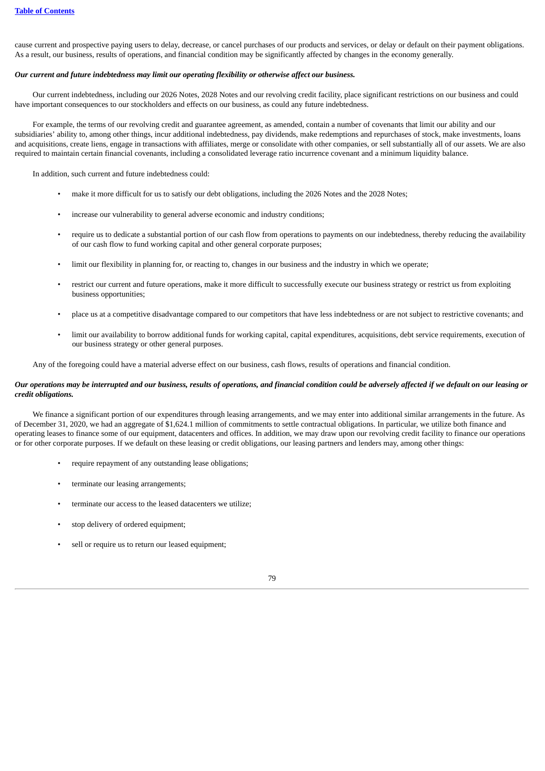cause current and prospective paying users to delay, decrease, or cancel purchases of our products and services, or delay or default on their payment obligations. As a result, our business, results of operations, and financial condition may be significantly affected by changes in the economy generally.

### *Our current and future indebtedness may limit our operating flexibility or otherwise affect our business.*

Our current indebtedness, including our 2026 Notes, 2028 Notes and our revolving credit facility, place significant restrictions on our business and could have important consequences to our stockholders and effects on our business, as could any future indebtedness.

For example, the terms of our revolving credit and guarantee agreement, as amended, contain a number of covenants that limit our ability and our subsidiaries' ability to, among other things, incur additional indebtedness, pay dividends, make redemptions and repurchases of stock, make investments, loans and acquisitions, create liens, engage in transactions with affiliates, merge or consolidate with other companies, or sell substantially all of our assets. We are also required to maintain certain financial covenants, including a consolidated leverage ratio incurrence covenant and a minimum liquidity balance.

In addition, such current and future indebtedness could:

- make it more difficult for us to satisfy our debt obligations, including the 2026 Notes and the 2028 Notes;
- increase our vulnerability to general adverse economic and industry conditions;
- require us to dedicate a substantial portion of our cash flow from operations to payments on our indebtedness, thereby reducing the availability of our cash flow to fund working capital and other general corporate purposes;
- limit our flexibility in planning for, or reacting to, changes in our business and the industry in which we operate;
- restrict our current and future operations, make it more difficult to successfully execute our business strategy or restrict us from exploiting business opportunities;
- place us at a competitive disadvantage compared to our competitors that have less indebtedness or are not subject to restrictive covenants; and
- limit our availability to borrow additional funds for working capital, capital expenditures, acquisitions, debt service requirements, execution of our business strategy or other general purposes.

Any of the foregoing could have a material adverse effect on our business, cash flows, results of operations and financial condition.

# Our operations may be interrupted and our business, results of operations, and financial condition could be adversely affected if we default on our leasing or *credit obligations.*

We finance a significant portion of our expenditures through leasing arrangements, and we may enter into additional similar arrangements in the future. As of December 31, 2020, we had an aggregate of \$1,624.1 million of commitments to settle contractual obligations. In particular, we utilize both finance and operating leases to finance some of our equipment, datacenters and offices. In addition, we may draw upon our revolving credit facility to finance our operations or for other corporate purposes. If we default on these leasing or credit obligations, our leasing partners and lenders may, among other things:

- require repayment of any outstanding lease obligations;
- terminate our leasing arrangements;
- terminate our access to the leased datacenters we utilize;
- stop delivery of ordered equipment;
- sell or require us to return our leased equipment;

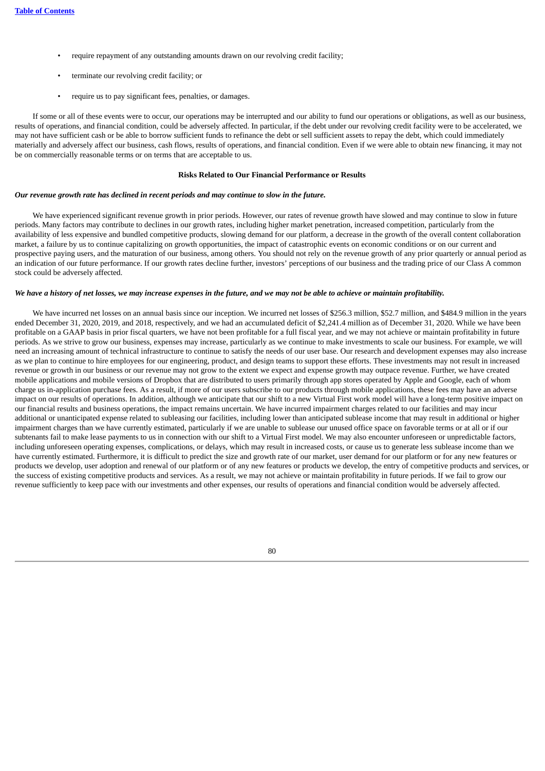- require repayment of any outstanding amounts drawn on our revolving credit facility;
- terminate our revolving credit facility; or
- require us to pay significant fees, penalties, or damages.

If some or all of these events were to occur, our operations may be interrupted and our ability to fund our operations or obligations, as well as our business, results of operations, and financial condition, could be adversely affected. In particular, if the debt under our revolving credit facility were to be accelerated, we may not have sufficient cash or be able to borrow sufficient funds to refinance the debt or sell sufficient assets to repay the debt, which could immediately materially and adversely affect our business, cash flows, results of operations, and financial condition. Even if we were able to obtain new financing, it may not be on commercially reasonable terms or on terms that are acceptable to us.

### **Risks Related to Our Financial Performance or Results**

### *Our revenue growth rate has declined in recent periods and may continue to slow in the future.*

We have experienced significant revenue growth in prior periods. However, our rates of revenue growth have slowed and may continue to slow in future periods. Many factors may contribute to declines in our growth rates, including higher market penetration, increased competition, particularly from the availability of less expensive and bundled competitive products, slowing demand for our platform, a decrease in the growth of the overall content collaboration market, a failure by us to continue capitalizing on growth opportunities, the impact of catastrophic events on economic conditions or on our current and prospective paying users, and the maturation of our business, among others. You should not rely on the revenue growth of any prior quarterly or annual period as an indication of our future performance. If our growth rates decline further, investors' perceptions of our business and the trading price of our Class A common stock could be adversely affected.

#### We have a history of net losses, we may increase expenses in the future, and we may not be able to achieve or maintain profitability.

We have incurred net losses on an annual basis since our inception. We incurred net losses of \$256.3 million, \$52.7 million, and \$484.9 million in the years ended December 31, 2020, 2019, and 2018, respectively, and we had an accumulated deficit of \$2,241.4 million as of December 31, 2020. While we have been profitable on a GAAP basis in prior fiscal quarters, we have not been profitable for a full fiscal year, and we may not achieve or maintain profitability in future periods. As we strive to grow our business, expenses may increase, particularly as we continue to make investments to scale our business. For example, we will need an increasing amount of technical infrastructure to continue to satisfy the needs of our user base. Our research and development expenses may also increase as we plan to continue to hire employees for our engineering, product, and design teams to support these efforts. These investments may not result in increased revenue or growth in our business or our revenue may not grow to the extent we expect and expense growth may outpace revenue. Further, we have created mobile applications and mobile versions of Dropbox that are distributed to users primarily through app stores operated by Apple and Google, each of whom charge us in-application purchase fees. As a result, if more of our users subscribe to our products through mobile applications, these fees may have an adverse impact on our results of operations. In addition, although we anticipate that our shift to a new Virtual First work model will have a long-term positive impact on our financial results and business operations, the impact remains uncertain. We have incurred impairment charges related to our facilities and may incur additional or unanticipated expense related to subleasing our facilities, including lower than anticipated sublease income that may result in additional or higher impairment charges than we have currently estimated, particularly if we are unable to sublease our unused office space on favorable terms or at all or if our subtenants fail to make lease payments to us in connection with our shift to a Virtual First model. We may also encounter unforeseen or unpredictable factors, including unforeseen operating expenses, complications, or delays, which may result in increased costs, or cause us to generate less sublease income than we have currently estimated. Furthermore, it is difficult to predict the size and growth rate of our market, user demand for our platform or for any new features or products we develop, user adoption and renewal of our platform or of any new features or products we develop, the entry of competitive products and services, or the success of existing competitive products and services. As a result, we may not achieve or maintain profitability in future periods. If we fail to grow our revenue sufficiently to keep pace with our investments and other expenses, our results of operations and financial condition would be adversely affected.

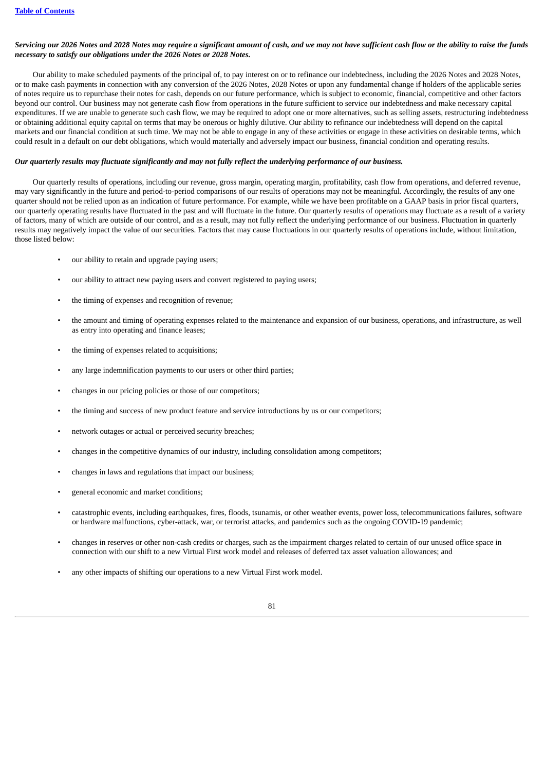# Servicing our 2026 Notes and 2028 Notes may require a significant amount of cash, and we may not have sufficient cash flow or the ability to raise the funds *necessary to satisfy our obligations under the 2026 Notes or 2028 Notes.*

Our ability to make scheduled payments of the principal of, to pay interest on or to refinance our indebtedness, including the 2026 Notes and 2028 Notes, or to make cash payments in connection with any conversion of the 2026 Notes, 2028 Notes or upon any fundamental change if holders of the applicable series of notes require us to repurchase their notes for cash, depends on our future performance, which is subject to economic, financial, competitive and other factors beyond our control. Our business may not generate cash flow from operations in the future sufficient to service our indebtedness and make necessary capital expenditures. If we are unable to generate such cash flow, we may be required to adopt one or more alternatives, such as selling assets, restructuring indebtedness or obtaining additional equity capital on terms that may be onerous or highly dilutive. Our ability to refinance our indebtedness will depend on the capital markets and our financial condition at such time. We may not be able to engage in any of these activities or engage in these activities on desirable terms, which could result in a default on our debt obligations, which would materially and adversely impact our business, financial condition and operating results.

#### Our quarterly results may fluctuate significantly and may not fully reflect the underlying performance of our business.

Our quarterly results of operations, including our revenue, gross margin, operating margin, profitability, cash flow from operations, and deferred revenue, may vary significantly in the future and period-to-period comparisons of our results of operations may not be meaningful. Accordingly, the results of any one quarter should not be relied upon as an indication of future performance. For example, while we have been profitable on a GAAP basis in prior fiscal quarters, our quarterly operating results have fluctuated in the past and will fluctuate in the future. Our quarterly results of operations may fluctuate as a result of a variety of factors, many of which are outside of our control, and as a result, may not fully reflect the underlying performance of our business. Fluctuation in quarterly results may negatively impact the value of our securities. Factors that may cause fluctuations in our quarterly results of operations include, without limitation, those listed below:

- our ability to retain and upgrade paying users;
- our ability to attract new paying users and convert registered to paying users;
- the timing of expenses and recognition of revenue;
- the amount and timing of operating expenses related to the maintenance and expansion of our business, operations, and infrastructure, as well as entry into operating and finance leases;
- the timing of expenses related to acquisitions;
- any large indemnification payments to our users or other third parties;
- changes in our pricing policies or those of our competitors;
- the timing and success of new product feature and service introductions by us or our competitors;
- network outages or actual or perceived security breaches;
- changes in the competitive dynamics of our industry, including consolidation among competitors;
- changes in laws and regulations that impact our business;
- general economic and market conditions;
- catastrophic events, including earthquakes, fires, floods, tsunamis, or other weather events, power loss, telecommunications failures, software or hardware malfunctions, cyber-attack, war, or terrorist attacks, and pandemics such as the ongoing COVID-19 pandemic;
- changes in reserves or other non-cash credits or charges, such as the impairment charges related to certain of our unused office space in connection with our shift to a new Virtual First work model and releases of deferred tax asset valuation allowances; and
- any other impacts of shifting our operations to a new Virtual First work model.

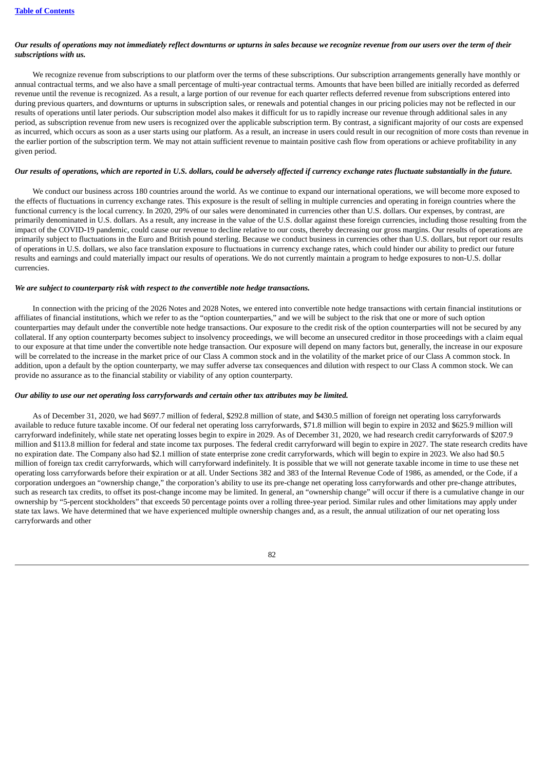# Our results of operations may not immediately reflect downturns or upturns in sales because we recognize revenue from our users over the term of their *subscriptions with us.*

We recognize revenue from subscriptions to our platform over the terms of these subscriptions. Our subscription arrangements generally have monthly or annual contractual terms, and we also have a small percentage of multi-year contractual terms. Amounts that have been billed are initially recorded as deferred revenue until the revenue is recognized. As a result, a large portion of our revenue for each quarter reflects deferred revenue from subscriptions entered into during previous quarters, and downturns or upturns in subscription sales, or renewals and potential changes in our pricing policies may not be reflected in our results of operations until later periods. Our subscription model also makes it difficult for us to rapidly increase our revenue through additional sales in any period, as subscription revenue from new users is recognized over the applicable subscription term. By contrast, a significant majority of our costs are expensed as incurred, which occurs as soon as a user starts using our platform. As a result, an increase in users could result in our recognition of more costs than revenue in the earlier portion of the subscription term. We may not attain sufficient revenue to maintain positive cash flow from operations or achieve profitability in any given period.

#### Our results of operations, which are reported in U.S. dollars, could be adversely affected if currency exchange rates fluctuate substantially in the future.

We conduct our business across 180 countries around the world. As we continue to expand our international operations, we will become more exposed to the effects of fluctuations in currency exchange rates. This exposure is the result of selling in multiple currencies and operating in foreign countries where the functional currency is the local currency. In 2020, 29% of our sales were denominated in currencies other than U.S. dollars. Our expenses, by contrast, are primarily denominated in U.S. dollars. As a result, any increase in the value of the U.S. dollar against these foreign currencies, including those resulting from the impact of the COVID-19 pandemic, could cause our revenue to decline relative to our costs, thereby decreasing our gross margins. Our results of operations are primarily subject to fluctuations in the Euro and British pound sterling. Because we conduct business in currencies other than U.S. dollars, but report our results of operations in U.S. dollars, we also face translation exposure to fluctuations in currency exchange rates, which could hinder our ability to predict our future results and earnings and could materially impact our results of operations. We do not currently maintain a program to hedge exposures to non-U.S. dollar currencies.

### *We are subject to counterparty risk with respect to the convertible note hedge transactions.*

In connection with the pricing of the 2026 Notes and 2028 Notes, we entered into convertible note hedge transactions with certain financial institutions or affiliates of financial institutions, which we refer to as the "option counterparties," and we will be subject to the risk that one or more of such option counterparties may default under the convertible note hedge transactions. Our exposure to the credit risk of the option counterparties will not be secured by any collateral. If any option counterparty becomes subject to insolvency proceedings, we will become an unsecured creditor in those proceedings with a claim equal to our exposure at that time under the convertible note hedge transaction. Our exposure will depend on many factors but, generally, the increase in our exposure will be correlated to the increase in the market price of our Class A common stock and in the volatility of the market price of our Class A common stock. In addition, upon a default by the option counterparty, we may suffer adverse tax consequences and dilution with respect to our Class A common stock. We can provide no assurance as to the financial stability or viability of any option counterparty.

### *Our ability to use our net operating loss carryforwards and certain other tax attributes may be limited.*

As of December 31, 2020, we had \$697.7 million of federal, \$292.8 million of state, and \$430.5 million of foreign net operating loss carryforwards available to reduce future taxable income. Of our federal net operating loss carryforwards, \$71.8 million will begin to expire in 2032 and \$625.9 million will carryforward indefinitely, while state net operating losses begin to expire in 2029. As of December 31, 2020, we had research credit carryforwards of \$207.9 million and \$113.8 million for federal and state income tax purposes. The federal credit carryforward will begin to expire in 2027. The state research credits have no expiration date. The Company also had \$2.1 million of state enterprise zone credit carryforwards, which will begin to expire in 2023. We also had \$0.5 million of foreign tax credit carryforwards, which will carryforward indefinitely. It is possible that we will not generate taxable income in time to use these net operating loss carryforwards before their expiration or at all. Under Sections 382 and 383 of the Internal Revenue Code of 1986, as amended, or the Code, if a corporation undergoes an "ownership change," the corporation's ability to use its pre-change net operating loss carryforwards and other pre-change attributes, such as research tax credits, to offset its post-change income may be limited. In general, an "ownership change" will occur if there is a cumulative change in our ownership by "5-percent stockholders" that exceeds 50 percentage points over a rolling three-year period. Similar rules and other limitations may apply under state tax laws. We have determined that we have experienced multiple ownership changes and, as a result, the annual utilization of our net operating loss carryforwards and other

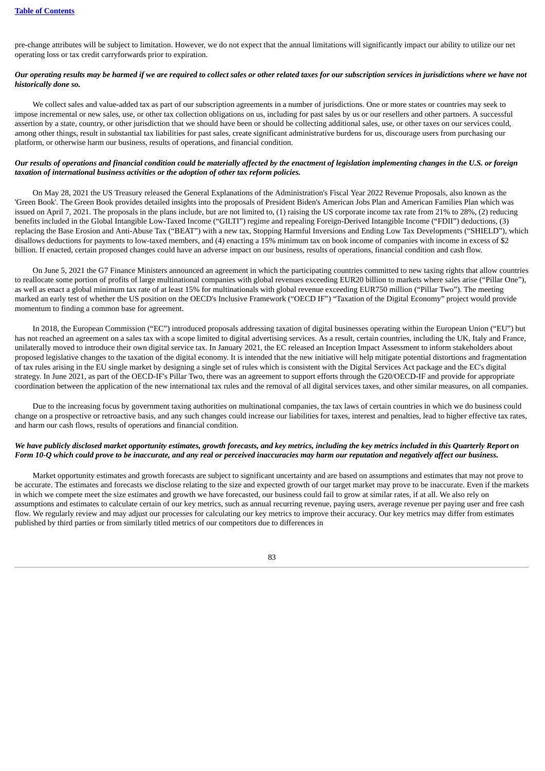pre-change attributes will be subject to limitation. However, we do not expect that the annual limitations will significantly impact our ability to utilize our net operating loss or tax credit carryforwards prior to expiration.

# Our operating results may be harmed if we are required to collect sales or other related taxes for our subscription services in jurisdictions where we have not *historically done so.*

We collect sales and value-added tax as part of our subscription agreements in a number of jurisdictions. One or more states or countries may seek to impose incremental or new sales, use, or other tax collection obligations on us, including for past sales by us or our resellers and other partners. A successful assertion by a state, country, or other jurisdiction that we should have been or should be collecting additional sales, use, or other taxes on our services could, among other things, result in substantial tax liabilities for past sales, create significant administrative burdens for us, discourage users from purchasing our platform, or otherwise harm our business, results of operations, and financial condition.

### Our results of operations and financial condition could be materially affected by the enactment of legislation implementing changes in the U.S. or foreign *taxation of international business activities or the adoption of other tax reform policies.*

On May 28, 2021 the US Treasury released the General Explanations of the Administration's Fiscal Year 2022 Revenue Proposals, also known as the 'Green Book'. The Green Book provides detailed insights into the proposals of President Biden's American Jobs Plan and American Families Plan which was issued on April 7, 2021. The proposals in the plans include, but are not limited to, (1) raising the US corporate income tax rate from 21% to 28%, (2) reducing benefits included in the Global Intangible Low-Taxed Income ("GILTI") regime and repealing Foreign-Derived Intangible Income ("FDII") deductions, (3) replacing the Base Erosion and Anti-Abuse Tax ("BEAT") with a new tax, Stopping Harmful Inversions and Ending Low Tax Developments ("SHIELD"), which disallows deductions for payments to low-taxed members, and (4) enacting a 15% minimum tax on book income of companies with income in excess of \$2 billion. If enacted, certain proposed changes could have an adverse impact on our business, results of operations, financial condition and cash flow.

On June 5, 2021 the G7 Finance Ministers announced an agreement in which the participating countries committed to new taxing rights that allow countries to reallocate some portion of profits of large multinational companies with global revenues exceeding EUR20 billion to markets where sales arise ("Pillar One"), as well as enact a global minimum tax rate of at least 15% for multinationals with global revenue exceeding EUR750 million ("Pillar Two"). The meeting marked an early test of whether the US position on the OECD's Inclusive Framework ("OECD IF") "Taxation of the Digital Economy" project would provide momentum to finding a common base for agreement.

In 2018, the European Commission ("EC") introduced proposals addressing taxation of digital businesses operating within the European Union ("EU") but has not reached an agreement on a sales tax with a scope limited to digital advertising services. As a result, certain countries, including the UK, Italy and France, unilaterally moved to introduce their own digital service tax. In January 2021, the EC released an Inception Impact Assessment to inform stakeholders about proposed legislative changes to the taxation of the digital economy. It is intended that the new initiative will help mitigate potential distortions and fragmentation of tax rules arising in the EU single market by designing a single set of rules which is consistent with the Digital Services Act package and the EC's digital strategy. In June 2021, as part of the OECD-IF's Pillar Two, there was an agreement to support efforts through the G20/OECD-IF and provide for appropriate coordination between the application of the new international tax rules and the removal of all digital services taxes, and other similar measures, on all companies.

Due to the increasing focus by government taxing authorities on multinational companies, the tax laws of certain countries in which we do business could change on a prospective or retroactive basis, and any such changes could increase our liabilities for taxes, interest and penalties, lead to higher effective tax rates, and harm our cash flows, results of operations and financial condition.

### We have publicly disclosed market opportunity estimates, growth forecasts, and key metrics, including the key metrics included in this Quarterly Report on Form 10-Q which could prove to be inaccurate, and any real or perceived inaccuracies may harm our reputation and negatively affect our business.

Market opportunity estimates and growth forecasts are subject to significant uncertainty and are based on assumptions and estimates that may not prove to be accurate. The estimates and forecasts we disclose relating to the size and expected growth of our target market may prove to be inaccurate. Even if the markets in which we compete meet the size estimates and growth we have forecasted, our business could fail to grow at similar rates, if at all. We also rely on assumptions and estimates to calculate certain of our key metrics, such as annual recurring revenue, paying users, average revenue per paying user and free cash flow. We regularly review and may adjust our processes for calculating our key metrics to improve their accuracy. Our key metrics may differ from estimates published by third parties or from similarly titled metrics of our competitors due to differences in

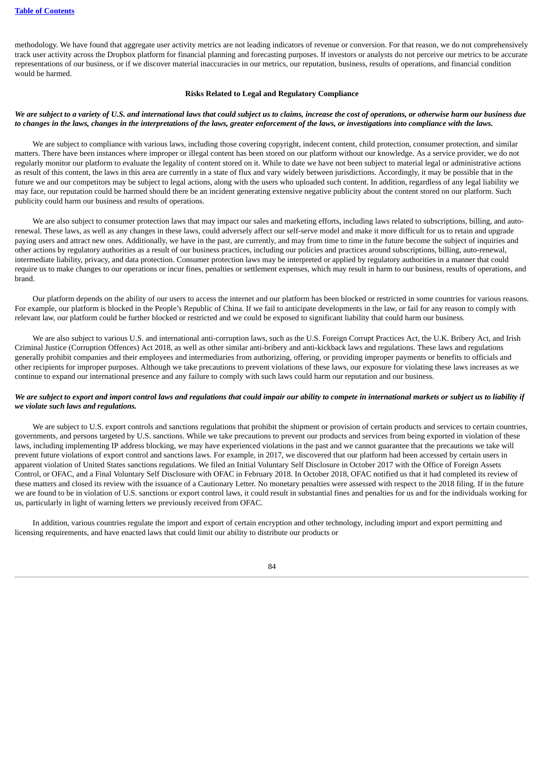methodology. We have found that aggregate user activity metrics are not leading indicators of revenue or conversion. For that reason, we do not comprehensively track user activity across the Dropbox platform for financial planning and forecasting purposes. If investors or analysts do not perceive our metrics to be accurate representations of our business, or if we discover material inaccuracies in our metrics, our reputation, business, results of operations, and financial condition would be harmed.

### **Risks Related to Legal and Regulatory Compliance**

## We are subject to a variety of U.S. and international laws that could subject us to claims, increase the cost of operations, or otherwise harm our business due to changes in the laws, changes in the interpretations of the laws, greater enforcement of the laws, or investigations into compliance with the laws.

We are subject to compliance with various laws, including those covering copyright, indecent content, child protection, consumer protection, and similar matters. There have been instances where improper or illegal content has been stored on our platform without our knowledge. As a service provider, we do not regularly monitor our platform to evaluate the legality of content stored on it. While to date we have not been subject to material legal or administrative actions as result of this content, the laws in this area are currently in a state of flux and vary widely between jurisdictions. Accordingly, it may be possible that in the future we and our competitors may be subject to legal actions, along with the users who uploaded such content. In addition, regardless of any legal liability we may face, our reputation could be harmed should there be an incident generating extensive negative publicity about the content stored on our platform. Such publicity could harm our business and results of operations.

We are also subject to consumer protection laws that may impact our sales and marketing efforts, including laws related to subscriptions, billing, and autorenewal. These laws, as well as any changes in these laws, could adversely affect our self-serve model and make it more difficult for us to retain and upgrade paying users and attract new ones. Additionally, we have in the past, are currently, and may from time to time in the future become the subject of inquiries and other actions by regulatory authorities as a result of our business practices, including our policies and practices around subscriptions, billing, auto-renewal, intermediate liability, privacy, and data protection. Consumer protection laws may be interpreted or applied by regulatory authorities in a manner that could require us to make changes to our operations or incur fines, penalties or settlement expenses, which may result in harm to our business, results of operations, and brand.

Our platform depends on the ability of our users to access the internet and our platform has been blocked or restricted in some countries for various reasons. For example, our platform is blocked in the People's Republic of China. If we fail to anticipate developments in the law, or fail for any reason to comply with relevant law, our platform could be further blocked or restricted and we could be exposed to significant liability that could harm our business.

We are also subject to various U.S. and international anti-corruption laws, such as the U.S. Foreign Corrupt Practices Act, the U.K. Bribery Act, and Irish Criminal Justice (Corruption Offences) Act 2018, as well as other similar anti-bribery and anti-kickback laws and regulations. These laws and regulations generally prohibit companies and their employees and intermediaries from authorizing, offering, or providing improper payments or benefits to officials and other recipients for improper purposes. Although we take precautions to prevent violations of these laws, our exposure for violating these laws increases as we continue to expand our international presence and any failure to comply with such laws could harm our reputation and our business.

### We are subject to export and import control laws and regulations that could impair our ability to compete in international markets or subject us to liability if *we violate such laws and regulations.*

We are subject to U.S. export controls and sanctions regulations that prohibit the shipment or provision of certain products and services to certain countries, governments, and persons targeted by U.S. sanctions. While we take precautions to prevent our products and services from being exported in violation of these laws, including implementing IP address blocking, we may have experienced violations in the past and we cannot guarantee that the precautions we take will prevent future violations of export control and sanctions laws. For example, in 2017, we discovered that our platform had been accessed by certain users in apparent violation of United States sanctions regulations. We filed an Initial Voluntary Self Disclosure in October 2017 with the Office of Foreign Assets Control, or OFAC, and a Final Voluntary Self Disclosure with OFAC in February 2018. In October 2018, OFAC notified us that it had completed its review of these matters and closed its review with the issuance of a Cautionary Letter. No monetary penalties were assessed with respect to the 2018 filing. If in the future we are found to be in violation of U.S. sanctions or export control laws, it could result in substantial fines and penalties for us and for the individuals working for us, particularly in light of warning letters we previously received from OFAC.

In addition, various countries regulate the import and export of certain encryption and other technology, including import and export permitting and licensing requirements, and have enacted laws that could limit our ability to distribute our products or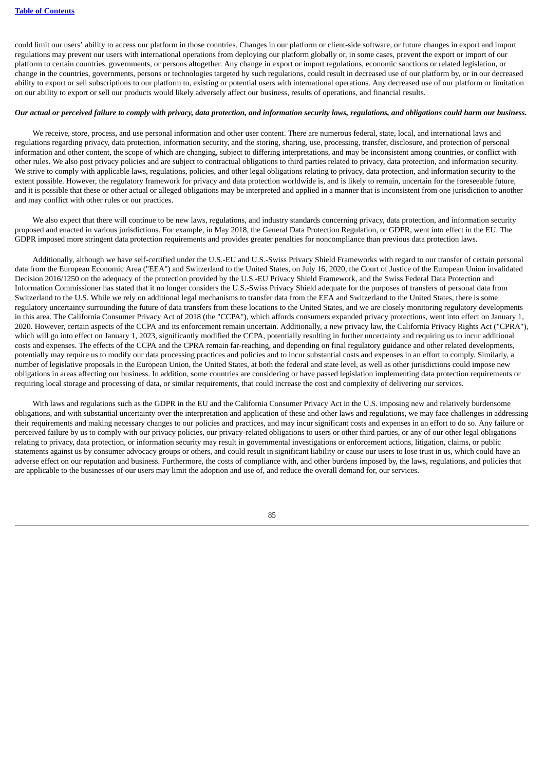could limit our users' ability to access our platform in those countries. Changes in our platform or client-side software, or future changes in export and import regulations may prevent our users with international operations from deploying our platform globally or, in some cases, prevent the export or import of our platform to certain countries, governments, or persons altogether. Any change in export or import regulations, economic sanctions or related legislation, or change in the countries, governments, persons or technologies targeted by such regulations, could result in decreased use of our platform by, or in our decreased ability to export or sell subscriptions to our platform to, existing or potential users with international operations. Any decreased use of our platform or limitation on our ability to export or sell our products would likely adversely affect our business, results of operations, and financial results.

#### Our actual or perceived failure to comply with privacy, data protection, and information security laws, regulations, and obligations could harm our business.

We receive, store, process, and use personal information and other user content. There are numerous federal, state, local, and international laws and regulations regarding privacy, data protection, information security, and the storing, sharing, use, processing, transfer, disclosure, and protection of personal information and other content, the scope of which are changing, subject to differing interpretations, and may be inconsistent among countries, or conflict with other rules. We also post privacy policies and are subject to contractual obligations to third parties related to privacy, data protection, and information security. We strive to comply with applicable laws, regulations, policies, and other legal obligations relating to privacy, data protection, and information security to the extent possible. However, the regulatory framework for privacy and data protection worldwide is, and is likely to remain, uncertain for the foreseeable future, and it is possible that these or other actual or alleged obligations may be interpreted and applied in a manner that is inconsistent from one jurisdiction to another and may conflict with other rules or our practices.

We also expect that there will continue to be new laws, regulations, and industry standards concerning privacy, data protection, and information security proposed and enacted in various jurisdictions. For example, in May 2018, the General Data Protection Regulation, or GDPR, went into effect in the EU. The GDPR imposed more stringent data protection requirements and provides greater penalties for noncompliance than previous data protection laws.

Additionally, although we have self-certified under the U.S.-EU and U.S.-Swiss Privacy Shield Frameworks with regard to our transfer of certain personal data from the European Economic Area ("EEA") and Switzerland to the United States, on July 16, 2020, the Court of Justice of the European Union invalidated Decision 2016/1250 on the adequacy of the protection provided by the U.S.-EU Privacy Shield Framework, and the Swiss Federal Data Protection and Information Commissioner has stated that it no longer considers the U.S.-Swiss Privacy Shield adequate for the purposes of transfers of personal data from Switzerland to the U.S. While we rely on additional legal mechanisms to transfer data from the EEA and Switzerland to the United States, there is some regulatory uncertainty surrounding the future of data transfers from these locations to the United States, and we are closely monitoring regulatory developments in this area. The California Consumer Privacy Act of 2018 (the "CCPA"), which affords consumers expanded privacy protections, went into effect on January 1, 2020. However, certain aspects of the CCPA and its enforcement remain uncertain. Additionally, a new privacy law, the California Privacy Rights Act ("CPRA"), which will go into effect on January 1, 2023, significantly modified the CCPA, potentially resulting in further uncertainty and requiring us to incur additional costs and expenses. The effects of the CCPA and the CPRA remain far-reaching, and depending on final regulatory guidance and other related developments, potentially may require us to modify our data processing practices and policies and to incur substantial costs and expenses in an effort to comply. Similarly, a number of legislative proposals in the European Union, the United States, at both the federal and state level, as well as other jurisdictions could impose new obligations in areas affecting our business. In addition, some countries are considering or have passed legislation implementing data protection requirements or requiring local storage and processing of data, or similar requirements, that could increase the cost and complexity of delivering our services.

With laws and regulations such as the GDPR in the EU and the California Consumer Privacy Act in the U.S. imposing new and relatively burdensome obligations, and with substantial uncertainty over the interpretation and application of these and other laws and regulations, we may face challenges in addressing their requirements and making necessary changes to our policies and practices, and may incur significant costs and expenses in an effort to do so. Any failure or perceived failure by us to comply with our privacy policies, our privacy-related obligations to users or other third parties, or any of our other legal obligations relating to privacy, data protection, or information security may result in governmental investigations or enforcement actions, litigation, claims, or public statements against us by consumer advocacy groups or others, and could result in significant liability or cause our users to lose trust in us, which could have an adverse effect on our reputation and business. Furthermore, the costs of compliance with, and other burdens imposed by, the laws, regulations, and policies that are applicable to the businesses of our users may limit the adoption and use of, and reduce the overall demand for, our services.

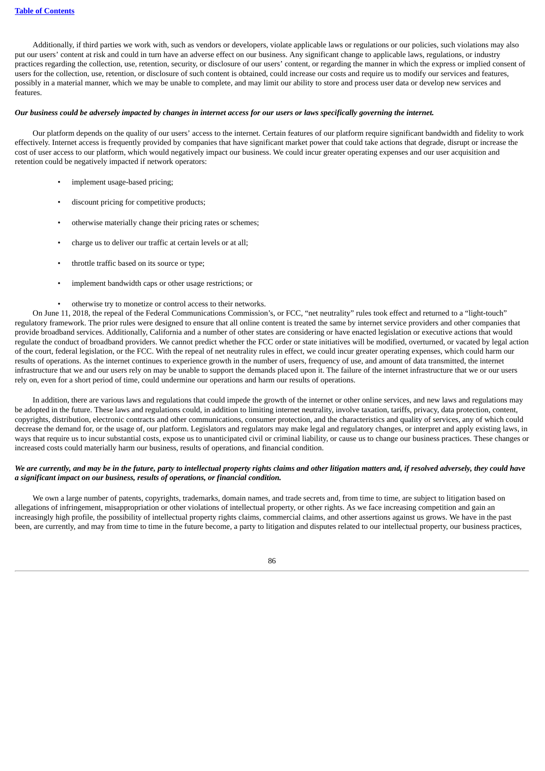Additionally, if third parties we work with, such as vendors or developers, violate applicable laws or regulations or our policies, such violations may also put our users' content at risk and could in turn have an adverse effect on our business. Any significant change to applicable laws, regulations, or industry practices regarding the collection, use, retention, security, or disclosure of our users' content, or regarding the manner in which the express or implied consent of users for the collection, use, retention, or disclosure of such content is obtained, could increase our costs and require us to modify our services and features, possibly in a material manner, which we may be unable to complete, and may limit our ability to store and process user data or develop new services and features.

#### Our business could be adversely impacted by changes in internet access for our users or laws specifically governing the internet.

Our platform depends on the quality of our users' access to the internet. Certain features of our platform require significant bandwidth and fidelity to work effectively. Internet access is frequently provided by companies that have significant market power that could take actions that degrade, disrupt or increase the cost of user access to our platform, which would negatively impact our business. We could incur greater operating expenses and our user acquisition and retention could be negatively impacted if network operators:

- implement usage-based pricing;
- discount pricing for competitive products;
- otherwise materially change their pricing rates or schemes;
- charge us to deliver our traffic at certain levels or at all;
- throttle traffic based on its source or type;
- implement bandwidth caps or other usage restrictions; or
- otherwise try to monetize or control access to their networks.

On June 11, 2018, the repeal of the Federal Communications Commission's, or FCC, "net neutrality" rules took effect and returned to a "light-touch" regulatory framework. The prior rules were designed to ensure that all online content is treated the same by internet service providers and other companies that provide broadband services. Additionally, California and a number of other states are considering or have enacted legislation or executive actions that would regulate the conduct of broadband providers. We cannot predict whether the FCC order or state initiatives will be modified, overturned, or vacated by legal action of the court, federal legislation, or the FCC. With the repeal of net neutrality rules in effect, we could incur greater operating expenses, which could harm our results of operations. As the internet continues to experience growth in the number of users, frequency of use, and amount of data transmitted, the internet infrastructure that we and our users rely on may be unable to support the demands placed upon it. The failure of the internet infrastructure that we or our users rely on, even for a short period of time, could undermine our operations and harm our results of operations.

In addition, there are various laws and regulations that could impede the growth of the internet or other online services, and new laws and regulations may be adopted in the future. These laws and regulations could, in addition to limiting internet neutrality, involve taxation, tariffs, privacy, data protection, content, copyrights, distribution, electronic contracts and other communications, consumer protection, and the characteristics and quality of services, any of which could decrease the demand for, or the usage of, our platform. Legislators and regulators may make legal and regulatory changes, or interpret and apply existing laws, in ways that require us to incur substantial costs, expose us to unanticipated civil or criminal liability, or cause us to change our business practices. These changes or increased costs could materially harm our business, results of operations, and financial condition.

# We are currently, and may be in the future, party to intellectual property rights claims and other litigation matters and, if resolved adversely, they could have *a significant impact on our business, results of operations, or financial condition.*

We own a large number of patents, copyrights, trademarks, domain names, and trade secrets and, from time to time, are subject to litigation based on allegations of infringement, misappropriation or other violations of intellectual property, or other rights. As we face increasing competition and gain an increasingly high profile, the possibility of intellectual property rights claims, commercial claims, and other assertions against us grows. We have in the past been, are currently, and may from time to time in the future become, a party to litigation and disputes related to our intellectual property, our business practices,

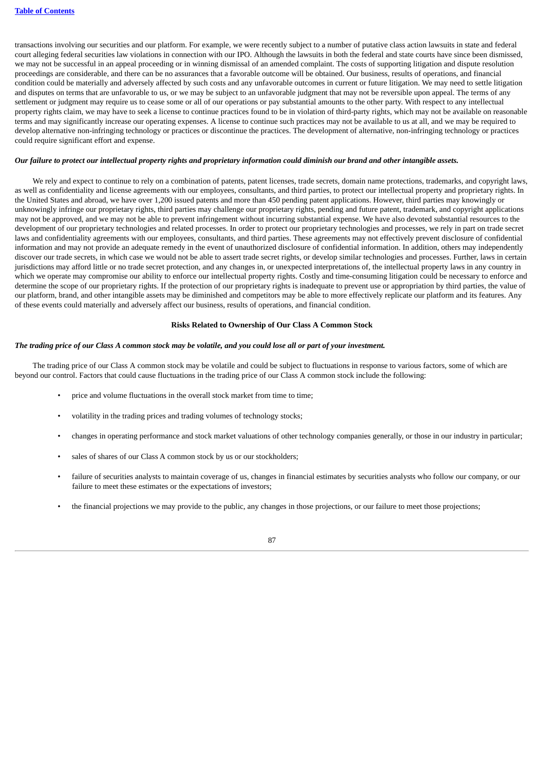transactions involving our securities and our platform. For example, we were recently subject to a number of putative class action lawsuits in state and federal court alleging federal securities law violations in connection with our IPO. Although the lawsuits in both the federal and state courts have since been dismissed, we may not be successful in an appeal proceeding or in winning dismissal of an amended complaint. The costs of supporting litigation and dispute resolution proceedings are considerable, and there can be no assurances that a favorable outcome will be obtained. Our business, results of operations, and financial condition could be materially and adversely affected by such costs and any unfavorable outcomes in current or future litigation. We may need to settle litigation and disputes on terms that are unfavorable to us, or we may be subject to an unfavorable judgment that may not be reversible upon appeal. The terms of any settlement or judgment may require us to cease some or all of our operations or pay substantial amounts to the other party. With respect to any intellectual property rights claim, we may have to seek a license to continue practices found to be in violation of third-party rights, which may not be available on reasonable terms and may significantly increase our operating expenses. A license to continue such practices may not be available to us at all, and we may be required to develop alternative non-infringing technology or practices or discontinue the practices. The development of alternative, non-infringing technology or practices could require significant effort and expense.

#### Our failure to protect our intellectual property rights and proprietary information could diminish our brand and other intangible assets.

We rely and expect to continue to rely on a combination of patents, patent licenses, trade secrets, domain name protections, trademarks, and copyright laws, as well as confidentiality and license agreements with our employees, consultants, and third parties, to protect our intellectual property and proprietary rights. In the United States and abroad, we have over 1,200 issued patents and more than 450 pending patent applications. However, third parties may knowingly or unknowingly infringe our proprietary rights, third parties may challenge our proprietary rights, pending and future patent, trademark, and copyright applications may not be approved, and we may not be able to prevent infringement without incurring substantial expense. We have also devoted substantial resources to the development of our proprietary technologies and related processes. In order to protect our proprietary technologies and processes, we rely in part on trade secret laws and confidentiality agreements with our employees, consultants, and third parties. These agreements may not effectively prevent disclosure of confidential information and may not provide an adequate remedy in the event of unauthorized disclosure of confidential information. In addition, others may independently discover our trade secrets, in which case we would not be able to assert trade secret rights, or develop similar technologies and processes. Further, laws in certain jurisdictions may afford little or no trade secret protection, and any changes in, or unexpected interpretations of, the intellectual property laws in any country in which we operate may compromise our ability to enforce our intellectual property rights. Costly and time-consuming litigation could be necessary to enforce and determine the scope of our proprietary rights. If the protection of our proprietary rights is inadequate to prevent use or appropriation by third parties, the value of our platform, brand, and other intangible assets may be diminished and competitors may be able to more effectively replicate our platform and its features. Any of these events could materially and adversely affect our business, results of operations, and financial condition.

#### **Risks Related to Ownership of Our Class A Common Stock**

#### The trading price of our Class A common stock may be volatile, and you could lose all or part of your investment.

The trading price of our Class A common stock may be volatile and could be subject to fluctuations in response to various factors, some of which are beyond our control. Factors that could cause fluctuations in the trading price of our Class A common stock include the following:

- price and volume fluctuations in the overall stock market from time to time;
- volatility in the trading prices and trading volumes of technology stocks;
- changes in operating performance and stock market valuations of other technology companies generally, or those in our industry in particular;
- sales of shares of our Class A common stock by us or our stockholders;
- failure of securities analysts to maintain coverage of us, changes in financial estimates by securities analysts who follow our company, or our failure to meet these estimates or the expectations of investors;
- the financial projections we may provide to the public, any changes in those projections, or our failure to meet those projections;

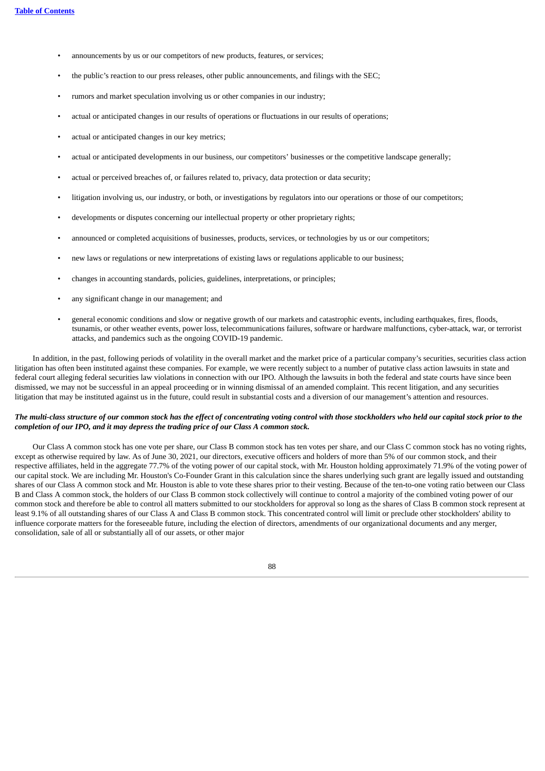- announcements by us or our competitors of new products, features, or services;
- the public's reaction to our press releases, other public announcements, and filings with the SEC;
- rumors and market speculation involving us or other companies in our industry;
- actual or anticipated changes in our results of operations or fluctuations in our results of operations;
- actual or anticipated changes in our key metrics;
- actual or anticipated developments in our business, our competitors' businesses or the competitive landscape generally;
- actual or perceived breaches of, or failures related to, privacy, data protection or data security;
- litigation involving us, our industry, or both, or investigations by regulators into our operations or those of our competitors;
- developments or disputes concerning our intellectual property or other proprietary rights;
- announced or completed acquisitions of businesses, products, services, or technologies by us or our competitors;
- new laws or regulations or new interpretations of existing laws or regulations applicable to our business;
- changes in accounting standards, policies, guidelines, interpretations, or principles;
- any significant change in our management; and
- general economic conditions and slow or negative growth of our markets and catastrophic events, including earthquakes, fires, floods, tsunamis, or other weather events, power loss, telecommunications failures, software or hardware malfunctions, cyber-attack, war, or terrorist attacks, and pandemics such as the ongoing COVID-19 pandemic.

In addition, in the past, following periods of volatility in the overall market and the market price of a particular company's securities, securities class action litigation has often been instituted against these companies. For example, we were recently subject to a number of putative class action lawsuits in state and federal court alleging federal securities law violations in connection with our IPO. Although the lawsuits in both the federal and state courts have since been dismissed, we may not be successful in an appeal proceeding or in winning dismissal of an amended complaint. This recent litigation, and any securities litigation that may be instituted against us in the future, could result in substantial costs and a diversion of our management's attention and resources.

# The multi-class structure of our common stock has the effect of concentrating voting control with those stockholders who held our capital stock prior to the *completion of our IPO, and it may depress the trading price of our Class A common stock.*

Our Class A common stock has one vote per share, our Class B common stock has ten votes per share, and our Class C common stock has no voting rights, except as otherwise required by law. As of June 30, 2021, our directors, executive officers and holders of more than 5% of our common stock, and their respective affiliates, held in the aggregate 77.7% of the voting power of our capital stock, with Mr. Houston holding approximately 71.9% of the voting power of our capital stock. We are including Mr. Houston's Co-Founder Grant in this calculation since the shares underlying such grant are legally issued and outstanding shares of our Class A common stock and Mr. Houston is able to vote these shares prior to their vesting. Because of the ten-to-one voting ratio between our Class B and Class A common stock, the holders of our Class B common stock collectively will continue to control a majority of the combined voting power of our common stock and therefore be able to control all matters submitted to our stockholders for approval so long as the shares of Class B common stock represent at least 9.1% of all outstanding shares of our Class A and Class B common stock. This concentrated control will limit or preclude other stockholders' ability to influence corporate matters for the foreseeable future, including the election of directors, amendments of our organizational documents and any merger, consolidation, sale of all or substantially all of our assets, or other major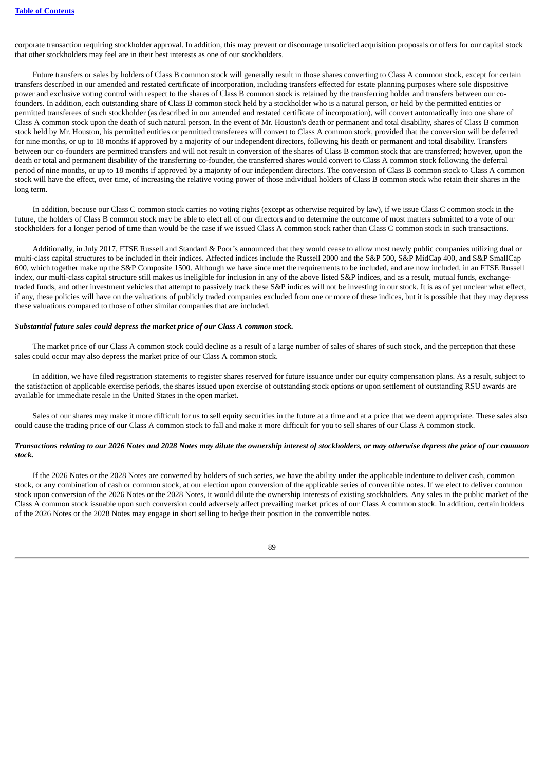corporate transaction requiring stockholder approval. In addition, this may prevent or discourage unsolicited acquisition proposals or offers for our capital stock that other stockholders may feel are in their best interests as one of our stockholders.

Future transfers or sales by holders of Class B common stock will generally result in those shares converting to Class A common stock, except for certain transfers described in our amended and restated certificate of incorporation, including transfers effected for estate planning purposes where sole dispositive power and exclusive voting control with respect to the shares of Class B common stock is retained by the transferring holder and transfers between our cofounders. In addition, each outstanding share of Class B common stock held by a stockholder who is a natural person, or held by the permitted entities or permitted transferees of such stockholder (as described in our amended and restated certificate of incorporation), will convert automatically into one share of Class A common stock upon the death of such natural person. In the event of Mr. Houston's death or permanent and total disability, shares of Class B common stock held by Mr. Houston, his permitted entities or permitted transferees will convert to Class A common stock, provided that the conversion will be deferred for nine months, or up to 18 months if approved by a majority of our independent directors, following his death or permanent and total disability. Transfers between our co-founders are permitted transfers and will not result in conversion of the shares of Class B common stock that are transferred; however, upon the death or total and permanent disability of the transferring co-founder, the transferred shares would convert to Class A common stock following the deferral period of nine months, or up to 18 months if approved by a majority of our independent directors. The conversion of Class B common stock to Class A common stock will have the effect, over time, of increasing the relative voting power of those individual holders of Class B common stock who retain their shares in the long term.

In addition, because our Class C common stock carries no voting rights (except as otherwise required by law), if we issue Class C common stock in the future, the holders of Class B common stock may be able to elect all of our directors and to determine the outcome of most matters submitted to a vote of our stockholders for a longer period of time than would be the case if we issued Class A common stock rather than Class C common stock in such transactions.

Additionally, in July 2017, FTSE Russell and Standard & Poor's announced that they would cease to allow most newly public companies utilizing dual or multi-class capital structures to be included in their indices. Affected indices include the Russell 2000 and the S&P 500, S&P MidCap 400, and S&P SmallCap 600, which together make up the S&P Composite 1500. Although we have since met the requirements to be included, and are now included, in an FTSE Russell index, our multi-class capital structure still makes us ineligible for inclusion in any of the above listed S&P indices, and as a result, mutual funds, exchangetraded funds, and other investment vehicles that attempt to passively track these S&P indices will not be investing in our stock. It is as of yet unclear what effect, if any, these policies will have on the valuations of publicly traded companies excluded from one or more of these indices, but it is possible that they may depress these valuations compared to those of other similar companies that are included.

## *Substantial future sales could depress the market price of our Class A common stock.*

The market price of our Class A common stock could decline as a result of a large number of sales of shares of such stock, and the perception that these sales could occur may also depress the market price of our Class A common stock.

In addition, we have filed registration statements to register shares reserved for future issuance under our equity compensation plans. As a result, subject to the satisfaction of applicable exercise periods, the shares issued upon exercise of outstanding stock options or upon settlement of outstanding RSU awards are available for immediate resale in the United States in the open market.

Sales of our shares may make it more difficult for us to sell equity securities in the future at a time and at a price that we deem appropriate. These sales also could cause the trading price of our Class A common stock to fall and make it more difficult for you to sell shares of our Class A common stock.

### Transactions relating to our 2026 Notes and 2028 Notes may dilute the ownership interest of stockholders, or may otherwise depress the price of our common *stock.*

If the 2026 Notes or the 2028 Notes are converted by holders of such series, we have the ability under the applicable indenture to deliver cash, common stock, or any combination of cash or common stock, at our election upon conversion of the applicable series of convertible notes. If we elect to deliver common stock upon conversion of the 2026 Notes or the 2028 Notes, it would dilute the ownership interests of existing stockholders. Any sales in the public market of the Class A common stock issuable upon such conversion could adversely affect prevailing market prices of our Class A common stock. In addition, certain holders of the 2026 Notes or the 2028 Notes may engage in short selling to hedge their position in the convertible notes.

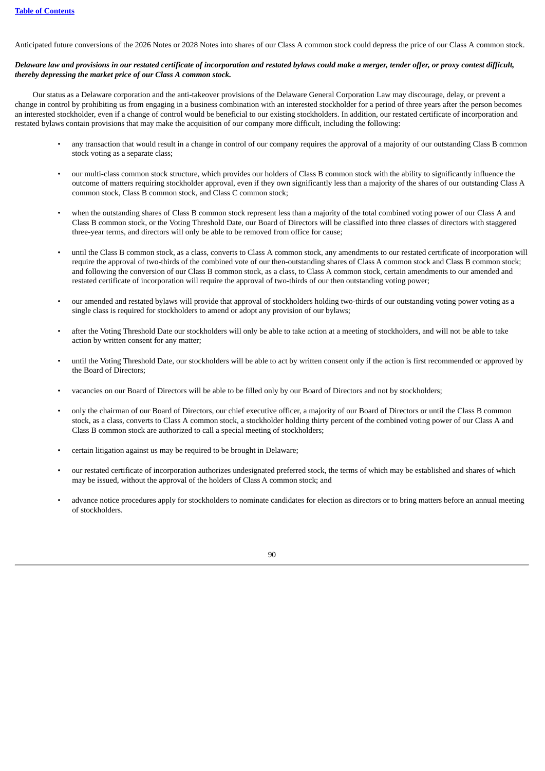Anticipated future conversions of the 2026 Notes or 2028 Notes into shares of our Class A common stock could depress the price of our Class A common stock.

# Delaware law and provisions in our restated certificate of incorporation and restated bylaws could make a merger, tender offer, or proxy contest difficult, *thereby depressing the market price of our Class A common stock.*

Our status as a Delaware corporation and the anti-takeover provisions of the Delaware General Corporation Law may discourage, delay, or prevent a change in control by prohibiting us from engaging in a business combination with an interested stockholder for a period of three years after the person becomes an interested stockholder, even if a change of control would be beneficial to our existing stockholders. In addition, our restated certificate of incorporation and restated bylaws contain provisions that may make the acquisition of our company more difficult, including the following:

- any transaction that would result in a change in control of our company requires the approval of a majority of our outstanding Class B common stock voting as a separate class;
- our multi-class common stock structure, which provides our holders of Class B common stock with the ability to significantly influence the outcome of matters requiring stockholder approval, even if they own significantly less than a majority of the shares of our outstanding Class A common stock, Class B common stock, and Class C common stock;
- when the outstanding shares of Class B common stock represent less than a majority of the total combined voting power of our Class A and Class B common stock, or the Voting Threshold Date, our Board of Directors will be classified into three classes of directors with staggered three-year terms, and directors will only be able to be removed from office for cause;
- until the Class B common stock, as a class, converts to Class A common stock, any amendments to our restated certificate of incorporation will require the approval of two-thirds of the combined vote of our then-outstanding shares of Class A common stock and Class B common stock; and following the conversion of our Class B common stock, as a class, to Class A common stock, certain amendments to our amended and restated certificate of incorporation will require the approval of two-thirds of our then outstanding voting power;
- our amended and restated bylaws will provide that approval of stockholders holding two-thirds of our outstanding voting power voting as a single class is required for stockholders to amend or adopt any provision of our bylaws;
- after the Voting Threshold Date our stockholders will only be able to take action at a meeting of stockholders, and will not be able to take action by written consent for any matter;
- until the Voting Threshold Date, our stockholders will be able to act by written consent only if the action is first recommended or approved by the Board of Directors;
- vacancies on our Board of Directors will be able to be filled only by our Board of Directors and not by stockholders;
- only the chairman of our Board of Directors, our chief executive officer, a majority of our Board of Directors or until the Class B common stock, as a class, converts to Class A common stock, a stockholder holding thirty percent of the combined voting power of our Class A and Class B common stock are authorized to call a special meeting of stockholders;
- certain litigation against us may be required to be brought in Delaware;
- our restated certificate of incorporation authorizes undesignated preferred stock, the terms of which may be established and shares of which may be issued, without the approval of the holders of Class A common stock; and
- advance notice procedures apply for stockholders to nominate candidates for election as directors or to bring matters before an annual meeting of stockholders.

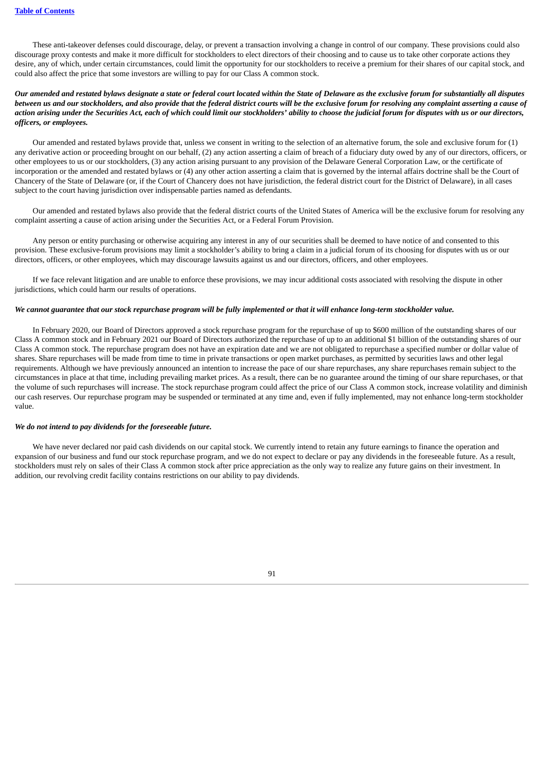These anti-takeover defenses could discourage, delay, or prevent a transaction involving a change in control of our company. These provisions could also discourage proxy contests and make it more difficult for stockholders to elect directors of their choosing and to cause us to take other corporate actions they desire, any of which, under certain circumstances, could limit the opportunity for our stockholders to receive a premium for their shares of our capital stock, and could also affect the price that some investors are willing to pay for our Class A common stock.

### Our amended and restated bylaws designate a state or federal court located within the State of Delaware as the exclusive forum for substantially all disputes between us and our stockholders, and also provide that the federal district courts will be the exclusive forum for resolving any complaint asserting a cause of action arising under the Securities Act, each of which could limit our stockholders' ability to choose the judicial forum for disputes with us or our directors, *officers, or employees.*

Our amended and restated bylaws provide that, unless we consent in writing to the selection of an alternative forum, the sole and exclusive forum for (1) any derivative action or proceeding brought on our behalf, (2) any action asserting a claim of breach of a fiduciary duty owed by any of our directors, officers, or other employees to us or our stockholders, (3) any action arising pursuant to any provision of the Delaware General Corporation Law, or the certificate of incorporation or the amended and restated bylaws or (4) any other action asserting a claim that is governed by the internal affairs doctrine shall be the Court of Chancery of the State of Delaware (or, if the Court of Chancery does not have jurisdiction, the federal district court for the District of Delaware), in all cases subject to the court having jurisdiction over indispensable parties named as defendants.

Our amended and restated bylaws also provide that the federal district courts of the United States of America will be the exclusive forum for resolving any complaint asserting a cause of action arising under the Securities Act, or a Federal Forum Provision.

Any person or entity purchasing or otherwise acquiring any interest in any of our securities shall be deemed to have notice of and consented to this provision. These exclusive-forum provisions may limit a stockholder's ability to bring a claim in a judicial forum of its choosing for disputes with us or our directors, officers, or other employees, which may discourage lawsuits against us and our directors, officers, and other employees.

If we face relevant litigation and are unable to enforce these provisions, we may incur additional costs associated with resolving the dispute in other jurisdictions, which could harm our results of operations.

#### We cannot guarantee that our stock repurchase program will be fully implemented or that it will enhance long-term stockholder value.

In February 2020, our Board of Directors approved a stock repurchase program for the repurchase of up to \$600 million of the outstanding shares of our Class A common stock and in February 2021 our Board of Directors authorized the repurchase of up to an additional \$1 billion of the outstanding shares of our Class A common stock. The repurchase program does not have an expiration date and we are not obligated to repurchase a specified number or dollar value of shares. Share repurchases will be made from time to time in private transactions or open market purchases, as permitted by securities laws and other legal requirements. Although we have previously announced an intention to increase the pace of our share repurchases, any share repurchases remain subject to the circumstances in place at that time, including prevailing market prices. As a result, there can be no guarantee around the timing of our share repurchases, or that the volume of such repurchases will increase. The stock repurchase program could affect the price of our Class A common stock, increase volatility and diminish our cash reserves. Our repurchase program may be suspended or terminated at any time and, even if fully implemented, may not enhance long-term stockholder value.

# *We do not intend to pay dividends for the foreseeable future.*

We have never declared nor paid cash dividends on our capital stock. We currently intend to retain any future earnings to finance the operation and expansion of our business and fund our stock repurchase program, and we do not expect to declare or pay any dividends in the foreseeable future. As a result, stockholders must rely on sales of their Class A common stock after price appreciation as the only way to realize any future gains on their investment. In addition, our revolving credit facility contains restrictions on our ability to pay dividends.

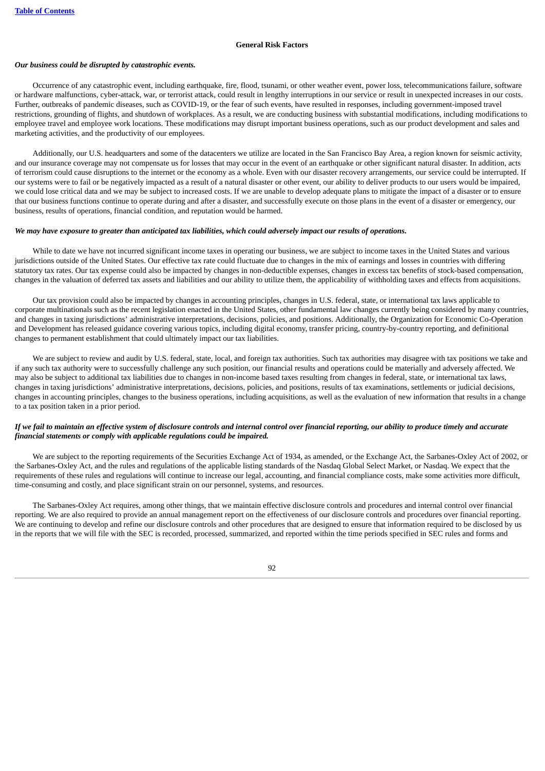### **General Risk Factors**

### *Our business could be disrupted by catastrophic events.*

Occurrence of any catastrophic event, including earthquake, fire, flood, tsunami, or other weather event, power loss, telecommunications failure, software or hardware malfunctions, cyber-attack, war, or terrorist attack, could result in lengthy interruptions in our service or result in unexpected increases in our costs. Further, outbreaks of pandemic diseases, such as COVID-19, or the fear of such events, have resulted in responses, including government-imposed travel restrictions, grounding of flights, and shutdown of workplaces. As a result, we are conducting business with substantial modifications, including modifications to employee travel and employee work locations. These modifications may disrupt important business operations, such as our product development and sales and marketing activities, and the productivity of our employees.

Additionally, our U.S. headquarters and some of the datacenters we utilize are located in the San Francisco Bay Area, a region known for seismic activity, and our insurance coverage may not compensate us for losses that may occur in the event of an earthquake or other significant natural disaster. In addition, acts of terrorism could cause disruptions to the internet or the economy as a whole. Even with our disaster recovery arrangements, our service could be interrupted. If our systems were to fail or be negatively impacted as a result of a natural disaster or other event, our ability to deliver products to our users would be impaired, we could lose critical data and we may be subject to increased costs. If we are unable to develop adequate plans to mitigate the impact of a disaster or to ensure that our business functions continue to operate during and after a disaster, and successfully execute on those plans in the event of a disaster or emergency, our business, results of operations, financial condition, and reputation would be harmed.

#### We may have exposure to greater than anticipated tax liabilities, which could adversely impact our results of operations.

While to date we have not incurred significant income taxes in operating our business, we are subject to income taxes in the United States and various jurisdictions outside of the United States. Our effective tax rate could fluctuate due to changes in the mix of earnings and losses in countries with differing statutory tax rates. Our tax expense could also be impacted by changes in non-deductible expenses, changes in excess tax benefits of stock-based compensation, changes in the valuation of deferred tax assets and liabilities and our ability to utilize them, the applicability of withholding taxes and effects from acquisitions.

Our tax provision could also be impacted by changes in accounting principles, changes in U.S. federal, state, or international tax laws applicable to corporate multinationals such as the recent legislation enacted in the United States, other fundamental law changes currently being considered by many countries, and changes in taxing jurisdictions' administrative interpretations, decisions, policies, and positions. Additionally, the Organization for Economic Co-Operation and Development has released guidance covering various topics, including digital economy, transfer pricing, country-by-country reporting, and definitional changes to permanent establishment that could ultimately impact our tax liabilities.

We are subject to review and audit by U.S. federal, state, local, and foreign tax authorities. Such tax authorities may disagree with tax positions we take and if any such tax authority were to successfully challenge any such position, our financial results and operations could be materially and adversely affected. We may also be subject to additional tax liabilities due to changes in non-income based taxes resulting from changes in federal, state, or international tax laws, changes in taxing jurisdictions' administrative interpretations, decisions, policies, and positions, results of tax examinations, settlements or judicial decisions, changes in accounting principles, changes to the business operations, including acquisitions, as well as the evaluation of new information that results in a change to a tax position taken in a prior period.

# If we fail to maintain an effective system of disclosure controls and internal control over financial reporting, our ability to produce timely and accurate *financial statements or comply with applicable regulations could be impaired.*

We are subject to the reporting requirements of the Securities Exchange Act of 1934, as amended, or the Exchange Act, the Sarbanes-Oxley Act of 2002, or the Sarbanes-Oxley Act, and the rules and regulations of the applicable listing standards of the Nasdaq Global Select Market, or Nasdaq. We expect that the requirements of these rules and regulations will continue to increase our legal, accounting, and financial compliance costs, make some activities more difficult, time-consuming and costly, and place significant strain on our personnel, systems, and resources.

The Sarbanes-Oxley Act requires, among other things, that we maintain effective disclosure controls and procedures and internal control over financial reporting. We are also required to provide an annual management report on the effectiveness of our disclosure controls and procedures over financial reporting. We are continuing to develop and refine our disclosure controls and other procedures that are designed to ensure that information required to be disclosed by us in the reports that we will file with the SEC is recorded, processed, summarized, and reported within the time periods specified in SEC rules and forms and

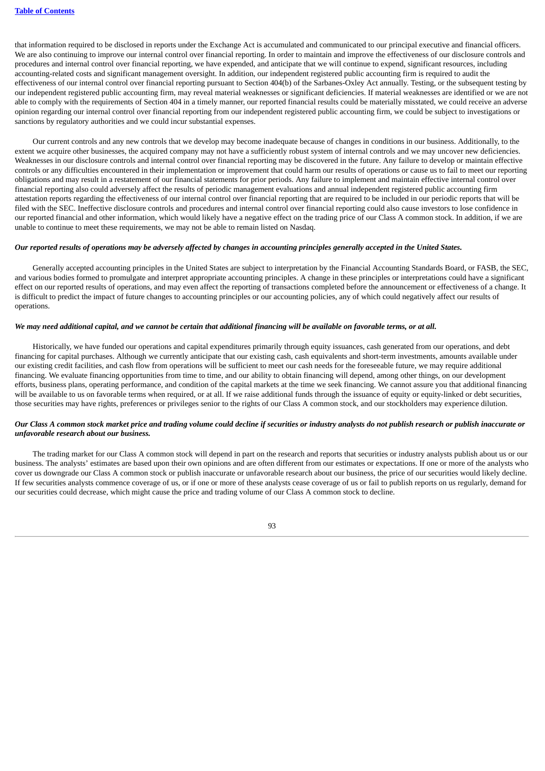that information required to be disclosed in reports under the Exchange Act is accumulated and communicated to our principal executive and financial officers. We are also continuing to improve our internal control over financial reporting. In order to maintain and improve the effectiveness of our disclosure controls and procedures and internal control over financial reporting, we have expended, and anticipate that we will continue to expend, significant resources, including accounting-related costs and significant management oversight. In addition, our independent registered public accounting firm is required to audit the effectiveness of our internal control over financial reporting pursuant to Section 404(b) of the Sarbanes-Oxley Act annually. Testing, or the subsequent testing by our independent registered public accounting firm, may reveal material weaknesses or significant deficiencies. If material weaknesses are identified or we are not able to comply with the requirements of Section 404 in a timely manner, our reported financial results could be materially misstated, we could receive an adverse opinion regarding our internal control over financial reporting from our independent registered public accounting firm, we could be subject to investigations or sanctions by regulatory authorities and we could incur substantial expenses.

Our current controls and any new controls that we develop may become inadequate because of changes in conditions in our business. Additionally, to the extent we acquire other businesses, the acquired company may not have a sufficiently robust system of internal controls and we may uncover new deficiencies. Weaknesses in our disclosure controls and internal control over financial reporting may be discovered in the future. Any failure to develop or maintain effective controls or any difficulties encountered in their implementation or improvement that could harm our results of operations or cause us to fail to meet our reporting obligations and may result in a restatement of our financial statements for prior periods. Any failure to implement and maintain effective internal control over financial reporting also could adversely affect the results of periodic management evaluations and annual independent registered public accounting firm attestation reports regarding the effectiveness of our internal control over financial reporting that are required to be included in our periodic reports that will be filed with the SEC. Ineffective disclosure controls and procedures and internal control over financial reporting could also cause investors to lose confidence in our reported financial and other information, which would likely have a negative effect on the trading price of our Class A common stock. In addition, if we are unable to continue to meet these requirements, we may not be able to remain listed on Nasdaq.

#### Our reported results of operations may be adversely affected by changes in accounting principles generally accepted in the United States.

Generally accepted accounting principles in the United States are subject to interpretation by the Financial Accounting Standards Board, or FASB, the SEC, and various bodies formed to promulgate and interpret appropriate accounting principles. A change in these principles or interpretations could have a significant effect on our reported results of operations, and may even affect the reporting of transactions completed before the announcement or effectiveness of a change. It is difficult to predict the impact of future changes to accounting principles or our accounting policies, any of which could negatively affect our results of operations.

## We may need additional capital, and we cannot be certain that additional financing will be available on favorable terms, or at all.

Historically, we have funded our operations and capital expenditures primarily through equity issuances, cash generated from our operations, and debt financing for capital purchases. Although we currently anticipate that our existing cash, cash equivalents and short-term investments, amounts available under our existing credit facilities, and cash flow from operations will be sufficient to meet our cash needs for the foreseeable future, we may require additional financing. We evaluate financing opportunities from time to time, and our ability to obtain financing will depend, among other things, on our development efforts, business plans, operating performance, and condition of the capital markets at the time we seek financing. We cannot assure you that additional financing will be available to us on favorable terms when required, or at all. If we raise additional funds through the issuance of equity or equity-linked or debt securities, those securities may have rights, preferences or privileges senior to the rights of our Class A common stock, and our stockholders may experience dilution.

# Our Class A common stock market price and trading volume could decline if securities or industry analysts do not publish research or publish inaccurate or *unfavorable research about our business.*

The trading market for our Class A common stock will depend in part on the research and reports that securities or industry analysts publish about us or our business. The analysts' estimates are based upon their own opinions and are often different from our estimates or expectations. If one or more of the analysts who cover us downgrade our Class A common stock or publish inaccurate or unfavorable research about our business, the price of our securities would likely decline. If few securities analysts commence coverage of us, or if one or more of these analysts cease coverage of us or fail to publish reports on us regularly, demand for our securities could decrease, which might cause the price and trading volume of our Class A common stock to decline.

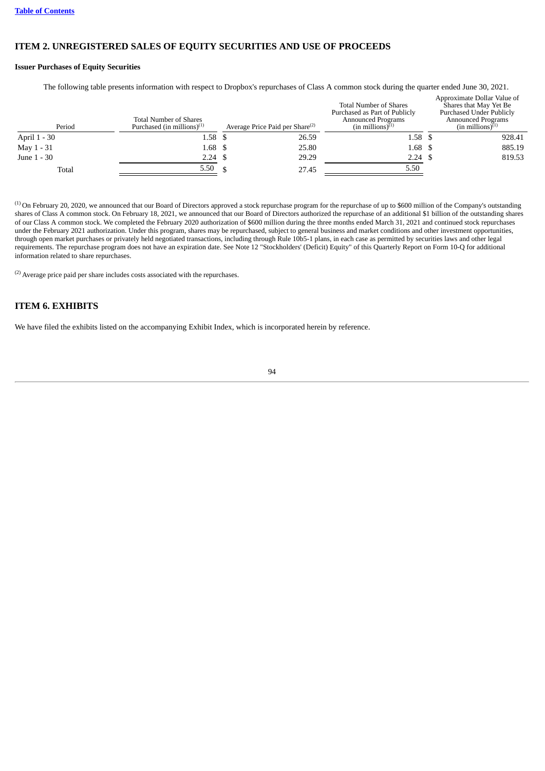# **ITEM 2. UNREGISTERED SALES OF EQUITY SECURITIES AND USE OF PROCEEDS**

### **Issuer Purchases of Equity Securities**

The following table presents information with respect to Dropbox's repurchases of Class A common stock during the quarter ended June 30, 2021.

| Period       | <b>Total Number of Shares</b><br>Purchased (in millions) $(1)$ | Average Price Paid per Share <sup>(2)</sup> |       | <b>Total Number of Shares</b><br>Purchased as Part of Publicly<br><b>Announced Programs</b><br>$(in$ millions) $(1)$ |  | Approximate Dollar Value of<br>Shares that May Yet Be<br>Purchased Under Publicly<br><b>Announced Programs</b><br>$(in$ millions) <sup>(1)</sup> |  |
|--------------|----------------------------------------------------------------|---------------------------------------------|-------|----------------------------------------------------------------------------------------------------------------------|--|--------------------------------------------------------------------------------------------------------------------------------------------------|--|
| April 1 - 30 | 1.58 \$                                                        |                                             | 26.59 | 1.58 <sup>5</sup>                                                                                                    |  | 928.41                                                                                                                                           |  |
| May 1 - 31   | 1.68 \$                                                        |                                             | 25.80 | 1.68 <sup>5</sup>                                                                                                    |  | 885.19                                                                                                                                           |  |
| June 1 - 30  | $2.24 \text{ } $$                                              |                                             | 29.29 | $2.24 \text{ } $s$                                                                                                   |  | 819.53                                                                                                                                           |  |
| Total        | 5.50                                                           |                                             | 27.45 | 5.50                                                                                                                 |  |                                                                                                                                                  |  |

 $^{(1)}$  On February 20, 2020, we announced that our Board of Directors approved a stock repurchase program for the repurchase of up to \$600 million of the Company's outstanding shares of Class A common stock. On February 18, 2021, we announced that our Board of Directors authorized the repurchase of an additional \$1 billion of the outstanding shares of our Class A common stock. We completed the February 2020 authorization of \$600 million during the three months ended March 31, 2021 and continued stock repurchases under the February 2021 authorization. Under this program, shares may be repurchased, subject to general business and market conditions and other investment opportunities, through open market purchases or privately held negotiated transactions, including through Rule 10b5-1 plans, in each case as permitted by securities laws and other legal requirements. The repurchase program does not have an expiration date. See Note 12 "Stockholders' (Deficit) Equity" of this Quarterly Report on Form 10-Q for additional information related to share repurchases.

 $^{(2)}$  Average price paid per share includes costs associated with the repurchases.

# **ITEM 6. EXHIBITS**

We have filed the exhibits listed on the accompanying Exhibit Index, which is incorporated herein by reference.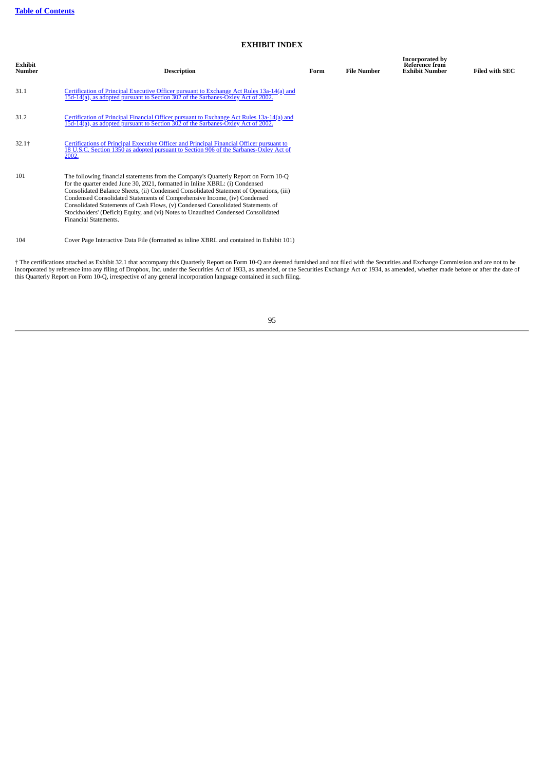# **EXHIBIT INDEX**

| Exhibit<br><b>Number</b> | <b>Description</b>                                                                                                                                                                                                                                                                                                                                                                                                                                                                                                                                   | Form | <b>File Number</b> | <b>Incorporated by</b><br><b>Reference from</b><br><b>Exhibit Number</b> | <b>Filed with SEC</b> |
|--------------------------|------------------------------------------------------------------------------------------------------------------------------------------------------------------------------------------------------------------------------------------------------------------------------------------------------------------------------------------------------------------------------------------------------------------------------------------------------------------------------------------------------------------------------------------------------|------|--------------------|--------------------------------------------------------------------------|-----------------------|
| 31.1                     | Certification of Principal Executive Officer pursuant to Exchange Act Rules 13a-14(a) and<br>15d-14(a), as adopted pursuant to Section 302 of the Sarbanes-Oxley Act of 2002.                                                                                                                                                                                                                                                                                                                                                                        |      |                    |                                                                          |                       |
| 31.2                     | Certification of Principal Financial Officer pursuant to Exchange Act Rules 13a-14(a) and 15d-14(a), as adopted pursuant to Section 302 of the Sarbanes-Oxley Act of 2002.                                                                                                                                                                                                                                                                                                                                                                           |      |                    |                                                                          |                       |
| $32.1$ <sup>+</sup>      | Certifications of Principal Executive Officer and Principal Financial Officer pursuant to<br>18 U.S.C. Section 1350 as adopted pursuant to Section 906 of the Sarbanes-Oxley Act of<br>2002.                                                                                                                                                                                                                                                                                                                                                         |      |                    |                                                                          |                       |
| 101                      | The following financial statements from the Company's Quarterly Report on Form 10-Q<br>for the quarter ended June 30, 2021, formatted in Inline XBRL: (i) Condensed<br>Consolidated Balance Sheets, (ii) Condensed Consolidated Statement of Operations, (iii)<br>Condensed Consolidated Statements of Comprehensive Income, (iv) Condensed<br>Consolidated Statements of Cash Flows, (v) Condensed Consolidated Statements of<br>Stockholders' (Deficit) Equity, and (vi) Notes to Unaudited Condensed Consolidated<br><b>Financial Statements.</b> |      |                    |                                                                          |                       |
| 104                      | Cover Page Interactive Data File (formatted as inline XBRL and contained in Exhibit 101)                                                                                                                                                                                                                                                                                                                                                                                                                                                             |      |                    |                                                                          |                       |

† The certifications attached as Exhibit 32.1 that accompany this Quarterly Report on Form 10-Q are deemed furnished and not filed with the Securities and Exchange Commission and are not to be incorporated by reference int

#### 95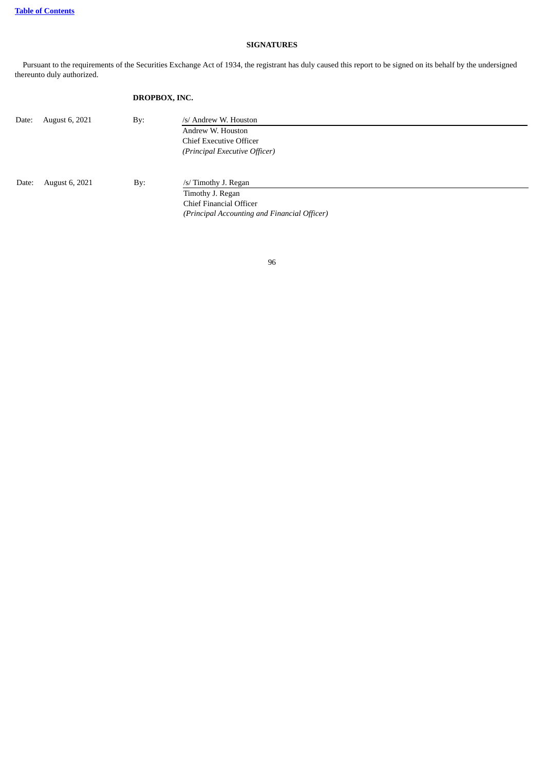# **SIGNATURES**

Pursuant to the requirements of the Securities Exchange Act of 1934, the registrant has duly caused this report to be signed on its behalf by the undersigned thereunto duly authorized.

# **DROPBOX, INC.**

| Date: | August 6, 2021 | By: | /s/ Andrew W. Houston                        |  |
|-------|----------------|-----|----------------------------------------------|--|
|       |                |     | Andrew W. Houston                            |  |
|       |                |     | Chief Executive Officer                      |  |
|       |                |     | (Principal Executive Officer)                |  |
|       |                |     |                                              |  |
| Date: | August 6, 2021 | By: | /s/ Timothy J. Regan                         |  |
|       |                |     | Timothy J. Regan                             |  |
|       |                |     | Chief Financial Officer                      |  |
|       |                |     | (Principal Accounting and Financial Officer) |  |

96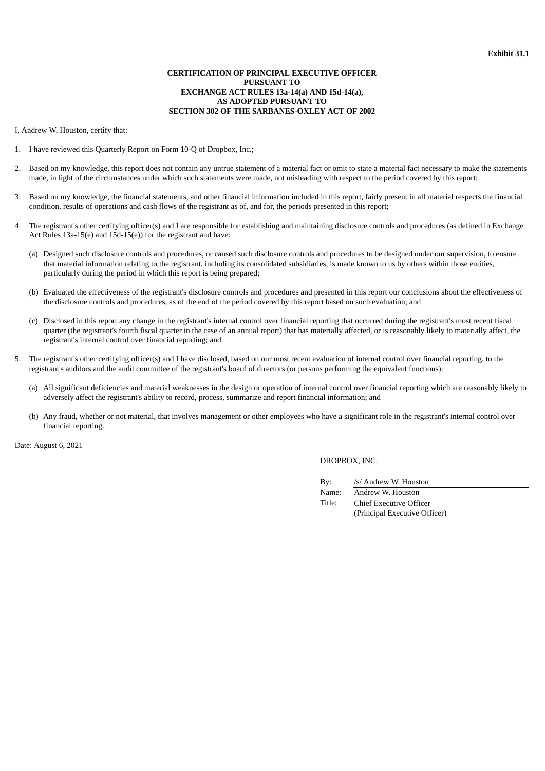# **CERTIFICATION OF PRINCIPAL EXECUTIVE OFFICER PURSUANT TO EXCHANGE ACT RULES 13a-14(a) AND 15d-14(a), AS ADOPTED PURSUANT TO SECTION 302 OF THE SARBANES-OXLEY ACT OF 2002**

<span id="page-96-0"></span>I, Andrew W. Houston, certify that:

- 1. I have reviewed this Quarterly Report on Form 10-Q of Dropbox, Inc.;
- 2. Based on my knowledge, this report does not contain any untrue statement of a material fact or omit to state a material fact necessary to make the statements made, in light of the circumstances under which such statements were made, not misleading with respect to the period covered by this report;
- 3. Based on my knowledge, the financial statements, and other financial information included in this report, fairly present in all material respects the financial condition, results of operations and cash flows of the registrant as of, and for, the periods presented in this report;
- 4. The registrant's other certifying officer(s) and I are responsible for establishing and maintaining disclosure controls and procedures (as defined in Exchange Act Rules 13a-15(e) and 15d-15(e)) for the registrant and have:
	- (a) Designed such disclosure controls and procedures, or caused such disclosure controls and procedures to be designed under our supervision, to ensure that material information relating to the registrant, including its consolidated subsidiaries, is made known to us by others within those entities, particularly during the period in which this report is being prepared;
	- (b) Evaluated the effectiveness of the registrant's disclosure controls and procedures and presented in this report our conclusions about the effectiveness of the disclosure controls and procedures, as of the end of the period covered by this report based on such evaluation; and
	- (c) Disclosed in this report any change in the registrant's internal control over financial reporting that occurred during the registrant's most recent fiscal quarter (the registrant's fourth fiscal quarter in the case of an annual report) that has materially affected, or is reasonably likely to materially affect, the registrant's internal control over financial reporting; and
- 5. The registrant's other certifying officer(s) and I have disclosed, based on our most recent evaluation of internal control over financial reporting, to the registrant's auditors and the audit committee of the registrant's board of directors (or persons performing the equivalent functions):
	- (a) All significant deficiencies and material weaknesses in the design or operation of internal control over financial reporting which are reasonably likely to adversely affect the registrant's ability to record, process, summarize and report financial information; and
	- (b) Any fraud, whether or not material, that involves management or other employees who have a significant role in the registrant's internal control over financial reporting.

Date: August 6, 2021

DROPBOX, INC.

By: /s/ Andrew W. Houston Name: Andrew W. Houston Title: Chief Executive Officer

(Principal Executive Officer)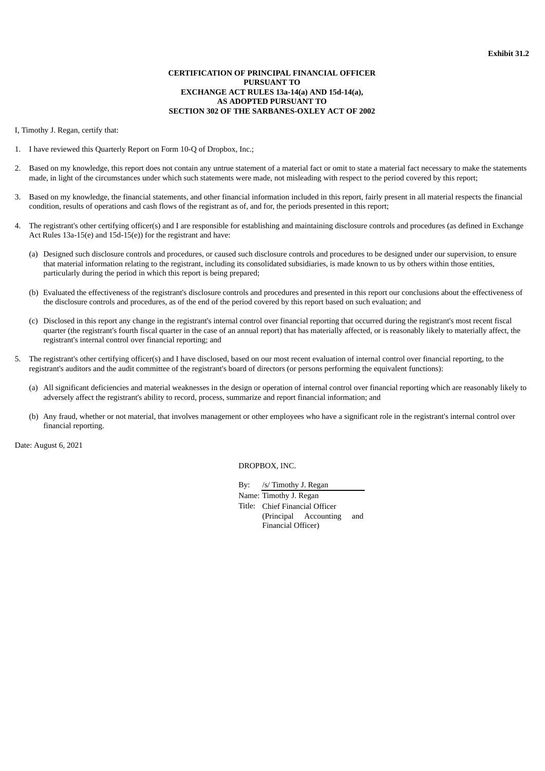# **CERTIFICATION OF PRINCIPAL FINANCIAL OFFICER PURSUANT TO EXCHANGE ACT RULES 13a-14(a) AND 15d-14(a), AS ADOPTED PURSUANT TO SECTION 302 OF THE SARBANES-OXLEY ACT OF 2002**

<span id="page-97-0"></span>I, Timothy J. Regan, certify that:

- 1. I have reviewed this Quarterly Report on Form 10-Q of Dropbox, Inc.;
- 2. Based on my knowledge, this report does not contain any untrue statement of a material fact or omit to state a material fact necessary to make the statements made, in light of the circumstances under which such statements were made, not misleading with respect to the period covered by this report;
- 3. Based on my knowledge, the financial statements, and other financial information included in this report, fairly present in all material respects the financial condition, results of operations and cash flows of the registrant as of, and for, the periods presented in this report;
- 4. The registrant's other certifying officer(s) and I are responsible for establishing and maintaining disclosure controls and procedures (as defined in Exchange Act Rules 13a-15(e) and 15d-15(e)) for the registrant and have:
	- (a) Designed such disclosure controls and procedures, or caused such disclosure controls and procedures to be designed under our supervision, to ensure that material information relating to the registrant, including its consolidated subsidiaries, is made known to us by others within those entities, particularly during the period in which this report is being prepared;
	- (b) Evaluated the effectiveness of the registrant's disclosure controls and procedures and presented in this report our conclusions about the effectiveness of the disclosure controls and procedures, as of the end of the period covered by this report based on such evaluation; and
	- (c) Disclosed in this report any change in the registrant's internal control over financial reporting that occurred during the registrant's most recent fiscal quarter (the registrant's fourth fiscal quarter in the case of an annual report) that has materially affected, or is reasonably likely to materially affect, the registrant's internal control over financial reporting; and
- 5. The registrant's other certifying officer(s) and I have disclosed, based on our most recent evaluation of internal control over financial reporting, to the registrant's auditors and the audit committee of the registrant's board of directors (or persons performing the equivalent functions):
	- (a) All significant deficiencies and material weaknesses in the design or operation of internal control over financial reporting which are reasonably likely to adversely affect the registrant's ability to record, process, summarize and report financial information; and
	- (b) Any fraud, whether or not material, that involves management or other employees who have a significant role in the registrant's internal control over financial reporting.

Date: August 6, 2021

DROPBOX, INC.

By: /s/ Timothy J. Regan

Name: Timothy J. Regan Title: Chief Financial Officer (Principal Accounting and Financial Officer)